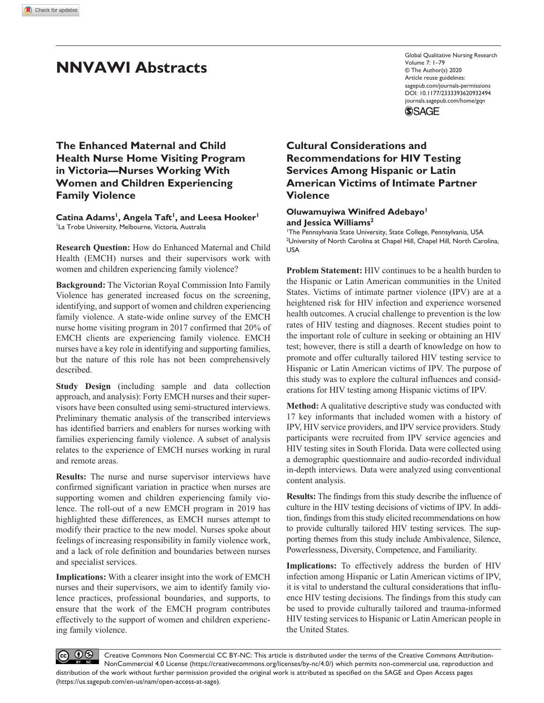# **NNVAWI Abstracts**

https://doi.org/10.1177/2333393620932494 DOI: 10.1177/2333393620932494 Global Qualitative Nursing Research Volume 7: 1–79 © The Author(s) 2020 Article reuse guidelines: [sagepub.com/journals-permissions](https://us.sagepub.com/en-us/journals-permissions) [journals.sagepub.com/home/gqn](https://journals.sagepub.com/home/gqn)

**SSAGE** 

**The Enhanced Maternal and Child Health Nurse Home Visiting Program in Victoria—Nurses Working With Women and Children Experiencing Family Violence**

Catina Adams<sup>1</sup>, Angela Taft<sup>1</sup>, and Leesa Hooker<sup>1</sup> <sup>1</sup>La Trobe University, Melbourne, Victoria, Australia

**Research Question:** How do Enhanced Maternal and Child Health (EMCH) nurses and their supervisors work with women and children experiencing family violence?

**Background:** The Victorian Royal Commission Into Family Violence has generated increased focus on the screening, identifying, and support of women and children experiencing family violence. A state-wide online survey of the EMCH nurse home visiting program in 2017 confirmed that 20% of EMCH clients are experiencing family violence. EMCH nurses have a key role in identifying and supporting families, but the nature of this role has not been comprehensively described.

**Study Design** (including sample and data collection approach, and analysis): Forty EMCH nurses and their supervisors have been consulted using semi-structured interviews. Preliminary thematic analysis of the transcribed interviews has identified barriers and enablers for nurses working with families experiencing family violence. A subset of analysis relates to the experience of EMCH nurses working in rural and remote areas.

**Results:** The nurse and nurse supervisor interviews have confirmed significant variation in practice when nurses are supporting women and children experiencing family violence. The roll-out of a new EMCH program in 2019 has highlighted these differences, as EMCH nurses attempt to modify their practice to the new model. Nurses spoke about feelings of increasing responsibility in family violence work, and a lack of role definition and boundaries between nurses and specialist services.

**Implications:** With a clearer insight into the work of EMCH nurses and their supervisors, we aim to identify family violence practices, professional boundaries, and supports, to ensure that the work of the EMCH program contributes effectively to the support of women and children experiencing family violence.

## **Cultural Considerations and Recommendations for HIV Testing Services Among Hispanic or Latin American Victims of Intimate Partner Violence**

### **Oluwamuyiwa Winifred Adebayo1 and Jessica Williams2**

1 The Pennsylvania State University, State College, Pennsylvania, USA <sup>2</sup>University of North Carolina at Chapel Hill, Chapel Hill, North Carolina, USA

**Problem Statement:** HIV continues to be a health burden to the Hispanic or Latin American communities in the United States. Victims of intimate partner violence (IPV) are at a heightened risk for HIV infection and experience worsened health outcomes. A crucial challenge to prevention is the low rates of HIV testing and diagnoses. Recent studies point to the important role of culture in seeking or obtaining an HIV test; however, there is still a dearth of knowledge on how to promote and offer culturally tailored HIV testing service to Hispanic or Latin American victims of IPV. The purpose of this study was to explore the cultural influences and considerations for HIV testing among Hispanic victims of IPV.

**Method:** A qualitative descriptive study was conducted with 17 key informants that included women with a history of IPV, HIV service providers, and IPV service providers. Study participants were recruited from IPV service agencies and HIV testing sites in South Florida. Data were collected using a demographic questionnaire and audio-recorded individual in-depth interviews. Data were analyzed using conventional content analysis.

**Results:** The findings from this study describe the influence of culture in the HIV testing decisions of victims of IPV. In addition, findings from this study elicited recommendations on how to provide culturally tailored HIV testing services. The supporting themes from this study include Ambivalence, Silence, Powerlessness, Diversity, Competence, and Familiarity.

**Implications:** To effectively address the burden of HIV infection among Hispanic or Latin American victims of IPV, it is vital to understand the cultural considerations that influence HIV testing decisions. The findings from this study can be used to provide culturally tailored and trauma-informed HIV testing services to Hispanic or Latin American people in the United States.

 $0$ Creative Commons Non Commercial CC BY-NC: This article is distributed under the terms of the Creative Commons Attribution-(cc) NonCommercial 4.0 License (https://creativecommons.org/licenses/by-nc/4.0/) which permits non-commercial use, reproduction and distribution of the work without further permission provided the original work is attributed as specified on the SAGE and Open Access pages (https://us.sagepub.com/en-us/nam/open-access-at-sage).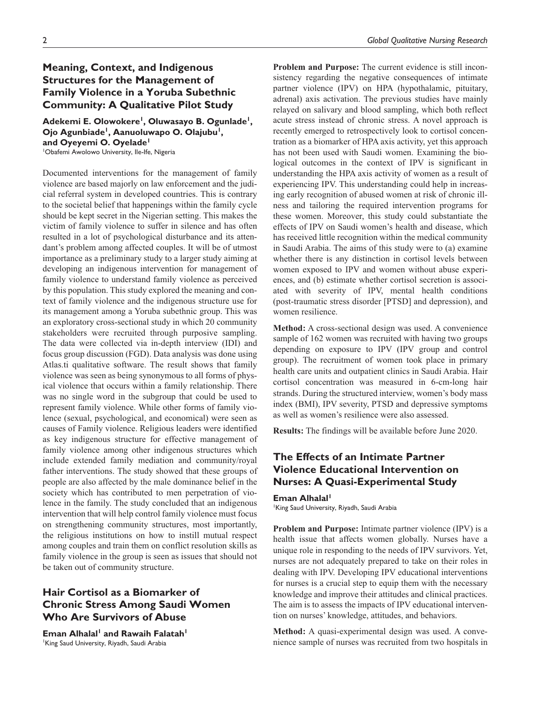## **Meaning, Context, and Indigenous Structures for the Management of Family Violence in a Yoruba Subethnic Community: A Qualitative Pilot Study**

Adekemi E. Olowokere<sup>1</sup>, Oluwasayo B. Ogunlade<sup>1</sup>, **Ojo Agunbiade<sup>1</sup>, Aanuoluwapo O. Olajubu<sup>1</sup>,** and Oyeyemi O. Oyelade<sup>1</sup> 1 Obafemi Awolowo University, Ile-Ife, Nigeria

Documented interventions for the management of family violence are based majorly on law enforcement and the judicial referral system in developed countries. This is contrary to the societal belief that happenings within the family cycle should be kept secret in the Nigerian setting. This makes the victim of family violence to suffer in silence and has often resulted in a lot of psychological disturbance and its attendant's problem among affected couples. It will be of utmost importance as a preliminary study to a larger study aiming at developing an indigenous intervention for management of family violence to understand family violence as perceived by this population. This study explored the meaning and context of family violence and the indigenous structure use for its management among a Yoruba subethnic group. This was an exploratory cross-sectional study in which 20 community stakeholders were recruited through purposive sampling. The data were collected via in-depth interview (IDI) and focus group discussion (FGD). Data analysis was done using Atlas.ti qualitative software. The result shows that family violence was seen as being synonymous to all forms of physical violence that occurs within a family relationship. There was no single word in the subgroup that could be used to represent family violence. While other forms of family violence (sexual, psychological, and economical) were seen as causes of Family violence. Religious leaders were identified as key indigenous structure for effective management of family violence among other indigenous structures which include extended family mediation and community/royal father interventions. The study showed that these groups of people are also affected by the male dominance belief in the society which has contributed to men perpetration of violence in the family. The study concluded that an indigenous intervention that will help control family violence must focus on strengthening community structures, most importantly, the religious institutions on how to instill mutual respect among couples and train them on conflict resolution skills as family violence in the group is seen as issues that should not be taken out of community structure.

## **Hair Cortisol as a Biomarker of Chronic Stress Among Saudi Women Who Are Survivors of Abuse**

**Eman Alhalal<sup>1</sup> and Rawaih Falatah<sup>1</sup>** 1 King Saud University, Riyadh, Saudi Arabia

**Problem and Purpose:** The current evidence is still inconsistency regarding the negative consequences of intimate partner violence (IPV) on HPA (hypothalamic, pituitary, adrenal) axis activation. The previous studies have mainly relayed on salivary and blood sampling, which both reflect acute stress instead of chronic stress. A novel approach is recently emerged to retrospectively look to cortisol concentration as a biomarker of HPA axis activity, yet this approach has not been used with Saudi women. Examining the biological outcomes in the context of IPV is significant in understanding the HPA axis activity of women as a result of experiencing IPV. This understanding could help in increasing early recognition of abused women at risk of chronic illness and tailoring the required intervention programs for these women. Moreover, this study could substantiate the effects of IPV on Saudi women's health and disease, which has received little recognition within the medical community in Saudi Arabia. The aims of this study were to (a) examine whether there is any distinction in cortisol levels between women exposed to IPV and women without abuse experiences, and (b) estimate whether cortisol secretion is associated with severity of IPV, mental health conditions (post-traumatic stress disorder [PTSD] and depression), and women resilience.

**Method:** A cross-sectional design was used. A convenience sample of 162 women was recruited with having two groups depending on exposure to IPV (IPV group and control group). The recruitment of women took place in primary health care units and outpatient clinics in Saudi Arabia. Hair cortisol concentration was measured in 6-cm-long hair strands. During the structured interview, women's body mass index (BMI), IPV severity, PTSD and depressive symptoms as well as women's resilience were also assessed.

**Results:** The findings will be available before June 2020.

## **The Effects of an Intimate Partner Violence Educational Intervention on Nurses: A Quasi-Experimental Study**

**Eman Alhalal<sup>1</sup>** 

King Saud University, Riyadh, Saudi Arabia

**Problem and Purpose:** Intimate partner violence (IPV) is a health issue that affects women globally. Nurses have a unique role in responding to the needs of IPV survivors. Yet, nurses are not adequately prepared to take on their roles in dealing with IPV. Developing IPV educational interventions for nurses is a crucial step to equip them with the necessary knowledge and improve their attitudes and clinical practices. The aim is to assess the impacts of IPV educational intervention on nurses' knowledge, attitudes, and behaviors.

**Method:** A quasi-experimental design was used. A convenience sample of nurses was recruited from two hospitals in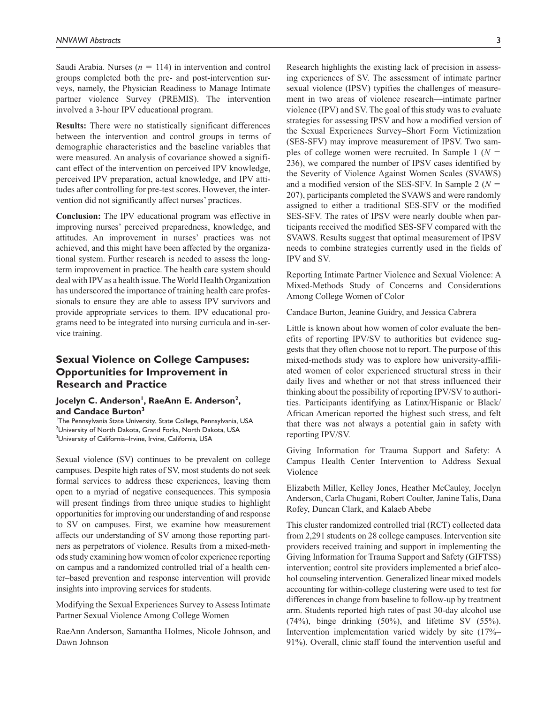Saudi Arabia. Nurses  $(n = 114)$  in intervention and control groups completed both the pre- and post-intervention surveys, namely, the Physician Readiness to Manage Intimate partner violence Survey (PREMIS). The intervention involved a 3-hour IPV educational program.

**Results:** There were no statistically significant differences between the intervention and control groups in terms of demographic characteristics and the baseline variables that were measured. An analysis of covariance showed a significant effect of the intervention on perceived IPV knowledge, perceived IPV preparation, actual knowledge, and IPV attitudes after controlling for pre-test scores. However, the intervention did not significantly affect nurses' practices.

**Conclusion:** The IPV educational program was effective in improving nurses' perceived preparedness, knowledge, and attitudes. An improvement in nurses' practices was not achieved, and this might have been affected by the organizational system. Further research is needed to assess the longterm improvement in practice. The health care system should deal with IPV as a health issue. The World Health Organization has underscored the importance of training health care professionals to ensure they are able to assess IPV survivors and provide appropriate services to them. IPV educational programs need to be integrated into nursing curricula and in-service training.

## **Sexual Violence on College Campuses: Opportunities for Improvement in Research and Practice**

### Jocelyn C. Anderson<sup>1</sup>, RaeAnn E. Anderson<sup>2</sup>, **and Candace Burton3**

1 The Pennsylvania State University, State College, Pennsylvania, USA 2 University of North Dakota, Grand Forks, North Dakota, USA <sup>3</sup>University of California-Irvine, Irvine, California, USA

Sexual violence (SV) continues to be prevalent on college campuses. Despite high rates of SV, most students do not seek formal services to address these experiences, leaving them open to a myriad of negative consequences. This symposia will present findings from three unique studies to highlight opportunities for improving our understanding of and response to SV on campuses. First, we examine how measurement affects our understanding of SV among those reporting partners as perpetrators of violence. Results from a mixed-methods study examining how women of color experience reporting on campus and a randomized controlled trial of a health center–based prevention and response intervention will provide insights into improving services for students.

Modifying the Sexual Experiences Survey to Assess Intimate Partner Sexual Violence Among College Women

RaeAnn Anderson, Samantha Holmes, Nicole Johnson, and Dawn Johnson

Research highlights the existing lack of precision in assessing experiences of SV. The assessment of intimate partner sexual violence (IPSV) typifies the challenges of measurement in two areas of violence research—intimate partner violence (IPV) and SV. The goal of this study was to evaluate strategies for assessing IPSV and how a modified version of the Sexual Experiences Survey–Short Form Victimization (SES-SFV) may improve measurement of IPSV. Two samples of college women were recruited. In Sample 1 (*N* = 236), we compared the number of IPSV cases identified by the Severity of Violence Against Women Scales (SVAWS) and a modified version of the SES-SFV. In Sample 2 (*N* = 207), participants completed the SVAWS and were randomly assigned to either a traditional SES-SFV or the modified SES-SFV. The rates of IPSV were nearly double when participants received the modified SES-SFV compared with the SVAWS. Results suggest that optimal measurement of IPSV needs to combine strategies currently used in the fields of IPV and SV.

Reporting Intimate Partner Violence and Sexual Violence: A Mixed-Methods Study of Concerns and Considerations Among College Women of Color

Candace Burton, Jeanine Guidry, and Jessica Cabrera

Little is known about how women of color evaluate the benefits of reporting IPV/SV to authorities but evidence suggests that they often choose not to report. The purpose of this mixed-methods study was to explore how university-affiliated women of color experienced structural stress in their daily lives and whether or not that stress influenced their thinking about the possibility of reporting IPV/SV to authorities. Participants identifying as Latinx/Hispanic or Black/ African American reported the highest such stress, and felt that there was not always a potential gain in safety with reporting IPV/SV.

Giving Information for Trauma Support and Safety: A Campus Health Center Intervention to Address Sexual Violence

Elizabeth Miller, Kelley Jones, Heather McCauley, Jocelyn Anderson, Carla Chugani, Robert Coulter, Janine Talis, Dana Rofey, Duncan Clark, and Kalaeb Abebe

This cluster randomized controlled trial (RCT) collected data from 2,291 students on 28 college campuses. Intervention site providers received training and support in implementing the Giving Information for Trauma Support and Safety (GIFTSS) intervention; control site providers implemented a brief alcohol counseling intervention. Generalized linear mixed models accounting for within-college clustering were used to test for differences in change from baseline to follow-up by treatment arm. Students reported high rates of past 30-day alcohol use  $(74\%)$ , binge drinking  $(50\%)$ , and lifetime SV  $(55\%)$ . Intervention implementation varied widely by site (17%– 91%). Overall, clinic staff found the intervention useful and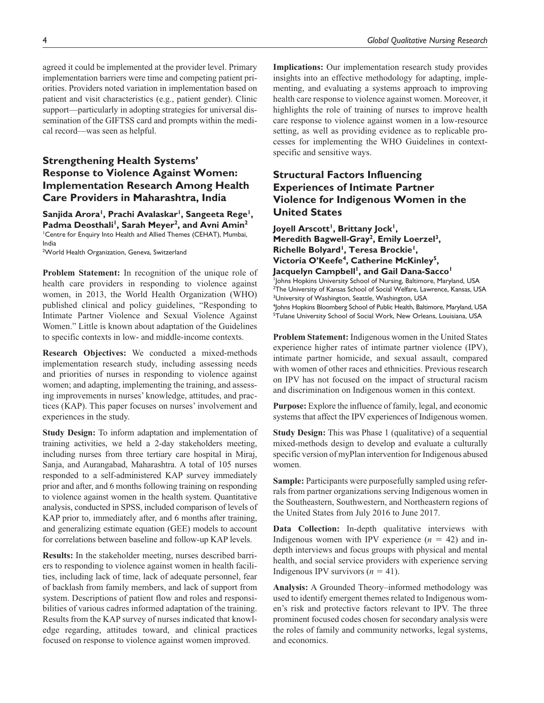agreed it could be implemented at the provider level. Primary implementation barriers were time and competing patient priorities. Providers noted variation in implementation based on patient and visit characteristics (e.g., patient gender). Clinic support—particularly in adopting strategies for universal dissemination of the GIFTSS card and prompts within the medical record—was seen as helpful.

## **Strengthening Health Systems' Response to Violence Against Women: Implementation Research Among Health Care Providers in Maharashtra, India**

Sanjida Arora<sup>1</sup>, Prachi Avalaskar<sup>1</sup>, Sangeeta Rege<sup>1</sup>, Padma Deosthali<sup>1</sup>, Sarah Meyer<sup>2</sup>, and Avni Amin<sup>2</sup> 1 Centre for Enquiry Into Health and Allied Themes (CEHAT), Mumbai, India

<sup>2</sup>World Health Organization, Geneva, Switzerland

**Problem Statement:** In recognition of the unique role of health care providers in responding to violence against women, in 2013, the World Health Organization (WHO) published clinical and policy guidelines, "Responding to Intimate Partner Violence and Sexual Violence Against Women." Little is known about adaptation of the Guidelines to specific contexts in low- and middle-income contexts.

**Research Objectives:** We conducted a mixed-methods implementation research study, including assessing needs and priorities of nurses in responding to violence against women; and adapting, implementing the training, and assessing improvements in nurses' knowledge, attitudes, and practices (KAP). This paper focuses on nurses' involvement and experiences in the study.

**Study Design:** To inform adaptation and implementation of training activities, we held a 2-day stakeholders meeting, including nurses from three tertiary care hospital in Miraj, Sanja, and Aurangabad, Maharashtra. A total of 105 nurses responded to a self-administered KAP survey immediately prior and after, and 6 months following training on responding to violence against women in the health system. Quantitative analysis, conducted in SPSS, included comparison of levels of KAP prior to, immediately after, and 6 months after training, and generalizing estimate equation (GEE) models to account for correlations between baseline and follow-up KAP levels.

**Results:** In the stakeholder meeting, nurses described barriers to responding to violence against women in health facilities, including lack of time, lack of adequate personnel, fear of backlash from family members, and lack of support from system. Descriptions of patient flow and roles and responsibilities of various cadres informed adaptation of the training. Results from the KAP survey of nurses indicated that knowledge regarding, attitudes toward, and clinical practices focused on response to violence against women improved.

**Implications:** Our implementation research study provides insights into an effective methodology for adapting, implementing, and evaluating a systems approach to improving health care response to violence against women. Moreover, it highlights the role of training of nurses to improve health care response to violence against women in a low-resource setting, as well as providing evidence as to replicable processes for implementing the WHO Guidelines in contextspecific and sensitive ways.

## **Structural Factors Influencing Experiences of Intimate Partner Violence for Indigenous Women in the United States**

Joyell Arscott<sup>1</sup>, Brittany Jock<sup>1</sup>, Meredith Bagwell-Gray<sup>2</sup>, Emily Loerzel<sup>3</sup>, Richelle Bolyard<sup>1</sup>, Teresa Brockie<sup>1</sup>, **Victoria O'Keefe4, Catherine McKinley5,**  Jacquelyn Campbell<sup>1</sup>, and Gail Dana-Sacco<sup>1</sup> 1 Johns Hopkins University School of Nursing, Baltimore, Maryland, USA <sup>2</sup>The University of Kansas School of Social Welfare, Lawrence, Kansas, USA <sup>3</sup>University of Washington, Seattle, Washington, USA 4 Johns Hopkins Bloomberg School of Public Health, Baltimore, Maryland, USA <sup>5</sup>Tulane University School of Social Work, New Orleans, Louisiana, USA

**Problem Statement:** Indigenous women in the United States experience higher rates of intimate partner violence (IPV), intimate partner homicide, and sexual assault, compared with women of other races and ethnicities. Previous research on IPV has not focused on the impact of structural racism and discrimination on Indigenous women in this context.

**Purpose:** Explore the influence of family, legal, and economic systems that affect the IPV experiences of Indigenous women.

**Study Design:** This was Phase 1 (qualitative) of a sequential mixed-methods design to develop and evaluate a culturally specific version of myPlan intervention for Indigenous abused women.

**Sample:** Participants were purposefully sampled using referrals from partner organizations serving Indigenous women in the Southeastern, Southwestern, and Northeastern regions of the United States from July 2016 to June 2017.

**Data Collection:** In-depth qualitative interviews with Indigenous women with IPV experience  $(n = 42)$  and indepth interviews and focus groups with physical and mental health, and social service providers with experience serving Indigenous IPV survivors  $(n = 41)$ .

**Analysis:** A Grounded Theory–informed methodology was used to identify emergent themes related to Indigenous women's risk and protective factors relevant to IPV. The three prominent focused codes chosen for secondary analysis were the roles of family and community networks, legal systems, and economics.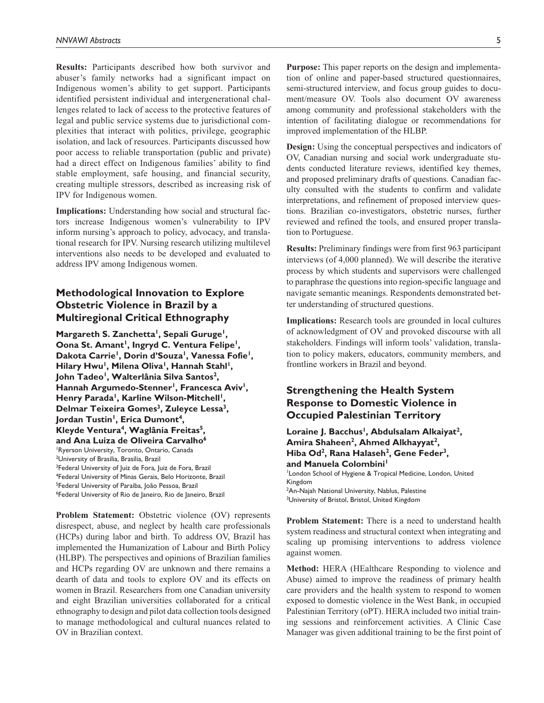**Results:** Participants described how both survivor and abuser's family networks had a significant impact on Indigenous women's ability to get support. Participants identified persistent individual and intergenerational challenges related to lack of access to the protective features of legal and public service systems due to jurisdictional complexities that interact with politics, privilege, geographic isolation, and lack of resources. Participants discussed how poor access to reliable transportation (public and private) had a direct effect on Indigenous families' ability to find stable employment, safe housing, and financial security, creating multiple stressors, described as increasing risk of IPV for Indigenous women.

**Implications:** Understanding how social and structural factors increase Indigenous women's vulnerability to IPV inform nursing's approach to policy, advocacy, and translational research for IPV. Nursing research utilizing multilevel interventions also needs to be developed and evaluated to address IPV among Indigenous women.

## **Methodological Innovation to Explore Obstetric Violence in Brazil by a Multiregional Critical Ethnography**

Margareth S. Zanchetta<sup>1</sup>, Sepali Guruge<sup>1</sup>, **Oona St. Amant<sup>1</sup>, Ingryd C. Ventura Felipe<sup>1</sup>,** Dakota Carrie<sup>1</sup>, Dorin d'Souza<sup>1</sup>, Vanessa Fofie<sup>1</sup>, Hilary Hwu<sup>1</sup>, Milena Oliva<sup>1</sup>, Hannah Stahl<sup>1</sup>, John Tadeo<sup>1</sup>, Walterlânia Silva Santos<sup>2</sup>, Hannah Argumedo-Stenner<sup>1</sup>, Francesca Aviv<sup>1</sup>, Henry Parada<sup>1</sup>, Karline Wilson-Mitchell<sup>1</sup>, Delmar Teixeira Gomes<sup>3</sup>, Zuleyce Lessa<sup>3</sup>, Jordan Tustin<sup>1</sup>, Erica Dumont<sup>4</sup>, **Kleyde Ventura4, Waglânia Freitas5, and Ana Luiza de Oliveira Carvalho6** 1 Ryerson University, Toronto, Ontario, Canada 2 University of Brasília, Brasília, Brazil <sup>3</sup>Federal University of Juiz de Fora, Juiz de Fora, Brazil 4 Federal University of Minas Gerais, Belo Horizonte, Brazil <sup>5</sup>Federal University of Paraíba, João Pessoa, Brazil 6 Federal University of Rio de Janeiro, Rio de Janeiro, Brazil

**Problem Statement:** Obstetric violence (OV) represents disrespect, abuse, and neglect by health care professionals (HCPs) during labor and birth. To address OV, Brazil has implemented the Humanization of Labour and Birth Policy (HLBP). The perspectives and opinions of Brazilian families and HCPs regarding OV are unknown and there remains a dearth of data and tools to explore OV and its effects on women in Brazil. Researchers from one Canadian university and eight Brazilian universities collaborated for a critical ethnography to design and pilot data collection tools designed to manage methodological and cultural nuances related to OV in Brazilian context.

**Purpose:** This paper reports on the design and implementation of online and paper-based structured questionnaires, semi-structured interview, and focus group guides to document/measure OV. Tools also document OV awareness among community and professional stakeholders with the intention of facilitating dialogue or recommendations for improved implementation of the HLBP.

**Design:** Using the conceptual perspectives and indicators of OV, Canadian nursing and social work undergraduate students conducted literature reviews, identified key themes, and proposed preliminary drafts of questions. Canadian faculty consulted with the students to confirm and validate interpretations, and refinement of proposed interview questions. Brazilian co-investigators, obstetric nurses, further reviewed and refined the tools, and ensured proper translation to Portuguese.

**Results:** Preliminary findings were from first 963 participant interviews (of 4,000 planned). We will describe the iterative process by which students and supervisors were challenged to paraphrase the questions into region-specific language and navigate semantic meanings. Respondents demonstrated better understanding of structured questions.

**Implications:** Research tools are grounded in local cultures of acknowledgment of OV and provoked discourse with all stakeholders. Findings will inform tools' validation, translation to policy makers, educators, community members, and frontline workers in Brazil and beyond.

## **Strengthening the Health System Response to Domestic Violence in Occupied Palestinian Territory**

Loraine J. Bacchus<sup>1</sup>, Abdulsalam Alkaiyat<sup>2</sup>, Amira Shaheen<sup>2</sup>, Ahmed Alkhayyat<sup>2</sup>, **Hiba Od2, Rana Halaseh2, Gene Feder3,**  and Manuela Colombini<sup>1</sup> London School of Hygiene & Tropical Medicine, London, United Kingdom <sup>2</sup>An-Najah National University, Nablus, Palestine <sup>3</sup>University of Bristol, Bristol, United Kingdom

**Problem Statement:** There is a need to understand health system readiness and structural context when integrating and scaling up promising interventions to address violence against women.

**Method:** HERA (HEalthcare Responding to violence and Abuse) aimed to improve the readiness of primary health care providers and the health system to respond to women exposed to domestic violence in the West Bank, in occupied Palestinian Territory (oPT). HERA included two initial training sessions and reinforcement activities. A Clinic Case Manager was given additional training to be the first point of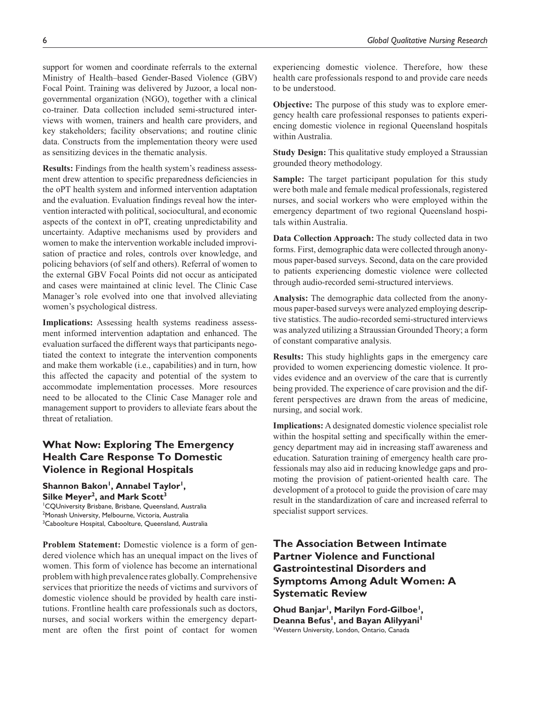support for women and coordinate referrals to the external Ministry of Health–based Gender-Based Violence (GBV) Focal Point. Training was delivered by Juzoor, a local nongovernmental organization (NGO), together with a clinical co-trainer. Data collection included semi-structured interviews with women, trainers and health care providers, and key stakeholders; facility observations; and routine clinic data. Constructs from the implementation theory were used as sensitizing devices in the thematic analysis.

**Results:** Findings from the health system's readiness assessment drew attention to specific preparedness deficiencies in the oPT health system and informed intervention adaptation and the evaluation. Evaluation findings reveal how the intervention interacted with political, sociocultural, and economic aspects of the context in oPT, creating unpredictability and uncertainty. Adaptive mechanisms used by providers and women to make the intervention workable included improvisation of practice and roles, controls over knowledge, and policing behaviors (of self and others). Referral of women to the external GBV Focal Points did not occur as anticipated and cases were maintained at clinic level. The Clinic Case Manager's role evolved into one that involved alleviating women's psychological distress.

**Implications:** Assessing health systems readiness assessment informed intervention adaptation and enhanced. The evaluation surfaced the different ways that participants negotiated the context to integrate the intervention components and make them workable (i.e., capabilities) and in turn, how this affected the capacity and potential of the system to accommodate implementation processes. More resources need to be allocated to the Clinic Case Manager role and management support to providers to alleviate fears about the threat of retaliation.

## **What Now: Exploring The Emergency Health Care Response To Domestic Violence in Regional Hospitals**

Shannon Bakon<sup>1</sup>, Annabel Taylor<sup>1</sup>, Silke Meyer<sup>2</sup>, and Mark Scott<sup>3</sup> 1 CQUniversity Brisbane, Brisbane, Queensland, Australia 2 Monash University, Melbourne, Victoria, Australia <sup>3</sup>Caboolture Hospital, Caboolture, Queensland, Australia

**Problem Statement:** Domestic violence is a form of gendered violence which has an unequal impact on the lives of women. This form of violence has become an international problem with high prevalence rates globally. Comprehensive services that prioritize the needs of victims and survivors of domestic violence should be provided by health care institutions. Frontline health care professionals such as doctors, nurses, and social workers within the emergency department are often the first point of contact for women

experiencing domestic violence. Therefore, how these health care professionals respond to and provide care needs to be understood.

**Objective:** The purpose of this study was to explore emergency health care professional responses to patients experiencing domestic violence in regional Queensland hospitals within Australia.

**Study Design:** This qualitative study employed a Straussian grounded theory methodology.

**Sample:** The target participant population for this study were both male and female medical professionals, registered nurses, and social workers who were employed within the emergency department of two regional Queensland hospitals within Australia.

**Data Collection Approach:** The study collected data in two forms. First, demographic data were collected through anonymous paper-based surveys. Second, data on the care provided to patients experiencing domestic violence were collected through audio-recorded semi-structured interviews.

**Analysis:** The demographic data collected from the anonymous paper-based surveys were analyzed employing descriptive statistics. The audio-recorded semi-structured interviews was analyzed utilizing a Straussian Grounded Theory; a form of constant comparative analysis.

**Results:** This study highlights gaps in the emergency care provided to women experiencing domestic violence. It provides evidence and an overview of the care that is currently being provided. The experience of care provision and the different perspectives are drawn from the areas of medicine, nursing, and social work.

**Implications:** A designated domestic violence specialist role within the hospital setting and specifically within the emergency department may aid in increasing staff awareness and education. Saturation training of emergency health care professionals may also aid in reducing knowledge gaps and promoting the provision of patient-oriented health care. The development of a protocol to guide the provision of care may result in the standardization of care and increased referral to specialist support services.

## **The Association Between Intimate Partner Violence and Functional Gastrointestinal Disorders and Symptoms Among Adult Women: A Systematic Review**

**Ohud Banjar1, Marilyn Ford-Gilboe1,**  Deanna Befus<sup>1</sup>, and Bayan Alilyyani<sup>1</sup> 1 Western University, London, Ontario, Canada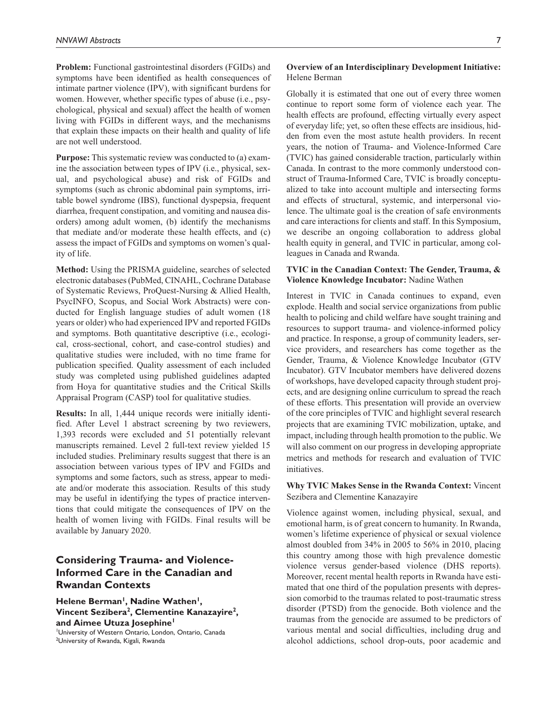**Problem:** Functional gastrointestinal disorders (FGIDs) and symptoms have been identified as health consequences of intimate partner violence (IPV), with significant burdens for women. However, whether specific types of abuse (i.e., psychological, physical and sexual) affect the health of women living with FGIDs in different ways, and the mechanisms that explain these impacts on their health and quality of life are not well understood.

**Purpose:** This systematic review was conducted to (a) examine the association between types of IPV (i.e., physical, sexual, and psychological abuse) and risk of FGIDs and symptoms (such as chronic abdominal pain symptoms, irritable bowel syndrome (IBS), functional dyspepsia, frequent diarrhea, frequent constipation, and vomiting and nausea disorders) among adult women, (b) identify the mechanisms that mediate and/or moderate these health effects, and (c) assess the impact of FGIDs and symptoms on women's quality of life.

**Method:** Using the PRISMA guideline, searches of selected electronic databases (PubMed, CINAHL, Cochrane Database of Systematic Reviews, ProQuest-Nursing & Allied Health, PsycINFO, Scopus, and Social Work Abstracts) were conducted for English language studies of adult women (18 years or older) who had experienced IPV and reported FGIDs and symptoms. Both quantitative descriptive (i.e., ecological, cross-sectional, cohort, and case-control studies) and qualitative studies were included, with no time frame for publication specified. Quality assessment of each included study was completed using published guidelines adapted from Hoya for quantitative studies and the Critical Skills Appraisal Program (CASP) tool for qualitative studies.

**Results:** In all, 1,444 unique records were initially identified. After Level 1 abstract screening by two reviewers, 1,393 records were excluded and 51 potentially relevant manuscripts remained. Level 2 full-text review yielded 15 included studies. Preliminary results suggest that there is an association between various types of IPV and FGIDs and symptoms and some factors, such as stress, appear to mediate and/or moderate this association. Results of this study may be useful in identifying the types of practice interventions that could mitigate the consequences of IPV on the health of women living with FGIDs. Final results will be available by January 2020.

## **Considering Trauma- and Violence-Informed Care in the Canadian and Rwandan Contexts**

Helene Berman<sup>1</sup>, Nadine Wathen<sup>1</sup>, **Vincent Sezibera2, Clementine Kanazayire2, and Aimee Utuza Josephine1** 1 University of Western Ontario, London, Ontario, Canada

<sup>2</sup>University of Rwanda, Kigali, Rwanda

#### **Overview of an Interdisciplinary Development Initiative:** Helene Berman

Globally it is estimated that one out of every three women continue to report some form of violence each year. The health effects are profound, effecting virtually every aspect of everyday life; yet, so often these effects are insidious, hidden from even the most astute health providers. In recent years, the notion of Trauma- and Violence-Informed Care (TVIC) has gained considerable traction, particularly within Canada. In contrast to the more commonly understood construct of Trauma-Informed Care, TVIC is broadly conceptualized to take into account multiple and intersecting forms and effects of structural, systemic, and interpersonal violence. The ultimate goal is the creation of safe environments and care interactions for clients and staff. In this Symposium, we describe an ongoing collaboration to address global health equity in general, and TVIC in particular, among colleagues in Canada and Rwanda.

### **TVIC in the Canadian Context: The Gender, Trauma, & Violence Knowledge Incubator:** Nadine Wathen

Interest in TVIC in Canada continues to expand, even explode. Health and social service organizations from public health to policing and child welfare have sought training and resources to support trauma- and violence-informed policy and practice. In response, a group of community leaders, service providers, and researchers has come together as the Gender, Trauma, & Violence Knowledge Incubator (GTV Incubator). GTV Incubator members have delivered dozens of workshops, have developed capacity through student projects, and are designing online curriculum to spread the reach of these efforts. This presentation will provide an overview of the core principles of TVIC and highlight several research projects that are examining TVIC mobilization, uptake, and impact, including through health promotion to the public. We will also comment on our progress in developing appropriate metrics and methods for research and evaluation of TVIC initiatives.

### **Why TVIC Makes Sense in the Rwanda Context:** Vincent Sezibera and Clementine Kanazayire

Violence against women, including physical, sexual, and emotional harm, is of great concern to humanity. In Rwanda, women's lifetime experience of physical or sexual violence almost doubled from 34% in 2005 to 56% in 2010, placing this country among those with high prevalence domestic violence versus gender-based violence (DHS reports). Moreover, recent mental health reports in Rwanda have estimated that one third of the population presents with depression comorbid to the traumas related to post-traumatic stress disorder (PTSD) from the genocide. Both violence and the traumas from the genocide are assumed to be predictors of various mental and social difficulties, including drug and alcohol addictions, school drop-outs, poor academic and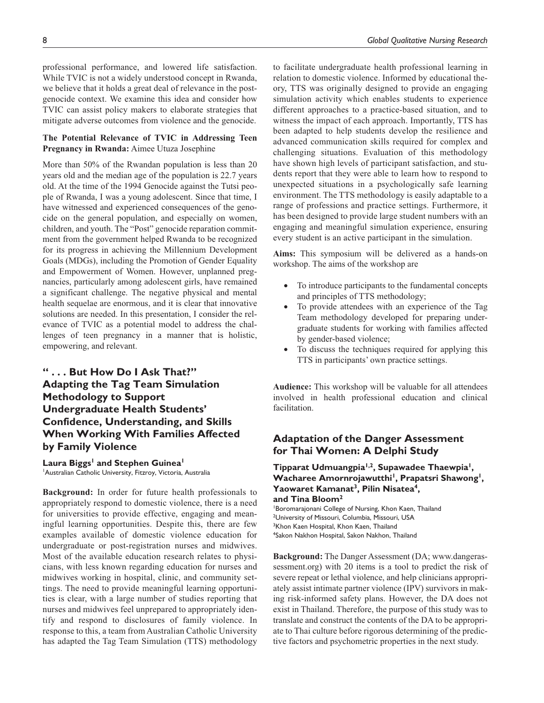professional performance, and lowered life satisfaction. While TVIC is not a widely understood concept in Rwanda, we believe that it holds a great deal of relevance in the postgenocide context. We examine this idea and consider how TVIC can assist policy makers to elaborate strategies that mitigate adverse outcomes from violence and the genocide.

### **The Potential Relevance of TVIC in Addressing Teen Pregnancy in Rwanda:** Aimee Utuza Josephine

More than 50% of the Rwandan population is less than 20 years old and the median age of the population is 22.7 years old. At the time of the 1994 Genocide against the Tutsi people of Rwanda, I was a young adolescent. Since that time, I have witnessed and experienced consequences of the genocide on the general population, and especially on women, children, and youth. The "Post" genocide reparation commitment from the government helped Rwanda to be recognized for its progress in achieving the Millennium Development Goals (MDGs), including the Promotion of Gender Equality and Empowerment of Women. However, unplanned pregnancies, particularly among adolescent girls, have remained a significant challenge. The negative physical and mental health sequelae are enormous, and it is clear that innovative solutions are needed. In this presentation, I consider the relevance of TVIC as a potential model to address the challenges of teen pregnancy in a manner that is holistic, empowering, and relevant.

## **" . . . But How Do I Ask That?" Adapting the Tag Team Simulation Methodology to Support Undergraduate Health Students' Confidence, Understanding, and Skills When Working With Families Affected by Family Violence**

# Laura Biggs<sup>1</sup> and Stephen Guinea<sup>1</sup>

1 Australian Catholic University, Fitzroy, Victoria, Australia

**Background:** In order for future health professionals to appropriately respond to domestic violence, there is a need for universities to provide effective, engaging and meaningful learning opportunities. Despite this, there are few examples available of domestic violence education for undergraduate or post-registration nurses and midwives. Most of the available education research relates to physicians, with less known regarding education for nurses and midwives working in hospital, clinic, and community settings. The need to provide meaningful learning opportunities is clear, with a large number of studies reporting that nurses and midwives feel unprepared to appropriately identify and respond to disclosures of family violence. In response to this, a team from Australian Catholic University has adapted the Tag Team Simulation (TTS) methodology

to facilitate undergraduate health professional learning in relation to domestic violence. Informed by educational theory, TTS was originally designed to provide an engaging simulation activity which enables students to experience different approaches to a practice-based situation, and to witness the impact of each approach. Importantly, TTS has been adapted to help students develop the resilience and advanced communication skills required for complex and challenging situations. Evaluation of this methodology have shown high levels of participant satisfaction, and students report that they were able to learn how to respond to unexpected situations in a psychologically safe learning environment. The TTS methodology is easily adaptable to a range of professions and practice settings. Furthermore, it has been designed to provide large student numbers with an engaging and meaningful simulation experience, ensuring every student is an active participant in the simulation.

**Aims:** This symposium will be delivered as a hands-on workshop. The aims of the workshop are

- To introduce participants to the fundamental concepts and principles of TTS methodology;
- To provide attendees with an experience of the Tag Team methodology developed for preparing undergraduate students for working with families affected by gender-based violence;
- To discuss the techniques required for applying this TTS in participants' own practice settings.

**Audience:** This workshop will be valuable for all attendees involved in health professional education and clinical facilitation.

## **Adaptation of the Danger Assessment for Thai Women: A Delphi Study**

**Tipparat Udmuangpia1,2, Supawadee Thaewpia1,**  Wacharee Amornrojawutthi<sup>1</sup>, Prapatsri Shawong<sup>1</sup>, **Yaowaret Kamanat3, Pilin Nisatea4, and Tina Bloom2**

Boromarajonani College of Nursing, Khon Kaen, Thailand 2 University of Missouri, Columbia, Missouri, USA <sup>3</sup>Khon Kaen Hospital, Khon Kaen, Thailand 4 Sakon Nakhon Hospital, Sakon Nakhon, Thailand

**Background:** The Danger Assessment (DA; [www.dangeras](www.dangerassessment.org)[sessment.org](www.dangerassessment.org)) with 20 items is a tool to predict the risk of severe repeat or lethal violence, and help clinicians appropriately assist intimate partner violence (IPV) survivors in making risk-informed safety plans. However, the DA does not exist in Thailand. Therefore, the purpose of this study was to translate and construct the contents of the DA to be appropriate to Thai culture before rigorous determining of the predictive factors and psychometric properties in the next study.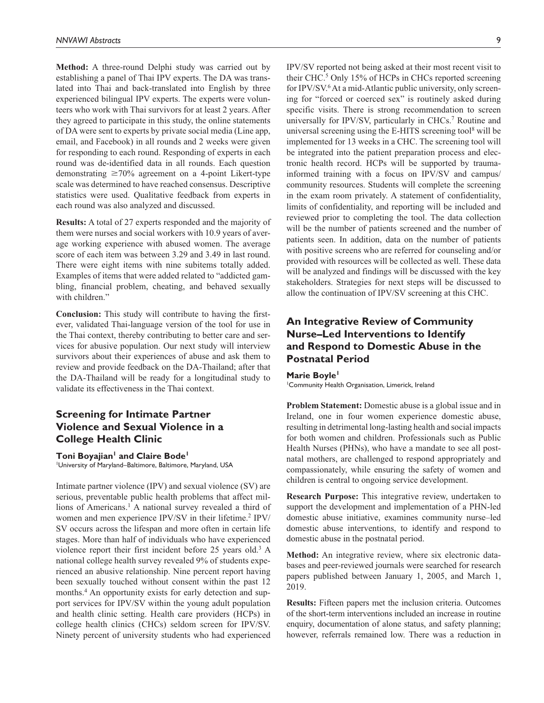**Method:** A three-round Delphi study was carried out by establishing a panel of Thai IPV experts. The DA was translated into Thai and back-translated into English by three experienced bilingual IPV experts. The experts were volunteers who work with Thai survivors for at least 2 years. After they agreed to participate in this study, the online statements of DA were sent to experts by private social media (Line app, email, and Facebook) in all rounds and 2 weeks were given for responding to each round. Responding of experts in each round was de-identified data in all rounds. Each question demonstrating  $\geq 70\%$  agreement on a 4-point Likert-type scale was determined to have reached consensus. Descriptive statistics were used. Qualitative feedback from experts in each round was also analyzed and discussed.

**Results:** A total of 27 experts responded and the majority of them were nurses and social workers with 10.9 years of average working experience with abused women. The average score of each item was between 3.29 and 3.49 in last round. There were eight items with nine subitems totally added. Examples of items that were added related to "addicted gambling, financial problem, cheating, and behaved sexually with children."

**Conclusion:** This study will contribute to having the firstever, validated Thai-language version of the tool for use in the Thai context, thereby contributing to better care and services for abusive population. Our next study will interview survivors about their experiences of abuse and ask them to review and provide feedback on the DA-Thailand; after that the DA-Thailand will be ready for a longitudinal study to validate its effectiveness in the Thai context.

## **Screening for Intimate Partner Violence and Sexual Violence in a College Health Clinic**

#### Toni Boyajian<sup>1</sup> and Claire Bode<sup>1</sup>

1 University of Maryland–Baltimore, Baltimore, Maryland, USA

Intimate partner violence (IPV) and sexual violence (SV) are serious, preventable public health problems that affect millions of Americans.<sup>1</sup> A national survey revealed a third of women and men experience IPV/SV in their lifetime.<sup>2</sup> IPV/ SV occurs across the lifespan and more often in certain life stages. More than half of individuals who have experienced violence report their first incident before 25 years old.<sup>3</sup> A national college health survey revealed 9% of students experienced an abusive relationship. Nine percent report having been sexually touched without consent within the past 12 months.4 An opportunity exists for early detection and support services for IPV/SV within the young adult population and health clinic setting. Health care providers (HCPs) in college health clinics (CHCs) seldom screen for IPV/SV. Ninety percent of university students who had experienced

IPV/SV reported not being asked at their most recent visit to their CHC.<sup>5</sup> Only 15% of HCPs in CHCs reported screening for IPV/SV.<sup>6</sup> At a mid-Atlantic public university, only screening for "forced or coerced sex" is routinely asked during specific visits. There is strong recommendation to screen universally for IPV/SV, particularly in CHCs.<sup>7</sup> Routine and universal screening using the E-HITS screening tool<sup>8</sup> will be implemented for 13 weeks in a CHC. The screening tool will be integrated into the patient preparation process and electronic health record. HCPs will be supported by traumainformed training with a focus on IPV/SV and campus/ community resources. Students will complete the screening in the exam room privately. A statement of confidentiality, limits of confidentiality, and reporting will be included and reviewed prior to completing the tool. The data collection will be the number of patients screened and the number of patients seen. In addition, data on the number of patients with positive screens who are referred for counseling and/or provided with resources will be collected as well. These data will be analyzed and findings will be discussed with the key stakeholders. Strategies for next steps will be discussed to allow the continuation of IPV/SV screening at this CHC.

## **An Integrative Review of Community Nurse–Led Interventions to Identify and Respond to Domestic Abuse in the Postnatal Period**

#### **Marie Boyle1**

1 Community Health Organisation, Limerick, Ireland

**Problem Statement:** Domestic abuse is a global issue and in Ireland, one in four women experience domestic abuse, resulting in detrimental long-lasting health and social impacts for both women and children. Professionals such as Public Health Nurses (PHNs), who have a mandate to see all postnatal mothers, are challenged to respond appropriately and compassionately, while ensuring the safety of women and children is central to ongoing service development.

**Research Purpose:** This integrative review, undertaken to support the development and implementation of a PHN-led domestic abuse initiative, examines community nurse–led domestic abuse interventions, to identify and respond to domestic abuse in the postnatal period.

**Method:** An integrative review, where six electronic databases and peer-reviewed journals were searched for research papers published between January 1, 2005, and March 1, 2019.

**Results:** Fifteen papers met the inclusion criteria. Outcomes of the short-term interventions included an increase in routine enquiry, documentation of alone status, and safety planning; however, referrals remained low. There was a reduction in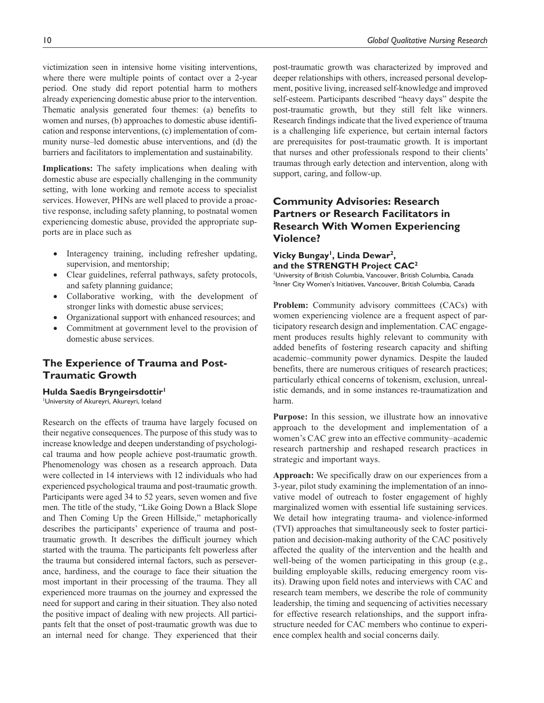victimization seen in intensive home visiting interventions, where there were multiple points of contact over a 2-year period. One study did report potential harm to mothers already experiencing domestic abuse prior to the intervention. Thematic analysis generated four themes: (a) benefits to women and nurses, (b) approaches to domestic abuse identification and response interventions, (c) implementation of community nurse–led domestic abuse interventions, and (d) the barriers and facilitators to implementation and sustainability.

**Implications:** The safety implications when dealing with domestic abuse are especially challenging in the community setting, with lone working and remote access to specialist services. However, PHNs are well placed to provide a proactive response, including safety planning, to postnatal women experiencing domestic abuse, provided the appropriate supports are in place such as

- Interagency training, including refresher updating, supervision, and mentorship;
- Clear guidelines, referral pathways, safety protocols, and safety planning guidance;
- Collaborative working, with the development of stronger links with domestic abuse services;
- Organizational support with enhanced resources; and
- Commitment at government level to the provision of domestic abuse services.

## **The Experience of Trauma and Post-Traumatic Growth**

#### **Hulda Saedis Bryngeirsdottir1**

1 University of Akureyri, Akureyri, Iceland

Research on the effects of trauma have largely focused on their negative consequences. The purpose of this study was to increase knowledge and deepen understanding of psychological trauma and how people achieve post-traumatic growth. Phenomenology was chosen as a research approach. Data were collected in 14 interviews with 12 individuals who had experienced psychological trauma and post-traumatic growth. Participants were aged 34 to 52 years, seven women and five men. The title of the study, "Like Going Down a Black Slope and Then Coming Up the Green Hillside," metaphorically describes the participants' experience of trauma and posttraumatic growth. It describes the difficult journey which started with the trauma. The participants felt powerless after the trauma but considered internal factors, such as perseverance, hardiness, and the courage to face their situation the most important in their processing of the trauma. They all experienced more traumas on the journey and expressed the need for support and caring in their situation. They also noted the positive impact of dealing with new projects. All participants felt that the onset of post-traumatic growth was due to an internal need for change. They experienced that their

post-traumatic growth was characterized by improved and deeper relationships with others, increased personal development, positive living, increased self-knowledge and improved self-esteem. Participants described "heavy days" despite the post-traumatic growth, but they still felt like winners. Research findings indicate that the lived experience of trauma is a challenging life experience, but certain internal factors are prerequisites for post-traumatic growth. It is important that nurses and other professionals respond to their clients' traumas through early detection and intervention, along with support, caring, and follow-up.

## **Community Advisories: Research Partners or Research Facilitators in Research With Women Experiencing Violence?**

### **Vicky Bungay<sup>1</sup>, Linda Dewar<sup>2</sup>, and the STRENGTH Project CAC2**

1 University of British Columbia, Vancouver, British Columbia, Canada 2 Inner City Women's Initiatives, Vancouver, British Columbia, Canada

**Problem:** Community advisory committees (CACs) with women experiencing violence are a frequent aspect of participatory research design and implementation. CAC engagement produces results highly relevant to community with added benefits of fostering research capacity and shifting academic–community power dynamics. Despite the lauded benefits, there are numerous critiques of research practices; particularly ethical concerns of tokenism, exclusion, unrealistic demands, and in some instances re-traumatization and harm.

**Purpose:** In this session, we illustrate how an innovative approach to the development and implementation of a women's CAC grew into an effective community–academic research partnership and reshaped research practices in strategic and important ways.

**Approach:** We specifically draw on our experiences from a 3-year, pilot study examining the implementation of an innovative model of outreach to foster engagement of highly marginalized women with essential life sustaining services. We detail how integrating trauma- and violence-informed (TVI) approaches that simultaneously seek to foster participation and decision-making authority of the CAC positively affected the quality of the intervention and the health and well-being of the women participating in this group (e.g., building employable skills, reducing emergency room visits). Drawing upon field notes and interviews with CAC and research team members, we describe the role of community leadership, the timing and sequencing of activities necessary for effective research relationships, and the support infrastructure needed for CAC members who continue to experience complex health and social concerns daily.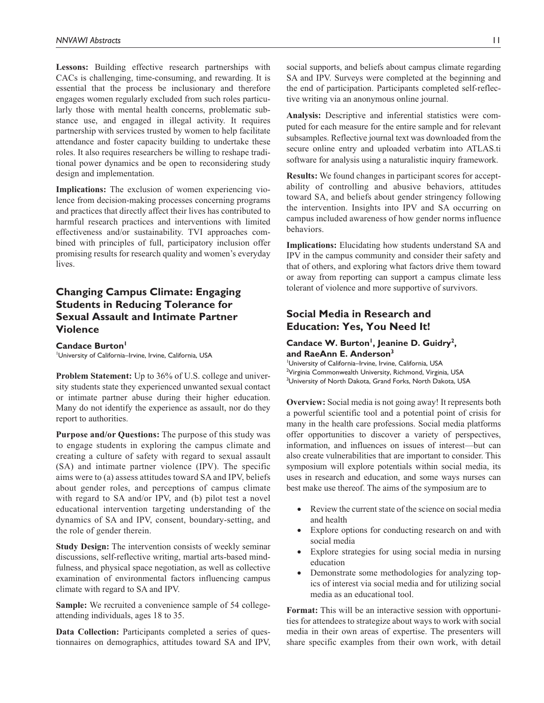**Lessons:** Building effective research partnerships with CACs is challenging, time-consuming, and rewarding. It is essential that the process be inclusionary and therefore engages women regularly excluded from such roles particularly those with mental health concerns, problematic substance use, and engaged in illegal activity. It requires partnership with services trusted by women to help facilitate attendance and foster capacity building to undertake these roles. It also requires researchers be willing to reshape traditional power dynamics and be open to reconsidering study design and implementation.

**Implications:** The exclusion of women experiencing violence from decision-making processes concerning programs and practices that directly affect their lives has contributed to harmful research practices and interventions with limited effectiveness and/or sustainability. TVI approaches combined with principles of full, participatory inclusion offer promising results for research quality and women's everyday lives.

## **Changing Campus Climate: Engaging Students in Reducing Tolerance for Sexual Assault and Intimate Partner Violence**

Candace Burton<sup>1</sup> 1 University of California–Irvine, Irvine, California, USA

**Problem Statement:** Up to 36% of U.S. college and university students state they experienced unwanted sexual contact or intimate partner abuse during their higher education. Many do not identify the experience as assault, nor do they report to authorities.

**Purpose and/or Questions:** The purpose of this study was to engage students in exploring the campus climate and creating a culture of safety with regard to sexual assault (SA) and intimate partner violence (IPV). The specific aims were to (a) assess attitudes toward SA and IPV, beliefs about gender roles, and perceptions of campus climate with regard to SA and/or IPV, and (b) pilot test a novel educational intervention targeting understanding of the dynamics of SA and IPV, consent, boundary-setting, and the role of gender therein.

**Study Design:** The intervention consists of weekly seminar discussions, self-reflective writing, martial arts-based mindfulness, and physical space negotiation, as well as collective examination of environmental factors influencing campus climate with regard to SA and IPV.

**Sample:** We recruited a convenience sample of 54 collegeattending individuals, ages 18 to 35.

**Data Collection:** Participants completed a series of questionnaires on demographics, attitudes toward SA and IPV, social supports, and beliefs about campus climate regarding SA and IPV. Surveys were completed at the beginning and the end of participation. Participants completed self-reflective writing via an anonymous online journal.

**Analysis:** Descriptive and inferential statistics were computed for each measure for the entire sample and for relevant subsamples. Reflective journal text was downloaded from the secure online entry and uploaded verbatim into ATLAS.ti software for analysis using a naturalistic inquiry framework.

**Results:** We found changes in participant scores for acceptability of controlling and abusive behaviors, attitudes toward SA, and beliefs about gender stringency following the intervention. Insights into IPV and SA occurring on campus included awareness of how gender norms influence behaviors.

**Implications:** Elucidating how students understand SA and IPV in the campus community and consider their safety and that of others, and exploring what factors drive them toward or away from reporting can support a campus climate less tolerant of violence and more supportive of survivors.

## **Social Media in Research and Education: Yes, You Need It!**

### Candace W. Burton<sup>1</sup>, Jeanine D. Guidry<sup>2</sup>, **and RaeAnn E. Anderson3**

1 University of California–Irvine, Irvine, California, USA <sup>2</sup>Virginia Commonwealth University, Richmond, Virginia, USA <sup>3</sup>University of North Dakota, Grand Forks, North Dakota, USA

**Overview:** Social media is not going away! It represents both a powerful scientific tool and a potential point of crisis for many in the health care professions. Social media platforms offer opportunities to discover a variety of perspectives, information, and influences on issues of interest—but can also create vulnerabilities that are important to consider. This symposium will explore potentials within social media, its uses in research and education, and some ways nurses can best make use thereof. The aims of the symposium are to

- Review the current state of the science on social media and health
- Explore options for conducting research on and with social media
- Explore strategies for using social media in nursing education
- Demonstrate some methodologies for analyzing topics of interest via social media and for utilizing social media as an educational tool.

**Format:** This will be an interactive session with opportunities for attendees to strategize about ways to work with social media in their own areas of expertise. The presenters will share specific examples from their own work, with detail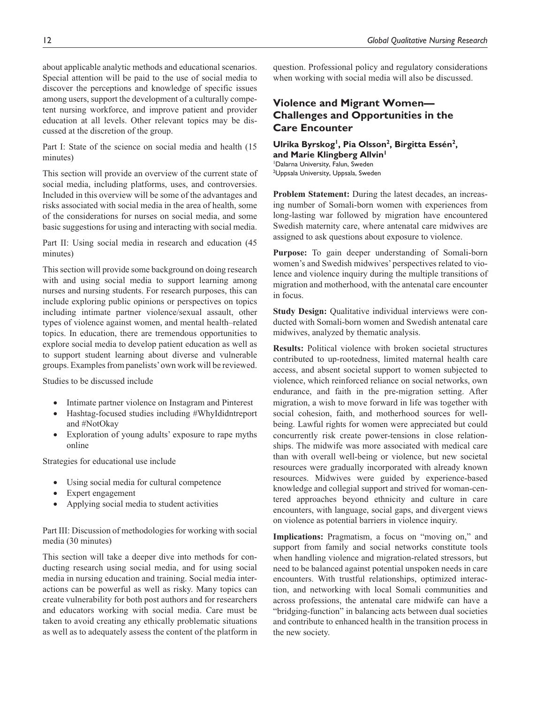about applicable analytic methods and educational scenarios. Special attention will be paid to the use of social media to discover the perceptions and knowledge of specific issues among users, support the development of a culturally competent nursing workforce, and improve patient and provider education at all levels. Other relevant topics may be discussed at the discretion of the group.

Part I: State of the science on social media and health (15 minutes)

This section will provide an overview of the current state of social media, including platforms, uses, and controversies. Included in this overview will be some of the advantages and risks associated with social media in the area of health, some of the considerations for nurses on social media, and some basic suggestions for using and interacting with social media.

Part II: Using social media in research and education (45 minutes)

This section will provide some background on doing research with and using social media to support learning among nurses and nursing students. For research purposes, this can include exploring public opinions or perspectives on topics including intimate partner violence/sexual assault, other types of violence against women, and mental health–related topics. In education, there are tremendous opportunities to explore social media to develop patient education as well as to support student learning about diverse and vulnerable groups. Examples from panelists' own work will be reviewed.

Studies to be discussed include

- Intimate partner violence on Instagram and Pinterest
- Hashtag-focused studies including #WhyIdidntreport and #NotOkay
- Exploration of young adults' exposure to rape myths online

Strategies for educational use include

- Using social media for cultural competence
- Expert engagement
- Applying social media to student activities

Part III: Discussion of methodologies for working with social media (30 minutes)

This section will take a deeper dive into methods for conducting research using social media, and for using social media in nursing education and training. Social media interactions can be powerful as well as risky. Many topics can create vulnerability for both post authors and for researchers and educators working with social media. Care must be taken to avoid creating any ethically problematic situations as well as to adequately assess the content of the platform in question. Professional policy and regulatory considerations when working with social media will also be discussed.

## **Violence and Migrant Women— Challenges and Opportunities in the Care Encounter**

### **Ulrika Byrskog1, Pia Olsson2, Birgitta Essén2, and Marie Klingberg Allvin1** 1 Dalarna University, Falun, Sweden

<sup>2</sup>Uppsala University, Uppsala, Sweden

**Problem Statement:** During the latest decades, an increasing number of Somali-born women with experiences from long-lasting war followed by migration have encountered Swedish maternity care, where antenatal care midwives are assigned to ask questions about exposure to violence.

**Purpose:** To gain deeper understanding of Somali-born women's and Swedish midwives' perspectives related to violence and violence inquiry during the multiple transitions of migration and motherhood, with the antenatal care encounter in focus.

**Study Design:** Qualitative individual interviews were conducted with Somali-born women and Swedish antenatal care midwives, analyzed by thematic analysis.

**Results:** Political violence with broken societal structures contributed to up-rootedness, limited maternal health care access, and absent societal support to women subjected to violence, which reinforced reliance on social networks, own endurance, and faith in the pre-migration setting. After migration, a wish to move forward in life was together with social cohesion, faith, and motherhood sources for wellbeing. Lawful rights for women were appreciated but could concurrently risk create power-tensions in close relationships. The midwife was more associated with medical care than with overall well-being or violence, but new societal resources were gradually incorporated with already known resources. Midwives were guided by experience-based knowledge and collegial support and strived for woman-centered approaches beyond ethnicity and culture in care encounters, with language, social gaps, and divergent views on violence as potential barriers in violence inquiry.

**Implications:** Pragmatism, a focus on "moving on," and support from family and social networks constitute tools when handling violence and migration-related stressors, but need to be balanced against potential unspoken needs in care encounters. With trustful relationships, optimized interaction, and networking with local Somali communities and across professions, the antenatal care midwife can have a "bridging-function" in balancing acts between dual societies and contribute to enhanced health in the transition process in the new society.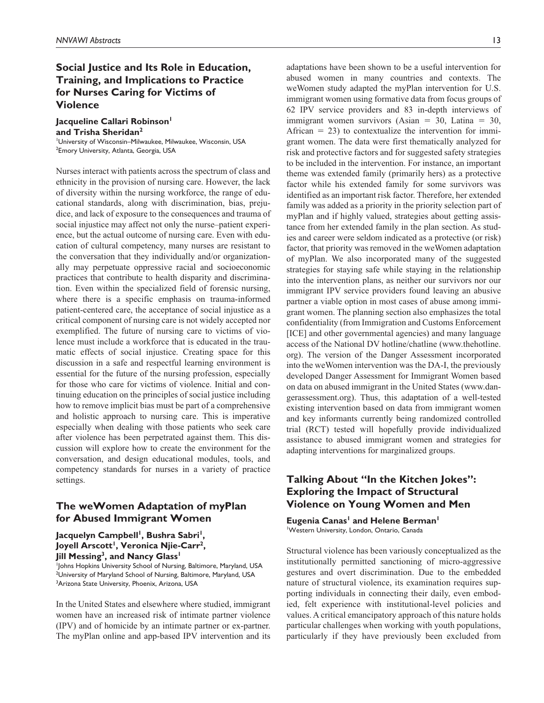## **Social Justice and Its Role in Education, Training, and Implications to Practice for Nurses Caring for Victims of Violence**

**Jacqueline Callari Robinson and Trisha Sheridan2**

1 University of Wisconsin–Milwaukee, Milwaukee, Wisconsin, USA <sup>2</sup>Emory University, Atlanta, Georgia, USA

Nurses interact with patients across the spectrum of class and ethnicity in the provision of nursing care. However, the lack of diversity within the nursing workforce, the range of educational standards, along with discrimination, bias, prejudice, and lack of exposure to the consequences and trauma of social injustice may affect not only the nurse–patient experience, but the actual outcome of nursing care. Even with education of cultural competency, many nurses are resistant to the conversation that they individually and/or organizationally may perpetuate oppressive racial and socioeconomic practices that contribute to health disparity and discrimination. Even within the specialized field of forensic nursing, where there is a specific emphasis on trauma-informed patient-centered care, the acceptance of social injustice as a critical component of nursing care is not widely accepted nor exemplified. The future of nursing care to victims of violence must include a workforce that is educated in the traumatic effects of social injustice. Creating space for this discussion in a safe and respectful learning environment is essential for the future of the nursing profession, especially for those who care for victims of violence. Initial and continuing education on the principles of social justice including how to remove implicit bias must be part of a comprehensive and holistic approach to nursing care. This is imperative especially when dealing with those patients who seek care after violence has been perpetrated against them. This discussion will explore how to create the environment for the conversation, and design educational modules, tools, and competency standards for nurses in a variety of practice settings.

## **The weWomen Adaptation of myPlan for Abused Immigrant Women**

Jacquelyn Campbell<sup>1</sup>, Bushra Sabri<sup>1</sup>, Joyell Arscott<sup>1</sup>, Veronica Njie-Carr<sup>2</sup>, **Jill Messing<sup>3</sup>, and Nancy Glass<sup>1</sup>** 

1 Johns Hopkins University School of Nursing, Baltimore, Maryland, USA <sup>2</sup>University of Maryland School of Nursing, Baltimore, Maryland, USA <sup>3</sup>Arizona State University, Phoenix, Arizona, USA

In the United States and elsewhere where studied, immigrant women have an increased risk of intimate partner violence (IPV) and of homicide by an intimate partner or ex-partner. The myPlan online and app-based IPV intervention and its

adaptations have been shown to be a useful intervention for abused women in many countries and contexts. The weWomen study adapted the myPlan intervention for U.S. immigrant women using formative data from focus groups of 62 IPV service providers and 83 in-depth interviews of immigrant women survivors (Asian  $= 30$ , Latina  $= 30$ , African  $= 23$ ) to contextualize the intervention for immigrant women. The data were first thematically analyzed for risk and protective factors and for suggested safety strategies to be included in the intervention. For instance, an important theme was extended family (primarily hers) as a protective factor while his extended family for some survivors was identified as an important risk factor. Therefore, her extended family was added as a priority in the priority selection part of myPlan and if highly valued, strategies about getting assistance from her extended family in the plan section. As studies and career were seldom indicated as a protective (or risk) factor, that priority was removed in the weWomen adaptation of myPlan. We also incorporated many of the suggested strategies for staying safe while staying in the relationship into the intervention plans, as neither our survivors nor our immigrant IPV service providers found leaving an abusive partner a viable option in most cases of abuse among immigrant women. The planning section also emphasizes the total confidentiality (from Immigration and Customs Enforcement [ICE] and other governmental agencies) and many language access of the National DV hotline/chatline ([www.thehotline.](www.thehotline.org) [org\)](www.thehotline.org). The version of the Danger Assessment incorporated into the weWomen intervention was the DA-I, the previously developed Danger Assessment for Immigrant Women based on data on abused immigrant in the United States ([www.dan](www.dangerassessment.org)[gerassessment.org](www.dangerassessment.org)). Thus, this adaptation of a well-tested existing intervention based on data from immigrant women and key informants currently being randomized controlled trial (RCT) tested will hopefully provide individualized assistance to abused immigrant women and strategies for adapting interventions for marginalized groups.

## **Talking About "In the Kitchen Jokes": Exploring the Impact of Structural Violence on Young Women and Men**

**Eugenia Canas<sup>1</sup> and Helene Berman<sup>1</sup>** 1 Western University, London, Ontario, Canada

Structural violence has been variously conceptualized as the institutionally permitted sanctioning of micro-aggressive gestures and overt discrimination. Due to the embedded nature of structural violence, its examination requires supporting individuals in connecting their daily, even embodied, felt experience with institutional-level policies and values. A critical emancipatory approach of this nature holds particular challenges when working with youth populations, particularly if they have previously been excluded from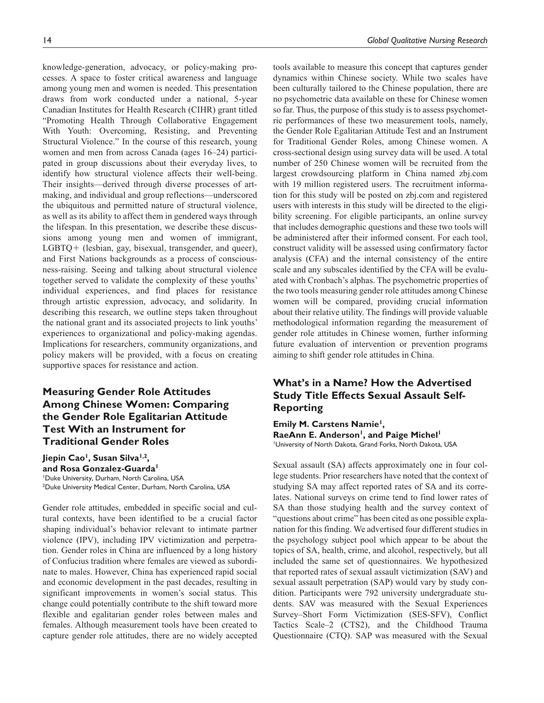knowledge-generation, advocacy, or policy-making processes. A space to foster critical awareness and language among young men and women is needed. This presentation draws from work conducted under a national, 5-year Canadian Institutes for Health Research (CIHR) grant titled "Promoting Health Through Collaborative Engagement With Youth: Overcoming, Resisting, and Preventing Structural Violence." In the course of this research, young women and men from across Canada (ages 16–24) participated in group discussions about their everyday lives, to identify how structural violence affects their well-being. Their insights—derived through diverse processes of artmaking, and individual and group reflections—underscored the ubiquitous and permitted nature of structural violence, as well as its ability to affect them in gendered ways through the lifespan. In this presentation, we describe these discussions among young men and women of immigrant, LGBTQ+ (lesbian, gay, bisexual, transgender, and queer), and First Nations backgrounds as a process of consciousness-raising. Seeing and talking about structural violence together served to validate the complexity of these youths' individual experiences, and find places for resistance through artistic expression, advocacy, and solidarity. In describing this research, we outline steps taken throughout the national grant and its associated projects to link youths' experiences to organizational and policy-making agendas. Implications for researchers, community organizations, and policy makers will be provided, with a focus on creating supportive spaces for resistance and action.

## **Measuring Gender Role Attitudes Among Chinese Women: Comparing the Gender Role Egalitarian Attitude Test With an Instrument for Traditional Gender Roles**

Jiepin Cao<sup>1</sup>, Susan Silva<sup>1,2</sup>, **and Rosa Gonzalez-Guarda1** 1 Duke University, Durham, North Carolina, USA 2 Duke University Medical Center, Durham, North Carolina, USA

Gender role attitudes, embedded in specific social and cultural contexts, have been identified to be a crucial factor shaping individual's behavior relevant to intimate partner violence (IPV), including IPV victimization and perpetration. Gender roles in China are influenced by a long history of Confucius tradition where females are viewed as subordinate to males. However, China has experienced rapid social and economic development in the past decades, resulting in significant improvements in women's social status. This change could potentially contribute to the shift toward more flexible and egalitarian gender roles between males and females. Although measurement tools have been created to capture gender role attitudes, there are no widely accepted

tools available to measure this concept that captures gender dynamics within Chinese society. While two scales have been culturally tailored to the Chinese population, there are no psychometric data available on these for Chinese women so far. Thus, the purpose of this study is to assess psychometric performances of these two measurement tools, namely, the Gender Role Egalitarian Attitude Test and an Instrument for Traditional Gender Roles, among Chinese women. A cross-sectional design using survey data will be used. A total number of 250 Chinese women will be recruited from the largest crowdsourcing platform in China named zbj.com with 19 million registered users. The recruitment information for this study will be posted on zbj.com and registered users with interests in this study will be directed to the eligibility screening. For eligible participants, an online survey that includes demographic questions and these two tools will be administered after their informed consent. For each tool, construct validity will be assessed using confirmatory factor analysis (CFA) and the internal consistency of the entire scale and any subscales identified by the CFA will be evaluated with Cronbach's alphas. The psychometric properties of the two tools measuring gender role attitudes among Chinese women will be compared, providing crucial information about their relative utility. The findings will provide valuable methodological information regarding the measurement of gender role attitudes in Chinese women, further informing future evaluation of intervention or prevention programs aiming to shift gender role attitudes in China.

## **What's in a Name? How the Advertised Study Title Effects Sexual Assault Self-Reporting**

**Emily M. Carstens Namie<sup>1</sup>,** RaeAnn E. Anderson<sup>1</sup>, and Paige Michel<sup>1</sup> 1 University of North Dakota, Grand Forks, North Dakota, USA

Sexual assault (SA) affects approximately one in four college students. Prior researchers have noted that the context of studying SA may affect reported rates of SA and its correlates. National surveys on crime tend to find lower rates of SA than those studying health and the survey context of "questions about crime" has been cited as one possible explanation for this finding. We advertised four different studies in the psychology subject pool which appear to be about the topics of SA, health, crime, and alcohol, respectively, but all included the same set of questionnaires. We hypothesized that reported rates of sexual assault victimization (SAV) and sexual assault perpetration (SAP) would vary by study condition. Participants were 792 university undergraduate students. SAV was measured with the Sexual Experiences Survey–Short Form Victimization (SES-SFV), Conflict Tactics Scale–2 (CTS2), and the Childhood Trauma Questionnaire (CTQ). SAP was measured with the Sexual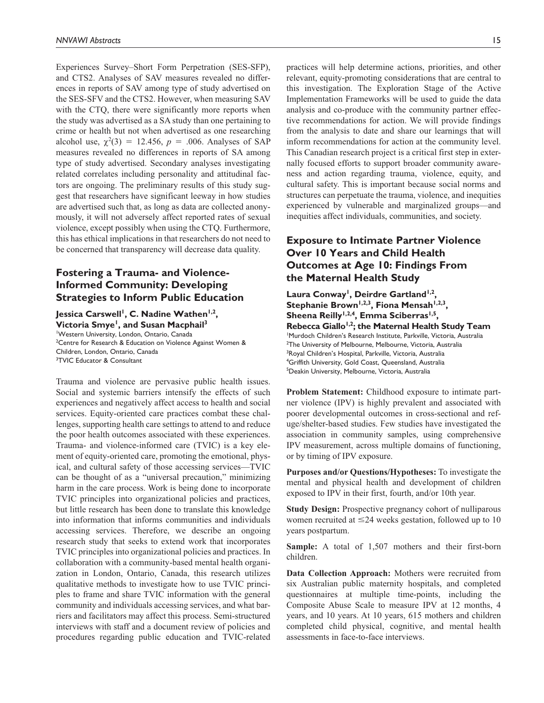Experiences Survey–Short Form Perpetration (SES-SFP), and CTS2. Analyses of SAV measures revealed no differences in reports of SAV among type of study advertised on the SES-SFV and the CTS2. However, when measuring SAV with the CTQ, there were significantly more reports when the study was advertised as a SA study than one pertaining to crime or health but not when advertised as one researching alcohol use,  $\chi^2(3) = 12.456$ ,  $p = .006$ . Analyses of SAP measures revealed no differences in reports of SA among type of study advertised. Secondary analyses investigating related correlates including personality and attitudinal factors are ongoing. The preliminary results of this study suggest that researchers have significant leeway in how studies are advertised such that, as long as data are collected anonymously, it will not adversely affect reported rates of sexual violence, except possibly when using the CTQ. Furthermore, this has ethical implications in that researchers do not need to be concerned that transparency will decrease data quality.

## **Fostering a Trauma- and Violence-Informed Community: Developing Strategies to Inform Public Education**

Jessica Carswell<sup>1</sup>, C. Nadine Wathen<sup>1,2</sup>, **Victoria Smye<sup>1</sup>, and Susan Macphail<sup>3</sup>** 1 Western University, London, Ontario, Canada <sup>2</sup> Centre for Research & Education on Violence Against Women & Children, London, Ontario, Canada 3 TVIC Educator & Consultant

Trauma and violence are pervasive public health issues. Social and systemic barriers intensify the effects of such experiences and negatively affect access to health and social services. Equity-oriented care practices combat these challenges, supporting health care settings to attend to and reduce the poor health outcomes associated with these experiences. Trauma- and violence-informed care (TVIC) is a key element of equity-oriented care, promoting the emotional, physical, and cultural safety of those accessing services—TVIC can be thought of as a "universal precaution," minimizing harm in the care process. Work is being done to incorporate TVIC principles into organizational policies and practices, but little research has been done to translate this knowledge into information that informs communities and individuals accessing services. Therefore, we describe an ongoing research study that seeks to extend work that incorporates TVIC principles into organizational policies and practices. In collaboration with a community-based mental health organization in London, Ontario, Canada, this research utilizes qualitative methods to investigate how to use TVIC principles to frame and share TVIC information with the general community and individuals accessing services, and what barriers and facilitators may affect this process. Semi-structured interviews with staff and a document review of policies and procedures regarding public education and TVIC-related

practices will help determine actions, priorities, and other relevant, equity-promoting considerations that are central to this investigation. The Exploration Stage of the Active Implementation Frameworks will be used to guide the data analysis and co-produce with the community partner effective recommendations for action. We will provide findings from the analysis to date and share our learnings that will inform recommendations for action at the community level. This Canadian research project is a critical first step in externally focused efforts to support broader community awareness and action regarding trauma, violence, equity, and cultural safety. This is important because social norms and structures can perpetuate the trauma, violence, and inequities experienced by vulnerable and marginalized groups—and inequities affect individuals, communities, and society.

## **Exposure to Intimate Partner Violence Over 10 Years and Child Health Outcomes at Age 10: Findings From the Maternal Health Study**

Laura Conway<sup>1</sup>, Deirdre Gartland<sup>1,2</sup>, Stephanie Brown<sup>1,2,3</sup>, Fiona Mensah<sup>1,2,3</sup>, Sheena Reilly<sup>1,2,4</sup>, Emma Sciberras<sup>1,5</sup>, Rebecca Giallo<sup>1,2</sup>; the Maternal Health Study Team 1 Murdoch Children's Research Institute, Parkville, Victoria, Australia 2 The University of Melbourne, Melbourne, Victoria, Australia <sup>3</sup>Royal Children's Hospital, Parkville, Victoria, Australia 4 Griffith University, Gold Coast, Queensland, Australia 5 Deakin University, Melbourne, Victoria, Australia

**Problem Statement:** Childhood exposure to intimate partner violence (IPV) is highly prevalent and associated with poorer developmental outcomes in cross-sectional and refuge/shelter-based studies. Few studies have investigated the association in community samples, using comprehensive IPV measurement, across multiple domains of functioning, or by timing of IPV exposure.

**Purposes and/or Questions/Hypotheses:** To investigate the mental and physical health and development of children exposed to IPV in their first, fourth, and/or 10th year.

**Study Design:** Prospective pregnancy cohort of nulliparous women recruited at  $\leq 24$  weeks gestation, followed up to 10 years postpartum.

**Sample:** A total of 1,507 mothers and their first-born children.

**Data Collection Approach:** Mothers were recruited from six Australian public maternity hospitals, and completed questionnaires at multiple time-points, including the Composite Abuse Scale to measure IPV at 12 months, 4 years, and 10 years. At 10 years, 615 mothers and children completed child physical, cognitive, and mental health assessments in face-to-face interviews.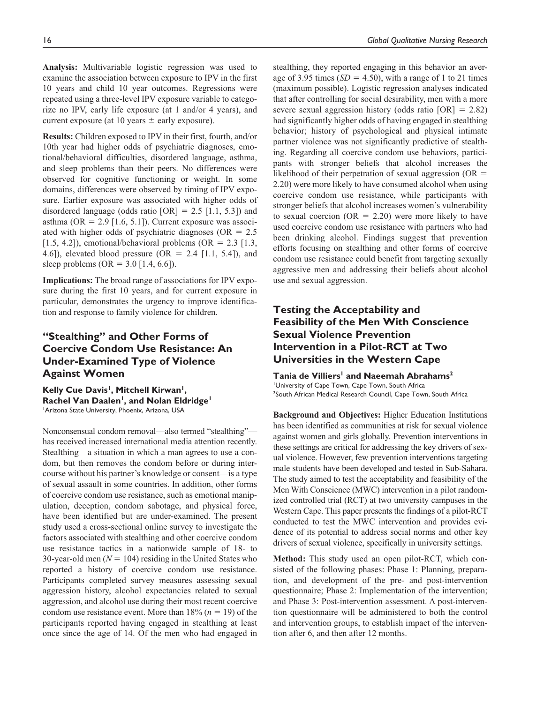**Analysis:** Multivariable logistic regression was used to examine the association between exposure to IPV in the first 10 years and child 10 year outcomes. Regressions were repeated using a three-level IPV exposure variable to categorize no IPV, early life exposure (at 1 and/or 4 years), and current exposure (at 10 years  $\pm$  early exposure).

**Results:** Children exposed to IPV in their first, fourth, and/or 10th year had higher odds of psychiatric diagnoses, emotional/behavioral difficulties, disordered language, asthma, and sleep problems than their peers. No differences were observed for cognitive functioning or weight. In some domains, differences were observed by timing of IPV exposure. Earlier exposure was associated with higher odds of disordered language (odds ratio  $[OR] = 2.5$  [1.1, 5.3]) and asthma (OR =  $2.9$  [1.6, 5.1]). Current exposure was associated with higher odds of psychiatric diagnoses ( $OR = 2.5$ ) [1.5, 4.2]), emotional/behavioral problems (OR =  $2.3$  [1.3, 4.6]), elevated blood pressure (OR = 2.4 [1.1, 5.4]), and sleep problems (OR =  $3.0$  [1.4, 6.6]).

**Implications:** The broad range of associations for IPV exposure during the first 10 years, and for current exposure in particular, demonstrates the urgency to improve identification and response to family violence for children.

## **"Stealthing" and Other Forms of Coercive Condom Use Resistance: An Under-Examined Type of Violence Against Women**

Kelly Cue Davis<sup>1</sup>, Mitchell Kirwan<sup>1</sup>, Rachel Van Daalen<sup>1</sup>, and Nolan Eldridge<sup>1</sup> 1 Arizona State University, Phoenix, Arizona, USA

Nonconsensual condom removal—also termed "stealthing" has received increased international media attention recently. Stealthing—a situation in which a man agrees to use a condom, but then removes the condom before or during intercourse without his partner's knowledge or consent—is a type of sexual assault in some countries. In addition, other forms of coercive condom use resistance, such as emotional manipulation, deception, condom sabotage, and physical force, have been identified but are under-examined. The present study used a cross-sectional online survey to investigate the factors associated with stealthing and other coercive condom use resistance tactics in a nationwide sample of 18- to 30-year-old men  $(N = 104)$  residing in the United States who reported a history of coercive condom use resistance. Participants completed survey measures assessing sexual aggression history, alcohol expectancies related to sexual aggression, and alcohol use during their most recent coercive condom use resistance event. More than  $18\%$  ( $n = 19$ ) of the participants reported having engaged in stealthing at least once since the age of 14. Of the men who had engaged in

stealthing, they reported engaging in this behavior an average of 3.95 times  $(SD = 4.50)$ , with a range of 1 to 21 times (maximum possible). Logistic regression analyses indicated that after controlling for social desirability, men with a more severe sexual aggression history (odds ratio [OR] = 2.82) had significantly higher odds of having engaged in stealthing behavior; history of psychological and physical intimate partner violence was not significantly predictive of stealthing. Regarding all coercive condom use behaviors, participants with stronger beliefs that alcohol increases the likelihood of their perpetration of sexual aggression ( $OR =$ 2.20) were more likely to have consumed alcohol when using coercive condom use resistance, while participants with stronger beliefs that alcohol increases women's vulnerability to sexual coercion ( $OR = 2.20$ ) were more likely to have used coercive condom use resistance with partners who had been drinking alcohol. Findings suggest that prevention efforts focusing on stealthing and other forms of coercive condom use resistance could benefit from targeting sexually aggressive men and addressing their beliefs about alcohol use and sexual aggression.

## **Testing the Acceptability and Feasibility of the Men With Conscience Sexual Violence Prevention Intervention in a Pilot-RCT at Two Universities in the Western Cape**

#### Tania de Villiers<sup>1</sup> and Naeemah Abrahams<sup>2</sup> University of Cape Town, Cape Town, South Africa <sup>2</sup>South African Medical Research Council, Cape Town, South Africa

**Background and Objectives:** Higher Education Institutions has been identified as communities at risk for sexual violence against women and girls globally. Prevention interventions in these settings are critical for addressing the key drivers of sexual violence. However, few prevention interventions targeting male students have been developed and tested in Sub-Sahara. The study aimed to test the acceptability and feasibility of the Men With Conscience (MWC) intervention in a pilot randomized controlled trial (RCT) at two university campuses in the Western Cape. This paper presents the findings of a pilot-RCT conducted to test the MWC intervention and provides evidence of its potential to address social norms and other key drivers of sexual violence, specifically in university settings.

**Method:** This study used an open pilot-RCT, which consisted of the following phases: Phase 1: Planning, preparation, and development of the pre- and post-intervention questionnaire; Phase 2: Implementation of the intervention; and Phase 3: Post-intervention assessment. A post-intervention questionnaire will be administered to both the control and intervention groups, to establish impact of the intervention after 6, and then after 12 months.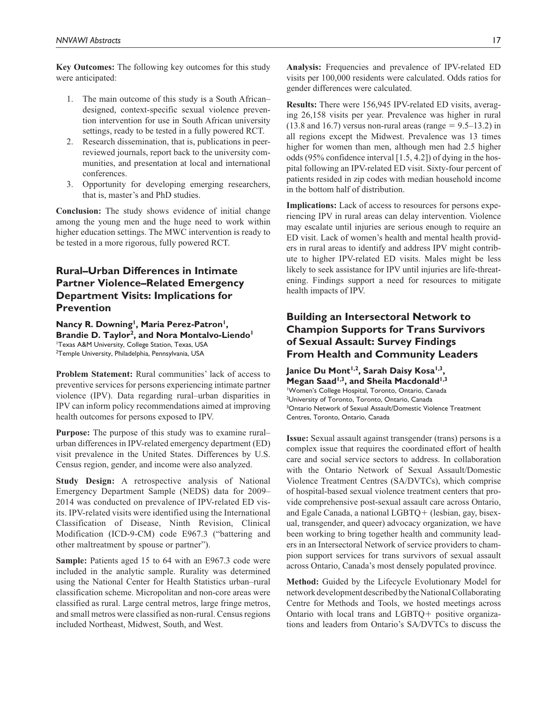**Key Outcomes:** The following key outcomes for this study were anticipated:

- 1. The main outcome of this study is a South African– designed, context-specific sexual violence prevention intervention for use in South African university settings, ready to be tested in a fully powered RCT.
- 2. Research dissemination, that is, publications in peerreviewed journals, report back to the university communities, and presentation at local and international conferences.
- 3. Opportunity for developing emerging researchers, that is, master's and PhD studies.

**Conclusion:** The study shows evidence of initial change among the young men and the huge need to work within higher education settings. The MWC intervention is ready to be tested in a more rigorous, fully powered RCT.

## **Rural–Urban Differences in Intimate Partner Violence–Related Emergency Department Visits: Implications for Prevention**

Nancy R. Downing<sup>1</sup>, Maria Perez-Patron<sup>1</sup>, Brandie D. Taylor<sup>2</sup>, and Nora Montalvo-Liendo<sup>1</sup> 1 Texas A&M University, College Station, Texas, USA 2 Temple University, Philadelphia, Pennsylvania, USA

**Problem Statement:** Rural communities' lack of access to preventive services for persons experiencing intimate partner violence (IPV). Data regarding rural–urban disparities in IPV can inform policy recommendations aimed at improving health outcomes for persons exposed to IPV.

**Purpose:** The purpose of this study was to examine rural– urban differences in IPV-related emergency department (ED) visit prevalence in the United States. Differences by U.S. Census region, gender, and income were also analyzed.

**Study Design:** A retrospective analysis of National Emergency Department Sample (NEDS) data for 2009– 2014 was conducted on prevalence of IPV-related ED visits. IPV-related visits were identified using the International Classification of Disease, Ninth Revision, Clinical Modification (ICD-9-CM) code E967.3 ("battering and other maltreatment by spouse or partner").

**Sample:** Patients aged 15 to 64 with an E967.3 code were included in the analytic sample. Rurality was determined using the National Center for Health Statistics urban–rural classification scheme. Micropolitan and non-core areas were classified as rural. Large central metros, large fringe metros, and small metros were classified as non-rural. Census regions included Northeast, Midwest, South, and West.

**Analysis:** Frequencies and prevalence of IPV-related ED visits per 100,000 residents were calculated. Odds ratios for gender differences were calculated.

**Results:** There were 156,945 IPV-related ED visits, averaging 26,158 visits per year. Prevalence was higher in rural  $(13.8 \text{ and } 16.7)$  versus non-rural areas (range = 9.5–13.2) in all regions except the Midwest. Prevalence was 13 times higher for women than men, although men had 2.5 higher odds (95% confidence interval [1.5, 4.2]) of dying in the hospital following an IPV-related ED visit. Sixty-four percent of patients resided in zip codes with median household income in the bottom half of distribution.

**Implications:** Lack of access to resources for persons experiencing IPV in rural areas can delay intervention. Violence may escalate until injuries are serious enough to require an ED visit. Lack of women's health and mental health providers in rural areas to identify and address IPV might contribute to higher IPV-related ED visits. Males might be less likely to seek assistance for IPV until injuries are life-threatening. Findings support a need for resources to mitigate health impacts of IPV.

## **Building an Intersectoral Network to Champion Supports for Trans Survivors of Sexual Assault: Survey Findings From Health and Community Leaders**

Janice Du Mont<sup>1,2</sup>, Sarah Daisy Kosa<sup>1,3</sup>, Megan Saad<sup>1,3</sup>, and Sheila Macdonald<sup>1,3</sup> 1 Women's College Hospital, Toronto, Ontario, Canada <sup>2</sup>University of Toronto, Toronto, Ontario, Canada <sup>3</sup>Ontario Network of Sexual Assault/Domestic Violence Treatment Centres, Toronto, Ontario, Canada

**Issue:** Sexual assault against transgender (trans) persons is a complex issue that requires the coordinated effort of health care and social service sectors to address. In collaboration with the Ontario Network of Sexual Assault/Domestic Violence Treatment Centres (SA/DVTCs), which comprise of hospital-based sexual violence treatment centers that provide comprehensive post-sexual assault care across Ontario, and Egale Canada, a national LGBTQ+ (lesbian, gay, bisexual, transgender, and queer) advocacy organization, we have been working to bring together health and community leaders in an Intersectoral Network of service providers to champion support services for trans survivors of sexual assault across Ontario, Canada's most densely populated province.

**Method:** Guided by the Lifecycle Evolutionary Model for network development described by the National Collaborating Centre for Methods and Tools, we hosted meetings across Ontario with local trans and LGBTQ+ positive organizations and leaders from Ontario's SA/DVTCs to discuss the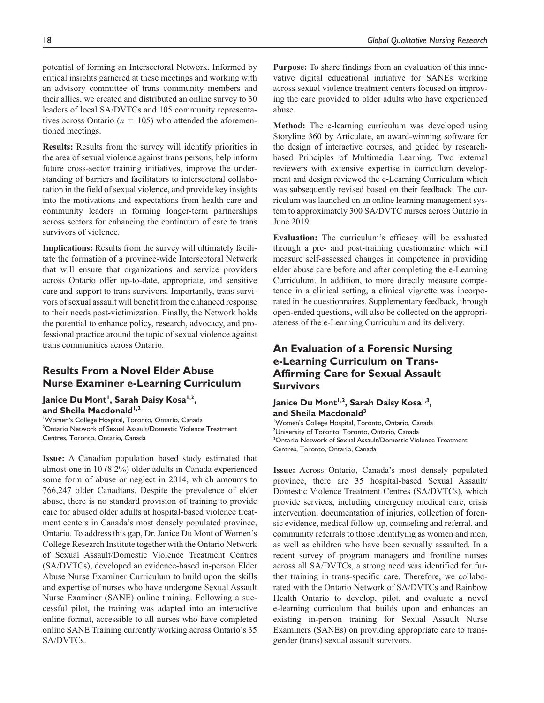critical insights garnered at these meetings and working with an advisory committee of trans community members and their allies, we created and distributed an online survey to 30 leaders of local SA/DVTCs and 105 community representatives across Ontario ( $n = 105$ ) who attended the aforementioned meetings.

**Results:** Results from the survey will identify priorities in the area of sexual violence against trans persons, help inform future cross-sector training initiatives, improve the understanding of barriers and facilitators to intersectoral collaboration in the field of sexual violence, and provide key insights into the motivations and expectations from health care and community leaders in forming longer-term partnerships across sectors for enhancing the continuum of care to trans survivors of violence.

**Implications:** Results from the survey will ultimately facilitate the formation of a province-wide Intersectoral Network that will ensure that organizations and service providers across Ontario offer up-to-date, appropriate, and sensitive care and support to trans survivors. Importantly, trans survivors of sexual assault will benefit from the enhanced response to their needs post-victimization. Finally, the Network holds the potential to enhance policy, research, advocacy, and professional practice around the topic of sexual violence against trans communities across Ontario.

## **Results From a Novel Elder Abuse Nurse Examiner e-Learning Curriculum**

Janice Du Mont<sup>1</sup>, Sarah Daisy Kosa<sup>1,2</sup>, and Sheila Macdonald<sup>1,2</sup>

1 Women's College Hospital, Toronto, Ontario, Canada <sup>2</sup>Ontario Network of Sexual Assault/Domestic Violence Treatment Centres, Toronto, Ontario, Canada

**Issue:** A Canadian population–based study estimated that almost one in 10 (8.2%) older adults in Canada experienced some form of abuse or neglect in 2014, which amounts to 766,247 older Canadians. Despite the prevalence of elder abuse, there is no standard provision of training to provide care for abused older adults at hospital-based violence treatment centers in Canada's most densely populated province, Ontario. To address this gap, Dr. Janice Du Mont of Women's College Research Institute together with the Ontario Network of Sexual Assault/Domestic Violence Treatment Centres (SA/DVTCs), developed an evidence-based in-person Elder Abuse Nurse Examiner Curriculum to build upon the skills and expertise of nurses who have undergone Sexual Assault Nurse Examiner (SANE) online training. Following a successful pilot, the training was adapted into an interactive online format, accessible to all nurses who have completed online SANE Training currently working across Ontario's 35 SA/DVTCs.

**Purpose:** To share findings from an evaluation of this innovative digital educational initiative for SANEs working across sexual violence treatment centers focused on improving the care provided to older adults who have experienced abuse.

**Method:** The e-learning curriculum was developed using Storyline 360 by Articulate, an award-winning software for the design of interactive courses, and guided by researchbased Principles of Multimedia Learning. Two external reviewers with extensive expertise in curriculum development and design reviewed the e-Learning Curriculum which was subsequently revised based on their feedback. The curriculum was launched on an online learning management system to approximately 300 SA/DVTC nurses across Ontario in June 2019.

**Evaluation:** The curriculum's efficacy will be evaluated through a pre- and post-training questionnaire which will measure self-assessed changes in competence in providing elder abuse care before and after completing the e-Learning Curriculum. In addition, to more directly measure competence in a clinical setting, a clinical vignette was incorporated in the questionnaires. Supplementary feedback, through open-ended questions, will also be collected on the appropriateness of the e-Learning Curriculum and its delivery.

## **An Evaluation of a Forensic Nursing e-Learning Curriculum on Trans-Affirming Care for Sexual Assault Survivors**

### Janice Du Mont<sup>1,2</sup>, Sarah Daisy Kosa<sup>1,3</sup>, **and Sheila Macdonald3**

1 Women's College Hospital, Toronto, Ontario, Canada <sup>2</sup>University of Toronto, Toronto, Ontario, Canada <sup>3</sup>Ontario Network of Sexual Assault/Domestic Violence Treatment Centres, Toronto, Ontario, Canada

**Issue:** Across Ontario, Canada's most densely populated province, there are 35 hospital-based Sexual Assault/ Domestic Violence Treatment Centres (SA/DVTCs), which provide services, including emergency medical care, crisis intervention, documentation of injuries, collection of forensic evidence, medical follow-up, counseling and referral, and community referrals to those identifying as women and men, as well as children who have been sexually assaulted. In a recent survey of program managers and frontline nurses across all SA/DVTCs, a strong need was identified for further training in trans-specific care. Therefore, we collaborated with the Ontario Network of SA/DVTCs and Rainbow Health Ontario to develop, pilot, and evaluate a novel e-learning curriculum that builds upon and enhances an existing in-person training for Sexual Assault Nurse Examiners (SANEs) on providing appropriate care to transgender (trans) sexual assault survivors.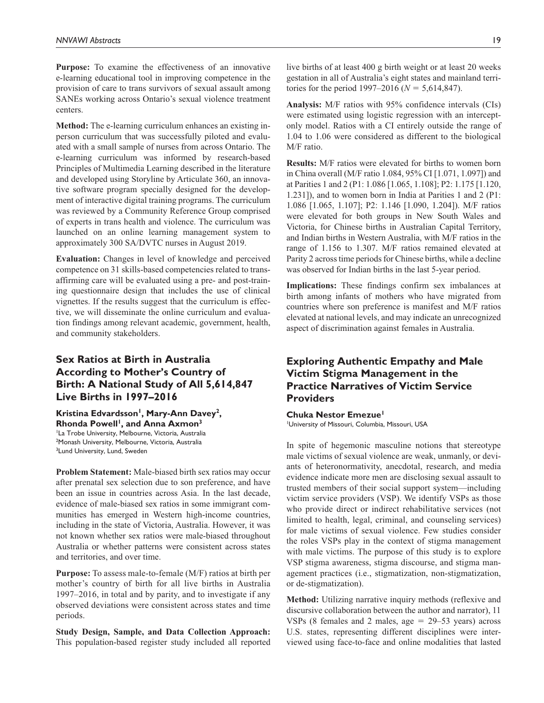**Purpose:** To examine the effectiveness of an innovative e-learning educational tool in improving competence in the provision of care to trans survivors of sexual assault among SANEs working across Ontario's sexual violence treatment centers.

**Method:** The e-learning curriculum enhances an existing inperson curriculum that was successfully piloted and evaluated with a small sample of nurses from across Ontario. The e-learning curriculum was informed by research-based Principles of Multimedia Learning described in the literature and developed using Storyline by Articulate 360, an innovative software program specially designed for the development of interactive digital training programs. The curriculum was reviewed by a Community Reference Group comprised of experts in trans health and violence. The curriculum was launched on an online learning management system to approximately 300 SA/DVTC nurses in August 2019.

**Evaluation:** Changes in level of knowledge and perceived competence on 31 skills-based competencies related to transaffirming care will be evaluated using a pre- and post-training questionnaire design that includes the use of clinical vignettes. If the results suggest that the curriculum is effective, we will disseminate the online curriculum and evaluation findings among relevant academic, government, health, and community stakeholders.

## **Sex Ratios at Birth in Australia According to Mother's Country of Birth: A National Study of All 5,614,847 Live Births in 1997–2016**

### Kristina Edvardsson<sup>1</sup>, Mary-Ann Davey<sup>2</sup>, Rhonda Powell<sup>1</sup>, and Anna Axmon<sup>3</sup>

<sup>1</sup>La Trobe University, Melbourne, Victoria, Australia 2 Monash University, Melbourne, Victoria, Australia <sup>3</sup>Lund University, Lund, Sweden

**Problem Statement:** Male-biased birth sex ratios may occur after prenatal sex selection due to son preference, and have been an issue in countries across Asia. In the last decade, evidence of male-biased sex ratios in some immigrant communities has emerged in Western high-income countries, including in the state of Victoria, Australia. However, it was not known whether sex ratios were male-biased throughout Australia or whether patterns were consistent across states and territories, and over time.

**Purpose:** To assess male-to-female (M/F) ratios at birth per mother's country of birth for all live births in Australia 1997–2016, in total and by parity, and to investigate if any observed deviations were consistent across states and time periods.

**Study Design, Sample, and Data Collection Approach:** This population-based register study included all reported live births of at least 400 g birth weight or at least 20 weeks gestation in all of Australia's eight states and mainland territories for the period 1997–2016 ( $N = 5,614,847$ ).

**Analysis:** M/F ratios with 95% confidence intervals (CIs) were estimated using logistic regression with an interceptonly model. Ratios with a CI entirely outside the range of 1.04 to 1.06 were considered as different to the biological M/F ratio.

**Results:** M/F ratios were elevated for births to women born in China overall (M/F ratio 1.084, 95% CI [1.071, 1.097]) and at Parities 1 and 2 (P1: 1.086 [1.065, 1.108]; P2: 1.175 [1.120, 1.231]), and to women born in India at Parities 1 and 2 (P1: 1.086 [1.065, 1.107]; P2: 1.146 [1.090, 1.204]). M/F ratios were elevated for both groups in New South Wales and Victoria, for Chinese births in Australian Capital Territory, and Indian births in Western Australia, with M/F ratios in the range of 1.156 to 1.307. M/F ratios remained elevated at Parity 2 across time periods for Chinese births, while a decline was observed for Indian births in the last 5-year period.

**Implications:** These findings confirm sex imbalances at birth among infants of mothers who have migrated from countries where son preference is manifest and M/F ratios elevated at national levels, and may indicate an unrecognized aspect of discrimination against females in Australia.

## **Exploring Authentic Empathy and Male Victim Stigma Management in the Practice Narratives of Victim Service Providers**

### **Chuka Nestor Emezue**

1 University of Missouri, Columbia, Missouri, USA

In spite of hegemonic masculine notions that stereotype male victims of sexual violence are weak, unmanly, or deviants of heteronormativity, anecdotal, research, and media evidence indicate more men are disclosing sexual assault to trusted members of their social support system—including victim service providers (VSP). We identify VSPs as those who provide direct or indirect rehabilitative services (not limited to health, legal, criminal, and counseling services) for male victims of sexual violence. Few studies consider the roles VSPs play in the context of stigma management with male victims. The purpose of this study is to explore VSP stigma awareness, stigma discourse, and stigma management practices (i.e., stigmatization, non-stigmatization, or de-stigmatization).

**Method:** Utilizing narrative inquiry methods (reflexive and discursive collaboration between the author and narrator), 11 VSPs  $(8 \text{ females and } 2 \text{ males, age} = 29-53 \text{ years})$  across U.S. states, representing different disciplines were interviewed using face-to-face and online modalities that lasted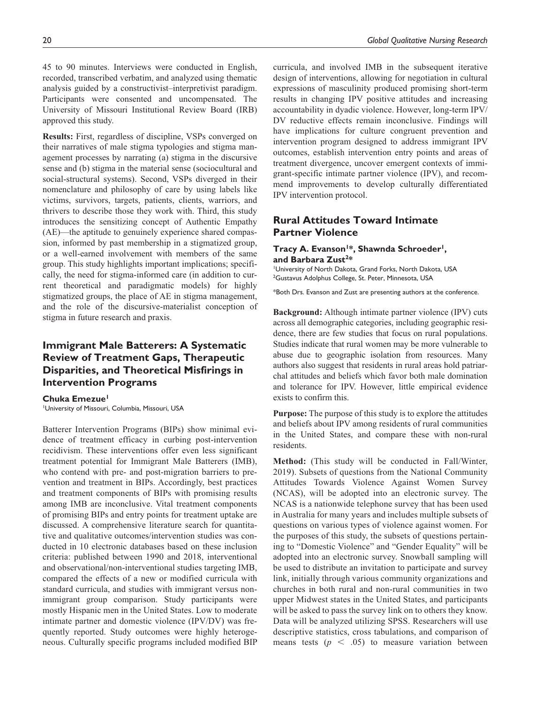45 to 90 minutes. Interviews were conducted in English, recorded, transcribed verbatim, and analyzed using thematic analysis guided by a constructivist–interpretivist paradigm. Participants were consented and uncompensated. The University of Missouri Institutional Review Board (IRB) approved this study.

**Results:** First, regardless of discipline, VSPs converged on their narratives of male stigma typologies and stigma management processes by narrating (a) stigma in the discursive sense and (b) stigma in the material sense (sociocultural and social-structural systems). Second, VSPs diverged in their nomenclature and philosophy of care by using labels like victims, survivors, targets, patients, clients, warriors, and thrivers to describe those they work with. Third, this study introduces the sensitizing concept of Authentic Empathy (AE)—the aptitude to genuinely experience shared compassion, informed by past membership in a stigmatized group, or a well-earned involvement with members of the same group. This study highlights important implications; specifically, the need for stigma-informed care (in addition to current theoretical and paradigmatic models) for highly stigmatized groups, the place of AE in stigma management, and the role of the discursive-materialist conception of stigma in future research and praxis.

## **Immigrant Male Batterers: A Systematic Review of Treatment Gaps, Therapeutic Disparities, and Theoretical Misfirings in Intervention Programs**

**Chuka Emezue1** 1 University of Missouri, Columbia, Missouri, USA

Batterer Intervention Programs (BIPs) show minimal evidence of treatment efficacy in curbing post-intervention recidivism. These interventions offer even less significant treatment potential for Immigrant Male Batterers (IMB), who contend with pre- and post-migration barriers to prevention and treatment in BIPs. Accordingly, best practices and treatment components of BIPs with promising results among IMB are inconclusive. Vital treatment components of promising BIPs and entry points for treatment uptake are discussed. A comprehensive literature search for quantitative and qualitative outcomes/intervention studies was conducted in 10 electronic databases based on these inclusion criteria: published between 1990 and 2018, interventional and observational/non-interventional studies targeting IMB, compared the effects of a new or modified curricula with standard curricula, and studies with immigrant versus nonimmigrant group comparison. Study participants were mostly Hispanic men in the United States. Low to moderate intimate partner and domestic violence (IPV/DV) was frequently reported. Study outcomes were highly heterogeneous. Culturally specific programs included modified BIP curricula, and involved IMB in the subsequent iterative design of interventions, allowing for negotiation in cultural expressions of masculinity produced promising short-term results in changing IPV positive attitudes and increasing accountability in dyadic violence. However, long-term IPV/ DV reductive effects remain inconclusive. Findings will have implications for culture congruent prevention and intervention program designed to address immigrant IPV outcomes, establish intervention entry points and areas of treatment divergence, uncover emergent contexts of immigrant-specific intimate partner violence (IPV), and recommend improvements to develop culturally differentiated IPV intervention protocol.

### **Rural Attitudes Toward Intimate Partner Violence**

### Tracy A. Evanson<sup>1\*</sup>, Shawnda Schroeder<sup>1</sup>, **and Barbara Zust2\***

1 University of North Dakota, Grand Forks, North Dakota, USA <sup>2</sup>Gustavus Adolphus College, St. Peter, Minnesota, USA

\*Both Drs. Evanson and Zust are presenting authors at the conference.

**Background:** Although intimate partner violence (IPV) cuts across all demographic categories, including geographic residence, there are few studies that focus on rural populations. Studies indicate that rural women may be more vulnerable to abuse due to geographic isolation from resources. Many authors also suggest that residents in rural areas hold patriarchal attitudes and beliefs which favor both male domination and tolerance for IPV. However, little empirical evidence exists to confirm this.

**Purpose:** The purpose of this study is to explore the attitudes and beliefs about IPV among residents of rural communities in the United States, and compare these with non-rural residents.

**Method:** (This study will be conducted in Fall/Winter, 2019). Subsets of questions from the National Community Attitudes Towards Violence Against Women Survey (NCAS), will be adopted into an electronic survey. The NCAS is a nationwide telephone survey that has been used in Australia for many years and includes multiple subsets of questions on various types of violence against women. For the purposes of this study, the subsets of questions pertaining to "Domestic Violence" and "Gender Equality" will be adopted into an electronic survey. Snowball sampling will be used to distribute an invitation to participate and survey link, initially through various community organizations and churches in both rural and non-rural communities in two upper Midwest states in the United States, and participants will be asked to pass the survey link on to others they know. Data will be analyzed utilizing SPSS. Researchers will use descriptive statistics, cross tabulations, and comparison of means tests  $(p \leq .05)$  to measure variation between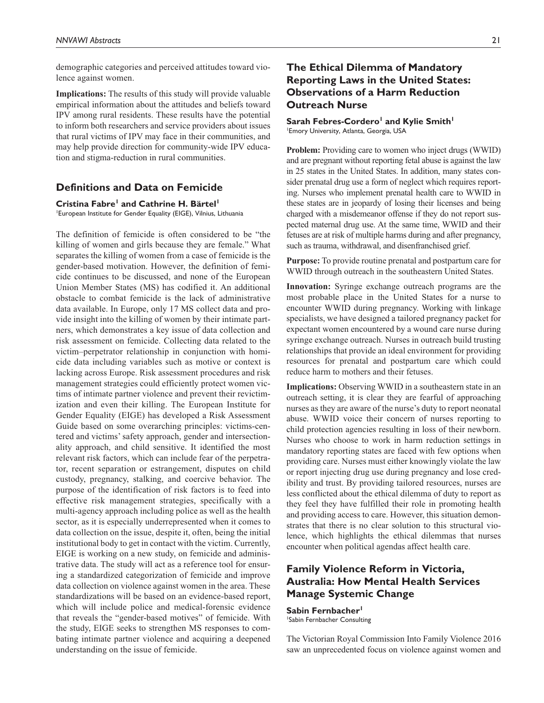demographic categories and perceived attitudes toward violence against women.

**Implications:** The results of this study will provide valuable empirical information about the attitudes and beliefs toward IPV among rural residents. These results have the potential to inform both researchers and service providers about issues that rural victims of IPV may face in their communities, and may help provide direction for community-wide IPV education and stigma-reduction in rural communities.

### **Definitions and Data on Femicide**

**Cristina Fabre<sup>1</sup> and Cathrine H. Bärtel<sup>1</sup>** 1 European Institute for Gender Equality (EIGE), Vilnius, Lithuania

The definition of femicide is often considered to be "the killing of women and girls because they are female." What separates the killing of women from a case of femicide is the gender-based motivation. However, the definition of femicide continues to be discussed, and none of the European Union Member States (MS) has codified it. An additional obstacle to combat femicide is the lack of administrative data available. In Europe, only 17 MS collect data and provide insight into the killing of women by their intimate partners, which demonstrates a key issue of data collection and risk assessment on femicide. Collecting data related to the victim–perpetrator relationship in conjunction with homicide data including variables such as motive or context is lacking across Europe. Risk assessment procedures and risk management strategies could efficiently protect women victims of intimate partner violence and prevent their revictimization and even their killing. The European Institute for Gender Equality (EIGE) has developed a Risk Assessment Guide based on some overarching principles: victims-centered and victims' safety approach, gender and intersectionality approach, and child sensitive. It identified the most relevant risk factors, which can include fear of the perpetrator, recent separation or estrangement, disputes on child custody, pregnancy, stalking, and coercive behavior. The purpose of the identification of risk factors is to feed into effective risk management strategies, specifically with a multi-agency approach including police as well as the health sector, as it is especially underrepresented when it comes to data collection on the issue, despite it, often, being the initial institutional body to get in contact with the victim. Currently, EIGE is working on a new study, on femicide and administrative data. The study will act as a reference tool for ensuring a standardized categorization of femicide and improve data collection on violence against women in the area. These standardizations will be based on an evidence-based report, which will include police and medical-forensic evidence that reveals the "gender-based motives" of femicide. With the study, EIGE seeks to strengthen MS responses to combating intimate partner violence and acquiring a deepened understanding on the issue of femicide.

## **The Ethical Dilemma of Mandatory Reporting Laws in the United States: Observations of a Harm Reduction Outreach Nurse**

#### Sarah Febres-Cordero<sup>1</sup> and Kylie Smith<sup>1</sup> 1 Emory University, Atlanta, Georgia, USA

**Problem:** Providing care to women who inject drugs (WWID) and are pregnant without reporting fetal abuse is against the law in 25 states in the United States. In addition, many states consider prenatal drug use a form of neglect which requires reporting. Nurses who implement prenatal health care to WWID in these states are in jeopardy of losing their licenses and being charged with a misdemeanor offense if they do not report suspected maternal drug use. At the same time, WWID and their fetuses are at risk of multiple harms during and after pregnancy, such as trauma, withdrawal, and disenfranchised grief.

**Purpose:** To provide routine prenatal and postpartum care for WWID through outreach in the southeastern United States.

**Innovation:** Syringe exchange outreach programs are the most probable place in the United States for a nurse to encounter WWID during pregnancy. Working with linkage specialists, we have designed a tailored pregnancy packet for expectant women encountered by a wound care nurse during syringe exchange outreach. Nurses in outreach build trusting relationships that provide an ideal environment for providing resources for prenatal and postpartum care which could reduce harm to mothers and their fetuses.

**Implications:** Observing WWID in a southeastern state in an outreach setting, it is clear they are fearful of approaching nurses as they are aware of the nurse's duty to report neonatal abuse. WWID voice their concern of nurses reporting to child protection agencies resulting in loss of their newborn. Nurses who choose to work in harm reduction settings in mandatory reporting states are faced with few options when providing care. Nurses must either knowingly violate the law or report injecting drug use during pregnancy and lose credibility and trust. By providing tailored resources, nurses are less conflicted about the ethical dilemma of duty to report as they feel they have fulfilled their role in promoting health and providing access to care. However, this situation demonstrates that there is no clear solution to this structural violence, which highlights the ethical dilemmas that nurses encounter when political agendas affect health care.

## **Family Violence Reform in Victoria, Australia: How Mental Health Services Manage Systemic Change**

Sabin Fernbacher<sup>1</sup> 1 Sabin Fernbacher Consulting

The Victorian Royal Commission Into Family Violence 2016 saw an unprecedented focus on violence against women and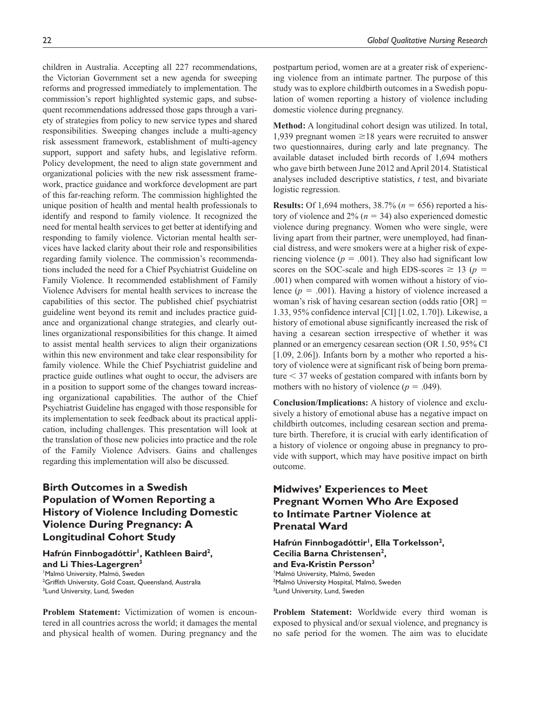children in Australia. Accepting all 227 recommendations, the Victorian Government set a new agenda for sweeping reforms and progressed immediately to implementation. The commission's report highlighted systemic gaps, and subsequent recommendations addressed those gaps through a variety of strategies from policy to new service types and shared responsibilities. Sweeping changes include a multi-agency risk assessment framework, establishment of multi-agency support, support and safety hubs, and legislative reform. Policy development, the need to align state government and organizational policies with the new risk assessment framework, practice guidance and workforce development are part of this far-reaching reform. The commission highlighted the unique position of health and mental health professionals to identify and respond to family violence. It recognized the need for mental health services to get better at identifying and responding to family violence. Victorian mental health services have lacked clarity about their role and responsibilities regarding family violence. The commission's recommendations included the need for a Chief Psychiatrist Guideline on Family Violence. It recommended establishment of Family Violence Advisers for mental health services to increase the capabilities of this sector. The published chief psychiatrist guideline went beyond its remit and includes practice guidance and organizational change strategies, and clearly outlines organizational responsibilities for this change. It aimed to assist mental health services to align their organizations within this new environment and take clear responsibility for family violence. While the Chief Psychiatrist guideline and practice guide outlines what ought to occur, the advisers are in a position to support some of the changes toward increasing organizational capabilities. The author of the Chief Psychiatrist Guideline has engaged with those responsible for its implementation to seek feedback about its practical application, including challenges. This presentation will look at the translation of those new policies into practice and the role of the Family Violence Advisers. Gains and challenges regarding this implementation will also be discussed.

## **Birth Outcomes in a Swedish Population of Women Reporting a History of Violence Including Domestic Violence During Pregnancy: A Longitudinal Cohort Study**

Hafrún Finnbogadóttir<sup>1</sup>, Kathleen Baird<sup>2</sup>, **and Li Thies-Lagergren3** 1 Malmö University, Malmö, Sweden

<sup>2</sup>Griffith University, Gold Coast, Queensland, Australia <sup>3</sup>Lund University, Lund, Sweden

**Problem Statement:** Victimization of women is encountered in all countries across the world; it damages the mental and physical health of women. During pregnancy and the

postpartum period, women are at a greater risk of experiencing violence from an intimate partner. The purpose of this study was to explore childbirth outcomes in a Swedish population of women reporting a history of violence including domestic violence during pregnancy.

**Method:** A longitudinal cohort design was utilized. In total, 1,939 pregnant women ≥18 years were recruited to answer two questionnaires, during early and late pregnancy. The available dataset included birth records of 1,694 mothers who gave birth between June 2012 and April 2014. Statistical analyses included descriptive statistics, *t* test, and bivariate logistic regression.

**Results:** Of 1,694 mothers, 38.7% (*n* = 656) reported a history of violence and  $2\%$  ( $n = 34$ ) also experienced domestic violence during pregnancy. Women who were single, were living apart from their partner, were unemployed, had financial distress, and were smokers were at a higher risk of experiencing violence  $(p = .001)$ . They also had significant low scores on the SOC-scale and high EDS-scores  $\geq$  13 (*p* = .001) when compared with women without a history of violence  $(p = .001)$ . Having a history of violence increased a woman's risk of having cesarean section (odds ratio [OR] = 1.33, 95% confidence interval [CI] [1.02, 1.70]). Likewise, a history of emotional abuse significantly increased the risk of having a cesarean section irrespective of whether it was planned or an emergency cesarean section (OR 1.50, 95% CI [1.09, 2.06]). Infants born by a mother who reported a history of violence were at significant risk of being born premature < 37 weeks of gestation compared with infants born by mothers with no history of violence  $(p = .049)$ .

**Conclusion/Implications:** A history of violence and exclusively a history of emotional abuse has a negative impact on childbirth outcomes, including cesarean section and premature birth. Therefore, it is crucial with early identification of a history of violence or ongoing abuse in pregnancy to provide with support, which may have positive impact on birth outcome.

## **Midwives' Experiences to Meet Pregnant Women Who Are Exposed to Intimate Partner Violence at Prenatal Ward**

Hafrún Finnbogadóttir<sup>1</sup>, Ella Torkelsson<sup>2</sup>, **Cecilia Barna Christensen2, and Eva-Kristin Persson3** 1 Malmö University, Malmö, Sweden 2 Malmö University Hospital, Malmö, Sweden <sup>3</sup>Lund University, Lund, Sweden

**Problem Statement:** Worldwide every third woman is exposed to physical and/or sexual violence, and pregnancy is no safe period for the women. The aim was to elucidate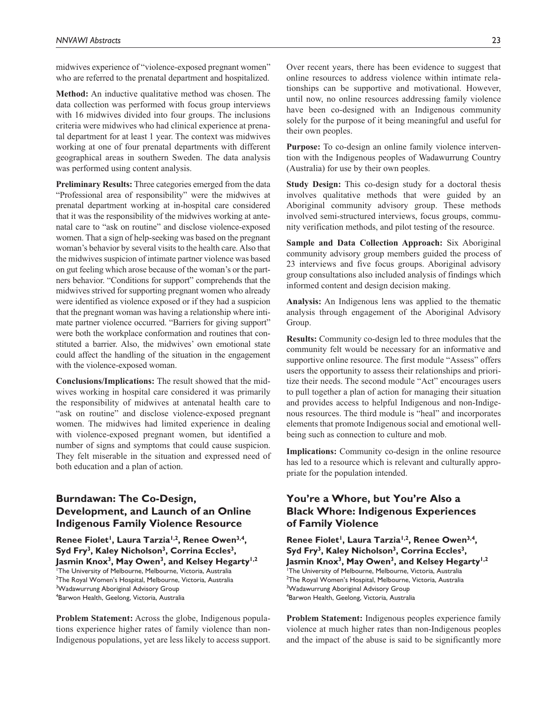midwives experience of "violence-exposed pregnant women" who are referred to the prenatal department and hospitalized.

**Method:** An inductive qualitative method was chosen. The data collection was performed with focus group interviews with 16 midwives divided into four groups. The inclusions criteria were midwives who had clinical experience at prenatal department for at least 1 year. The context was midwives working at one of four prenatal departments with different geographical areas in southern Sweden. The data analysis was performed using content analysis.

**Preliminary Results:** Three categories emerged from the data "Professional area of responsibility" were the midwives at prenatal department working at in-hospital care considered that it was the responsibility of the midwives working at antenatal care to "ask on routine" and disclose violence-exposed women. That a sign of help-seeking was based on the pregnant woman's behavior by several visits to the health care. Also that the midwives suspicion of intimate partner violence was based on gut feeling which arose because of the woman's or the partners behavior. "Conditions for support" comprehends that the midwives strived for supporting pregnant women who already were identified as violence exposed or if they had a suspicion that the pregnant woman was having a relationship where intimate partner violence occurred. "Barriers for giving support" were both the workplace conformation and routines that constituted a barrier. Also, the midwives' own emotional state could affect the handling of the situation in the engagement with the violence-exposed woman.

**Conclusions/Implications:** The result showed that the midwives working in hospital care considered it was primarily the responsibility of midwives at antenatal health care to "ask on routine" and disclose violence-exposed pregnant women. The midwives had limited experience in dealing with violence-exposed pregnant women, but identified a number of signs and symptoms that could cause suspicion. They felt miserable in the situation and expressed need of both education and a plan of action.

## **Burndawan: The Co-Design, Development, and Launch of an Online Indigenous Family Violence Resource**

Renee Fiolet<sup>1</sup>, Laura Tarzia<sup>1,2</sup>, Renee Owen<sup>3,4</sup>, Syd Fry<sup>3</sup>, Kaley Nicholson<sup>3</sup>, Corrina Eccles<sup>3</sup>, Jasmin Knox<sup>3</sup>, May Owen<sup>3</sup>, and Kelsey Hegarty<sup>1,2</sup>

 The University of Melbourne, Melbourne, Victoria, Australia The Royal Women's Hospital, Melbourne, Victoria, Australia <sup>3</sup>Wadawurrung Aboriginal Advisory Group Barwon Health, Geelong, Victoria, Australia

**Problem Statement:** Across the globe, Indigenous populations experience higher rates of family violence than non-Indigenous populations, yet are less likely to access support. Over recent years, there has been evidence to suggest that online resources to address violence within intimate relationships can be supportive and motivational. However, until now, no online resources addressing family violence have been co-designed with an Indigenous community solely for the purpose of it being meaningful and useful for their own peoples.

**Purpose:** To co-design an online family violence intervention with the Indigenous peoples of Wadawurrung Country (Australia) for use by their own peoples.

**Study Design:** This co-design study for a doctoral thesis involves qualitative methods that were guided by an Aboriginal community advisory group. These methods involved semi-structured interviews, focus groups, community verification methods, and pilot testing of the resource.

**Sample and Data Collection Approach:** Six Aboriginal community advisory group members guided the process of 23 interviews and five focus groups. Aboriginal advisory group consultations also included analysis of findings which informed content and design decision making.

**Analysis:** An Indigenous lens was applied to the thematic analysis through engagement of the Aboriginal Advisory Group.

**Results:** Community co-design led to three modules that the community felt would be necessary for an informative and supportive online resource. The first module "Assess" offers users the opportunity to assess their relationships and prioritize their needs. The second module "Act" encourages users to pull together a plan of action for managing their situation and provides access to helpful Indigenous and non-Indigenous resources. The third module is "heal" and incorporates elements that promote Indigenous social and emotional wellbeing such as connection to culture and mob.

**Implications:** Community co-design in the online resource has led to a resource which is relevant and culturally appropriate for the population intended.

## **You're a Whore, but You're Also a Black Whore: Indigenous Experiences of Family Violence**

Renee Fiolet<sup>1</sup>, Laura Tarzia<sup>1,2</sup>, Renee Owen<sup>3,4</sup>, Syd Fry<sup>3</sup>, Kaley Nicholson<sup>3</sup>, Corrina Eccles<sup>3</sup>, Jasmin Knox<sup>3</sup>, May Owen<sup>3</sup>, and Kelsey Hegarty<sup>1,2</sup> 1 The University of Melbourne, Melbourne, Victoria, Australia <sup>2</sup>The Royal Women's Hospital, Melbourne, Victoria, Australia <sup>3</sup>Wadawurrung Aboriginal Advisory Group 4 Barwon Health, Geelong, Victoria, Australia

**Problem Statement:** Indigenous peoples experience family violence at much higher rates than non-Indigenous peoples and the impact of the abuse is said to be significantly more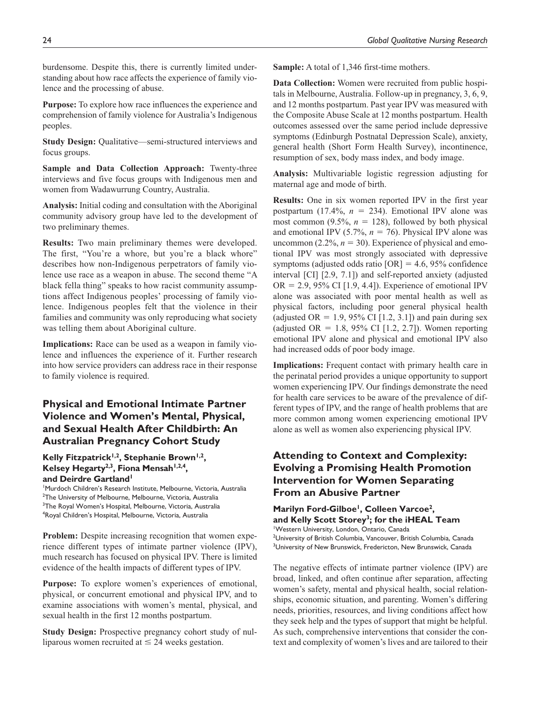burdensome. Despite this, there is currently limited understanding about how race affects the experience of family violence and the processing of abuse.

**Purpose:** To explore how race influences the experience and comprehension of family violence for Australia's Indigenous peoples.

**Study Design:** Qualitative—semi-structured interviews and focus groups.

**Sample and Data Collection Approach:** Twenty-three interviews and five focus groups with Indigenous men and women from Wadawurrung Country, Australia.

**Analysis:** Initial coding and consultation with the Aboriginal community advisory group have led to the development of two preliminary themes.

**Results:** Two main preliminary themes were developed. The first, "You're a whore, but you're a black whore" describes how non-Indigenous perpetrators of family violence use race as a weapon in abuse. The second theme "A black fella thing" speaks to how racist community assumptions affect Indigenous peoples' processing of family violence. Indigenous peoples felt that the violence in their families and community was only reproducing what society was telling them about Aboriginal culture.

**Implications:** Race can be used as a weapon in family violence and influences the experience of it. Further research into how service providers can address race in their response to family violence is required.

## **Physical and Emotional Intimate Partner Violence and Women's Mental, Physical, and Sexual Health After Childbirth: An Australian Pregnancy Cohort Study**

### Kelly Fitzpatrick<sup>1,2</sup>, Stephanie Brown<sup>1,2</sup>, Kelsey Hegarty<sup>2,3</sup>, Fiona Mensah<sup>1,2,4</sup>, and Deirdre Gartland<sup>1</sup>

 Murdoch Children's Research Institute, Melbourne, Victoria, Australia The University of Melbourne, Melbourne, Victoria, Australia <sup>3</sup>The Royal Women's Hospital, Melbourne, Victoria, Australia Royal Children's Hospital, Melbourne, Victoria, Australia

**Problem:** Despite increasing recognition that women experience different types of intimate partner violence (IPV), much research has focused on physical IPV. There is limited evidence of the health impacts of different types of IPV.

**Purpose:** To explore women's experiences of emotional, physical, or concurrent emotional and physical IPV, and to examine associations with women's mental, physical, and sexual health in the first 12 months postpartum.

**Study Design:** Prospective pregnancy cohort study of nulliparous women recruited at  $\leq$  24 weeks gestation.

**Sample:** A total of 1,346 first-time mothers.

**Data Collection:** Women were recruited from public hospitals in Melbourne, Australia. Follow-up in pregnancy, 3, 6, 9, and 12 months postpartum. Past year IPV was measured with the Composite Abuse Scale at 12 months postpartum. Health outcomes assessed over the same period include depressive symptoms (Edinburgh Postnatal Depression Scale), anxiety, general health (Short Form Health Survey), incontinence, resumption of sex, body mass index, and body image.

**Analysis:** Multivariable logistic regression adjusting for maternal age and mode of birth.

**Results:** One in six women reported IPV in the first year postpartum (17.4%,  $n = 234$ ). Emotional IPV alone was most common  $(9.5\%, n = 128)$ , followed by both physical and emotional IPV  $(5.7\%, n = 76)$ . Physical IPV alone was uncommon  $(2.2\%, n = 30)$ . Experience of physical and emotional IPV was most strongly associated with depressive symptoms (adjusted odds ratio  $[OR] = 4.6, 95\%$  confidence interval [CI] [2.9, 7.1]) and self-reported anxiety (adjusted  $OR = 2.9$ , 95% CI [1.9, 4.4]). Experience of emotional IPV alone was associated with poor mental health as well as physical factors, including poor general physical health (adjusted OR = 1.9, 95% CI [1.2, 3.1]) and pain during sex (adjusted OR = 1.8, 95% CI [1.2, 2.7]). Women reporting emotional IPV alone and physical and emotional IPV also had increased odds of poor body image.

**Implications:** Frequent contact with primary health care in the perinatal period provides a unique opportunity to support women experiencing IPV. Our findings demonstrate the need for health care services to be aware of the prevalence of different types of IPV, and the range of health problems that are more common among women experiencing emotional IPV alone as well as women also experiencing physical IPV.

## **Attending to Context and Complexity: Evolving a Promising Health Promotion Intervention for Women Separating From an Abusive Partner**

#### **Marilyn Ford-Gilboe1, Colleen Varcoe2, and Kelly Scott Storey3; for the iHEAL Team** 1 Western University, London, Ontario, Canada

2 University of British Columbia, Vancouver, British Columbia, Canada <sup>3</sup>University of New Brunswick, Fredericton, New Brunswick, Canada

The negative effects of intimate partner violence (IPV) are broad, linked, and often continue after separation, affecting women's safety, mental and physical health, social relationships, economic situation, and parenting. Women's differing needs, priorities, resources, and living conditions affect how they seek help and the types of support that might be helpful. As such, comprehensive interventions that consider the context and complexity of women's lives and are tailored to their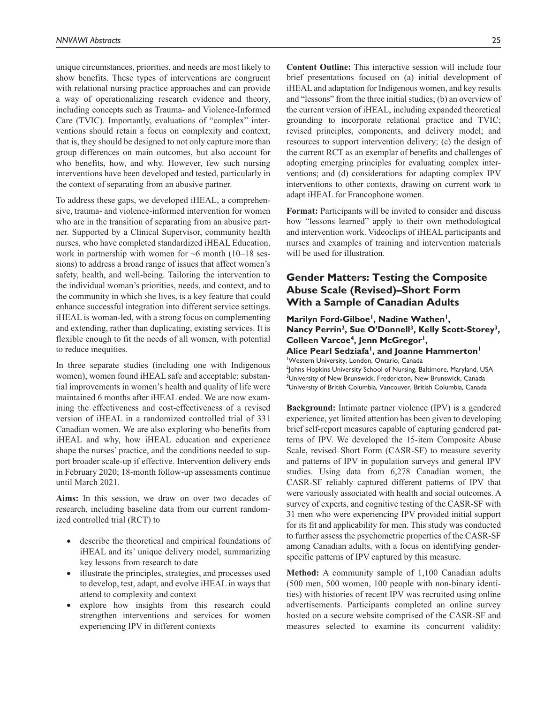unique circumstances, priorities, and needs are most likely to show benefits. These types of interventions are congruent with relational nursing practice approaches and can provide a way of operationalizing research evidence and theory, including concepts such as Trauma- and Violence-Informed Care (TVIC). Importantly, evaluations of "complex" interventions should retain a focus on complexity and context; that is, they should be designed to not only capture more than group differences on main outcomes, but also account for who benefits, how, and why. However, few such nursing interventions have been developed and tested, particularly in the context of separating from an abusive partner.

To address these gaps, we developed iHEAL, a comprehensive, trauma- and violence-informed intervention for women who are in the transition of separating from an abusive partner. Supported by a Clinical Supervisor, community health nurses, who have completed standardized iHEAL Education, work in partnership with women for  $~6$  month (10–18 sessions) to address a broad range of issues that affect women's safety, health, and well-being. Tailoring the intervention to the individual woman's priorities, needs, and context, and to the community in which she lives, is a key feature that could enhance successful integration into different service settings. iHEAL is woman-led, with a strong focus on complementing and extending, rather than duplicating, existing services. It is flexible enough to fit the needs of all women, with potential to reduce inequities.

In three separate studies (including one with Indigenous women), women found iHEAL safe and acceptable; substantial improvements in women's health and quality of life were maintained 6 months after iHEAL ended. We are now examining the effectiveness and cost-effectiveness of a revised version of iHEAL in a randomized controlled trial of 331 Canadian women. We are also exploring who benefits from iHEAL and why, how iHEAL education and experience shape the nurses' practice, and the conditions needed to support broader scale-up if effective. Intervention delivery ends in February 2020; 18-month follow-up assessments continue until March 2021.

**Aims:** In this session, we draw on over two decades of research, including baseline data from our current randomized controlled trial (RCT) to

- describe the theoretical and empirical foundations of iHEAL and its' unique delivery model, summarizing key lessons from research to date
- illustrate the principles, strategies, and processes used to develop, test, adapt, and evolve iHEAL in ways that attend to complexity and context
- explore how insights from this research could strengthen interventions and services for women experiencing IPV in different contexts

**Content Outline:** This interactive session will include four brief presentations focused on (a) initial development of iHEAL and adaptation for Indigenous women, and key results and "lessons" from the three initial studies; (b) an overview of the current version of iHEAL, including expanded theoretical grounding to incorporate relational practice and TVIC; revised principles, components, and delivery model; and resources to support intervention delivery; (c) the design of the current RCT as an exemplar of benefits and challenges of adopting emerging principles for evaluating complex interventions; and (d) considerations for adapting complex IPV interventions to other contexts, drawing on current work to adapt iHEAL for Francophone women.

**Format:** Participants will be invited to consider and discuss how "lessons learned" apply to their own methodological and intervention work. Videoclips of iHEAL participants and nurses and examples of training and intervention materials will be used for illustration.

## **Gender Matters: Testing the Composite Abuse Scale (Revised)–Short Form With a Sample of Canadian Adults**

### Marilyn Ford-Gilboe<sup>1</sup>, Nadine Wathen<sup>1</sup>, Nancy Perrin<sup>2</sup>, Sue O'Donnell<sup>3</sup>, Kelly Scott-Storey<sup>3</sup>, **Colleen Varcoe4, Jenn McGregor1, Alice Pearl Sedziafa1, and Joanne Hammerton1** 1 Western University, London, Ontario, Canada 2 Johns Hopkins University School of Nursing, Baltimore, Maryland, USA

<sup>3</sup>University of New Brunswick, Fredericton, New Brunswick, Canada 4 University of British Columbia, Vancouver, British Columbia, Canada

**Background:** Intimate partner violence (IPV) is a gendered experience, yet limited attention has been given to developing brief self-report measures capable of capturing gendered patterns of IPV. We developed the 15-item Composite Abuse Scale, revised–Short Form (CASR-SF) to measure severity and patterns of IPV in population surveys and general IPV studies. Using data from 6,278 Canadian women, the CASR-SF reliably captured different patterns of IPV that were variously associated with health and social outcomes. A survey of experts, and cognitive testing of the CASR-SF with 31 men who were experiencing IPV provided initial support for its fit and applicability for men. This study was conducted to further assess the psychometric properties of the CASR-SF among Canadian adults, with a focus on identifying genderspecific patterns of IPV captured by this measure.

**Method:** A community sample of 1,100 Canadian adults (500 men, 500 women, 100 people with non-binary identities) with histories of recent IPV was recruited using online advertisements. Participants completed an online survey hosted on a secure website comprised of the CASR-SF and measures selected to examine its concurrent validity: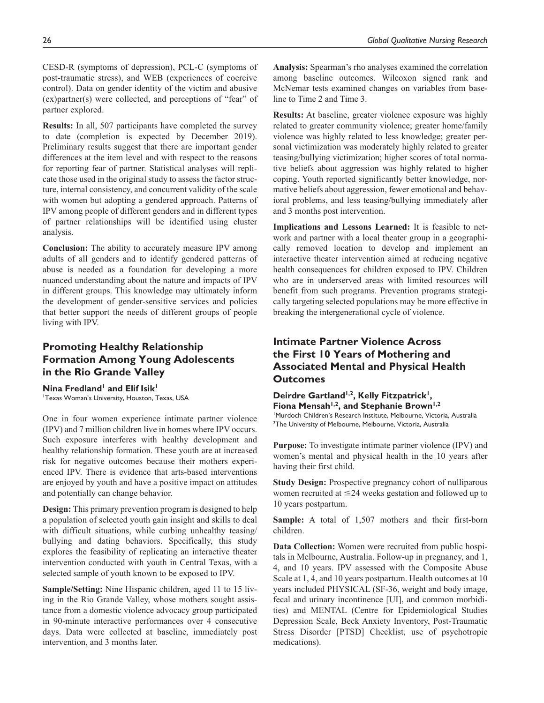CESD-R (symptoms of depression), PCL-C (symptoms of post-traumatic stress), and WEB (experiences of coercive control). Data on gender identity of the victim and abusive (ex)partner(s) were collected, and perceptions of "fear" of partner explored.

**Results:** In all, 507 participants have completed the survey to date (completion is expected by December 2019). Preliminary results suggest that there are important gender differences at the item level and with respect to the reasons for reporting fear of partner. Statistical analyses will replicate those used in the original study to assess the factor structure, internal consistency, and concurrent validity of the scale with women but adopting a gendered approach. Patterns of IPV among people of different genders and in different types of partner relationships will be identified using cluster analysis.

**Conclusion:** The ability to accurately measure IPV among adults of all genders and to identify gendered patterns of abuse is needed as a foundation for developing a more nuanced understanding about the nature and impacts of IPV in different groups. This knowledge may ultimately inform the development of gender-sensitive services and policies that better support the needs of different groups of people living with IPV.

## **Promoting Healthy Relationship Formation Among Young Adolescents in the Rio Grande Valley**

**Nina Fredland**<sup>1</sup> and Elif Isik<sup>1</sup> 1 Texas Woman's University, Houston, Texas, USA

One in four women experience intimate partner violence (IPV) and 7 million children live in homes where IPV occurs. Such exposure interferes with healthy development and healthy relationship formation. These youth are at increased risk for negative outcomes because their mothers experienced IPV. There is evidence that arts-based interventions are enjoyed by youth and have a positive impact on attitudes and potentially can change behavior.

**Design:** This primary prevention program is designed to help a population of selected youth gain insight and skills to deal with difficult situations, while curbing unhealthy teasing/ bullying and dating behaviors. Specifically, this study explores the feasibility of replicating an interactive theater intervention conducted with youth in Central Texas, with a selected sample of youth known to be exposed to IPV.

**Sample/Setting:** Nine Hispanic children, aged 11 to 15 living in the Rio Grande Valley, whose mothers sought assistance from a domestic violence advocacy group participated in 90-minute interactive performances over 4 consecutive days. Data were collected at baseline, immediately post intervention, and 3 months later.

**Analysis:** Spearman's rho analyses examined the correlation among baseline outcomes. Wilcoxon signed rank and McNemar tests examined changes on variables from baseline to Time 2 and Time 3.

**Results:** At baseline, greater violence exposure was highly related to greater community violence; greater home/family violence was highly related to less knowledge; greater personal victimization was moderately highly related to greater teasing/bullying victimization; higher scores of total normative beliefs about aggression was highly related to higher coping. Youth reported significantly better knowledge, normative beliefs about aggression, fewer emotional and behavioral problems, and less teasing/bullying immediately after and 3 months post intervention.

**Implications and Lessons Learned:** It is feasible to network and partner with a local theater group in a geographically removed location to develop and implement an interactive theater intervention aimed at reducing negative health consequences for children exposed to IPV. Children who are in underserved areas with limited resources will benefit from such programs. Prevention programs strategically targeting selected populations may be more effective in breaking the intergenerational cycle of violence.

## **Intimate Partner Violence Across the First 10 Years of Mothering and Associated Mental and Physical Health Outcomes**

Deirdre Gartland<sup>1,2</sup>, Kelly Fitzpatrick<sup>1</sup>, Fiona Mensah<sup>1,2</sup>, and Stephanie Brown<sup>1,2</sup> 1 Murdoch Children's Research Institute, Melbourne, Victoria, Australia 2 The University of Melbourne, Melbourne, Victoria, Australia

**Purpose:** To investigate intimate partner violence (IPV) and women's mental and physical health in the 10 years after having their first child.

**Study Design:** Prospective pregnancy cohort of nulliparous women recruited at ≤24 weeks gestation and followed up to 10 years postpartum.

**Sample:** A total of 1,507 mothers and their first-born children.

**Data Collection:** Women were recruited from public hospitals in Melbourne, Australia. Follow-up in pregnancy, and 1, 4, and 10 years. IPV assessed with the Composite Abuse Scale at 1, 4, and 10 years postpartum. Health outcomes at 10 years included PHYSICAL (SF-36, weight and body image, fecal and urinary incontinence [UI], and common morbidities) and MENTAL (Centre for Epidemiological Studies Depression Scale, Beck Anxiety Inventory, Post-Traumatic Stress Disorder [PTSD] Checklist, use of psychotropic medications).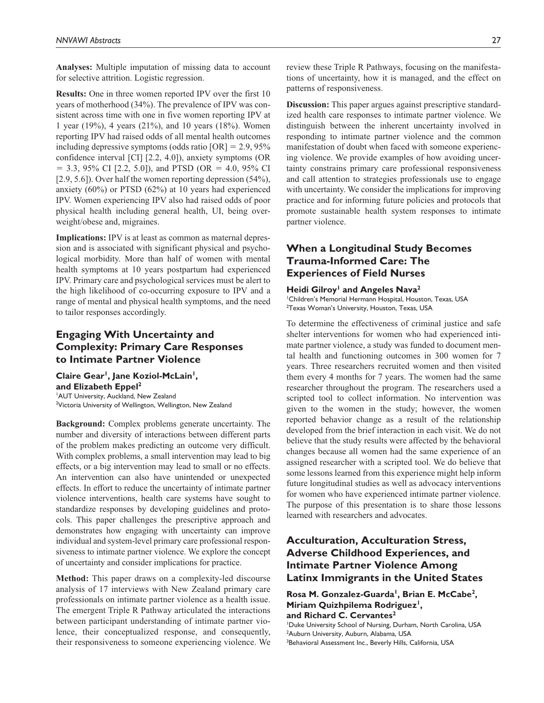**Analyses:** Multiple imputation of missing data to account for selective attrition. Logistic regression.

**Results:** One in three women reported IPV over the first 10 years of motherhood (34%). The prevalence of IPV was consistent across time with one in five women reporting IPV at 1 year (19%), 4 years (21%), and 10 years (18%). Women reporting IPV had raised odds of all mental health outcomes including depressive symptoms (odds ratio  $[OR] = 2.9, 95\%$ confidence interval [CI] [2.2, 4.0]), anxiety symptoms (OR  $= 3.3, 95\%$  CI [2.2, 5.0]), and PTSD (OR  $= 4.0, 95\%$  CI [2.9, 5.6]). Over half the women reporting depression (54%), anxiety (60%) or PTSD (62%) at 10 years had experienced IPV. Women experiencing IPV also had raised odds of poor physical health including general health, UI, being overweight/obese and, migraines.

**Implications:** IPV is at least as common as maternal depression and is associated with significant physical and psychological morbidity. More than half of women with mental health symptoms at 10 years postpartum had experienced IPV. Primary care and psychological services must be alert to the high likelihood of co-occurring exposure to IPV and a range of mental and physical health symptoms, and the need to tailor responses accordingly.

## **Engaging With Uncertainty and Complexity: Primary Care Responses to Intimate Partner Violence**

Claire Gear<sup>1</sup>, Jane Koziol-McLain<sup>1</sup>, **and Elizabeth Eppel2** 1 AUT University, Auckland, New Zealand <sup>2</sup>Victoria University of Wellington, Wellington, New Zealand

**Background:** Complex problems generate uncertainty. The number and diversity of interactions between different parts of the problem makes predicting an outcome very difficult. With complex problems, a small intervention may lead to big effects, or a big intervention may lead to small or no effects. An intervention can also have unintended or unexpected effects. In effort to reduce the uncertainty of intimate partner violence interventions, health care systems have sought to standardize responses by developing guidelines and protocols. This paper challenges the prescriptive approach and demonstrates how engaging with uncertainty can improve individual and system-level primary care professional responsiveness to intimate partner violence. We explore the concept of uncertainty and consider implications for practice.

**Method:** This paper draws on a complexity-led discourse analysis of 17 interviews with New Zealand primary care professionals on intimate partner violence as a health issue. The emergent Triple R Pathway articulated the interactions between participant understanding of intimate partner violence, their conceptualized response, and consequently, their responsiveness to someone experiencing violence. We review these Triple R Pathways, focusing on the manifestations of uncertainty, how it is managed, and the effect on patterns of responsiveness.

**Discussion:** This paper argues against prescriptive standardized health care responses to intimate partner violence. We distinguish between the inherent uncertainty involved in responding to intimate partner violence and the common manifestation of doubt when faced with someone experiencing violence. We provide examples of how avoiding uncertainty constrains primary care professional responsiveness and call attention to strategies professionals use to engage with uncertainty. We consider the implications for improving practice and for informing future policies and protocols that promote sustainable health system responses to intimate partner violence.

## **When a Longitudinal Study Becomes Trauma-Informed Care: The Experiences of Field Nurses**

#### **Heidi Gilroy<sup>1</sup> and Angeles Nava<sup>2</sup>**

1 Children's Memorial Hermann Hospital, Houston, Texas, USA <sup>2</sup>Texas Woman's University, Houston, Texas, USA

To determine the effectiveness of criminal justice and safe shelter interventions for women who had experienced intimate partner violence, a study was funded to document mental health and functioning outcomes in 300 women for 7 years. Three researchers recruited women and then visited them every 4 months for 7 years. The women had the same researcher throughout the program. The researchers used a scripted tool to collect information. No intervention was given to the women in the study; however, the women reported behavior change as a result of the relationship developed from the brief interaction in each visit. We do not believe that the study results were affected by the behavioral changes because all women had the same experience of an assigned researcher with a scripted tool. We do believe that some lessons learned from this experience might help inform future longitudinal studies as well as advocacy interventions for women who have experienced intimate partner violence. The purpose of this presentation is to share those lessons learned with researchers and advocates.

## **Acculturation, Acculturation Stress, Adverse Childhood Experiences, and Intimate Partner Violence Among Latinx Immigrants in the United States**

Rosa M. Gonzalez-Guarda<sup>1</sup>, Brian E. McCabe<sup>2</sup>, Miriam Quizhpilema Rodriguez<sup>1</sup>, **and Richard C. Cervantes2**

1 Duke University School of Nursing, Durham, North Carolina, USA 2 Auburn University, Auburn, Alabama, USA <sup>3</sup>Behavioral Assessment Inc., Beverly Hills, California, USA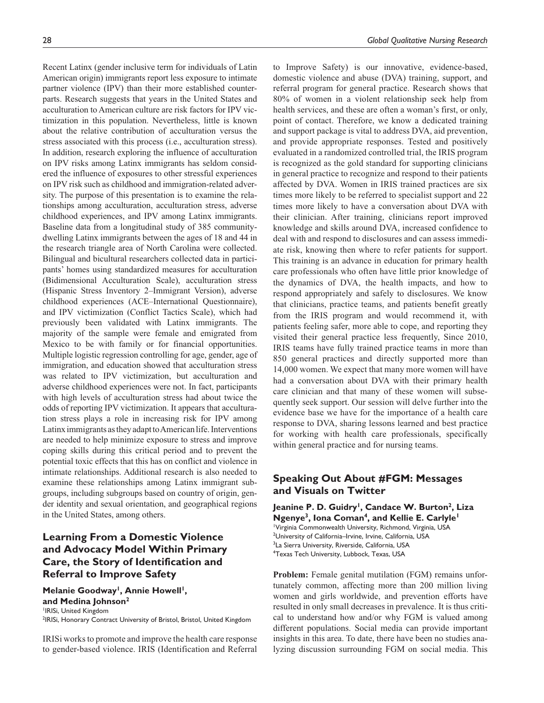Recent Latinx (gender inclusive term for individuals of Latin American origin) immigrants report less exposure to intimate partner violence (IPV) than their more established counterparts. Research suggests that years in the United States and acculturation to American culture are risk factors for IPV victimization in this population. Nevertheless, little is known about the relative contribution of acculturation versus the stress associated with this process (i.e., acculturation stress). In addition, research exploring the influence of acculturation on IPV risks among Latinx immigrants has seldom considered the influence of exposures to other stressful experiences on IPV risk such as childhood and immigration-related adversity. The purpose of this presentation is to examine the relationships among acculturation, acculturation stress, adverse childhood experiences, and IPV among Latinx immigrants. Baseline data from a longitudinal study of 385 communitydwelling Latinx immigrants between the ages of 18 and 44 in the research triangle area of North Carolina were collected. Bilingual and bicultural researchers collected data in participants' homes using standardized measures for acculturation (Bidimensional Acculturation Scale), acculturation stress (Hispanic Stress Inventory 2–Immigrant Version), adverse childhood experiences (ACE–International Questionnaire), and IPV victimization (Conflict Tactics Scale), which had previously been validated with Latinx immigrants. The majority of the sample were female and emigrated from Mexico to be with family or for financial opportunities. Multiple logistic regression controlling for age, gender, age of immigration, and education showed that acculturation stress was related to IPV victimization, but acculturation and adverse childhood experiences were not. In fact, participants with high levels of acculturation stress had about twice the odds of reporting IPV victimization. It appears that acculturation stress plays a role in increasing risk for IPV among Latinx immigrants as they adapt to American life. Interventions are needed to help minimize exposure to stress and improve coping skills during this critical period and to prevent the potential toxic effects that this has on conflict and violence in intimate relationships. Additional research is also needed to examine these relationships among Latinx immigrant subgroups, including subgroups based on country of origin, gender identity and sexual orientation, and geographical regions in the United States, among others.

## **Learning From a Domestic Violence and Advocacy Model Within Primary Care, the Story of Identification and Referral to Improve Safety**

Melanie Goodway<sup>1</sup>, Annie Howell<sup>1</sup>, **and Medina Johnson2** 1 IRISi, United Kingdom <sup>2</sup>IRISi, Honorary Contract University of Bristol, Bristol, United Kingdom

IRISi works to promote and improve the health care response to gender-based violence. IRIS (Identification and Referral

to Improve Safety) is our innovative, evidence-based, domestic violence and abuse (DVA) training, support, and referral program for general practice. Research shows that 80% of women in a violent relationship seek help from health services, and these are often a woman's first, or only, point of contact. Therefore, we know a dedicated training and support package is vital to address DVA, aid prevention, and provide appropriate responses. Tested and positively evaluated in a randomized controlled trial, the IRIS program is recognized as the gold standard for supporting clinicians in general practice to recognize and respond to their patients affected by DVA. Women in IRIS trained practices are six times more likely to be referred to specialist support and 22 times more likely to have a conversation about DVA with their clinician. After training, clinicians report improved knowledge and skills around DVA, increased confidence to deal with and respond to disclosures and can assess immediate risk, knowing then where to refer patients for support. This training is an advance in education for primary health care professionals who often have little prior knowledge of the dynamics of DVA, the health impacts, and how to respond appropriately and safely to disclosures. We know that clinicians, practice teams, and patients benefit greatly from the IRIS program and would recommend it, with patients feeling safer, more able to cope, and reporting they visited their general practice less frequently, Since 2010, IRIS teams have fully trained practice teams in more than 850 general practices and directly supported more than 14,000 women. We expect that many more women will have had a conversation about DVA with their primary health care clinician and that many of these women will subsequently seek support. Our session will delve further into the evidence base we have for the importance of a health care response to DVA, sharing lessons learned and best practice for working with health care professionals, specifically within general practice and for nursing teams.

## **Speaking Out About #FGM: Messages and Visuals on Twitter**

Jeanine P. D. Guidry<sup>1</sup>, Candace W. Burton<sup>2</sup>, Liza **Ngenye3, Iona Coman4, and Kellie E. Carlyle1** 1 Virginia Commonwealth University, Richmond, Virginia, USA <sup>2</sup>University of California-Irvine, Irvine, California, USA <sup>3</sup>La Sierra University, Riverside, California, USA 4 Texas Tech University, Lubbock, Texas, USA

**Problem:** Female genital mutilation (FGM) remains unfortunately common, affecting more than 200 million living women and girls worldwide, and prevention efforts have resulted in only small decreases in prevalence. It is thus critical to understand how and/or why FGM is valued among different populations. Social media can provide important insights in this area. To date, there have been no studies analyzing discussion surrounding FGM on social media. This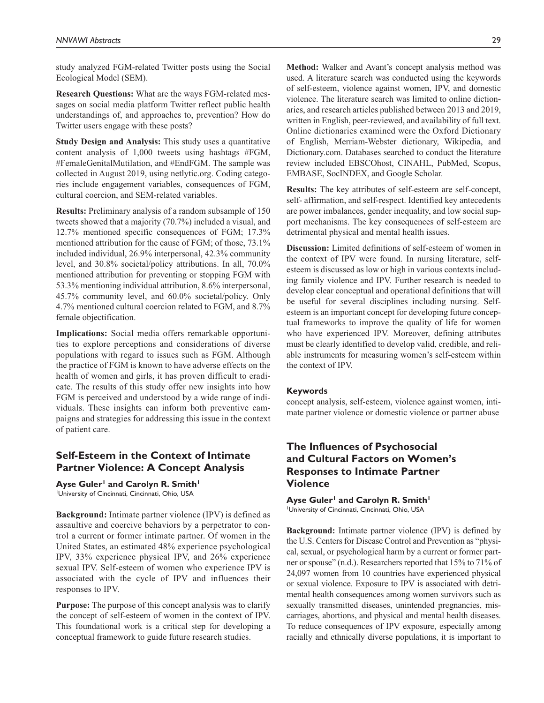study analyzed FGM-related Twitter posts using the Social Ecological Model (SEM).

**Research Questions:** What are the ways FGM-related messages on social media platform Twitter reflect public health understandings of, and approaches to, prevention? How do Twitter users engage with these posts?

**Study Design and Analysis:** This study uses a quantitative content analysis of 1,000 tweets using hashtags #FGM, #FemaleGenitalMutilation, and #EndFGM. The sample was collected in August 2019, using netlytic.org. Coding categories include engagement variables, consequences of FGM, cultural coercion, and SEM-related variables.

**Results:** Preliminary analysis of a random subsample of 150 tweets showed that a majority (70.7%) included a visual, and 12.7% mentioned specific consequences of FGM; 17.3% mentioned attribution for the cause of FGM; of those, 73.1% included individual, 26.9% interpersonal, 42.3% community level, and 30.8% societal/policy attributions. In all, 70.0% mentioned attribution for preventing or stopping FGM with 53.3% mentioning individual attribution, 8.6% interpersonal, 45.7% community level, and 60.0% societal/policy. Only 4.7% mentioned cultural coercion related to FGM, and 8.7% female objectification.

**Implications:** Social media offers remarkable opportunities to explore perceptions and considerations of diverse populations with regard to issues such as FGM. Although the practice of FGM is known to have adverse effects on the health of women and girls, it has proven difficult to eradicate. The results of this study offer new insights into how FGM is perceived and understood by a wide range of individuals. These insights can inform both preventive campaigns and strategies for addressing this issue in the context of patient care.

## **Self-Esteem in the Context of Intimate Partner Violence: A Concept Analysis**

Ayse Guler<sup>1</sup> and Carolyn R. Smith<sup>1</sup> University of Cincinnati, Cincinnati, Ohio, USA

**Background:** Intimate partner violence (IPV) is defined as assaultive and coercive behaviors by a perpetrator to control a current or former intimate partner. Of women in the United States, an estimated 48% experience psychological IPV, 33% experience physical IPV, and 26% experience sexual IPV. Self-esteem of women who experience IPV is associated with the cycle of IPV and influences their responses to IPV.

**Purpose:** The purpose of this concept analysis was to clarify the concept of self-esteem of women in the context of IPV. This foundational work is a critical step for developing a conceptual framework to guide future research studies.

**Method:** Walker and Avant's concept analysis method was used. A literature search was conducted using the keywords of self-esteem, violence against women, IPV, and domestic violence. The literature search was limited to online dictionaries, and research articles published between 2013 and 2019, written in English, peer-reviewed, and availability of full text. Online dictionaries examined were the Oxford Dictionary of English, Merriam-Webster dictionary, Wikipedia, and Dictionary.com. Databases searched to conduct the literature review included EBSCOhost, CINAHL, PubMed, Scopus, EMBASE, SocINDEX, and Google Scholar.

**Results:** The key attributes of self-esteem are self-concept, self- affirmation, and self-respect. Identified key antecedents are power imbalances, gender inequality, and low social support mechanisms. The key consequences of self-esteem are detrimental physical and mental health issues.

**Discussion:** Limited definitions of self-esteem of women in the context of IPV were found. In nursing literature, selfesteem is discussed as low or high in various contexts including family violence and IPV. Further research is needed to develop clear conceptual and operational definitions that will be useful for several disciplines including nursing. Selfesteem is an important concept for developing future conceptual frameworks to improve the quality of life for women who have experienced IPV. Moreover, defining attributes must be clearly identified to develop valid, credible, and reliable instruments for measuring women's self-esteem within the context of IPV.

#### **Keywords**

concept analysis, self-esteem, violence against women, intimate partner violence or domestic violence or partner abuse

## **The Influences of Psychosocial and Cultural Factors on Women's Responses to Intimate Partner Violence**

Ayse Guler<sup>1</sup> and Carolyn R. Smith<sup>1</sup> University of Cincinnati, Cincinnati, Ohio, USA

**Background:** Intimate partner violence (IPV) is defined by the U.S. Centers for Disease Control and Prevention as "physical, sexual, or psychological harm by a current or former partner or spouse" (n.d.). Researchers reported that 15% to 71% of 24,097 women from 10 countries have experienced physical or sexual violence. Exposure to IPV is associated with detrimental health consequences among women survivors such as sexually transmitted diseases, unintended pregnancies, miscarriages, abortions, and physical and mental health diseases. To reduce consequences of IPV exposure, especially among racially and ethnically diverse populations, it is important to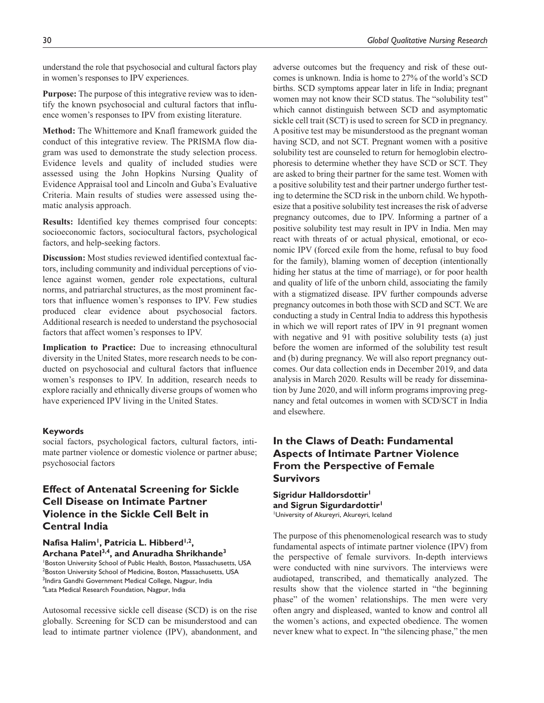understand the role that psychosocial and cultural factors play in women's responses to IPV experiences.

**Purpose:** The purpose of this integrative review was to identify the known psychosocial and cultural factors that influence women's responses to IPV from existing literature.

**Method:** The Whittemore and Knafl framework guided the conduct of this integrative review. The PRISMA flow diagram was used to demonstrate the study selection process. Evidence levels and quality of included studies were assessed using the John Hopkins Nursing Quality of Evidence Appraisal tool and Lincoln and Guba's Evaluative Criteria. Main results of studies were assessed using thematic analysis approach.

**Results:** Identified key themes comprised four concepts: socioeconomic factors, sociocultural factors, psychological factors, and help-seeking factors.

**Discussion:** Most studies reviewed identified contextual factors, including community and individual perceptions of violence against women, gender role expectations, cultural norms, and patriarchal structures, as the most prominent factors that influence women's responses to IPV. Few studies produced clear evidence about psychosocial factors. Additional research is needed to understand the psychosocial factors that affect women's responses to IPV.

**Implication to Practice:** Due to increasing ethnocultural diversity in the United States, more research needs to be conducted on psychosocial and cultural factors that influence women's responses to IPV. In addition, research needs to explore racially and ethnically diverse groups of women who have experienced IPV living in the United States.

#### **Keywords**

social factors, psychological factors, cultural factors, intimate partner violence or domestic violence or partner abuse; psychosocial factors

## **Effect of Antenatal Screening for Sickle Cell Disease on Intimate Partner Violence in the Sickle Cell Belt in Central India**

Nafisa Halim<sup>1</sup>, Patricia L. Hibberd<sup>1,2</sup>, **Archana Patel3,4, and Anuradha Shrikhande3** 1 Boston University School of Public Health, Boston, Massachusetts, USA 2 Boston University School of Medicine, Boston, Massachusetts, USA <sup>3</sup>Indira Gandhi Government Medical College, Nagpur, India 4 Lata Medical Research Foundation, Nagpur, India

Autosomal recessive sickle cell disease (SCD) is on the rise globally. Screening for SCD can be misunderstood and can lead to intimate partner violence (IPV), abandonment, and adverse outcomes but the frequency and risk of these outcomes is unknown. India is home to 27% of the world's SCD births. SCD symptoms appear later in life in India; pregnant women may not know their SCD status. The "solubility test" which cannot distinguish between SCD and asymptomatic sickle cell trait (SCT) is used to screen for SCD in pregnancy. A positive test may be misunderstood as the pregnant woman having SCD, and not SCT. Pregnant women with a positive solubility test are counseled to return for hemoglobin electrophoresis to determine whether they have SCD or SCT. They are asked to bring their partner for the same test. Women with a positive solubility test and their partner undergo further testing to determine the SCD risk in the unborn child. We hypothesize that a positive solubility test increases the risk of adverse pregnancy outcomes, due to IPV. Informing a partner of a positive solubility test may result in IPV in India. Men may react with threats of or actual physical, emotional, or economic IPV (forced exile from the home, refusal to buy food for the family), blaming women of deception (intentionally hiding her status at the time of marriage), or for poor health and quality of life of the unborn child, associating the family with a stigmatized disease. IPV further compounds adverse pregnancy outcomes in both those with SCD and SCT. We are conducting a study in Central India to address this hypothesis in which we will report rates of IPV in 91 pregnant women with negative and 91 with positive solubility tests (a) just before the women are informed of the solubility test result and (b) during pregnancy. We will also report pregnancy outcomes. Our data collection ends in December 2019, and data analysis in March 2020. Results will be ready for dissemination by June 2020, and will inform programs improving pregnancy and fetal outcomes in women with SCD/SCT in India and elsewhere.

## **In the Claws of Death: Fundamental Aspects of Intimate Partner Violence From the Perspective of Female Survivors**

**Sigridur Halldorsdottir1 and Sigrun Sigurdardottir1** 1 University of Akureyri, Akureyri, Iceland

The purpose of this phenomenological research was to study fundamental aspects of intimate partner violence (IPV) from the perspective of female survivors. In-depth interviews were conducted with nine survivors. The interviews were audiotaped, transcribed, and thematically analyzed. The results show that the violence started in "the beginning phase" of the women' relationships. The men were very often angry and displeased, wanted to know and control all the women's actions, and expected obedience. The women never knew what to expect. In "the silencing phase," the men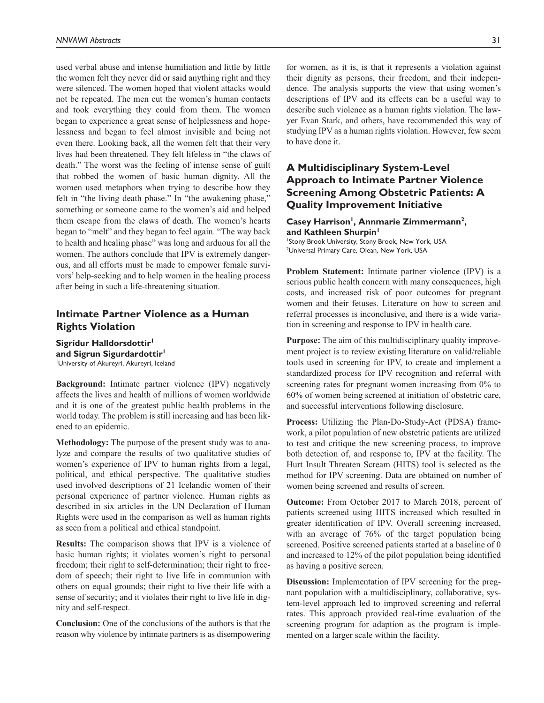used verbal abuse and intense humiliation and little by little the women felt they never did or said anything right and they were silenced. The women hoped that violent attacks would not be repeated. The men cut the women's human contacts and took everything they could from them. The women began to experience a great sense of helplessness and hopelessness and began to feel almost invisible and being not even there. Looking back, all the women felt that their very lives had been threatened. They felt lifeless in "the claws of death." The worst was the feeling of intense sense of guilt that robbed the women of basic human dignity. All the women used metaphors when trying to describe how they felt in "the living death phase." In "the awakening phase," something or someone came to the women's aid and helped them escape from the claws of death. The women's hearts began to "melt" and they began to feel again. "The way back to health and healing phase" was long and arduous for all the women. The authors conclude that IPV is extremely dangerous, and all efforts must be made to empower female survivors' help-seeking and to help women in the healing process after being in such a life-threatening situation.

### **Intimate Partner Violence as a Human Rights Violation**

**Sigridur Halldorsdottir1 and Sigrun Sigurdardottir1** 1 University of Akureyri, Akureyri, Iceland

**Background:** Intimate partner violence (IPV) negatively affects the lives and health of millions of women worldwide and it is one of the greatest public health problems in the world today. The problem is still increasing and has been likened to an epidemic.

**Methodology:** The purpose of the present study was to analyze and compare the results of two qualitative studies of women's experience of IPV to human rights from a legal, political, and ethical perspective. The qualitative studies used involved descriptions of 21 Icelandic women of their personal experience of partner violence. Human rights as described in six articles in the UN Declaration of Human Rights were used in the comparison as well as human rights as seen from a political and ethical standpoint.

**Results:** The comparison shows that IPV is a violence of basic human rights; it violates women's right to personal freedom; their right to self-determination; their right to freedom of speech; their right to live life in communion with others on equal grounds; their right to live their life with a sense of security; and it violates their right to live life in dignity and self-respect.

**Conclusion:** One of the conclusions of the authors is that the reason why violence by intimate partners is as disempowering for women, as it is, is that it represents a violation against their dignity as persons, their freedom, and their independence. The analysis supports the view that using women's descriptions of IPV and its effects can be a useful way to describe such violence as a human rights violation. The lawyer Evan Stark, and others, have recommended this way of studying IPV as a human rights violation. However, few seem to have done it.

## **A Multidisciplinary System-Level Approach to Intimate Partner Violence Screening Among Obstetric Patients: A Quality Improvement Initiative**

#### Casey Harrison<sup>1</sup>, Annmarie Zimmermann<sup>2</sup>, **and Kathleen Shurpin1**

1 Stony Brook University, Stony Brook, New York, USA 2 Universal Primary Care, Olean, New York, USA

**Problem Statement:** Intimate partner violence (IPV) is a serious public health concern with many consequences, high costs, and increased risk of poor outcomes for pregnant women and their fetuses. Literature on how to screen and referral processes is inconclusive, and there is a wide variation in screening and response to IPV in health care.

**Purpose:** The aim of this multidisciplinary quality improvement project is to review existing literature on valid/reliable tools used in screening for IPV, to create and implement a standardized process for IPV recognition and referral with screening rates for pregnant women increasing from 0% to 60% of women being screened at initiation of obstetric care, and successful interventions following disclosure.

**Process:** Utilizing the Plan-Do-Study-Act (PDSA) framework, a pilot population of new obstetric patients are utilized to test and critique the new screening process, to improve both detection of, and response to, IPV at the facility. The Hurt Insult Threaten Scream (HITS) tool is selected as the method for IPV screening. Data are obtained on number of women being screened and results of screen.

**Outcome:** From October 2017 to March 2018, percent of patients screened using HITS increased which resulted in greater identification of IPV. Overall screening increased, with an average of 76% of the target population being screened. Positive screened patients started at a baseline of 0 and increased to 12% of the pilot population being identified as having a positive screen.

**Discussion:** Implementation of IPV screening for the pregnant population with a multidisciplinary, collaborative, system-level approach led to improved screening and referral rates. This approach provided real-time evaluation of the screening program for adaption as the program is implemented on a larger scale within the facility.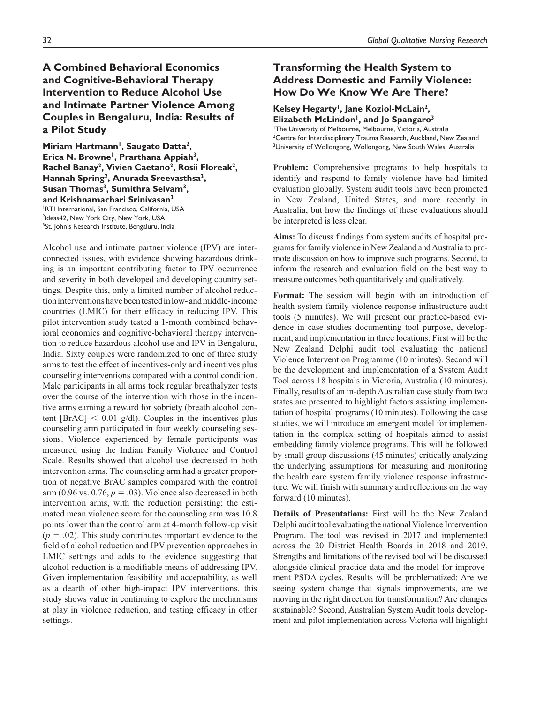## **A Combined Behavioral Economics and Cognitive-Behavioral Therapy Intervention to Reduce Alcohol Use and Intimate Partner Violence Among Couples in Bengaluru, India: Results of a Pilot Study**

Miriam Hartmann<sup>1</sup>, Saugato Datta<sup>2</sup>, Erica N. Browne<sup>1</sup>, Prarthana Appiah<sup>3</sup>, **Rachel Banay2, Vivien Caetano2, Rosii Floreak2, Hannah Spring2, Anurada Sreevasthsa3,**  Susan Thomas<sup>3</sup>, Sumithra Selvam<sup>3</sup>, **and Krishnamachari Srinivasan3** 1 RTI International, San Francisco, California, USA <sup>2</sup>ideas42, New York City, New York, USA <sup>3</sup>St. John's Research Institute, Bengaluru, India

Alcohol use and intimate partner violence (IPV) are interconnected issues, with evidence showing hazardous drinking is an important contributing factor to IPV occurrence and severity in both developed and developing country settings. Despite this, only a limited number of alcohol reduction interventions have been tested in low- and middle-income countries (LMIC) for their efficacy in reducing IPV. This pilot intervention study tested a 1-month combined behavioral economics and cognitive-behavioral therapy intervention to reduce hazardous alcohol use and IPV in Bengaluru, India. Sixty couples were randomized to one of three study arms to test the effect of incentives-only and incentives plus counseling interventions compared with a control condition. Male participants in all arms took regular breathalyzer tests over the course of the intervention with those in the incentive arms earning a reward for sobriety (breath alcohol content  $\text{[BrAC]} < 0.01 \text{ g/dl}$ . Couples in the incentives plus counseling arm participated in four weekly counseling sessions. Violence experienced by female participants was measured using the Indian Family Violence and Control Scale. Results showed that alcohol use decreased in both intervention arms. The counseling arm had a greater proportion of negative BrAC samples compared with the control arm (0.96 vs.  $0.76$ ,  $p = .03$ ). Violence also decreased in both intervention arms, with the reduction persisting; the estimated mean violence score for the counseling arm was 10.8 points lower than the control arm at 4-month follow-up visit  $(p = .02)$ . This study contributes important evidence to the field of alcohol reduction and IPV prevention approaches in LMIC settings and adds to the evidence suggesting that alcohol reduction is a modifiable means of addressing IPV. Given implementation feasibility and acceptability, as well as a dearth of other high-impact IPV interventions, this study shows value in continuing to explore the mechanisms at play in violence reduction, and testing efficacy in other settings.

## **Transforming the Health System to Address Domestic and Family Violence: How Do We Know We Are There?**

### Kelsey Hegarty<sup>1</sup>, Jane Koziol-McLain<sup>2</sup>, **Elizabeth McLindon1, and Jo Spangaro3**

1 The University of Melbourne, Melbourne, Victoria, Australia  $^2$ Centre for Interdisciplinary Trauma Research, Auckland, New Zealand <sup>3</sup>University of Wollongong, Wollongong, New South Wales, Australia

**Problem:** Comprehensive programs to help hospitals to identify and respond to family violence have had limited evaluation globally. System audit tools have been promoted in New Zealand, United States, and more recently in Australia, but how the findings of these evaluations should be interpreted is less clear.

**Aims:** To discuss findings from system audits of hospital programs for family violence in New Zealand and Australia to promote discussion on how to improve such programs. Second, to inform the research and evaluation field on the best way to measure outcomes both quantitatively and qualitatively.

**Format:** The session will begin with an introduction of health system family violence response infrastructure audit tools (5 minutes). We will present our practice-based evidence in case studies documenting tool purpose, development, and implementation in three locations. First will be the New Zealand Delphi audit tool evaluating the national Violence Intervention Programme (10 minutes). Second will be the development and implementation of a System Audit Tool across 18 hospitals in Victoria, Australia (10 minutes). Finally, results of an in-depth Australian case study from two states are presented to highlight factors assisting implementation of hospital programs (10 minutes). Following the case studies, we will introduce an emergent model for implementation in the complex setting of hospitals aimed to assist embedding family violence programs. This will be followed by small group discussions (45 minutes) critically analyzing the underlying assumptions for measuring and monitoring the health care system family violence response infrastructure. We will finish with summary and reflections on the way forward (10 minutes).

**Details of Presentations:** First will be the New Zealand Delphi audit tool evaluating the national Violence Intervention Program. The tool was revised in 2017 and implemented across the 20 District Health Boards in 2018 and 2019. Strengths and limitations of the revised tool will be discussed alongside clinical practice data and the model for improvement PSDA cycles. Results will be problematized: Are we seeing system change that signals improvements, are we moving in the right direction for transformation? Are changes sustainable? Second, Australian System Audit tools development and pilot implementation across Victoria will highlight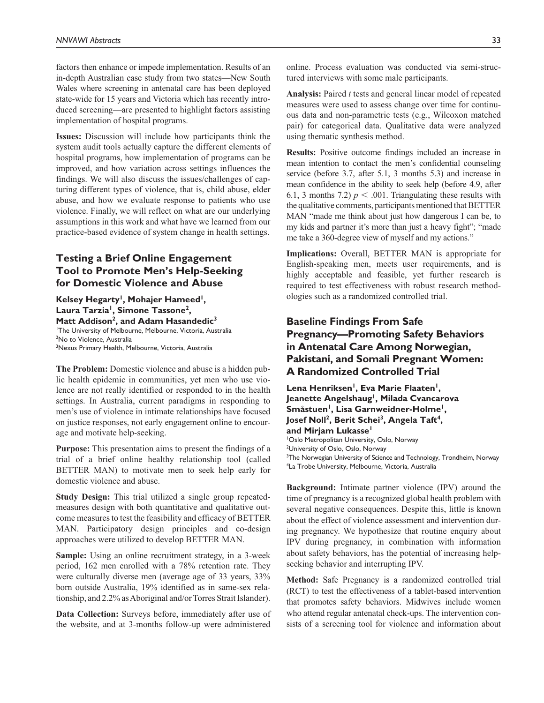factors then enhance or impede implementation. Results of an in-depth Australian case study from two states—New South Wales where screening in antenatal care has been deployed state-wide for 15 years and Victoria which has recently introduced screening—are presented to highlight factors assisting implementation of hospital programs.

**Issues:** Discussion will include how participants think the system audit tools actually capture the different elements of hospital programs, how implementation of programs can be improved, and how variation across settings influences the findings. We will also discuss the issues/challenges of capturing different types of violence, that is, child abuse, elder abuse, and how we evaluate response to patients who use violence. Finally, we will reflect on what are our underlying assumptions in this work and what have we learned from our practice-based evidence of system change in health settings.

## **Testing a Brief Online Engagement Tool to Promote Men's Help-Seeking for Domestic Violence and Abuse**

Kelsey Hegarty<sup>1</sup>, Mohajer Hameed<sup>1</sup>, Laura Tarzia<sup>1</sup>, Simone Tassone<sup>2</sup>, Matt Addison<sup>2</sup>, and Adam Hasandedic<sup>3</sup> 1 The University of Melbourne, Melbourne, Victoria, Australia <sup>2</sup>No to Violence, Australia 3 Nexus Primary Health, Melbourne, Victoria, Australia

**The Problem:** Domestic violence and abuse is a hidden public health epidemic in communities, yet men who use violence are not really identified or responded to in the health settings. In Australia, current paradigms in responding to men's use of violence in intimate relationships have focused on justice responses, not early engagement online to encourage and motivate help-seeking.

**Purpose:** This presentation aims to present the findings of a trial of a brief online healthy relationship tool (called BETTER MAN) to motivate men to seek help early for domestic violence and abuse.

**Study Design:** This trial utilized a single group repeatedmeasures design with both quantitative and qualitative outcome measures to test the feasibility and efficacy of BETTER MAN. Participatory design principles and co-design approaches were utilized to develop BETTER MAN.

**Sample:** Using an online recruitment strategy, in a 3-week period, 162 men enrolled with a 78% retention rate. They were culturally diverse men (average age of 33 years, 33% born outside Australia, 19% identified as in same-sex relationship, and 2.2% as Aboriginal and/or Torres Strait Islander).

**Data Collection:** Surveys before, immediately after use of the website, and at 3-months follow-up were administered

online. Process evaluation was conducted via semi-structured interviews with some male participants.

**Analysis:** Paired *t* tests and general linear model of repeated measures were used to assess change over time for continuous data and non-parametric tests (e.g., Wilcoxon matched pair) for categorical data. Qualitative data were analyzed using thematic synthesis method.

**Results:** Positive outcome findings included an increase in mean intention to contact the men's confidential counseling service (before 3.7, after 5.1, 3 months 5.3) and increase in mean confidence in the ability to seek help (before 4.9, after 6.1, 3 months 7.2)  $p < .001$ . Triangulating these results with the qualitative comments, participants mentioned that BETTER MAN "made me think about just how dangerous I can be, to my kids and partner it's more than just a heavy fight"; "made me take a 360-degree view of myself and my actions."

**Implications:** Overall, BETTER MAN is appropriate for English-speaking men, meets user requirements, and is highly acceptable and feasible, yet further research is required to test effectiveness with robust research methodologies such as a randomized controlled trial.

## **Baseline Findings From Safe Pregnancy—Promoting Safety Behaviors in Antenatal Care Among Norwegian, Pakistani, and Somali Pregnant Women: A Randomized Controlled Trial**

Lena Henriksen<sup>1</sup>, Eva Marie Flaaten<sup>1</sup>, **Jeanette Angelshaug1, Milada Cvancarova Småstuen1, Lisa Garnweidner-Holme1,**  Josef Noll<sup>2</sup>, Berit Schei<sup>3</sup>, Angela Taft<sup>4</sup>, **and Mirjam Lukasse1** 1 Oslo Metropolitan University, Oslo, Norway

<sup>2</sup>University of Oslo, Oslo, Norway <sup>3</sup>The Norwegian University of Science and Technology, Trondheim, Norway 4 La Trobe University, Melbourne, Victoria, Australia

**Background:** Intimate partner violence (IPV) around the time of pregnancy is a recognized global health problem with several negative consequences. Despite this, little is known about the effect of violence assessment and intervention during pregnancy. We hypothesize that routine enquiry about IPV during pregnancy, in combination with information about safety behaviors, has the potential of increasing helpseeking behavior and interrupting IPV.

**Method:** Safe Pregnancy is a randomized controlled trial (RCT) to test the effectiveness of a tablet-based intervention that promotes safety behaviors. Midwives include women who attend regular antenatal check-ups. The intervention consists of a screening tool for violence and information about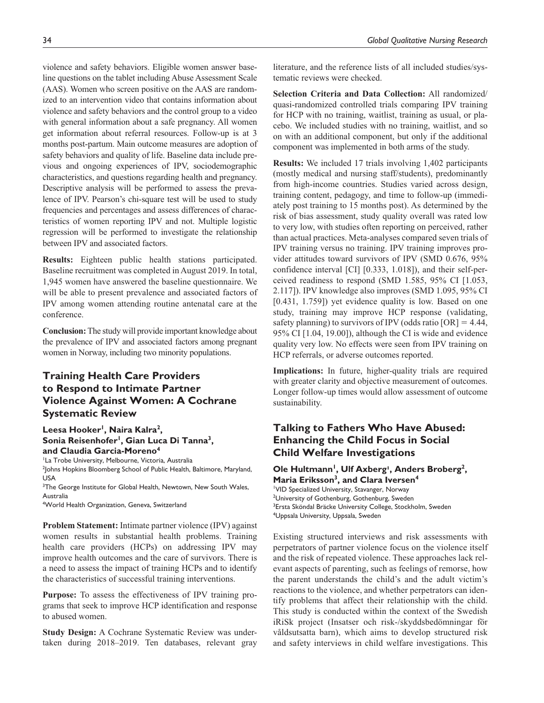violence and safety behaviors. Eligible women answer baseline questions on the tablet including Abuse Assessment Scale (AAS). Women who screen positive on the AAS are randomized to an intervention video that contains information about violence and safety behaviors and the control group to a video with general information about a safe pregnancy. All women get information about referral resources. Follow-up is at 3 months post-partum. Main outcome measures are adoption of safety behaviors and quality of life. Baseline data include previous and ongoing experiences of IPV, sociodemographic characteristics, and questions regarding health and pregnancy. Descriptive analysis will be performed to assess the prevalence of IPV. Pearson's chi-square test will be used to study frequencies and percentages and assess differences of characteristics of women reporting IPV and not. Multiple logistic regression will be performed to investigate the relationship between IPV and associated factors.

**Results:** Eighteen public health stations participated. Baseline recruitment was completed in August 2019. In total, 1,945 women have answered the baseline questionnaire. We will be able to present prevalence and associated factors of IPV among women attending routine antenatal care at the conference.

**Conclusion:** The study will provide important knowledge about the prevalence of IPV and associated factors among pregnant women in Norway, including two minority populations.

## **Training Health Care Providers to Respond to Intimate Partner Violence Against Women: A Cochrane Systematic Review**

### Leesa Hooker<sup>1</sup>, Naira Kalra<sup>2</sup>, Sonia Reisenhofer<sup>1</sup>, Gian Luca Di Tanna<sup>3</sup>, **and Claudia Garcia-Moreno4**

<sup>1</sup>La Trobe University, Melbourne, Victoria, Australia 2 Johns Hopkins Bloomberg School of Public Health, Baltimore, Maryland, USA

<sup>3</sup>The George Institute for Global Health, Newtown, New South Wales, Australia

4 World Health Organization, Geneva, Switzerland

**Problem Statement:** Intimate partner violence (IPV) against women results in substantial health problems. Training health care providers (HCPs) on addressing IPV may improve health outcomes and the care of survivors. There is a need to assess the impact of training HCPs and to identify the characteristics of successful training interventions.

**Purpose:** To assess the effectiveness of IPV training programs that seek to improve HCP identification and response to abused women.

**Study Design:** A Cochrane Systematic Review was undertaken during 2018–2019. Ten databases, relevant gray

literature, and the reference lists of all included studies/systematic reviews were checked.

**Selection Criteria and Data Collection:** All randomized/ quasi-randomized controlled trials comparing IPV training for HCP with no training, waitlist, training as usual, or placebo. We included studies with no training, waitlist, and so on with an additional component, but only if the additional component was implemented in both arms of the study.

**Results:** We included 17 trials involving 1,402 participants (mostly medical and nursing staff/students), predominantly from high-income countries. Studies varied across design, training content, pedagogy, and time to follow-up (immediately post training to 15 months post). As determined by the risk of bias assessment, study quality overall was rated low to very low, with studies often reporting on perceived, rather than actual practices. Meta-analyses compared seven trials of IPV training versus no training. IPV training improves provider attitudes toward survivors of IPV (SMD 0.676, 95% confidence interval [CI] [0.333, 1.018]), and their self-perceived readiness to respond (SMD 1.585, 95% CI [1.053, 2.117]). IPV knowledge also improves (SMD 1.095, 95% CI [0.431, 1.759]) yet evidence quality is low. Based on one study, training may improve HCP response (validating, safety planning) to survivors of IPV (odds ratio  $[OR] = 4.44$ , 95% CI [1.04, 19.00]), although the CI is wide and evidence quality very low. No effects were seen from IPV training on HCP referrals, or adverse outcomes reported.

**Implications:** In future, higher-quality trials are required with greater clarity and objective measurement of outcomes. Longer follow-up times would allow assessment of outcome sustainability.

## **Talking to Fathers Who Have Abused: Enhancing the Child Focus in Social Child Welfare Investigations**

### Ole Hultmann<sup>1</sup>, Ulf Axberg<sup>1</sup>, Anders Broberg<sup>2</sup>, **Maria Eriksson3, and Clara Iversen4**

1 VID Specialized University, Stavanger, Norway <sup>2</sup>University of Gothenburg, Gothenburg, Sweden <sup>3</sup>Ersta Sköndal Bräcke University College, Stockholm, Sweden 4 Uppsala University, Uppsala, Sweden

Existing structured interviews and risk assessments with perpetrators of partner violence focus on the violence itself and the risk of repeated violence. These approaches lack relevant aspects of parenting, such as feelings of remorse, how the parent understands the child's and the adult victim's reactions to the violence, and whether perpetrators can identify problems that affect their relationship with the child. This study is conducted within the context of the Swedish iRiSk project (Insatser och risk-/skyddsbedömningar för våldsutsatta barn), which aims to develop structured risk and safety interviews in child welfare investigations. This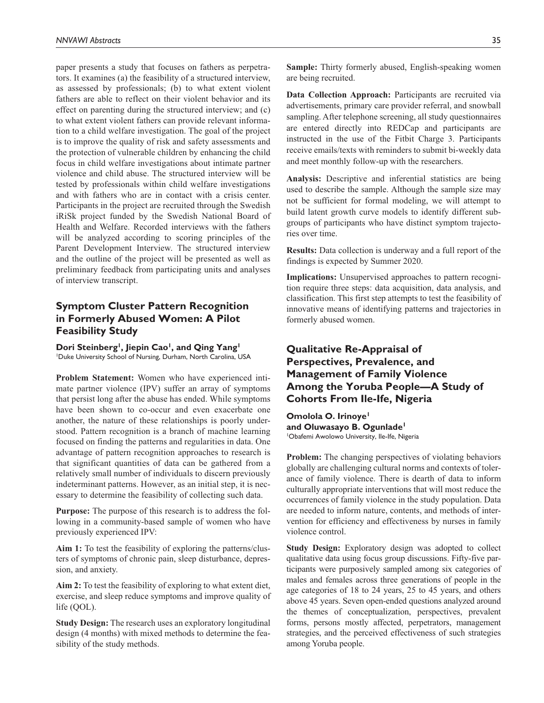paper presents a study that focuses on fathers as perpetrators. It examines (a) the feasibility of a structured interview, as assessed by professionals; (b) to what extent violent fathers are able to reflect on their violent behavior and its effect on parenting during the structured interview; and (c) to what extent violent fathers can provide relevant information to a child welfare investigation. The goal of the project is to improve the quality of risk and safety assessments and the protection of vulnerable children by enhancing the child focus in child welfare investigations about intimate partner violence and child abuse. The structured interview will be tested by professionals within child welfare investigations and with fathers who are in contact with a crisis center. Participants in the project are recruited through the Swedish iRiSk project funded by the Swedish National Board of Health and Welfare. Recorded interviews with the fathers will be analyzed according to scoring principles of the Parent Development Interview. The structured interview and the outline of the project will be presented as well as preliminary feedback from participating units and analyses of interview transcript.

## **Symptom Cluster Pattern Recognition in Formerly Abused Women: A Pilot Feasibility Study**

Dori Steinberg<sup>1</sup>, Jiepin Cao<sup>1</sup>, and Qing Yang<sup>1</sup> 1 Duke University School of Nursing, Durham, North Carolina, USA

**Problem Statement:** Women who have experienced intimate partner violence (IPV) suffer an array of symptoms that persist long after the abuse has ended. While symptoms have been shown to co-occur and even exacerbate one another, the nature of these relationships is poorly understood. Pattern recognition is a branch of machine learning focused on finding the patterns and regularities in data. One advantage of pattern recognition approaches to research is that significant quantities of data can be gathered from a relatively small number of individuals to discern previously indeterminant patterns. However, as an initial step, it is necessary to determine the feasibility of collecting such data.

**Purpose:** The purpose of this research is to address the following in a community-based sample of women who have previously experienced IPV:

**Aim 1:** To test the feasibility of exploring the patterns/clusters of symptoms of chronic pain, sleep disturbance, depression, and anxiety.

**Aim 2:** To test the feasibility of exploring to what extent diet, exercise, and sleep reduce symptoms and improve quality of life (QOL).

**Study Design:** The research uses an exploratory longitudinal design (4 months) with mixed methods to determine the feasibility of the study methods.

**Sample:** Thirty formerly abused, English-speaking women are being recruited.

**Data Collection Approach:** Participants are recruited via advertisements, primary care provider referral, and snowball sampling. After telephone screening, all study questionnaires are entered directly into REDCap and participants are instructed in the use of the Fitbit Charge 3. Participants receive emails/texts with reminders to submit bi-weekly data and meet monthly follow-up with the researchers.

**Analysis:** Descriptive and inferential statistics are being used to describe the sample. Although the sample size may not be sufficient for formal modeling, we will attempt to build latent growth curve models to identify different subgroups of participants who have distinct symptom trajectories over time.

**Results:** Data collection is underway and a full report of the findings is expected by Summer 2020.

**Implications:** Unsupervised approaches to pattern recognition require three steps: data acquisition, data analysis, and classification. This first step attempts to test the feasibility of innovative means of identifying patterns and trajectories in formerly abused women.

## **Qualitative Re-Appraisal of Perspectives, Prevalence, and Management of Family Violence Among the Yoruba People—A Study of Cohorts From Ile-Ife, Nigeria**

**Omolola O. Irinoye1 and Oluwasayo B. Ogunlade1** 1 Obafemi Awolowo University, Ile-Ife, Nigeria

**Problem:** The changing perspectives of violating behaviors globally are challenging cultural norms and contexts of tolerance of family violence. There is dearth of data to inform culturally appropriate interventions that will most reduce the occurrences of family violence in the study population. Data are needed to inform nature, contents, and methods of intervention for efficiency and effectiveness by nurses in family violence control.

**Study Design:** Exploratory design was adopted to collect qualitative data using focus group discussions. Fifty-five participants were purposively sampled among six categories of males and females across three generations of people in the age categories of 18 to 24 years, 25 to 45 years, and others above 45 years. Seven open-ended questions analyzed around the themes of conceptualization, perspectives, prevalent forms, persons mostly affected, perpetrators, management strategies, and the perceived effectiveness of such strategies among Yoruba people.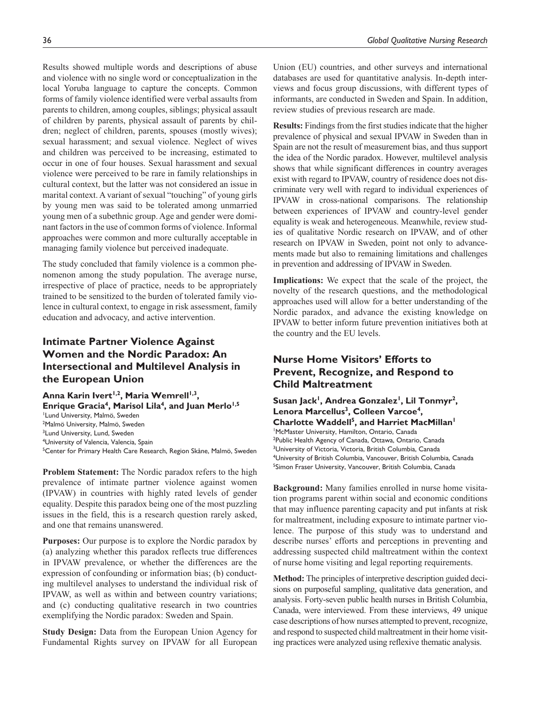Results showed multiple words and descriptions of abuse and violence with no single word or conceptualization in the local Yoruba language to capture the concepts. Common forms of family violence identified were verbal assaults from parents to children, among couples, siblings; physical assault of children by parents, physical assault of parents by children; neglect of children, parents, spouses (mostly wives); sexual harassment; and sexual violence. Neglect of wives and children was perceived to be increasing, estimated to occur in one of four houses. Sexual harassment and sexual violence were perceived to be rare in family relationships in cultural context, but the latter was not considered an issue in marital context. A variant of sexual "touching" of young girls by young men was said to be tolerated among unmarried young men of a subethnic group. Age and gender were dominant factors in the use of common forms of violence. Informal approaches were common and more culturally acceptable in managing family violence but perceived inadequate.

The study concluded that family violence is a common phenomenon among the study population. The average nurse, irrespective of place of practice, needs to be appropriately trained to be sensitized to the burden of tolerated family violence in cultural context, to engage in risk assessment, family education and advocacy, and active intervention.

## **Intimate Partner Violence Against Women and the Nordic Paradox: An Intersectional and Multilevel Analysis in the European Union**

Anna Karin Ivert<sup>1,2</sup>, Maria Wemrell<sup>1,3</sup>, Enrique Gracia<sup>4</sup>, Marisol Lila<sup>4</sup>, and Juan Merlo<sup>1,5</sup> 1 Lund University, Malmö, Sweden 2 Malmö University, Malmö, Sweden <sup>3</sup>Lund University, Lund, Sweden 4 University of Valencia, Valencia, Spain <sup>5</sup>Center for Primary Health Care Research, Region Skåne, Malmö, Sweden

**Problem Statement:** The Nordic paradox refers to the high prevalence of intimate partner violence against women (IPVAW) in countries with highly rated levels of gender equality. Despite this paradox being one of the most puzzling issues in the field, this is a research question rarely asked, and one that remains unanswered.

**Purposes:** Our purpose is to explore the Nordic paradox by (a) analyzing whether this paradox reflects true differences in IPVAW prevalence, or whether the differences are the expression of confounding or information bias; (b) conducting multilevel analyses to understand the individual risk of IPVAW, as well as within and between country variations; and (c) conducting qualitative research in two countries exemplifying the Nordic paradox: Sweden and Spain.

**Study Design:** Data from the European Union Agency for Fundamental Rights survey on IPVAW for all European

Union (EU) countries, and other surveys and international databases are used for quantitative analysis. In-depth interviews and focus group discussions, with different types of informants, are conducted in Sweden and Spain. In addition, review studies of previous research are made.

**Results:** Findings from the first studies indicate that the higher prevalence of physical and sexual IPVAW in Sweden than in Spain are not the result of measurement bias, and thus support the idea of the Nordic paradox. However, multilevel analysis shows that while significant differences in country averages exist with regard to IPVAW, country of residence does not discriminate very well with regard to individual experiences of IPVAW in cross-national comparisons. The relationship between experiences of IPVAW and country-level gender equality is weak and heterogeneous. Meanwhile, review studies of qualitative Nordic research on IPVAW, and of other research on IPVAW in Sweden, point not only to advancements made but also to remaining limitations and challenges in prevention and addressing of IPVAW in Sweden.

**Implications:** We expect that the scale of the project, the novelty of the research questions, and the methodological approaches used will allow for a better understanding of the Nordic paradox, and advance the existing knowledge on IPVAW to better inform future prevention initiatives both at the country and the EU levels.

## **Nurse Home Visitors' Efforts to Prevent, Recognize, and Respond to Child Maltreatment**

Susan Jack<sup>1</sup>, Andrea Gonzalez<sup>1</sup>, Lil Tonmyr<sup>2</sup>, **Lenora Marcellus3, Colleen Varcoe4, Charlotte Waddell5, and Harriet MacMillan1** 1 McMaster University, Hamilton, Ontario, Canada 2 Public Health Agency of Canada, Ottawa, Ontario, Canada <sup>3</sup>University of Victoria, Victoria, British Columbia, Canada 4 University of British Columbia, Vancouver, British Columbia, Canada <sup>5</sup>Simon Fraser University, Vancouver, British Columbia, Canada

**Background:** Many families enrolled in nurse home visitation programs parent within social and economic conditions that may influence parenting capacity and put infants at risk for maltreatment, including exposure to intimate partner violence. The purpose of this study was to understand and describe nurses' efforts and perceptions in preventing and addressing suspected child maltreatment within the context of nurse home visiting and legal reporting requirements.

**Method:** The principles of interpretive description guided decisions on purposeful sampling, qualitative data generation, and analysis. Forty-seven public health nurses in British Columbia, Canada, were interviewed. From these interviews, 49 unique case descriptions of how nurses attempted to prevent, recognize, and respond to suspected child maltreatment in their home visiting practices were analyzed using reflexive thematic analysis.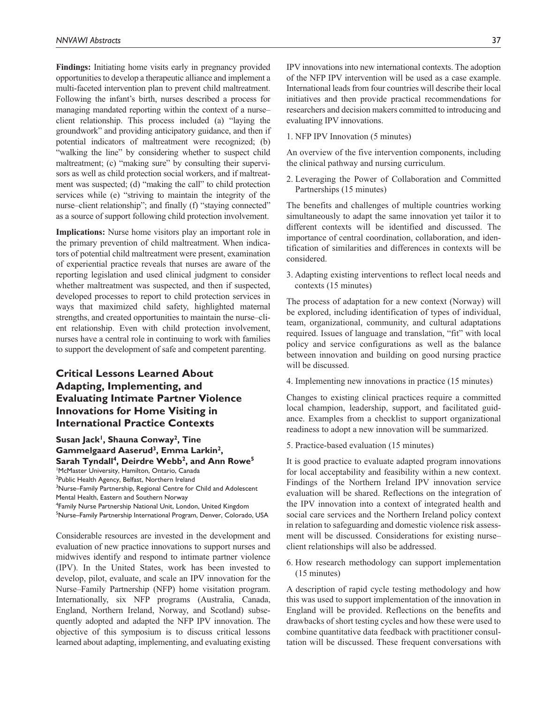**Findings:** Initiating home visits early in pregnancy provided opportunities to develop a therapeutic alliance and implement a multi-faceted intervention plan to prevent child maltreatment. Following the infant's birth, nurses described a process for managing mandated reporting within the context of a nurse– client relationship. This process included (a) "laying the groundwork" and providing anticipatory guidance, and then if potential indicators of maltreatment were recognized; (b) "walking the line" by considering whether to suspect child maltreatment; (c) "making sure" by consulting their supervisors as well as child protection social workers, and if maltreatment was suspected; (d) "making the call" to child protection services while (e) "striving to maintain the integrity of the nurse–client relationship"; and finally (f) "staying connected" as a source of support following child protection involvement.

**Implications:** Nurse home visitors play an important role in the primary prevention of child maltreatment. When indicators of potential child maltreatment were present, examination of experiential practice reveals that nurses are aware of the reporting legislation and used clinical judgment to consider whether maltreatment was suspected, and then if suspected, developed processes to report to child protection services in ways that maximized child safety, highlighted maternal strengths, and created opportunities to maintain the nurse–client relationship. Even with child protection involvement, nurses have a central role in continuing to work with families to support the development of safe and competent parenting.

# **Critical Lessons Learned About Adapting, Implementing, and Evaluating Intimate Partner Violence Innovations for Home Visiting in International Practice Contexts**

#### Susan Jack<sup>1</sup>, Shauna Conway<sup>2</sup>, Tine **Gammelgaard Aaserud3, Emma Larkin2,**  Sarah Tyndall<sup>4</sup>, Deirdre Webb<sup>2</sup>, and Ann Rowe<sup>5</sup>

1 McMaster University, Hamilton, Ontario, Canada

<sup>2</sup>Public Health Agency, Belfast, Northern Ireland

<sup>3</sup>Nurse–Family Partnership, Regional Centre for Child and Adolescent Mental Health, Eastern and Southern Norway

4 Family Nurse Partnership National Unit, London, United Kingdom

<sup>5</sup>Nurse–Family Partnership International Program, Denver, Colorado, USA

Considerable resources are invested in the development and evaluation of new practice innovations to support nurses and midwives identify and respond to intimate partner violence (IPV). In the United States, work has been invested to develop, pilot, evaluate, and scale an IPV innovation for the Nurse–Family Partnership (NFP) home visitation program. Internationally, six NFP programs (Australia, Canada, England, Northern Ireland, Norway, and Scotland) subsequently adopted and adapted the NFP IPV innovation. The objective of this symposium is to discuss critical lessons learned about adapting, implementing, and evaluating existing

IPV innovations into new international contexts. The adoption of the NFP IPV intervention will be used as a case example. International leads from four countries will describe their local initiatives and then provide practical recommendations for researchers and decision makers committed to introducing and evaluating IPV innovations.

1. NFP IPV Innovation (5 minutes)

An overview of the five intervention components, including the clinical pathway and nursing curriculum.

2. Leveraging the Power of Collaboration and Committed Partnerships (15 minutes)

The benefits and challenges of multiple countries working simultaneously to adapt the same innovation yet tailor it to different contexts will be identified and discussed. The importance of central coordination, collaboration, and identification of similarities and differences in contexts will be considered.

3. Adapting existing interventions to reflect local needs and contexts (15 minutes)

The process of adaptation for a new context (Norway) will be explored, including identification of types of individual, team, organizational, community, and cultural adaptations required. Issues of language and translation, "fit" with local policy and service configurations as well as the balance between innovation and building on good nursing practice will be discussed.

4. Implementing new innovations in practice (15 minutes)

Changes to existing clinical practices require a committed local champion, leadership, support, and facilitated guidance. Examples from a checklist to support organizational readiness to adopt a new innovation will be summarized.

5. Practice-based evaluation (15 minutes)

It is good practice to evaluate adapted program innovations for local acceptability and feasibility within a new context. Findings of the Northern Ireland IPV innovation service evaluation will be shared. Reflections on the integration of the IPV innovation into a context of integrated health and social care services and the Northern Ireland policy context in relation to safeguarding and domestic violence risk assessment will be discussed. Considerations for existing nurse– client relationships will also be addressed.

6. How research methodology can support implementation (15 minutes)

A description of rapid cycle testing methodology and how this was used to support implementation of the innovation in England will be provided. Reflections on the benefits and drawbacks of short testing cycles and how these were used to combine quantitative data feedback with practitioner consultation will be discussed. These frequent conversations with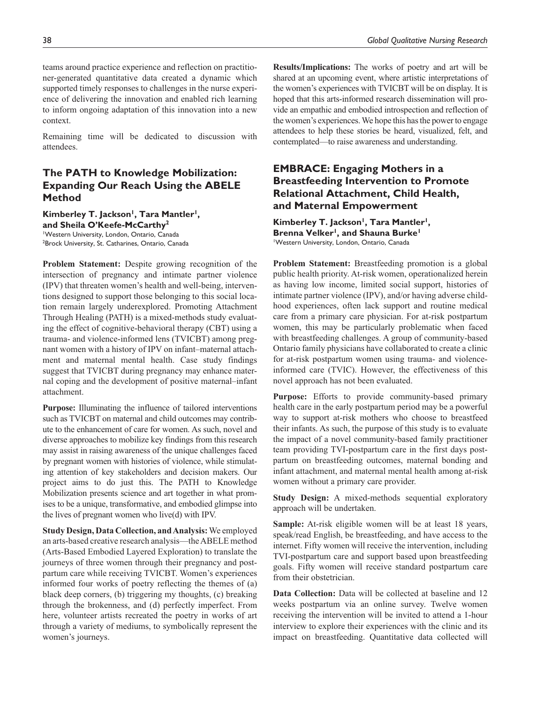teams around practice experience and reflection on practitioner-generated quantitative data created a dynamic which supported timely responses to challenges in the nurse experience of delivering the innovation and enabled rich learning to inform ongoing adaptation of this innovation into a new context.

Remaining time will be dedicated to discussion with attendees.

# **The PATH to Knowledge Mobilization: Expanding Our Reach Using the ABELE Method**

### Kimberley T. Jackson<sup>1</sup>, Tara Mantler<sup>1</sup>, **and Sheila O'Keefe-McCarthy2**

1 Western University, London, Ontario, Canada <sup>2</sup>Brock University, St. Catharines, Ontario, Canada

**Problem Statement:** Despite growing recognition of the intersection of pregnancy and intimate partner violence (IPV) that threaten women's health and well-being, interventions designed to support those belonging to this social location remain largely underexplored. Promoting Attachment Through Healing (PATH) is a mixed-methods study evaluating the effect of cognitive-behavioral therapy (CBT) using a trauma- and violence-informed lens (TVICBT) among pregnant women with a history of IPV on infant–maternal attachment and maternal mental health. Case study findings suggest that TVICBT during pregnancy may enhance maternal coping and the development of positive maternal–infant attachment.

**Purpose:** Illuminating the influence of tailored interventions such as TVICBT on maternal and child outcomes may contribute to the enhancement of care for women. As such, novel and diverse approaches to mobilize key findings from this research may assist in raising awareness of the unique challenges faced by pregnant women with histories of violence, while stimulating attention of key stakeholders and decision makers. Our project aims to do just this. The PATH to Knowledge Mobilization presents science and art together in what promises to be a unique, transformative, and embodied glimpse into the lives of pregnant women who live(d) with IPV.

**Study Design, Data Collection, and Analysis:** We employed an arts-based creative research analysis—the ABELE method (Arts-Based Embodied Layered Exploration) to translate the journeys of three women through their pregnancy and postpartum care while receiving TVICBT. Women's experiences informed four works of poetry reflecting the themes of (a) black deep corners, (b) triggering my thoughts, (c) breaking through the brokenness, and (d) perfectly imperfect. From here, volunteer artists recreated the poetry in works of art through a variety of mediums, to symbolically represent the women's journeys.

**Results/Implications:** The works of poetry and art will be shared at an upcoming event, where artistic interpretations of the women's experiences with TVICBT will be on display. It is hoped that this arts-informed research dissemination will provide an empathic and embodied introspection and reflection of the women's experiences. We hope this has the power to engage attendees to help these stories be heard, visualized, felt, and contemplated—to raise awareness and understanding.

# **EMBRACE: Engaging Mothers in a Breastfeeding Intervention to Promote Relational Attachment, Child Health, and Maternal Empowerment**

**Kimberley T. Jackson1, Tara Mantler1, Brenna Velker1, and Shauna Burke1** 1 Western University, London, Ontario, Canada

**Problem Statement:** Breastfeeding promotion is a global public health priority. At-risk women, operationalized herein as having low income, limited social support, histories of intimate partner violence (IPV), and/or having adverse childhood experiences, often lack support and routine medical care from a primary care physician. For at-risk postpartum women, this may be particularly problematic when faced with breastfeeding challenges. A group of community-based Ontario family physicians have collaborated to create a clinic for at-risk postpartum women using trauma- and violenceinformed care (TVIC). However, the effectiveness of this novel approach has not been evaluated.

**Purpose:** Efforts to provide community-based primary health care in the early postpartum period may be a powerful way to support at-risk mothers who choose to breastfeed their infants. As such, the purpose of this study is to evaluate the impact of a novel community-based family practitioner team providing TVI-postpartum care in the first days postpartum on breastfeeding outcomes, maternal bonding and infant attachment, and maternal mental health among at-risk women without a primary care provider.

**Study Design:** A mixed-methods sequential exploratory approach will be undertaken.

**Sample:** At-risk eligible women will be at least 18 years, speak/read English, be breastfeeding, and have access to the internet. Fifty women will receive the intervention, including TVI-postpartum care and support based upon breastfeeding goals. Fifty women will receive standard postpartum care from their obstetrician.

**Data Collection:** Data will be collected at baseline and 12 weeks postpartum via an online survey. Twelve women receiving the intervention will be invited to attend a 1-hour interview to explore their experiences with the clinic and its impact on breastfeeding. Quantitative data collected will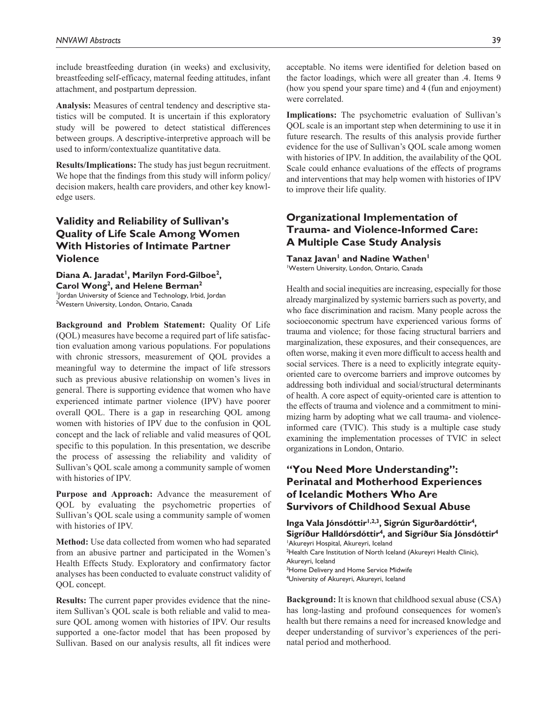include breastfeeding duration (in weeks) and exclusivity, breastfeeding self-efficacy, maternal feeding attitudes, infant attachment, and postpartum depression.

**Analysis:** Measures of central tendency and descriptive statistics will be computed. It is uncertain if this exploratory study will be powered to detect statistical differences between groups. A descriptive-interpretive approach will be used to inform/contextualize quantitative data.

**Results/Implications:** The study has just begun recruitment. We hope that the findings from this study will inform policy/ decision makers, health care providers, and other key knowledge users.

# **Validity and Reliability of Sullivan's Quality of Life Scale Among Women With Histories of Intimate Partner Violence**

Diana A. Jaradat<sup>1</sup>, Marilyn Ford-Gilboe<sup>2</sup>, **Carol Wong2, and Helene Berman2** 1 Jordan University of Science and Technology, Irbid, Jordan <sup>2</sup>Western University, London, Ontario, Canada

**Background and Problem Statement:** Quality Of Life (QOL) measures have become a required part of life satisfaction evaluation among various populations. For populations with chronic stressors, measurement of QOL provides a meaningful way to determine the impact of life stressors such as previous abusive relationship on women's lives in general. There is supporting evidence that women who have experienced intimate partner violence (IPV) have poorer overall QOL. There is a gap in researching QOL among women with histories of IPV due to the confusion in QOL concept and the lack of reliable and valid measures of QOL specific to this population. In this presentation, we describe the process of assessing the reliability and validity of Sullivan's QOL scale among a community sample of women with histories of IPV.

**Purpose and Approach:** Advance the measurement of QOL by evaluating the psychometric properties of Sullivan's QOL scale using a community sample of women with histories of IPV.

**Method:** Use data collected from women who had separated from an abusive partner and participated in the Women's Health Effects Study. Exploratory and confirmatory factor analyses has been conducted to evaluate construct validity of QOL concept.

**Results:** The current paper provides evidence that the nineitem Sullivan's QOL scale is both reliable and valid to measure QOL among women with histories of IPV. Our results supported a one-factor model that has been proposed by Sullivan. Based on our analysis results, all fit indices were acceptable. No items were identified for deletion based on the factor loadings, which were all greater than .4. Items 9 (how you spend your spare time) and 4 (fun and enjoyment) were correlated.

**Implications:** The psychometric evaluation of Sullivan's QOL scale is an important step when determining to use it in future research. The results of this analysis provide further evidence for the use of Sullivan's QOL scale among women with histories of IPV. In addition, the availability of the QOL Scale could enhance evaluations of the effects of programs and interventions that may help women with histories of IPV to improve their life quality.

## **Organizational Implementation of Trauma- and Violence-Informed Care: A Multiple Case Study Analysis**

Tanaz Javan<sup>1</sup> and Nadine Wathen<sup>1</sup>

1 Western University, London, Ontario, Canada

Health and social inequities are increasing, especially for those already marginalized by systemic barriers such as poverty, and who face discrimination and racism. Many people across the socioeconomic spectrum have experienced various forms of trauma and violence; for those facing structural barriers and marginalization, these exposures, and their consequences, are often worse, making it even more difficult to access health and social services. There is a need to explicitly integrate equityoriented care to overcome barriers and improve outcomes by addressing both individual and social/structural determinants of health. A core aspect of equity-oriented care is attention to the effects of trauma and violence and a commitment to minimizing harm by adopting what we call trauma- and violenceinformed care (TVIC). This study is a multiple case study examining the implementation processes of TVIC in select organizations in London, Ontario.

# **"You Need More Understanding": Perinatal and Motherhood Experiences of Icelandic Mothers Who Are Survivors of Childhood Sexual Abuse**

**Inga Vala Jónsdóttir1,2,3, Sigrún Sigurðardóttir4, Sigríður Halldórsdóttir4, and Sigríður Sía Jónsdóttir4** 1 Akureyri Hospital, Akureyri, Iceland <sup>2</sup>Health Care Institution of North Iceland (Akureyri Health Clinic), Akureyri, Iceland <sup>3</sup>Home Delivery and Home Service Midwife 4 University of Akureyri, Akureyri, Iceland

**Background:** It is known that childhood sexual abuse (CSA) has long-lasting and profound consequences for women's health but there remains a need for increased knowledge and deeper understanding of survivor's experiences of the perinatal period and motherhood.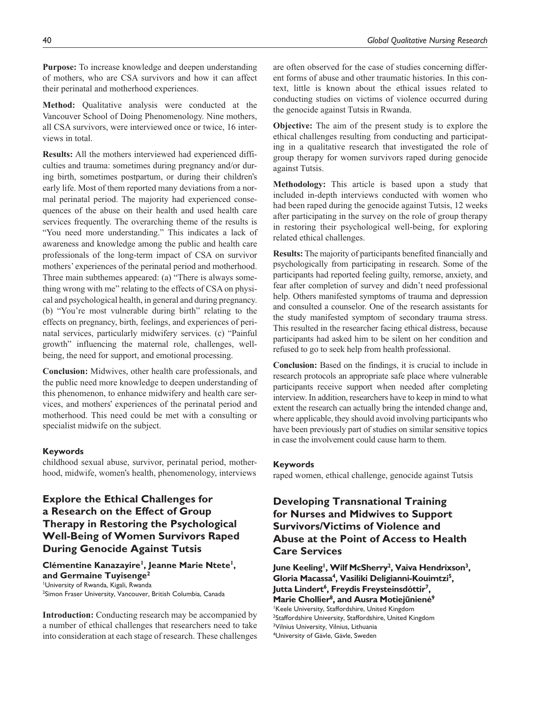**Purpose:** To increase knowledge and deepen understanding of mothers, who are CSA survivors and how it can affect their perinatal and motherhood experiences.

**Method:** Qualitative analysis were conducted at the Vancouver School of Doing Phenomenology. Nine mothers, all CSA survivors, were interviewed once or twice, 16 interviews in total.

**Results:** All the mothers interviewed had experienced difficulties and trauma: sometimes during pregnancy and/or during birth, sometimes postpartum, or during their children's early life. Most of them reported many deviations from a normal perinatal period. The majority had experienced consequences of the abuse on their health and used health care services frequently. The overarching theme of the results is "You need more understanding." This indicates a lack of awareness and knowledge among the public and health care professionals of the long-term impact of CSA on survivor mothers' experiences of the perinatal period and motherhood. Three main subthemes appeared: (a) "There is always something wrong with me" relating to the effects of CSA on physical and psychological health, in general and during pregnancy. (b) "You're most vulnerable during birth" relating to the effects on pregnancy, birth, feelings, and experiences of perinatal services, particularly midwifery services. (c) "Painful growth" influencing the maternal role, challenges, wellbeing, the need for support, and emotional processing.

**Conclusion:** Midwives, other health care professionals, and the public need more knowledge to deepen understanding of this phenomenon, to enhance midwifery and health care services, and mothers' experiences of the perinatal period and motherhood. This need could be met with a consulting or specialist midwife on the subject.

#### **Keywords**

childhood sexual abuse, survivor, perinatal period, motherhood, midwife, women's health, phenomenology, interviews

# **Explore the Ethical Challenges for a Research on the Effect of Group Therapy in Restoring the Psychological Well-Being of Women Survivors Raped During Genocide Against Tutsis**

#### Clémentine Kanazayire<sup>1</sup>, Jeanne Marie Ntete<sup>1</sup>, **and Germaine Tuyisenge2**

1 University of Rwanda, Kigali, Rwanda 2 Simon Fraser University, Vancouver, British Columbia, Canada

**Introduction:** Conducting research may be accompanied by a number of ethical challenges that researchers need to take into consideration at each stage of research. These challenges

are often observed for the case of studies concerning different forms of abuse and other traumatic histories. In this context, little is known about the ethical issues related to conducting studies on victims of violence occurred during the genocide against Tutsis in Rwanda.

**Objective:** The aim of the present study is to explore the ethical challenges resulting from conducting and participating in a qualitative research that investigated the role of group therapy for women survivors raped during genocide against Tutsis.

**Methodology:** This article is based upon a study that included in-depth interviews conducted with women who had been raped during the genocide against Tutsis, 12 weeks after participating in the survey on the role of group therapy in restoring their psychological well-being, for exploring related ethical challenges.

**Results:** The majority of participants benefited financially and psychologically from participating in research. Some of the participants had reported feeling guilty, remorse, anxiety, and fear after completion of survey and didn't need professional help. Others manifested symptoms of trauma and depression and consulted a counselor. One of the research assistants for the study manifested symptom of secondary trauma stress. This resulted in the researcher facing ethical distress, because participants had asked him to be silent on her condition and refused to go to seek help from health professional.

**Conclusion:** Based on the findings, it is crucial to include in research protocols an appropriate safe place where vulnerable participants receive support when needed after completing interview. In addition, researchers have to keep in mind to what extent the research can actually bring the intended change and, where applicable, they should avoid involving participants who have been previously part of studies on similar sensitive topics in case the involvement could cause harm to them.

#### **Keywords**

raped women, ethical challenge, genocide against Tutsis

# **Developing Transnational Training for Nurses and Midwives to Support Survivors/Victims of Violence and Abuse at the Point of Access to Health Care Services**

June Keeling<sup>1</sup>, Wilf McSherry<sup>2</sup>, Vaiva Hendrixson<sup>3</sup>, **Gloria Macassa4 , Vasiliki Deligianni-Kouimtzi5 , Jutta Lindert6 , Freydis Freysteinsdóttir7 , Marie Chollier8 , and Ausra Motiejūnienė9** 1 Keele University, Staffordshire, United Kingdom <sup>2</sup>Staffordshire University, Staffordshire, United Kingdom 3 Vilnius University, Vilnius, Lithuania 4 University of Gävle, Gävle, Sweden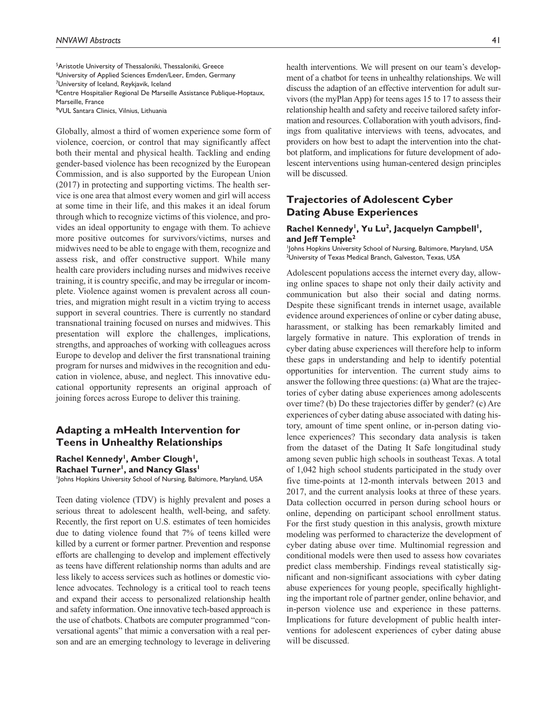5 Aristotle University of Thessaloniki, Thessaloniki, Greece <sup>6</sup>University of Applied Sciences Emden/Leer, Emden, Germany <sup>7</sup>University of Iceland, Reykjavik, Iceland <sup>8</sup> Centre Hospitalier Regional De Marseille Assistance Publique-Hoptaux, Marseille, France 9 VUL Santara Clinics, Vilnius, Lithuania

Globally, almost a third of women experience some form of violence, coercion, or control that may significantly affect both their mental and physical health. Tackling and ending gender-based violence has been recognized by the European Commission, and is also supported by the European Union (2017) in protecting and supporting victims. The health service is one area that almost every women and girl will access at some time in their life, and this makes it an ideal forum through which to recognize victims of this violence, and provides an ideal opportunity to engage with them. To achieve more positive outcomes for survivors/victims, nurses and midwives need to be able to engage with them, recognize and assess risk, and offer constructive support. While many health care providers including nurses and midwives receive training, it is country specific, and may be irregular or incomplete. Violence against women is prevalent across all countries, and migration might result in a victim trying to access support in several countries. There is currently no standard transnational training focused on nurses and midwives. This presentation will explore the challenges, implications, strengths, and approaches of working with colleagues across Europe to develop and deliver the first transnational training program for nurses and midwives in the recognition and education in violence, abuse, and neglect. This innovative educational opportunity represents an original approach of joining forces across Europe to deliver this training.

### **Adapting a mHealth Intervention for Teens in Unhealthy Relationships**

#### Rachel Kennedy<sup>1</sup>, Amber Clough<sup>1</sup>, **Rachael Turner<sup>1</sup>, and Nancy Glass<sup>1</sup>**

1 Johns Hopkins University School of Nursing, Baltimore, Maryland, USA

Teen dating violence (TDV) is highly prevalent and poses a serious threat to adolescent health, well-being, and safety. Recently, the first report on U.S. estimates of teen homicides due to dating violence found that 7% of teens killed were killed by a current or former partner. Prevention and response efforts are challenging to develop and implement effectively as teens have different relationship norms than adults and are less likely to access services such as hotlines or domestic violence advocates. Technology is a critical tool to reach teens and expand their access to personalized relationship health and safety information. One innovative tech-based approach is the use of chatbots. Chatbots are computer programmed "conversational agents" that mimic a conversation with a real person and are an emerging technology to leverage in delivering

health interventions. We will present on our team's development of a chatbot for teens in unhealthy relationships. We will discuss the adaption of an effective intervention for adult survivors (the myPlan App) for teens ages 15 to 17 to assess their relationship health and safety and receive tailored safety information and resources. Collaboration with youth advisors, findings from qualitative interviews with teens, advocates, and providers on how best to adapt the intervention into the chatbot platform, and implications for future development of adolescent interventions using human-centered design principles will be discussed.

## **Trajectories of Adolescent Cyber Dating Abuse Experiences**

#### Rachel Kennedy<sup>1</sup>, Yu Lu<sup>2</sup>, Jacquelyn Campbell<sup>1</sup>, **and Jeff Temple2**

1 Johns Hopkins University School of Nursing, Baltimore, Maryland, USA 2 University of Texas Medical Branch, Galveston, Texas, USA

Adolescent populations access the internet every day, allowing online spaces to shape not only their daily activity and communication but also their social and dating norms. Despite these significant trends in internet usage, available evidence around experiences of online or cyber dating abuse, harassment, or stalking has been remarkably limited and largely formative in nature. This exploration of trends in cyber dating abuse experiences will therefore help to inform these gaps in understanding and help to identify potential opportunities for intervention. The current study aims to answer the following three questions: (a) What are the trajectories of cyber dating abuse experiences among adolescents over time? (b) Do these trajectories differ by gender? (c) Are experiences of cyber dating abuse associated with dating history, amount of time spent online, or in-person dating violence experiences? This secondary data analysis is taken from the dataset of the Dating It Safe longitudinal study among seven public high schools in southeast Texas. A total of 1,042 high school students participated in the study over five time-points at 12-month intervals between 2013 and 2017, and the current analysis looks at three of these years. Data collection occurred in person during school hours or online, depending on participant school enrollment status. For the first study question in this analysis, growth mixture modeling was performed to characterize the development of cyber dating abuse over time. Multinomial regression and conditional models were then used to assess how covariates predict class membership. Findings reveal statistically significant and non-significant associations with cyber dating abuse experiences for young people, specifically highlighting the important role of partner gender, online behavior, and in-person violence use and experience in these patterns. Implications for future development of public health interventions for adolescent experiences of cyber dating abuse will be discussed.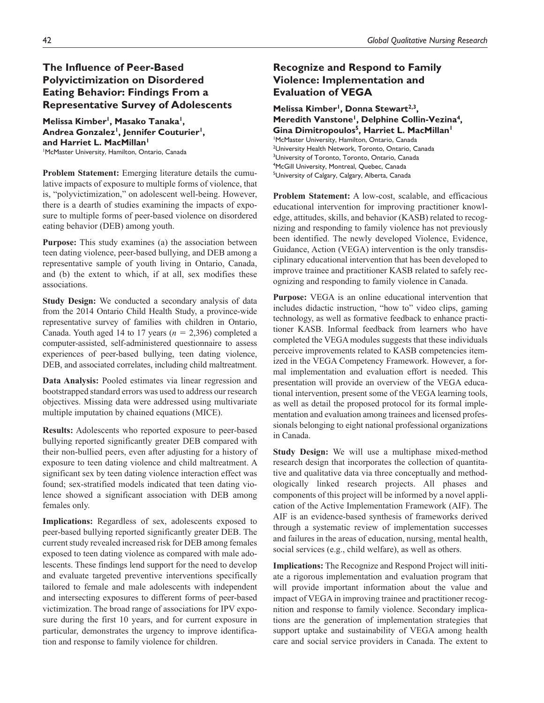# **The Influence of Peer-Based Polyvictimization on Disordered Eating Behavior: Findings From a Representative Survey of Adolescents**

Melissa Kimber<sup>1</sup>, Masako Tanaka<sup>1</sup>, Andrea Gonzalez<sup>1</sup>, Jennifer Couturier<sup>1</sup>, **and Harriet L. MacMillan1** 1 McMaster University, Hamilton, Ontario, Canada

**Problem Statement:** Emerging literature details the cumulative impacts of exposure to multiple forms of violence, that is, "polyvictimization," on adolescent well-being. However, there is a dearth of studies examining the impacts of exposure to multiple forms of peer-based violence on disordered eating behavior (DEB) among youth.

**Purpose:** This study examines (a) the association between teen dating violence, peer-based bullying, and DEB among a representative sample of youth living in Ontario, Canada, and (b) the extent to which, if at all, sex modifies these associations.

**Study Design:** We conducted a secondary analysis of data from the 2014 Ontario Child Health Study, a province-wide representative survey of families with children in Ontario, Canada. Youth aged 14 to 17 years (*n* = 2,396) completed a computer-assisted, self-administered questionnaire to assess experiences of peer-based bullying, teen dating violence, DEB, and associated correlates, including child maltreatment.

**Data Analysis:** Pooled estimates via linear regression and bootstrapped standard errors was used to address our research objectives. Missing data were addressed using multivariate multiple imputation by chained equations (MICE).

**Results:** Adolescents who reported exposure to peer-based bullying reported significantly greater DEB compared with their non-bullied peers, even after adjusting for a history of exposure to teen dating violence and child maltreatment. A significant sex by teen dating violence interaction effect was found; sex-stratified models indicated that teen dating violence showed a significant association with DEB among females only.

**Implications:** Regardless of sex, adolescents exposed to peer-based bullying reported significantly greater DEB. The current study revealed increased risk for DEB among females exposed to teen dating violence as compared with male adolescents. These findings lend support for the need to develop and evaluate targeted preventive interventions specifically tailored to female and male adolescents with independent and intersecting exposures to different forms of peer-based victimization. The broad range of associations for IPV exposure during the first 10 years, and for current exposure in particular, demonstrates the urgency to improve identification and response to family violence for children.

# **Recognize and Respond to Family Violence: Implementation and Evaluation of VEGA**

Melissa Kimber<sup>1</sup>, Donna Stewart<sup>2,3</sup>, Meredith Vanstone<sup>1</sup>, Delphine Collin-Vezina<sup>4</sup>, Gina Dimitropoulos<sup>5</sup>, Harriet L. MacMillan<sup>1</sup> 1 McMaster University, Hamilton, Ontario, Canada 2 University Health Network, Toronto, Ontario, Canada <sup>3</sup>University of Toronto, Toronto, Ontario, Canada 4 McGill University, Montreal, Quebec, Canada <sup>5</sup>University of Calgary, Calgary, Alberta, Canada

**Problem Statement:** A low-cost, scalable, and efficacious educational intervention for improving practitioner knowledge, attitudes, skills, and behavior (KASB) related to recognizing and responding to family violence has not previously been identified. The newly developed Violence, Evidence, Guidance, Action (VEGA) intervention is the only transdisciplinary educational intervention that has been developed to improve trainee and practitioner KASB related to safely recognizing and responding to family violence in Canada.

**Purpose:** VEGA is an online educational intervention that includes didactic instruction, "how to" video clips, gaming technology, as well as formative feedback to enhance practitioner KASB. Informal feedback from learners who have completed the VEGA modules suggests that these individuals perceive improvements related to KASB competencies itemized in the VEGA Competency Framework. However, a formal implementation and evaluation effort is needed. This presentation will provide an overview of the VEGA educational intervention, present some of the VEGA learning tools, as well as detail the proposed protocol for its formal implementation and evaluation among trainees and licensed professionals belonging to eight national professional organizations in Canada.

**Study Design:** We will use a multiphase mixed-method research design that incorporates the collection of quantitative and qualitative data via three conceptually and methodologically linked research projects. All phases and components of this project will be informed by a novel application of the Active Implementation Framework (AIF). The AIF is an evidence-based synthesis of frameworks derived through a systematic review of implementation successes and failures in the areas of education, nursing, mental health, social services (e.g., child welfare), as well as others.

**Implications:** The Recognize and Respond Project will initiate a rigorous implementation and evaluation program that will provide important information about the value and impact of VEGA in improving trainee and practitioner recognition and response to family violence. Secondary implications are the generation of implementation strategies that support uptake and sustainability of VEGA among health care and social service providers in Canada. The extent to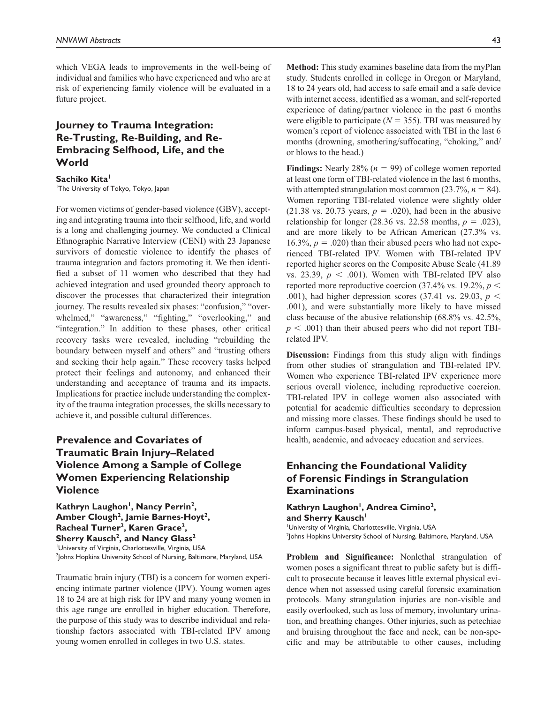which VEGA leads to improvements in the well-being of individual and families who have experienced and who are at risk of experiencing family violence will be evaluated in a future project.

# **Journey to Trauma Integration: Re-Trusting, Re-Building, and Re-Embracing Selfhood, Life, and the World**

Sachiko Kita<sup>1</sup>

1 The University of Tokyo, Tokyo, Japan

For women victims of gender-based violence (GBV), accepting and integrating trauma into their selfhood, life, and world is a long and challenging journey. We conducted a Clinical Ethnographic Narrative Interview (CENI) with 23 Japanese survivors of domestic violence to identify the phases of trauma integration and factors promoting it. We then identified a subset of 11 women who described that they had achieved integration and used grounded theory approach to discover the processes that characterized their integration journey. The results revealed six phases: "confusion," "overwhelmed," "awareness," "fighting," "overlooking," and "integration." In addition to these phases, other critical recovery tasks were revealed, including "rebuilding the boundary between myself and others" and "trusting others and seeking their help again." These recovery tasks helped protect their feelings and autonomy, and enhanced their understanding and acceptance of trauma and its impacts. Implications for practice include understanding the complexity of the trauma integration processes, the skills necessary to achieve it, and possible cultural differences.

# **Prevalence and Covariates of Traumatic Brain Injury–Related Violence Among a Sample of College Women Experiencing Relationship Violence**

Kathryn Laughon<sup>1</sup>, Nancy Perrin<sup>2</sup>, Amber Clough<sup>2</sup>, Jamie Barnes-Hoyt<sup>2</sup>, Racheal Turner<sup>2</sup>, Karen Grace<sup>2</sup>, **Sherry Kausch<sup>2</sup>, and Nancy Glass<sup>2</sup>** <sup>1</sup>University of Virginia, Charlottesville, Virginia, USA 2 Johns Hopkins University School of Nursing, Baltimore, Maryland, USA

Traumatic brain injury (TBI) is a concern for women experiencing intimate partner violence (IPV). Young women ages 18 to 24 are at high risk for IPV and many young women in this age range are enrolled in higher education. Therefore, the purpose of this study was to describe individual and relationship factors associated with TBI-related IPV among young women enrolled in colleges in two U.S. states.

**Method:** This study examines baseline data from the myPlan study. Students enrolled in college in Oregon or Maryland, 18 to 24 years old, had access to safe email and a safe device with internet access, identified as a woman, and self-reported experience of dating/partner violence in the past 6 months were eligible to participate  $(N = 355)$ . TBI was measured by women's report of violence associated with TBI in the last 6 months (drowning, smothering/suffocating, "choking," and/ or blows to the head.)

**Findings:** Nearly 28% (*n* = 99) of college women reported at least one form of TBI-related violence in the last 6 months, with attempted strangulation most common  $(23.7\%, n = 84)$ . Women reporting TBI-related violence were slightly older  $(21.38 \text{ vs. } 20.73 \text{ years}, p = .020)$ , had been in the abusive relationship for longer  $(28.36 \text{ vs. } 22.58 \text{ months}, p = .023)$ , and are more likely to be African American (27.3% vs. 16.3%,  $p = .020$ ) than their abused peers who had not experienced TBI-related IPV. Women with TBI-related IPV reported higher scores on the Composite Abuse Scale (41.89 vs. 23.39,  $p < .001$ ). Women with TBI-related IPV also reported more reproductive coercion  $(37.4\% \text{ vs. } 19.2\%, p \leq$ .001), had higher depression scores (37.41 vs. 29.03, *p* < .001), and were substantially more likely to have missed class because of the abusive relationship (68.8% vs. 42.5%,  $p < .001$ ) than their abused peers who did not report TBIrelated IPV.

**Discussion:** Findings from this study align with findings from other studies of strangulation and TBI-related IPV. Women who experience TBI-related IPV experience more serious overall violence, including reproductive coercion. TBI-related IPV in college women also associated with potential for academic difficulties secondary to depression and missing more classes. These findings should be used to inform campus-based physical, mental, and reproductive health, academic, and advocacy education and services.

# **Enhancing the Foundational Validity of Forensic Findings in Strangulation Examinations**

Kathryn Laughon<sup>1</sup>, Andrea Cimino<sup>2</sup>, and Sherry Kausch<sup>1</sup> <sup>1</sup>University of Virginia, Charlottesville, Virginia, USA

2 Johns Hopkins University School of Nursing, Baltimore, Maryland, USA

**Problem and Significance:** Nonlethal strangulation of women poses a significant threat to public safety but is difficult to prosecute because it leaves little external physical evidence when not assessed using careful forensic examination protocols. Many strangulation injuries are non-visible and easily overlooked, such as loss of memory, involuntary urination, and breathing changes. Other injuries, such as petechiae and bruising throughout the face and neck, can be non-specific and may be attributable to other causes, including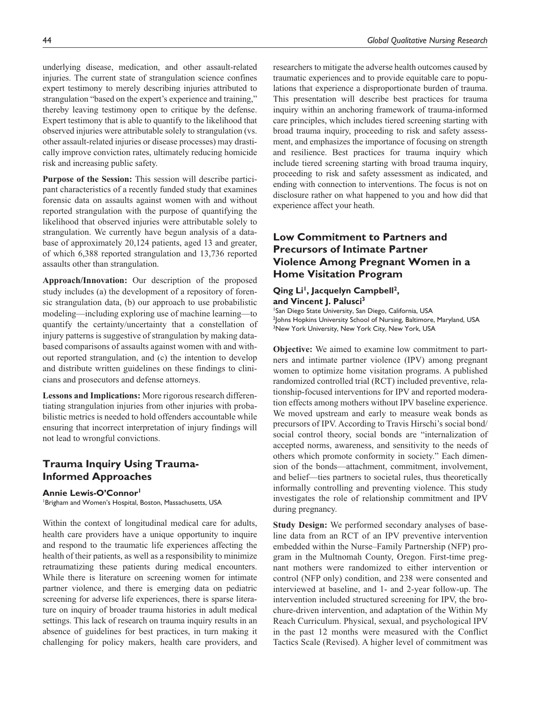underlying disease, medication, and other assault-related injuries. The current state of strangulation science confines expert testimony to merely describing injuries attributed to strangulation "based on the expert's experience and training," thereby leaving testimony open to critique by the defense. Expert testimony that is able to quantify to the likelihood that observed injuries were attributable solely to strangulation (vs. other assault-related injuries or disease processes) may drastically improve conviction rates, ultimately reducing homicide risk and increasing public safety.

**Purpose of the Session:** This session will describe participant characteristics of a recently funded study that examines forensic data on assaults against women with and without reported strangulation with the purpose of quantifying the likelihood that observed injuries were attributable solely to strangulation. We currently have begun analysis of a database of approximately 20,124 patients, aged 13 and greater, of which 6,388 reported strangulation and 13,736 reported assaults other than strangulation.

**Approach/Innovation:** Our description of the proposed study includes (a) the development of a repository of forensic strangulation data, (b) our approach to use probabilistic modeling—including exploring use of machine learning—to quantify the certainty/uncertainty that a constellation of injury patterns is suggestive of strangulation by making databased comparisons of assaults against women with and without reported strangulation, and (c) the intention to develop and distribute written guidelines on these findings to clinicians and prosecutors and defense attorneys.

**Lessons and Implications:** More rigorous research differentiating strangulation injuries from other injuries with probabilistic metrics is needed to hold offenders accountable while ensuring that incorrect interpretation of injury findings will not lead to wrongful convictions.

#### **Trauma Inquiry Using Trauma-Informed Approaches**

#### **Annie Lewis-O'Connor1**

1 Brigham and Women's Hospital, Boston, Massachusetts, USA

Within the context of longitudinal medical care for adults, health care providers have a unique opportunity to inquire and respond to the traumatic life experiences affecting the health of their patients, as well as a responsibility to minimize retraumatizing these patients during medical encounters. While there is literature on screening women for intimate partner violence, and there is emerging data on pediatric screening for adverse life experiences, there is sparse literature on inquiry of broader trauma histories in adult medical settings. This lack of research on trauma inquiry results in an absence of guidelines for best practices, in turn making it challenging for policy makers, health care providers, and researchers to mitigate the adverse health outcomes caused by traumatic experiences and to provide equitable care to populations that experience a disproportionate burden of trauma. This presentation will describe best practices for trauma inquiry within an anchoring framework of trauma-informed care principles, which includes tiered screening starting with broad trauma inquiry, proceeding to risk and safety assessment, and emphasizes the importance of focusing on strength and resilience. Best practices for trauma inquiry which include tiered screening starting with broad trauma inquiry, proceeding to risk and safety assessment as indicated, and ending with connection to interventions. The focus is not on disclosure rather on what happened to you and how did that experience affect your heath.

# **Low Commitment to Partners and Precursors of Intimate Partner Violence Among Pregnant Women in a Home Visitation Program**

**Qing Li<sup>1</sup>, Jacquelyn Campbell<sup>2</sup>, and Vincent J. Palusci3**

1 San Diego State University, San Diego, California, USA 2 Johns Hopkins University School of Nursing, Baltimore, Maryland, USA <sup>3</sup>New York University, New York City, New York, USA

**Objective:** We aimed to examine low commitment to partners and intimate partner violence (IPV) among pregnant women to optimize home visitation programs. A published randomized controlled trial (RCT) included preventive, relationship-focused interventions for IPV and reported moderation effects among mothers without IPV baseline experience. We moved upstream and early to measure weak bonds as precursors of IPV. According to Travis Hirschi's social bond/ social control theory, social bonds are "internalization of accepted norms, awareness, and sensitivity to the needs of others which promote conformity in society." Each dimension of the bonds—attachment, commitment, involvement, and belief—ties partners to societal rules, thus theoretically informally controlling and preventing violence. This study investigates the role of relationship commitment and IPV during pregnancy.

**Study Design:** We performed secondary analyses of baseline data from an RCT of an IPV preventive intervention embedded within the Nurse–Family Partnership (NFP) program in the Multnomah County, Oregon. First-time pregnant mothers were randomized to either intervention or control (NFP only) condition, and 238 were consented and interviewed at baseline, and 1- and 2-year follow-up. The intervention included structured screening for IPV, the brochure-driven intervention, and adaptation of the Within My Reach Curriculum. Physical, sexual, and psychological IPV in the past 12 months were measured with the Conflict Tactics Scale (Revised). A higher level of commitment was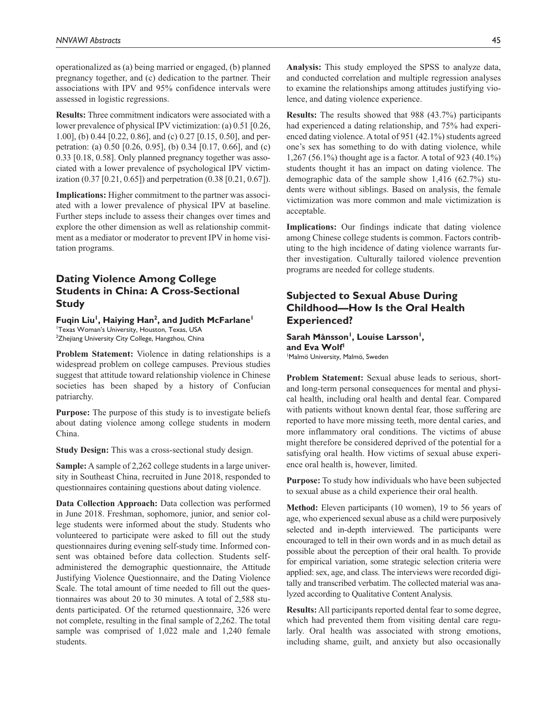operationalized as (a) being married or engaged, (b) planned pregnancy together, and (c) dedication to the partner. Their associations with IPV and 95% confidence intervals were assessed in logistic regressions.

**Results:** Three commitment indicators were associated with a lower prevalence of physical IPV victimization: (a) 0.51 [0.26, 1.00], (b) 0.44 [0.22, 0.86], and (c) 0.27 [0.15, 0.50], and perpetration: (a) 0.50 [0.26, 0.95], (b) 0.34 [0.17, 0.66], and (c) 0.33 [0.18, 0.58]. Only planned pregnancy together was associated with a lower prevalence of psychological IPV victimization (0.37 [0.21, 0.65]) and perpetration (0.38 [0.21, 0.67]).

**Implications:** Higher commitment to the partner was associated with a lower prevalence of physical IPV at baseline. Further steps include to assess their changes over times and explore the other dimension as well as relationship commitment as a mediator or moderator to prevent IPV in home visitation programs.

# **Dating Violence Among College Students in China: A Cross-Sectional Study**

Fugin Liu<sup>1</sup>, Haiying Han<sup>2</sup>, and Judith McFarlane<sup>1</sup> 1 Texas Woman's University, Houston, Texas, USA  $^{2}$ Zhejiang University City College, Hangzhou, China

**Problem Statement:** Violence in dating relationships is a widespread problem on college campuses. Previous studies suggest that attitude toward relationship violence in Chinese societies has been shaped by a history of Confucian patriarchy.

**Purpose:** The purpose of this study is to investigate beliefs about dating violence among college students in modern China.

**Study Design:** This was a cross-sectional study design.

**Sample:** A sample of 2,262 college students in a large university in Southeast China, recruited in June 2018, responded to questionnaires containing questions about dating violence.

**Data Collection Approach:** Data collection was performed in June 2018. Freshman, sophomore, junior, and senior college students were informed about the study. Students who volunteered to participate were asked to fill out the study questionnaires during evening self-study time. Informed consent was obtained before data collection. Students selfadministered the demographic questionnaire, the Attitude Justifying Violence Questionnaire, and the Dating Violence Scale. The total amount of time needed to fill out the questionnaires was about 20 to 30 minutes. A total of 2,588 students participated. Of the returned questionnaire, 326 were not complete, resulting in the final sample of 2,262. The total sample was comprised of 1,022 male and 1,240 female students.

**Analysis:** This study employed the SPSS to analyze data, and conducted correlation and multiple regression analyses to examine the relationships among attitudes justifying violence, and dating violence experience.

**Results:** The results showed that 988 (43.7%) participants had experienced a dating relationship, and 75% had experienced dating violence. A total of 951 (42.1%) students agreed one's sex has something to do with dating violence, while 1,267 (56.1%) thought age is a factor. A total of 923 (40.1%) students thought it has an impact on dating violence. The demographic data of the sample show 1,416 (62.7%) students were without siblings. Based on analysis, the female victimization was more common and male victimization is acceptable.

**Implications:** Our findings indicate that dating violence among Chinese college students is common. Factors contributing to the high incidence of dating violence warrants further investigation. Culturally tailored violence prevention programs are needed for college students.

# **Subjected to Sexual Abuse During Childhood—How Is the Oral Health Experienced?**

#### Sarah Månsson<sup>1</sup>, Louise Larsson<sup>1</sup>, and Eva Wolf<sup>1</sup> 1 Malmö University, Malmö, Sweden

**Problem Statement:** Sexual abuse leads to serious, shortand long-term personal consequences for mental and physical health, including oral health and dental fear. Compared with patients without known dental fear, those suffering are reported to have more missing teeth, more dental caries, and more inflammatory oral conditions. The victims of abuse might therefore be considered deprived of the potential for a satisfying oral health. How victims of sexual abuse experience oral health is, however, limited.

**Purpose:** To study how individuals who have been subjected to sexual abuse as a child experience their oral health.

**Method:** Eleven participants (10 women), 19 to 56 years of age, who experienced sexual abuse as a child were purposively selected and in-depth interviewed. The participants were encouraged to tell in their own words and in as much detail as possible about the perception of their oral health. To provide for empirical variation, some strategic selection criteria were applied: sex, age, and class. The interviews were recorded digitally and transcribed verbatim. The collected material was analyzed according to Qualitative Content Analysis.

**Results:** All participants reported dental fear to some degree, which had prevented them from visiting dental care regularly. Oral health was associated with strong emotions, including shame, guilt, and anxiety but also occasionally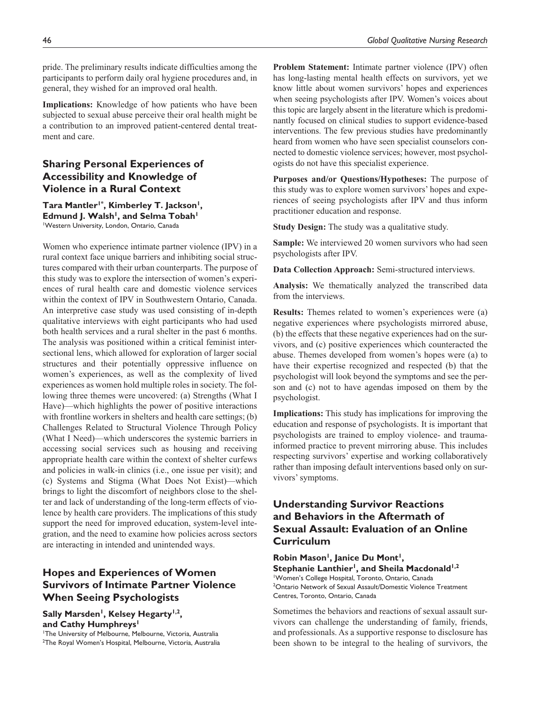pride. The preliminary results indicate difficulties among the participants to perform daily oral hygiene procedures and, in general, they wished for an improved oral health.

**Implications:** Knowledge of how patients who have been subjected to sexual abuse perceive their oral health might be a contribution to an improved patient-centered dental treatment and care.

## **Sharing Personal Experiences of Accessibility and Knowledge of Violence in a Rural Context**

Tara Mantler<sup>1\*</sup>, Kimberley T. Jackson<sup>1</sup>, **Edmund J. Walsh<sup>1</sup>, and Selma Tobah<sup>1</sup>** 1 Western University, London, Ontario, Canada

Women who experience intimate partner violence (IPV) in a rural context face unique barriers and inhibiting social structures compared with their urban counterparts. The purpose of this study was to explore the intersection of women's experiences of rural health care and domestic violence services within the context of IPV in Southwestern Ontario, Canada. An interpretive case study was used consisting of in-depth qualitative interviews with eight participants who had used both health services and a rural shelter in the past 6 months. The analysis was positioned within a critical feminist intersectional lens, which allowed for exploration of larger social structures and their potentially oppressive influence on women's experiences, as well as the complexity of lived experiences as women hold multiple roles in society. The following three themes were uncovered: (a) Strengths (What I Have)—which highlights the power of positive interactions with frontline workers in shelters and health care settings; (b) Challenges Related to Structural Violence Through Policy (What I Need)—which underscores the systemic barriers in accessing social services such as housing and receiving appropriate health care within the context of shelter curfews and policies in walk-in clinics (i.e., one issue per visit); and (c) Systems and Stigma (What Does Not Exist)—which brings to light the discomfort of neighbors close to the shelter and lack of understanding of the long-term effects of violence by health care providers. The implications of this study support the need for improved education, system-level integration, and the need to examine how policies across sectors are interacting in intended and unintended ways.

# **Hopes and Experiences of Women Survivors of Intimate Partner Violence When Seeing Psychologists**

Sally Marsden<sup>1</sup>, Kelsey Hegarty<sup>1,2</sup>, **and Cathy Humphreys1**

1 The University of Melbourne, Melbourne, Victoria, Australia 2 The Royal Women's Hospital, Melbourne, Victoria, Australia **Problem Statement:** Intimate partner violence (IPV) often has long-lasting mental health effects on survivors, yet we know little about women survivors' hopes and experiences when seeing psychologists after IPV. Women's voices about this topic are largely absent in the literature which is predominantly focused on clinical studies to support evidence-based interventions. The few previous studies have predominantly heard from women who have seen specialist counselors connected to domestic violence services; however, most psychologists do not have this specialist experience.

**Purposes and/or Questions/Hypotheses:** The purpose of this study was to explore women survivors' hopes and experiences of seeing psychologists after IPV and thus inform practitioner education and response.

**Study Design:** The study was a qualitative study.

**Sample:** We interviewed 20 women survivors who had seen psychologists after IPV.

**Data Collection Approach:** Semi-structured interviews.

**Analysis:** We thematically analyzed the transcribed data from the interviews.

**Results:** Themes related to women's experiences were (a) negative experiences where psychologists mirrored abuse, (b) the effects that these negative experiences had on the survivors, and (c) positive experiences which counteracted the abuse. Themes developed from women's hopes were (a) to have their expertise recognized and respected (b) that the psychologist will look beyond the symptoms and see the person and (c) not to have agendas imposed on them by the psychologist.

**Implications:** This study has implications for improving the education and response of psychologists. It is important that psychologists are trained to employ violence- and traumainformed practice to prevent mirroring abuse. This includes respecting survivors' expertise and working collaboratively rather than imposing default interventions based only on survivors' symptoms.

# **Understanding Survivor Reactions and Behaviors in the Aftermath of Sexual Assault: Evaluation of an Online Curriculum**

#### **Robin Mason1, Janice Du Mont1,**  Stephanie Lanthier<sup>1</sup>, and Sheila Macdonald<sup>1,2</sup>

1 Women's College Hospital, Toronto, Ontario, Canada 2 Ontario Network of Sexual Assault/Domestic Violence Treatment Centres, Toronto, Ontario, Canada

Sometimes the behaviors and reactions of sexual assault survivors can challenge the understanding of family, friends, and professionals. As a supportive response to disclosure has been shown to be integral to the healing of survivors, the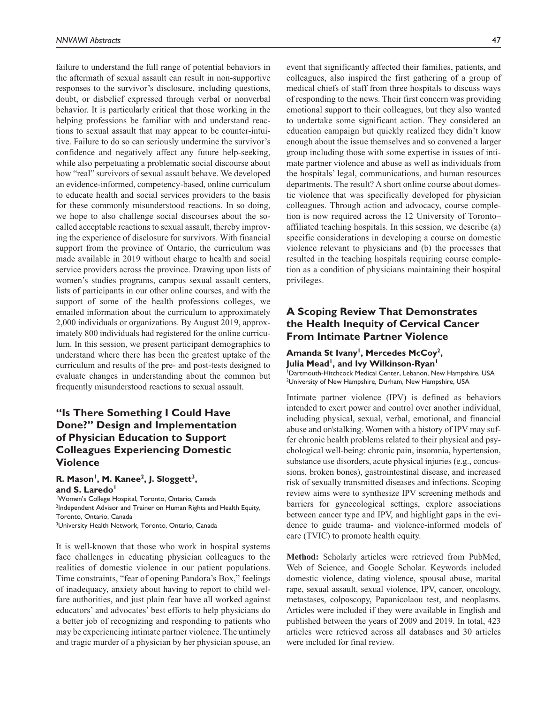failure to understand the full range of potential behaviors in the aftermath of sexual assault can result in non-supportive responses to the survivor's disclosure, including questions, doubt, or disbelief expressed through verbal or nonverbal behavior. It is particularly critical that those working in the helping professions be familiar with and understand reactions to sexual assault that may appear to be counter-intuitive. Failure to do so can seriously undermine the survivor's confidence and negatively affect any future help-seeking, while also perpetuating a problematic social discourse about how "real" survivors of sexual assault behave. We developed an evidence-informed, competency-based, online curriculum to educate health and social services providers to the basis for these commonly misunderstood reactions. In so doing, we hope to also challenge social discourses about the socalled acceptable reactions to sexual assault, thereby improving the experience of disclosure for survivors. With financial support from the province of Ontario, the curriculum was made available in 2019 without charge to health and social service providers across the province. Drawing upon lists of women's studies programs, campus sexual assault centers, lists of participants in our other online courses, and with the support of some of the health professions colleges, we emailed information about the curriculum to approximately 2,000 individuals or organizations. By August 2019, approximately 800 individuals had registered for the online curriculum. In this session, we present participant demographics to understand where there has been the greatest uptake of the curriculum and results of the pre- and post-tests designed to evaluate changes in understanding about the common but frequently misunderstood reactions to sexual assault.

# **"Is There Something I Could Have Done?" Design and Implementation of Physician Education to Support Colleagues Experiencing Domestic Violence**

#### R. Mason<sup>1</sup>, M. Kanee<sup>2</sup>, J. Sloggett<sup>3</sup>, and S. Laredo<sup>1</sup>

1 Women's College Hospital, Toronto, Ontario, Canada <sup>2</sup>Independent Advisor and Trainer on Human Rights and Health Equity, Toronto, Ontario, Canada <sup>3</sup>University Health Network, Toronto, Ontario, Canada

It is well-known that those who work in hospital systems face challenges in educating physician colleagues to the realities of domestic violence in our patient populations. Time constraints, "fear of opening Pandora's Box," feelings of inadequacy, anxiety about having to report to child welfare authorities, and just plain fear have all worked against educators' and advocates' best efforts to help physicians do a better job of recognizing and responding to patients who may be experiencing intimate partner violence. The untimely and tragic murder of a physician by her physician spouse, an

event that significantly affected their families, patients, and colleagues, also inspired the first gathering of a group of medical chiefs of staff from three hospitals to discuss ways of responding to the news. Their first concern was providing emotional support to their colleagues, but they also wanted to undertake some significant action. They considered an education campaign but quickly realized they didn't know enough about the issue themselves and so convened a larger group including those with some expertise in issues of intimate partner violence and abuse as well as individuals from the hospitals' legal, communications, and human resources departments. The result? A short online course about domestic violence that was specifically developed for physician colleagues. Through action and advocacy, course completion is now required across the 12 University of Toronto– affiliated teaching hospitals. In this session, we describe (a) specific considerations in developing a course on domestic violence relevant to physicians and (b) the processes that resulted in the teaching hospitals requiring course completion as a condition of physicians maintaining their hospital privileges.

# **A Scoping Review That Demonstrates the Health Inequity of Cervical Cancer From Intimate Partner Violence**

#### Amanda St Ivany<sup>1</sup>, Mercedes McCoy<sup>2</sup>, Julia Mead<sup>1</sup>, and Ivy Wilkinson-Ryan<sup>1</sup>

1 Dartmouth-Hitchcock Medical Center, Lebanon, New Hampshire, USA <sup>2</sup>University of New Hampshire, Durham, New Hampshire, USA

Intimate partner violence (IPV) is defined as behaviors intended to exert power and control over another individual, including physical, sexual, verbal, emotional, and financial abuse and or/stalking. Women with a history of IPV may suffer chronic health problems related to their physical and psychological well-being: chronic pain, insomnia, hypertension, substance use disorders, acute physical injuries (e.g., concussions, broken bones), gastrointestinal disease, and increased risk of sexually transmitted diseases and infections. Scoping review aims were to synthesize IPV screening methods and barriers for gynecological settings, explore associations between cancer type and IPV, and highlight gaps in the evidence to guide trauma- and violence-informed models of care (TVIC) to promote health equity.

**Method:** Scholarly articles were retrieved from PubMed, Web of Science, and Google Scholar. Keywords included domestic violence, dating violence, spousal abuse, marital rape, sexual assault, sexual violence, IPV, cancer, oncology, metastases, colposcopy, Papanicolaou test, and neoplasms. Articles were included if they were available in English and published between the years of 2009 and 2019. In total, 423 articles were retrieved across all databases and 30 articles were included for final review.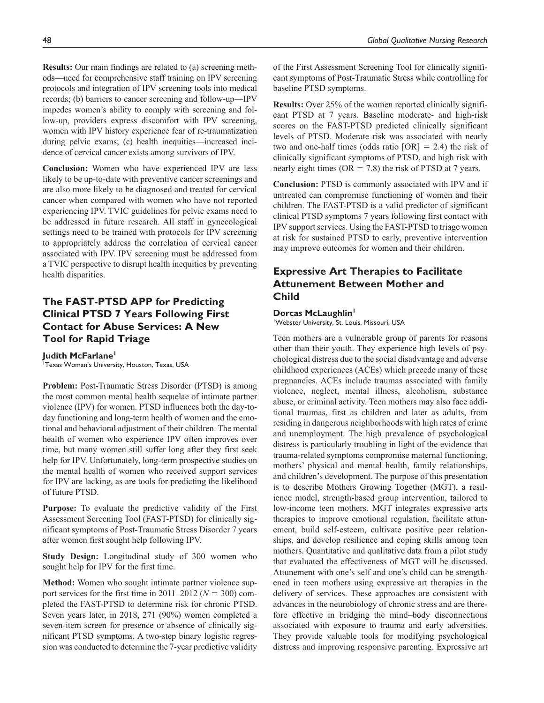**Results:** Our main findings are related to (a) screening methods—need for comprehensive staff training on IPV screening protocols and integration of IPV screening tools into medical records; (b) barriers to cancer screening and follow-up—IPV impedes women's ability to comply with screening and follow-up, providers express discomfort with IPV screening, women with IPV history experience fear of re-traumatization during pelvic exams; (c) health inequities—increased incidence of cervical cancer exists among survivors of IPV.

**Conclusion:** Women who have experienced IPV are less likely to be up-to-date with preventive cancer screenings and are also more likely to be diagnosed and treated for cervical cancer when compared with women who have not reported experiencing IPV. TVIC guidelines for pelvic exams need to be addressed in future research. All staff in gynecological settings need to be trained with protocols for IPV screening to appropriately address the correlation of cervical cancer associated with IPV. IPV screening must be addressed from a TVIC perspective to disrupt health inequities by preventing health disparities.

# **The FAST-PTSD APP for Predicting Clinical PTSD 7 Years Following First Contact for Abuse Services: A New Tool for Rapid Triage**

**Judith McFarlane1** 1 Texas Woman's University, Houston, Texas, USA

**Problem:** Post-Traumatic Stress Disorder (PTSD) is among the most common mental health sequelae of intimate partner violence (IPV) for women. PTSD influences both the day-today functioning and long-term health of women and the emotional and behavioral adjustment of their children. The mental health of women who experience IPV often improves over time, but many women still suffer long after they first seek help for IPV. Unfortunately, long-term prospective studies on the mental health of women who received support services for IPV are lacking, as are tools for predicting the likelihood of future PTSD.

**Purpose:** To evaluate the predictive validity of the First Assessment Screening Tool (FAST-PTSD) for clinically significant symptoms of Post-Traumatic Stress Disorder 7 years after women first sought help following IPV.

**Study Design:** Longitudinal study of 300 women who sought help for IPV for the first time.

**Method:** Women who sought intimate partner violence support services for the first time in 2011–2012 ( $N = 300$ ) completed the FAST-PTSD to determine risk for chronic PTSD. Seven years later, in 2018, 271 (90%) women completed a seven-item screen for presence or absence of clinically significant PTSD symptoms. A two-step binary logistic regression was conducted to determine the 7-year predictive validity of the First Assessment Screening Tool for clinically significant symptoms of Post-Traumatic Stress while controlling for baseline PTSD symptoms.

**Results:** Over 25% of the women reported clinically significant PTSD at 7 years. Baseline moderate- and high-risk scores on the FAST-PTSD predicted clinically significant levels of PTSD. Moderate risk was associated with nearly two and one-half times (odds ratio  $[OR] = 2.4$ ) the risk of clinically significant symptoms of PTSD, and high risk with nearly eight times ( $OR = 7.8$ ) the risk of PTSD at 7 years.

**Conclusion:** PTSD is commonly associated with IPV and if untreated can compromise functioning of women and their children. The FAST-PTSD is a valid predictor of significant clinical PTSD symptoms 7 years following first contact with IPV support services. Using the FAST-PTSD to triage women at risk for sustained PTSD to early, preventive intervention may improve outcomes for women and their children.

# **Expressive Art Therapies to Facilitate Attunement Between Mother and Child**

**Dorcas McLaughlin1** 1 Webster University, St. Louis, Missouri, USA

Teen mothers are a vulnerable group of parents for reasons other than their youth. They experience high levels of psychological distress due to the social disadvantage and adverse childhood experiences (ACEs) which precede many of these pregnancies. ACEs include traumas associated with family violence, neglect, mental illness, alcoholism, substance abuse, or criminal activity. Teen mothers may also face additional traumas, first as children and later as adults, from residing in dangerous neighborhoods with high rates of crime and unemployment. The high prevalence of psychological distress is particularly troubling in light of the evidence that trauma-related symptoms compromise maternal functioning, mothers' physical and mental health, family relationships, and children's development. The purpose of this presentation is to describe Mothers Growing Together (MGT), a resilience model, strength-based group intervention, tailored to low-income teen mothers. MGT integrates expressive arts therapies to improve emotional regulation, facilitate attunement, build self-esteem, cultivate positive peer relationships, and develop resilience and coping skills among teen mothers. Quantitative and qualitative data from a pilot study that evaluated the effectiveness of MGT will be discussed. Attunement with one's self and one's child can be strengthened in teen mothers using expressive art therapies in the delivery of services. These approaches are consistent with advances in the neurobiology of chronic stress and are therefore effective in bridging the mind–body disconnections associated with exposure to trauma and early adversities. They provide valuable tools for modifying psychological distress and improving responsive parenting. Expressive art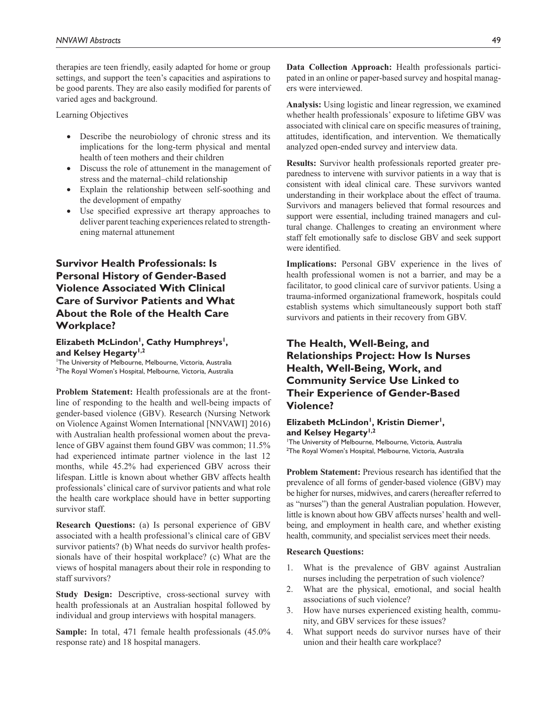therapies are teen friendly, easily adapted for home or group settings, and support the teen's capacities and aspirations to be good parents. They are also easily modified for parents of varied ages and background.

Learning Objectives

- Describe the neurobiology of chronic stress and its implications for the long-term physical and mental health of teen mothers and their children
- Discuss the role of attunement in the management of stress and the maternal–child relationship
- Explain the relationship between self-soothing and the development of empathy
- Use specified expressive art therapy approaches to deliver parent teaching experiences related to strengthening maternal attunement

# **Survivor Health Professionals: Is Personal History of Gender-Based Violence Associated With Clinical Care of Survivor Patients and What About the Role of the Health Care Workplace?**

#### Elizabeth McLindon<sup>1</sup>, Cathy Humphreys<sup>1</sup>, and Kelsey Hegarty<sup>1,2</sup>

1 The University of Melbourne, Melbourne, Victoria, Australia 2 The Royal Women's Hospital, Melbourne, Victoria, Australia

**Problem Statement:** Health professionals are at the frontline of responding to the health and well-being impacts of gender-based violence (GBV). Research (Nursing Network on Violence Against Women International [NNVAWI] 2016) with Australian health professional women about the prevalence of GBV against them found GBV was common; 11.5% had experienced intimate partner violence in the last 12 months, while 45.2% had experienced GBV across their lifespan. Little is known about whether GBV affects health professionals' clinical care of survivor patients and what role the health care workplace should have in better supporting survivor staff.

**Research Questions:** (a) Is personal experience of GBV associated with a health professional's clinical care of GBV survivor patients? (b) What needs do survivor health professionals have of their hospital workplace? (c) What are the views of hospital managers about their role in responding to staff survivors?

**Study Design:** Descriptive, cross-sectional survey with health professionals at an Australian hospital followed by individual and group interviews with hospital managers.

**Sample:** In total, 471 female health professionals (45.0% response rate) and 18 hospital managers.

**Data Collection Approach:** Health professionals participated in an online or paper-based survey and hospital managers were interviewed.

**Analysis:** Using logistic and linear regression, we examined whether health professionals' exposure to lifetime GBV was associated with clinical care on specific measures of training, attitudes, identification, and intervention. We thematically analyzed open-ended survey and interview data.

**Results:** Survivor health professionals reported greater preparedness to intervene with survivor patients in a way that is consistent with ideal clinical care. These survivors wanted understanding in their workplace about the effect of trauma. Survivors and managers believed that formal resources and support were essential, including trained managers and cultural change. Challenges to creating an environment where staff felt emotionally safe to disclose GBV and seek support were identified.

**Implications:** Personal GBV experience in the lives of health professional women is not a barrier, and may be a facilitator, to good clinical care of survivor patients. Using a trauma-informed organizational framework, hospitals could establish systems which simultaneously support both staff survivors and patients in their recovery from GBV.

# **The Health, Well-Being, and Relationships Project: How Is Nurses Health, Well-Being, Work, and Community Service Use Linked to Their Experience of Gender-Based Violence?**

#### Elizabeth McLindon<sup>1</sup>, Kristin Diemer<sup>1</sup>, and Kelsey Hegarty<sup>1,2</sup>

1 The University of Melbourne, Melbourne, Victoria, Australia 2 The Royal Women's Hospital, Melbourne, Victoria, Australia

**Problem Statement:** Previous research has identified that the prevalence of all forms of gender-based violence (GBV) may be higher for nurses, midwives, and carers (hereafter referred to as "nurses") than the general Australian population. However, little is known about how GBV affects nurses' health and wellbeing, and employment in health care, and whether existing health, community, and specialist services meet their needs.

#### **Research Questions:**

- 1. What is the prevalence of GBV against Australian nurses including the perpetration of such violence?
- 2. What are the physical, emotional, and social health associations of such violence?
- 3. How have nurses experienced existing health, community, and GBV services for these issues?
- 4. What support needs do survivor nurses have of their union and their health care workplace?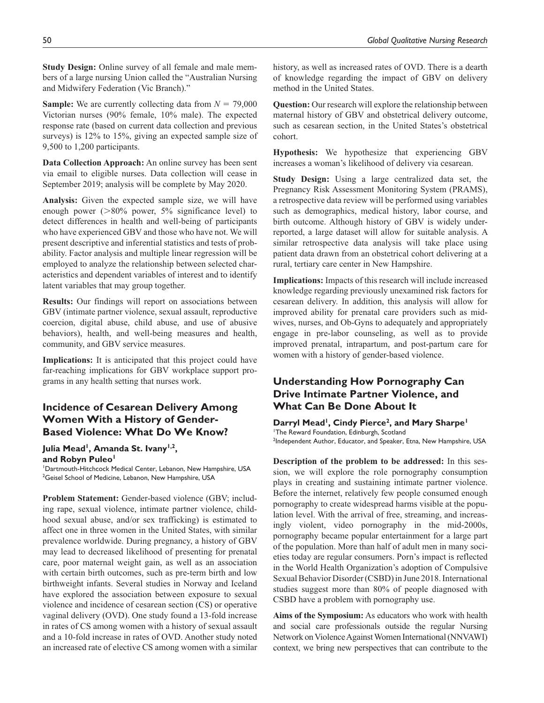**Study Design:** Online survey of all female and male members of a large nursing Union called the "Australian Nursing and Midwifery Federation (Vic Branch)."

**Sample:** We are currently collecting data from *N* = 79,000 Victorian nurses (90% female, 10% male). The expected response rate (based on current data collection and previous surveys) is 12% to 15%, giving an expected sample size of 9,500 to 1,200 participants.

**Data Collection Approach:** An online survey has been sent via email to eligible nurses. Data collection will cease in September 2019; analysis will be complete by May 2020.

**Analysis:** Given the expected sample size, we will have enough power (>80% power, 5% significance level) to detect differences in health and well-being of participants who have experienced GBV and those who have not. We will present descriptive and inferential statistics and tests of probability. Factor analysis and multiple linear regression will be employed to analyze the relationship between selected characteristics and dependent variables of interest and to identify latent variables that may group together.

**Results:** Our findings will report on associations between GBV (intimate partner violence, sexual assault, reproductive coercion, digital abuse, child abuse, and use of abusive behaviors), health, and well-being measures and health, community, and GBV service measures.

**Implications:** It is anticipated that this project could have far-reaching implications for GBV workplace support programs in any health setting that nurses work.

### **Incidence of Cesarean Delivery Among Women With a History of Gender-Based Violence: What Do We Know?**

#### Julia Mead<sup>1</sup>, Amanda St. Ivany<sup>1,2</sup>, and Robyn Puleo<sup>1</sup>

1 Dartmouth-Hitchcock Medical Center, Lebanon, New Hampshire, USA <sup>2</sup>Geisel School of Medicine, Lebanon, New Hampshire, USA

**Problem Statement:** Gender-based violence (GBV; including rape, sexual violence, intimate partner violence, childhood sexual abuse, and/or sex trafficking) is estimated to affect one in three women in the United States, with similar prevalence worldwide. During pregnancy, a history of GBV may lead to decreased likelihood of presenting for prenatal care, poor maternal weight gain, as well as an association with certain birth outcomes, such as pre-term birth and low birthweight infants. Several studies in Norway and Iceland have explored the association between exposure to sexual violence and incidence of cesarean section (CS) or operative vaginal delivery (OVD). One study found a 13-fold increase in rates of CS among women with a history of sexual assault and a 10-fold increase in rates of OVD. Another study noted an increased rate of elective CS among women with a similar

history, as well as increased rates of OVD. There is a dearth of knowledge regarding the impact of GBV on delivery method in the United States.

**Question:** Our research will explore the relationship between maternal history of GBV and obstetrical delivery outcome, such as cesarean section, in the United States's obstetrical cohort.

**Hypothesis:** We hypothesize that experiencing GBV increases a woman's likelihood of delivery via cesarean.

**Study Design:** Using a large centralized data set, the Pregnancy Risk Assessment Monitoring System (PRAMS), a retrospective data review will be performed using variables such as demographics, medical history, labor course, and birth outcome. Although history of GBV is widely underreported, a large dataset will allow for suitable analysis. A similar retrospective data analysis will take place using patient data drawn from an obstetrical cohort delivering at a rural, tertiary care center in New Hampshire.

**Implications:** Impacts of this research will include increased knowledge regarding previously unexamined risk factors for cesarean delivery. In addition, this analysis will allow for improved ability for prenatal care providers such as midwives, nurses, and Ob-Gyns to adequately and appropriately engage in pre-labor counseling, as well as to provide improved prenatal, intrapartum, and post-partum care for women with a history of gender-based violence.

# **Understanding How Pornography Can Drive Intimate Partner Violence, and What Can Be Done About It**

Darryl Mead<sup>1</sup>, Cindy Pierce<sup>2</sup>, and Mary Sharpe<sup>1</sup> 1 The Reward Foundation, Edinburgh, Scotland <sup>2</sup>Independent Author, Educator, and Speaker, Etna, New Hampshire, USA

**Description of the problem to be addressed:** In this session, we will explore the role pornography consumption plays in creating and sustaining intimate partner violence. Before the internet, relatively few people consumed enough pornography to create widespread harms visible at the population level. With the arrival of free, streaming, and increasingly violent, video pornography in the mid-2000s, pornography became popular entertainment for a large part of the population. More than half of adult men in many societies today are regular consumers. Porn's impact is reflected in the World Health Organization's adoption of Compulsive Sexual Behavior Disorder (CSBD) in June 2018. International studies suggest more than 80% of people diagnosed with CSBD have a problem with pornography use.

**Aims of the Symposium:** As educators who work with health and social care professionals outside the regular Nursing Network on Violence Against Women International (NNVAWI) context, we bring new perspectives that can contribute to the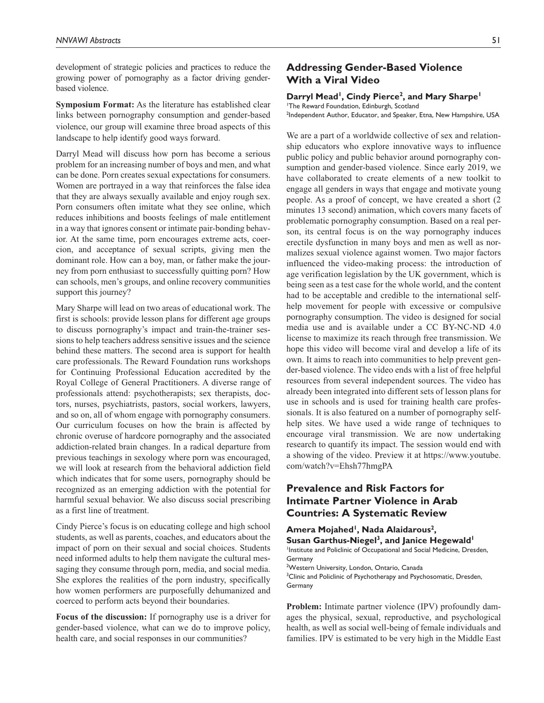development of strategic policies and practices to reduce the growing power of pornography as a factor driving genderbased violence.

**Symposium Format:** As the literature has established clear links between pornography consumption and gender-based violence, our group will examine three broad aspects of this landscape to help identify good ways forward.

Darryl Mead will discuss how porn has become a serious problem for an increasing number of boys and men, and what can be done. Porn creates sexual expectations for consumers. Women are portrayed in a way that reinforces the false idea that they are always sexually available and enjoy rough sex. Porn consumers often imitate what they see online, which reduces inhibitions and boosts feelings of male entitlement in a way that ignores consent or intimate pair-bonding behavior. At the same time, porn encourages extreme acts, coercion, and acceptance of sexual scripts, giving men the dominant role. How can a boy, man, or father make the journey from porn enthusiast to successfully quitting porn? How can schools, men's groups, and online recovery communities support this journey?

Mary Sharpe will lead on two areas of educational work. The first is schools: provide lesson plans for different age groups to discuss pornography's impact and train-the-trainer sessions to help teachers address sensitive issues and the science behind these matters. The second area is support for health care professionals. The Reward Foundation runs workshops for Continuing Professional Education accredited by the Royal College of General Practitioners. A diverse range of professionals attend: psychotherapists; sex therapists, doctors, nurses, psychiatrists, pastors, social workers, lawyers, and so on, all of whom engage with pornography consumers. Our curriculum focuses on how the brain is affected by chronic overuse of hardcore pornography and the associated addiction-related brain changes. In a radical departure from previous teachings in sexology where porn was encouraged, we will look at research from the behavioral addiction field which indicates that for some users, pornography should be recognized as an emerging addiction with the potential for harmful sexual behavior. We also discuss social prescribing as a first line of treatment.

Cindy Pierce's focus is on educating college and high school students, as well as parents, coaches, and educators about the impact of porn on their sexual and social choices. Students need informed adults to help them navigate the cultural messaging they consume through porn, media, and social media. She explores the realities of the porn industry, specifically how women performers are purposefully dehumanized and coerced to perform acts beyond their boundaries.

**Focus of the discussion:** If pornography use is a driver for gender-based violence, what can we do to improve policy, health care, and social responses in our communities?

## **Addressing Gender-Based Violence With a Viral Video**

#### Darryl Mead<sup>1</sup>, Cindy Pierce<sup>2</sup>, and Mary Sharpe<sup>1</sup>

1 The Reward Foundation, Edinburgh, Scotland <sup>2</sup>Independent Author, Educator, and Speaker, Etna, New Hampshire, USA

We are a part of a worldwide collective of sex and relationship educators who explore innovative ways to influence public policy and public behavior around pornography consumption and gender-based violence. Since early 2019, we have collaborated to create elements of a new toolkit to engage all genders in ways that engage and motivate young people. As a proof of concept, we have created a short (2 minutes 13 second) animation, which covers many facets of problematic pornography consumption. Based on a real person, its central focus is on the way pornography induces erectile dysfunction in many boys and men as well as normalizes sexual violence against women. Two major factors influenced the video-making process: the introduction of age verification legislation by the UK government, which is being seen as a test case for the whole world, and the content had to be acceptable and credible to the international selfhelp movement for people with excessive or compulsive pornography consumption. The video is designed for social media use and is available under a CC BY-NC-ND 4.0 license to maximize its reach through free transmission. We hope this video will become viral and develop a life of its own. It aims to reach into communities to help prevent gender-based violence. The video ends with a list of free helpful resources from several independent sources. The video has already been integrated into different sets of lesson plans for use in schools and is used for training health care professionals. It is also featured on a number of pornography selfhelp sites. We have used a wide range of techniques to encourage viral transmission. We are now undertaking research to quantify its impact. The session would end with a showing of the video. Preview it at [https://www.youtube.](https://www.youtube.com/watch?v=Ehsh77hmgPA) [com/watch?v=Ehsh77hmgPA](https://www.youtube.com/watch?v=Ehsh77hmgPA)

## **Prevalence and Risk Factors for Intimate Partner Violence in Arab Countries: A Systematic Review**

Amera Mojahed<sup>1</sup>, Nada Alaidarous<sup>2</sup>, Susan Garthus-Niegel<sup>3</sup>, and Janice Hegewald<sup>1</sup> Institute and Policlinic of Occupational and Social Medicine, Dresden, Germany 2 Western University, London, Ontario, Canada <sup>3</sup>Clinic and Policlinic of Psychotherapy and Psychosomatic, Dresden, Germany

**Problem:** Intimate partner violence (IPV) profoundly damages the physical, sexual, reproductive, and psychological health, as well as social well-being of female individuals and families. IPV is estimated to be very high in the Middle East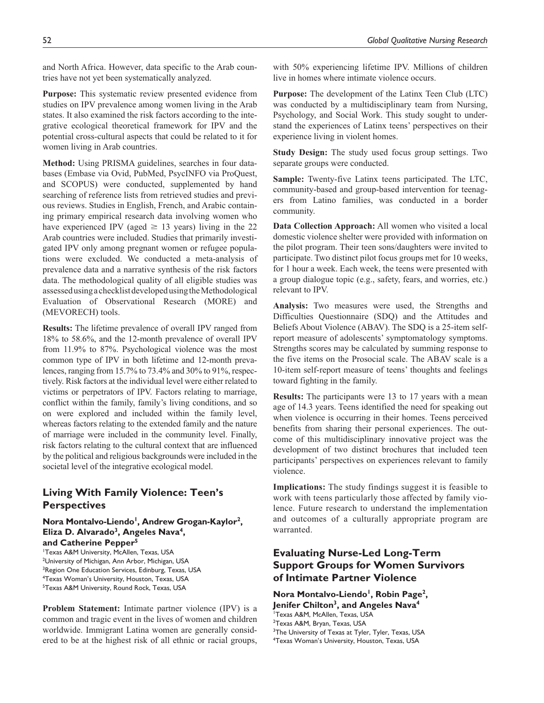and North Africa. However, data specific to the Arab countries have not yet been systematically analyzed.

**Purpose:** This systematic review presented evidence from studies on IPV prevalence among women living in the Arab states. It also examined the risk factors according to the integrative ecological theoretical framework for IPV and the potential cross-cultural aspects that could be related to it for women living in Arab countries.

**Method:** Using PRISMA guidelines, searches in four databases (Embase via Ovid, PubMed, PsycINFO via ProQuest, and SCOPUS) were conducted, supplemented by hand searching of reference lists from retrieved studies and previous reviews. Studies in English, French, and Arabic containing primary empirical research data involving women who have experienced IPV (aged  $\geq$  13 years) living in the 22 Arab countries were included. Studies that primarily investigated IPV only among pregnant women or refugee populations were excluded. We conducted a meta-analysis of prevalence data and a narrative synthesis of the risk factors data. The methodological quality of all eligible studies was assessed using a checklist developed using the Methodological Evaluation of Observational Research (MORE) and (MEVORECH) tools.

**Results:** The lifetime prevalence of overall IPV ranged from 18% to 58.6%, and the 12-month prevalence of overall IPV from 11.9% to 87%. Psychological violence was the most common type of IPV in both lifetime and 12-month prevalences, ranging from 15.7% to 73.4% and 30% to 91%, respectively. Risk factors at the individual level were either related to victims or perpetrators of IPV. Factors relating to marriage, conflict within the family, family's living conditions, and so on were explored and included within the family level, whereas factors relating to the extended family and the nature of marriage were included in the community level. Finally, risk factors relating to the cultural context that are influenced by the political and religious backgrounds were included in the societal level of the integrative ecological model.

# **Living With Family Violence: Teen's Perspectives**

Nora Montalvo-Liendo<sup>1</sup>, Andrew Grogan-Kaylor<sup>2</sup>, Eliza D. Alvarado<sup>3</sup>, Angeles Nava<sup>4</sup>, **and Catherine Pepper5**

1 Texas A&M University, McAllen, Texas, USA <sup>2</sup>University of Michigan, Ann Arbor, Michigan, USA <sup>3</sup>Region One Education Services, Edinburg, Texas, USA 4 Texas Woman's University, Houston, Texas, USA 5 Texas A&M University, Round Rock, Texas, USA

**Problem Statement:** Intimate partner violence (IPV) is a common and tragic event in the lives of women and children worldwide. Immigrant Latina women are generally considered to be at the highest risk of all ethnic or racial groups,

with 50% experiencing lifetime IPV. Millions of children live in homes where intimate violence occurs.

**Purpose:** The development of the Latinx Teen Club (LTC) was conducted by a multidisciplinary team from Nursing, Psychology, and Social Work. This study sought to understand the experiences of Latinx teens' perspectives on their experience living in violent homes.

**Study Design:** The study used focus group settings. Two separate groups were conducted.

**Sample:** Twenty-five Latinx teens participated. The LTC, community-based and group-based intervention for teenagers from Latino families, was conducted in a border community.

**Data Collection Approach:** All women who visited a local domestic violence shelter were provided with information on the pilot program. Their teen sons/daughters were invited to participate. Two distinct pilot focus groups met for 10 weeks, for 1 hour a week. Each week, the teens were presented with a group dialogue topic (e.g., safety, fears, and worries, etc.) relevant to IPV.

**Analysis:** Two measures were used, the Strengths and Difficulties Questionnaire (SDQ) and the Attitudes and Beliefs About Violence (ABAV). The SDQ is a 25-item selfreport measure of adolescents' symptomatology symptoms. Strengths scores may be calculated by summing response to the five items on the Prosocial scale. The ABAV scale is a 10-item self-report measure of teens' thoughts and feelings toward fighting in the family.

**Results:** The participants were 13 to 17 years with a mean age of 14.3 years. Teens identified the need for speaking out when violence is occurring in their homes. Teens perceived benefits from sharing their personal experiences. The outcome of this multidisciplinary innovative project was the development of two distinct brochures that included teen participants' perspectives on experiences relevant to family violence.

**Implications:** The study findings suggest it is feasible to work with teens particularly those affected by family violence. Future research to understand the implementation and outcomes of a culturally appropriate program are warranted.

# **Evaluating Nurse-Led Long-Term Support Groups for Women Survivors of Intimate Partner Violence**

Nora Montalvo-Liendo<sup>1</sup>, Robin Page<sup>2</sup>, **Jenifer Chilton3, and Angeles Nava4** 1 Texas A&M, McAllen, Texas, USA <sup>2</sup>Texas A&M, Bryan, Texas, USA

<sup>3</sup>The University of Texas at Tyler, Tyler, Texas, USA

4 Texas Woman's University, Houston, Texas, USA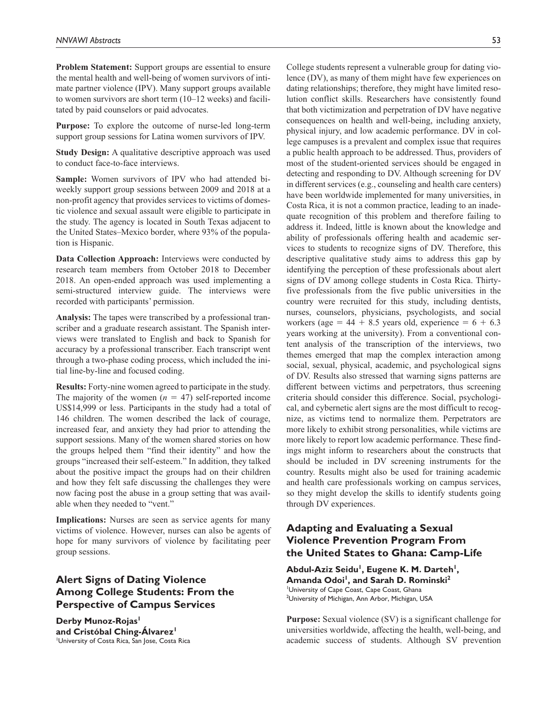**Problem Statement:** Support groups are essential to ensure the mental health and well-being of women survivors of intimate partner violence (IPV). Many support groups available to women survivors are short term (10–12 weeks) and facilitated by paid counselors or paid advocates.

**Purpose:** To explore the outcome of nurse-led long-term support group sessions for Latina women survivors of IPV.

**Study Design:** A qualitative descriptive approach was used to conduct face-to-face interviews.

**Sample:** Women survivors of IPV who had attended biweekly support group sessions between 2009 and 2018 at a non-profit agency that provides services to victims of domestic violence and sexual assault were eligible to participate in the study. The agency is located in South Texas adjacent to the United States–Mexico border, where 93% of the population is Hispanic.

**Data Collection Approach:** Interviews were conducted by research team members from October 2018 to December 2018. An open-ended approach was used implementing a semi-structured interview guide. The interviews were recorded with participants' permission.

**Analysis:** The tapes were transcribed by a professional transcriber and a graduate research assistant. The Spanish interviews were translated to English and back to Spanish for accuracy by a professional transcriber. Each transcript went through a two-phase coding process, which included the initial line-by-line and focused coding.

**Results:** Forty-nine women agreed to participate in the study. The majority of the women  $(n = 47)$  self-reported income US\$14,999 or less. Participants in the study had a total of 146 children. The women described the lack of courage, increased fear, and anxiety they had prior to attending the support sessions. Many of the women shared stories on how the groups helped them "find their identity" and how the groups "increased their self-esteem." In addition, they talked about the positive impact the groups had on their children and how they felt safe discussing the challenges they were now facing post the abuse in a group setting that was available when they needed to "vent."

**Implications:** Nurses are seen as service agents for many victims of violence. However, nurses can also be agents of hope for many survivors of violence by facilitating peer group sessions.

# **Alert Signs of Dating Violence Among College Students: From the Perspective of Campus Services**

Derby Munoz-Rojas<sup>1</sup> **and Cristóbal Ching-Álvarez1** 1 University of Costa Rica, San Jose, Costa Rica College students represent a vulnerable group for dating violence (DV), as many of them might have few experiences on dating relationships; therefore, they might have limited resolution conflict skills. Researchers have consistently found that both victimization and perpetration of DV have negative consequences on health and well-being, including anxiety, physical injury, and low academic performance. DV in college campuses is a prevalent and complex issue that requires a public health approach to be addressed. Thus, providers of most of the student-oriented services should be engaged in detecting and responding to DV. Although screening for DV in different services (e.g., counseling and health care centers) have been worldwide implemented for many universities, in Costa Rica, it is not a common practice, leading to an inadequate recognition of this problem and therefore failing to address it. Indeed, little is known about the knowledge and ability of professionals offering health and academic services to students to recognize signs of DV. Therefore, this descriptive qualitative study aims to address this gap by identifying the perception of these professionals about alert signs of DV among college students in Costa Rica. Thirtyfive professionals from the five public universities in the country were recruited for this study, including dentists, nurses, counselors, physicians, psychologists, and social workers (age =  $44 + 8.5$  years old, experience =  $6 + 6.3$ years working at the university). From a conventional content analysis of the transcription of the interviews, two themes emerged that map the complex interaction among social, sexual, physical, academic, and psychological signs of DV. Results also stressed that warning signs patterns are different between victims and perpetrators, thus screening criteria should consider this difference. Social, psychological, and cybernetic alert signs are the most difficult to recognize, as victims tend to normalize them. Perpetrators are more likely to exhibit strong personalities, while victims are more likely to report low academic performance. These findings might inform to researchers about the constructs that should be included in DV screening instruments for the country. Results might also be used for training academic and health care professionals working on campus services, so they might develop the skills to identify students going through DV experiences.

# **Adapting and Evaluating a Sexual Violence Prevention Program From the United States to Ghana: Camp-Life**

Abdul-Aziz Seidu<sup>1</sup>, Eugene K. M. Darteh<sup>1</sup>, Amanda Odoi<sup>1</sup>, and Sarah D. Rominski<sup>2</sup> 1 University of Cape Coast, Cape Coast, Ghana <sup>2</sup>University of Michigan, Ann Arbor, Michigan, USA

**Purpose:** Sexual violence (SV) is a significant challenge for universities worldwide, affecting the health, well-being, and academic success of students. Although SV prevention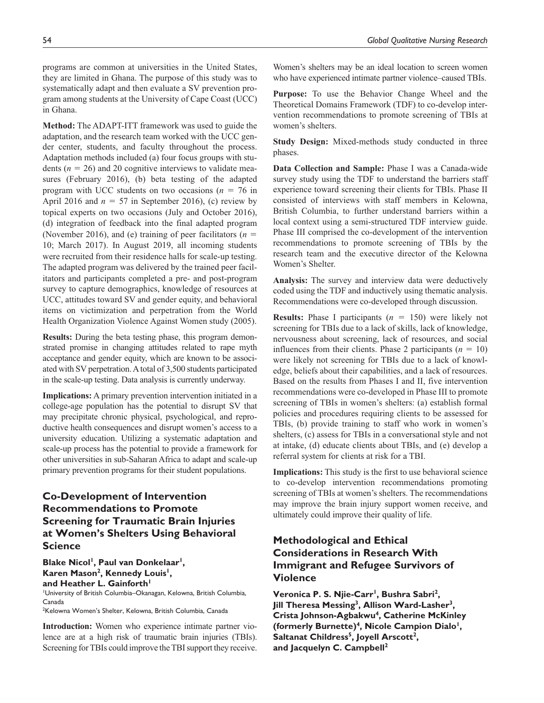programs are common at universities in the United States, they are limited in Ghana. The purpose of this study was to systematically adapt and then evaluate a SV prevention program among students at the University of Cape Coast (UCC) in Ghana.

**Method:** The ADAPT-ITT framework was used to guide the adaptation, and the research team worked with the UCC gender center, students, and faculty throughout the process. Adaptation methods included (a) four focus groups with students ( $n = 26$ ) and 20 cognitive interviews to validate measures (February 2016), (b) beta testing of the adapted program with UCC students on two occasions ( $n = 76$  in April 2016 and  $n = 57$  in September 2016), (c) review by topical experts on two occasions (July and October 2016), (d) integration of feedback into the final adapted program (November 2016), and (e) training of peer facilitators ( $n =$ 10; March 2017). In August 2019, all incoming students were recruited from their residence halls for scale-up testing. The adapted program was delivered by the trained peer facilitators and participants completed a pre- and post-program survey to capture demographics, knowledge of resources at UCC, attitudes toward SV and gender equity, and behavioral items on victimization and perpetration from the World Health Organization Violence Against Women study (2005).

**Results:** During the beta testing phase, this program demonstrated promise in changing attitudes related to rape myth acceptance and gender equity, which are known to be associated with SV perpetration. A total of 3,500 students participated in the scale-up testing. Data analysis is currently underway.

**Implications:** A primary prevention intervention initiated in a college-age population has the potential to disrupt SV that may precipitate chronic physical, psychological, and reproductive health consequences and disrupt women's access to a university education. Utilizing a systematic adaptation and scale-up process has the potential to provide a framework for other universities in sub-Saharan Africa to adapt and scale-up primary prevention programs for their student populations.

# **Co-Development of Intervention Recommendations to Promote Screening for Traumatic Brain Injuries at Women's Shelters Using Behavioral Science**

**Blake Nicol<sup>1</sup>, Paul van Donkelaar<sup>1</sup>,** Karen Mason<sup>2</sup>, Kennedy Louis<sup>1</sup>, and Heather L. Gainforth<sup>1</sup> 1 University of British Columbia–Okanagan, Kelowna, British Columbia, Canada

2 Kelowna Women's Shelter, Kelowna, British Columbia, Canada

**Introduction:** Women who experience intimate partner violence are at a high risk of traumatic brain injuries (TBIs). Screening for TBIs could improve the TBI support they receive.

Women's shelters may be an ideal location to screen women who have experienced intimate partner violence–caused TBIs.

**Purpose:** To use the Behavior Change Wheel and the Theoretical Domains Framework (TDF) to co-develop intervention recommendations to promote screening of TBIs at women's shelters.

**Study Design:** Mixed-methods study conducted in three phases.

**Data Collection and Sample:** Phase I was a Canada-wide survey study using the TDF to understand the barriers staff experience toward screening their clients for TBIs. Phase II consisted of interviews with staff members in Kelowna, British Columbia, to further understand barriers within a local context using a semi-structured TDF interview guide. Phase III comprised the co-development of the intervention recommendations to promote screening of TBIs by the research team and the executive director of the Kelowna Women's Shelter.

**Analysis:** The survey and interview data were deductively coded using the TDF and inductively using thematic analysis. Recommendations were co-developed through discussion.

**Results:** Phase I participants (*n* = 150) were likely not screening for TBIs due to a lack of skills, lack of knowledge, nervousness about screening, lack of resources, and social influences from their clients. Phase 2 participants  $(n = 10)$ were likely not screening for TBIs due to a lack of knowledge, beliefs about their capabilities, and a lack of resources. Based on the results from Phases I and II, five intervention recommendations were co-developed in Phase III to promote screening of TBIs in women's shelters: (a) establish formal policies and procedures requiring clients to be assessed for TBIs, (b) provide training to staff who work in women's shelters, (c) assess for TBIs in a conversational style and not at intake, (d) educate clients about TBIs, and (e) develop a referral system for clients at risk for a TBI.

**Implications:** This study is the first to use behavioral science to co-develop intervention recommendations promoting screening of TBIs at women's shelters. The recommendations may improve the brain injury support women receive, and ultimately could improve their quality of life.

# **Methodological and Ethical Considerations in Research With Immigrant and Refugee Survivors of Violence**

Veronica P. S. Njie-Carr<sup>1</sup>, Bushra Sabri<sup>2</sup>, **Jill Theresa Messing3, Allison Ward-Lasher3, Crista Johnson-Agbakwu4, Catherine McKinley (formerly Burnette)4, Nicole Campion Dialo1,**  Saltanat Childress<sup>5</sup>, Joyell Arscott<sup>2</sup>, **and Jacquelyn C. Campbell2**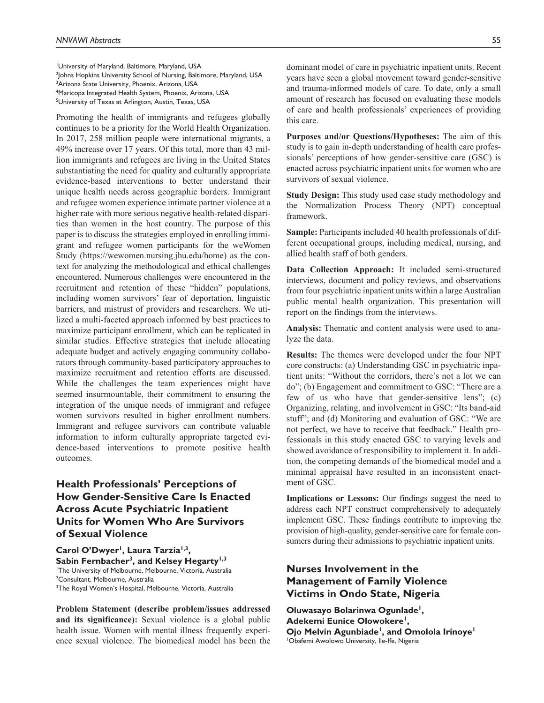University of Maryland, Baltimore, Maryland, USA Johns Hopkins University School of Nursing, Baltimore, Maryland, USA Arizona State University, Phoenix, Arizona, USA Maricopa Integrated Health System, Phoenix, Arizona, USA <sup>5</sup>University of Texas at Arlington, Austin, Texas, USA

Promoting the health of immigrants and refugees globally continues to be a priority for the World Health Organization. In 2017, 258 million people were international migrants, a 49% increase over 17 years. Of this total, more than 43 million immigrants and refugees are living in the United States substantiating the need for quality and culturally appropriate evidence-based interventions to better understand their unique health needs across geographic borders. Immigrant and refugee women experience intimate partner violence at a higher rate with more serious negative health-related disparities than women in the host country. The purpose of this paper is to discuss the strategies employed in enrolling immigrant and refugee women participants for the weWomen Study [\(https://wewomen.nursing.jhu.edu/home\)](https://wewomen.nursing.jhu.edu/home) as the context for analyzing the methodological and ethical challenges encountered. Numerous challenges were encountered in the recruitment and retention of these "hidden" populations, including women survivors' fear of deportation, linguistic barriers, and mistrust of providers and researchers. We utilized a multi-faceted approach informed by best practices to maximize participant enrollment, which can be replicated in similar studies. Effective strategies that include allocating adequate budget and actively engaging community collaborators through community-based participatory approaches to maximize recruitment and retention efforts are discussed. While the challenges the team experiences might have seemed insurmountable, their commitment to ensuring the integration of the unique needs of immigrant and refugee women survivors resulted in higher enrollment numbers. Immigrant and refugee survivors can contribute valuable information to inform culturally appropriate targeted evidence-based interventions to promote positive health outcomes.

# **Health Professionals' Perceptions of How Gender-Sensitive Care Is Enacted Across Acute Psychiatric Inpatient Units for Women Who Are Survivors of Sexual Violence**

Carol O'Dwyer<sup>1</sup>, Laura Tarzia<sup>1,3</sup>, Sabin Fernbacher<sup>3</sup>, and Kelsey Hegarty<sup>1,3</sup> 1 The University of Melbourne, Melbourne, Victoria, Australia <sup>2</sup>Consultant, Melbourne, Australia <sup>3</sup>The Royal Women's Hospital, Melbourne, Victoria, Australia

**Problem Statement (describe problem/issues addressed and its significance):** Sexual violence is a global public health issue. Women with mental illness frequently experience sexual violence. The biomedical model has been the

dominant model of care in psychiatric inpatient units. Recent years have seen a global movement toward gender-sensitive and trauma-informed models of care. To date, only a small amount of research has focused on evaluating these models of care and health professionals' experiences of providing this care.

**Purposes and/or Questions/Hypotheses:** The aim of this study is to gain in-depth understanding of health care professionals' perceptions of how gender-sensitive care (GSC) is enacted across psychiatric inpatient units for women who are survivors of sexual violence.

**Study Design:** This study used case study methodology and the Normalization Process Theory (NPT) conceptual framework.

**Sample:** Participants included 40 health professionals of different occupational groups, including medical, nursing, and allied health staff of both genders.

**Data Collection Approach:** It included semi-structured interviews, document and policy reviews, and observations from four psychiatric inpatient units within a large Australian public mental health organization. This presentation will report on the findings from the interviews.

**Analysis:** Thematic and content analysis were used to analyze the data.

**Results:** The themes were developed under the four NPT core constructs: (a) Understanding GSC in psychiatric inpatient units: "Without the corridors, there's not a lot we can do"; (b) Engagement and commitment to GSC: "There are a few of us who have that gender-sensitive lens"; (c) Organizing, relating, and involvement in GSC: "Its band-aid stuff"; and (d) Monitoring and evaluation of GSC: "We are not perfect, we have to receive that feedback." Health professionals in this study enacted GSC to varying levels and showed avoidance of responsibility to implement it. In addition, the competing demands of the biomedical model and a minimal appraisal have resulted in an inconsistent enactment of GSC.

**Implications or Lessons:** Our findings suggest the need to address each NPT construct comprehensively to adequately implement GSC. These findings contribute to improving the provision of high-quality, gender-sensitive care for female consumers during their admissions to psychiatric inpatient units.

# **Nurses Involvement in the Management of Family Violence Victims in Ondo State, Nigeria**

**Oluwasayo Bolarinwa Ogunlade1, Adekemi Eunice Olowokere1, Ojo Melvin Agunbiade<sup>1</sup>, and Omolola Irinoye<sup>1</sup>** 1 Obafemi Awolowo University, Ile-Ife, Nigeria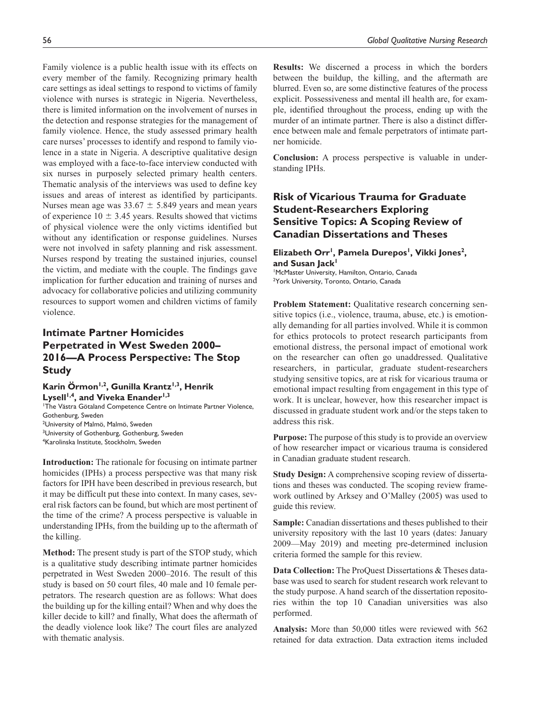Family violence is a public health issue with its effects on every member of the family. Recognizing primary health care settings as ideal settings to respond to victims of family violence with nurses is strategic in Nigeria. Nevertheless, there is limited information on the involvement of nurses in the detection and response strategies for the management of family violence. Hence, the study assessed primary health care nurses' processes to identify and respond to family violence in a state in Nigeria. A descriptive qualitative design was employed with a face-to-face interview conducted with six nurses in purposely selected primary health centers. Thematic analysis of the interviews was used to define key issues and areas of interest as identified by participants. Nurses mean age was  $33.67 \pm 5.849$  years and mean years of experience  $10 \pm 3.45$  years. Results showed that victims of physical violence were the only victims identified but without any identification or response guidelines. Nurses were not involved in safety planning and risk assessment. Nurses respond by treating the sustained injuries, counsel the victim, and mediate with the couple. The findings gave implication for further education and training of nurses and advocacy for collaborative policies and utilizing community resources to support women and children victims of family violence.

# **Intimate Partner Homicides Perpetrated in West Sweden 2000– 2016—A Process Perspective: The Stop Study**

Karin Örmon<sup>1,2</sup>, Gunilla Krantz<sup>1,3</sup>, Henrik Lysell<sup>1,4</sup>, and Viveka Enander<sup>1,3</sup>

1 The Västra Götaland Competence Centre on Intimate Partner Violence, Gothenburg, Sweden <sup>2</sup>University of Malmö, Malmö, Sweden <sup>3</sup>University of Gothenburg, Gothenburg, Sweden 4 Karolinska Institute, Stockholm, Sweden

**Introduction:** The rationale for focusing on intimate partner homicides (IPHs) a process perspective was that many risk factors for IPH have been described in previous research, but it may be difficult put these into context. In many cases, several risk factors can be found, but which are most pertinent of the time of the crime? A process perspective is valuable in understanding IPHs, from the building up to the aftermath of the killing.

**Method:** The present study is part of the STOP study, which is a qualitative study describing intimate partner homicides perpetrated in West Sweden 2000–2016. The result of this study is based on 50 court files, 40 male and 10 female perpetrators. The research question are as follows: What does the building up for the killing entail? When and why does the killer decide to kill? and finally, What does the aftermath of the deadly violence look like? The court files are analyzed with thematic analysis.

**Results:** We discerned a process in which the borders between the buildup, the killing, and the aftermath are blurred. Even so, are some distinctive features of the process explicit. Possessiveness and mental ill health are, for example, identified throughout the process, ending up with the murder of an intimate partner. There is also a distinct difference between male and female perpetrators of intimate partner homicide.

**Conclusion:** A process perspective is valuable in understanding IPHs.

# **Risk of Vicarious Trauma for Graduate Student-Researchers Exploring Sensitive Topics: A Scoping Review of Canadian Dissertations and Theses**

#### Elizabeth Orr<sup>1</sup>, Pamela Durepos<sup>1</sup>, Vikki Jones<sup>2</sup>, and Susan Jack<sup>1</sup>

1 McMaster University, Hamilton, Ontario, Canada <sup>2</sup>York University, Toronto, Ontario, Canada

**Problem Statement:** Qualitative research concerning sensitive topics (i.e., violence, trauma, abuse, etc.) is emotionally demanding for all parties involved. While it is common for ethics protocols to protect research participants from emotional distress, the personal impact of emotional work on the researcher can often go unaddressed. Qualitative researchers, in particular, graduate student-researchers studying sensitive topics, are at risk for vicarious trauma or emotional impact resulting from engagement in this type of work. It is unclear, however, how this researcher impact is discussed in graduate student work and/or the steps taken to address this risk.

**Purpose:** The purpose of this study is to provide an overview of how researcher impact or vicarious trauma is considered in Canadian graduate student research.

**Study Design:** A comprehensive scoping review of dissertations and theses was conducted. The scoping review framework outlined by Arksey and O'Malley (2005) was used to guide this review.

**Sample:** Canadian dissertations and theses published to their university repository with the last 10 years (dates: January 2009—May 2019) and meeting pre-determined inclusion criteria formed the sample for this review.

**Data Collection:** The ProQuest Dissertations & Theses database was used to search for student research work relevant to the study purpose. A hand search of the dissertation repositories within the top 10 Canadian universities was also performed.

**Analysis:** More than 50,000 titles were reviewed with 562 retained for data extraction. Data extraction items included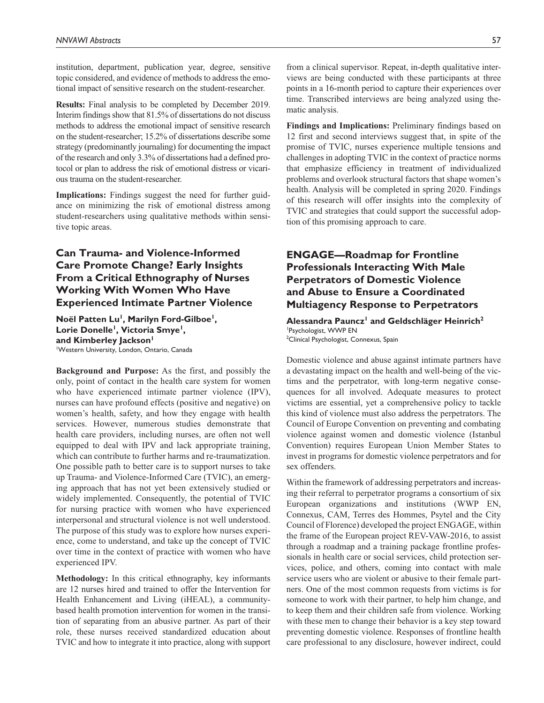institution, department, publication year, degree, sensitive topic considered, and evidence of methods to address the emotional impact of sensitive research on the student-researcher.

**Results:** Final analysis to be completed by December 2019. Interim findings show that 81.5% of dissertations do not discuss methods to address the emotional impact of sensitive research on the student-researcher; 15.2% of dissertations describe some strategy (predominantly journaling) for documenting the impact of the research and only 3.3% of dissertations had a defined protocol or plan to address the risk of emotional distress or vicarious trauma on the student-researcher.

**Implications:** Findings suggest the need for further guidance on minimizing the risk of emotional distress among student-researchers using qualitative methods within sensitive topic areas.

# **Can Trauma- and Violence-Informed Care Promote Change? Early Insights From a Critical Ethnography of Nurses Working With Women Who Have Experienced Intimate Partner Violence**

**Noël Patten Lu1, Marilyn Ford-Gilboe1,**  Lorie Donelle<sup>1</sup>, Victoria Smye<sup>1</sup>, and Kimberley Jackson<sup>1</sup> 1 Western University, London, Ontario, Canada

**Background and Purpose:** As the first, and possibly the only, point of contact in the health care system for women who have experienced intimate partner violence (IPV), nurses can have profound effects (positive and negative) on women's health, safety, and how they engage with health services. However, numerous studies demonstrate that health care providers, including nurses, are often not well equipped to deal with IPV and lack appropriate training, which can contribute to further harms and re-traumatization. One possible path to better care is to support nurses to take up Trauma- and Violence-Informed Care (TVIC), an emerging approach that has not yet been extensively studied or widely implemented. Consequently, the potential of TVIC for nursing practice with women who have experienced interpersonal and structural violence is not well understood. The purpose of this study was to explore how nurses experience, come to understand, and take up the concept of TVIC over time in the context of practice with women who have experienced IPV.

**Methodology:** In this critical ethnography, key informants are 12 nurses hired and trained to offer the Intervention for Health Enhancement and Living (iHEAL), a communitybased health promotion intervention for women in the transition of separating from an abusive partner. As part of their role, these nurses received standardized education about TVIC and how to integrate it into practice, along with support from a clinical supervisor. Repeat, in-depth qualitative interviews are being conducted with these participants at three points in a 16-month period to capture their experiences over time. Transcribed interviews are being analyzed using thematic analysis.

**Findings and Implications:** Preliminary findings based on 12 first and second interviews suggest that, in spite of the promise of TVIC, nurses experience multiple tensions and challenges in adopting TVIC in the context of practice norms that emphasize efficiency in treatment of individualized problems and overlook structural factors that shape women's health. Analysis will be completed in spring 2020. Findings of this research will offer insights into the complexity of TVIC and strategies that could support the successful adoption of this promising approach to care.

# **ENGAGE—Roadmap for Frontline Professionals Interacting With Male Perpetrators of Domestic Violence and Abuse to Ensure a Coordinated Multiagency Response to Perpetrators**

#### Alessandra Pauncz<sup>1</sup> and Geldschläger Heinrich<sup>2</sup> 1 Psychologist, WWP EN <sup>2</sup>Clinical Psychologist, Connexus, Spain

Domestic violence and abuse against intimate partners have a devastating impact on the health and well-being of the victims and the perpetrator, with long-term negative consequences for all involved. Adequate measures to protect victims are essential, yet a comprehensive policy to tackle this kind of violence must also address the perpetrators. The Council of Europe Convention on preventing and combating violence against women and domestic violence (Istanbul Convention) requires European Union Member States to invest in programs for domestic violence perpetrators and for sex offenders.

Within the framework of addressing perpetrators and increasing their referral to perpetrator programs a consortium of six European organizations and institutions (WWP EN, Connexus, CAM, Terres des Hommes, Psytel and the City Council of Florence) developed the project ENGAGE, within the frame of the European project REV-VAW-2016, to assist through a roadmap and a training package frontline professionals in health care or social services, child protection services, police, and others, coming into contact with male service users who are violent or abusive to their female partners. One of the most common requests from victims is for someone to work with their partner, to help him change, and to keep them and their children safe from violence. Working with these men to change their behavior is a key step toward preventing domestic violence. Responses of frontline health care professional to any disclosure, however indirect, could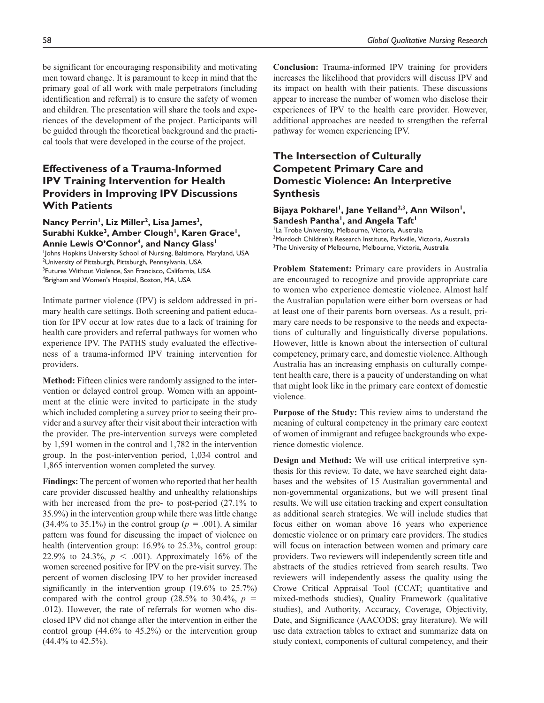be significant for encouraging responsibility and motivating men toward change. It is paramount to keep in mind that the primary goal of all work with male perpetrators (including identification and referral) is to ensure the safety of women and children. The presentation will share the tools and experiences of the development of the project. Participants will be guided through the theoretical background and the practical tools that were developed in the course of the project.

# **Effectiveness of a Trauma-Informed IPV Training Intervention for Health Providers in Improving IPV Discussions With Patients**

Nancy Perrin<sup>1</sup>, Liz Miller<sup>2</sup>, Lisa James<sup>3</sup>, Surabhi Kukke<sup>3</sup>, Amber Clough<sup>1</sup>, Karen Grace<sup>1</sup>, Annie Lewis O'Connor<sup>4</sup>, and Nancy Glass<sup>1</sup> 1 Johns Hopkins University School of Nursing, Baltimore, Maryland, USA 2 University of Pittsburgh, Pittsburgh, Pennsylvania, USA

<sup>3</sup>Futures Without Violence, San Francisco, California, USA 4 Brigham and Women's Hospital, Boston, MA, USA

Intimate partner violence (IPV) is seldom addressed in primary health care settings. Both screening and patient education for IPV occur at low rates due to a lack of training for health care providers and referral pathways for women who experience IPV. The PATHS study evaluated the effectiveness of a trauma-informed IPV training intervention for providers.

**Method:** Fifteen clinics were randomly assigned to the intervention or delayed control group. Women with an appointment at the clinic were invited to participate in the study which included completing a survey prior to seeing their provider and a survey after their visit about their interaction with the provider. The pre-intervention surveys were completed by 1,591 women in the control and 1,782 in the intervention group. In the post-intervention period, 1,034 control and 1,865 intervention women completed the survey.

**Findings:** The percent of women who reported that her health care provider discussed healthy and unhealthy relationships with her increased from the pre- to post-period (27.1% to 35.9%) in the intervention group while there was little change  $(34.4\%$  to 35.1%) in the control group ( $p = .001$ ). A similar pattern was found for discussing the impact of violence on health (intervention group: 16.9% to 25.3%, control group: 22.9% to 24.3%,  $p < .001$ ). Approximately 16% of the women screened positive for IPV on the pre-visit survey. The percent of women disclosing IPV to her provider increased significantly in the intervention group (19.6% to 25.7%) compared with the control group  $(28.5\%$  to  $30.4\%$ ,  $p =$ .012). However, the rate of referrals for women who disclosed IPV did not change after the intervention in either the control group (44.6% to 45.2%) or the intervention group (44.4% to 42.5%).

**Conclusion:** Trauma-informed IPV training for providers increases the likelihood that providers will discuss IPV and its impact on health with their patients. These discussions appear to increase the number of women who disclose their experiences of IPV to the health care provider. However, additional approaches are needed to strengthen the referral pathway for women experiencing IPV.

# **The Intersection of Culturally Competent Primary Care and Domestic Violence: An Interpretive Synthesis**

#### Bijaya Pokharel<sup>i</sup>, Jane Yelland<sup>2,3</sup>, Ann Wilson<sup>i</sup>, Sandesh Pantha<sup>1</sup>, and Angela Taft<sup>1</sup>

<sup>1</sup>La Trobe University, Melbourne, Victoria, Australia 2 Murdoch Children's Research Institute, Parkville, Victoria, Australia <sup>3</sup>The University of Melbourne, Melbourne, Victoria, Australia

**Problem Statement:** Primary care providers in Australia are encouraged to recognize and provide appropriate care to women who experience domestic violence. Almost half the Australian population were either born overseas or had at least one of their parents born overseas. As a result, primary care needs to be responsive to the needs and expectations of culturally and linguistically diverse populations. However, little is known about the intersection of cultural competency, primary care, and domestic violence. Although Australia has an increasing emphasis on culturally competent health care, there is a paucity of understanding on what that might look like in the primary care context of domestic violence.

**Purpose of the Study:** This review aims to understand the meaning of cultural competency in the primary care context of women of immigrant and refugee backgrounds who experience domestic violence.

**Design and Method:** We will use critical interpretive synthesis for this review. To date, we have searched eight databases and the websites of 15 Australian governmental and non-governmental organizations, but we will present final results. We will use citation tracking and expert consultation as additional search strategies. We will include studies that focus either on woman above 16 years who experience domestic violence or on primary care providers. The studies will focus on interaction between women and primary care providers. Two reviewers will independently screen title and abstracts of the studies retrieved from search results. Two reviewers will independently assess the quality using the Crowe Critical Appraisal Tool (CCAT; quantitative and mixed-methods studies), Quality Framework (qualitative studies), and Authority, Accuracy, Coverage, Objectivity, Date, and Significance (AACODS; gray literature). We will use data extraction tables to extract and summarize data on study context, components of cultural competency, and their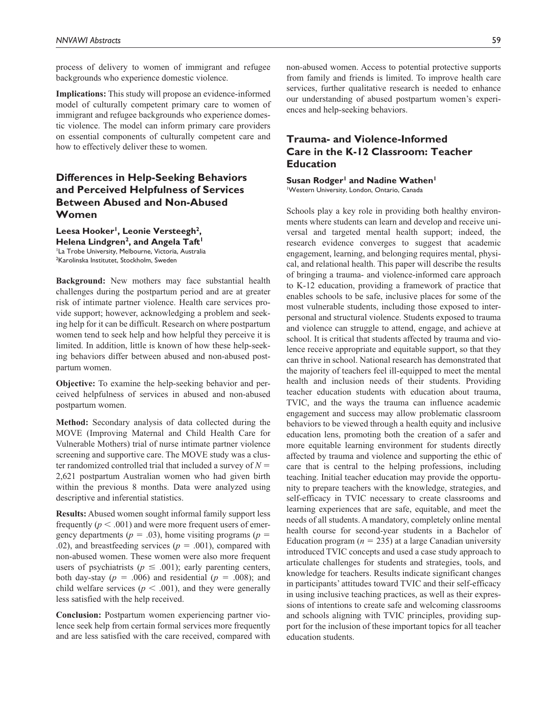process of delivery to women of immigrant and refugee backgrounds who experience domestic violence.

**Implications:** This study will propose an evidence-informed model of culturally competent primary care to women of immigrant and refugee backgrounds who experience domestic violence. The model can inform primary care providers on essential components of culturally competent care and how to effectively deliver these to women.

# **Differences in Help-Seeking Behaviors and Perceived Helpfulness of Services Between Abused and Non-Abused Women**

Leesa Hooker<sup>1</sup>, Leonie Versteegh<sup>2</sup>, Helena Lindgren<sup>2</sup>, and Angela Taft<sup>1</sup> <sup>1</sup>La Trobe University, Melbourne, Victoria, Australia 2 Karolinska Institutet, Stockholm, Sweden

**Background:** New mothers may face substantial health challenges during the postpartum period and are at greater risk of intimate partner violence. Health care services provide support; however, acknowledging a problem and seeking help for it can be difficult. Research on where postpartum women tend to seek help and how helpful they perceive it is limited. In addition, little is known of how these help-seeking behaviors differ between abused and non-abused postpartum women.

**Objective:** To examine the help-seeking behavior and perceived helpfulness of services in abused and non-abused postpartum women.

**Method:** Secondary analysis of data collected during the MOVE (Improving Maternal and Child Health Care for Vulnerable Mothers) trial of nurse intimate partner violence screening and supportive care. The MOVE study was a cluster randomized controlled trial that included a survey of  $N =$ 2,621 postpartum Australian women who had given birth within the previous 8 months. Data were analyzed using descriptive and inferential statistics.

**Results:** Abused women sought informal family support less frequently  $(p < .001)$  and were more frequent users of emergency departments ( $p = .03$ ), home visiting programs ( $p =$ .02), and breastfeeding services ( $p = .001$ ), compared with non-abused women. These women were also more frequent users of psychiatrists ( $p \leq .001$ ); early parenting centers, both day-stay ( $p = .006$ ) and residential ( $p = .008$ ); and child welfare services ( $p < .001$ ), and they were generally less satisfied with the help received.

**Conclusion:** Postpartum women experiencing partner violence seek help from certain formal services more frequently and are less satisfied with the care received, compared with

non-abused women. Access to potential protective supports from family and friends is limited. To improve health care services, further qualitative research is needed to enhance our understanding of abused postpartum women's experiences and help-seeking behaviors.

# **Trauma- and Violence-Informed Care in the K-12 Classroom: Teacher Education**

### **Susan Rodger<sup>1</sup> and Nadine Wathen<sup>1</sup>**

1 Western University, London, Ontario, Canada

Schools play a key role in providing both healthy environments where students can learn and develop and receive universal and targeted mental health support; indeed, the research evidence converges to suggest that academic engagement, learning, and belonging requires mental, physical, and relational health. This paper will describe the results of bringing a trauma- and violence-informed care approach to K-12 education, providing a framework of practice that enables schools to be safe, inclusive places for some of the most vulnerable students, including those exposed to interpersonal and structural violence. Students exposed to trauma and violence can struggle to attend, engage, and achieve at school. It is critical that students affected by trauma and violence receive appropriate and equitable support, so that they can thrive in school. National research has demonstrated that the majority of teachers feel ill-equipped to meet the mental health and inclusion needs of their students. Providing teacher education students with education about trauma, TVIC, and the ways the trauma can influence academic engagement and success may allow problematic classroom behaviors to be viewed through a health equity and inclusive education lens, promoting both the creation of a safer and more equitable learning environment for students directly affected by trauma and violence and supporting the ethic of care that is central to the helping professions, including teaching. Initial teacher education may provide the opportunity to prepare teachers with the knowledge, strategies, and self-efficacy in TVIC necessary to create classrooms and learning experiences that are safe, equitable, and meet the needs of all students. A mandatory, completely online mental health course for second-year students in a Bachelor of Education program ( $n = 235$ ) at a large Canadian university introduced TVIC concepts and used a case study approach to articulate challenges for students and strategies, tools, and knowledge for teachers. Results indicate significant changes in participants' attitudes toward TVIC and their self-efficacy in using inclusive teaching practices, as well as their expressions of intentions to create safe and welcoming classrooms and schools aligning with TVIC principles, providing support for the inclusion of these important topics for all teacher education students.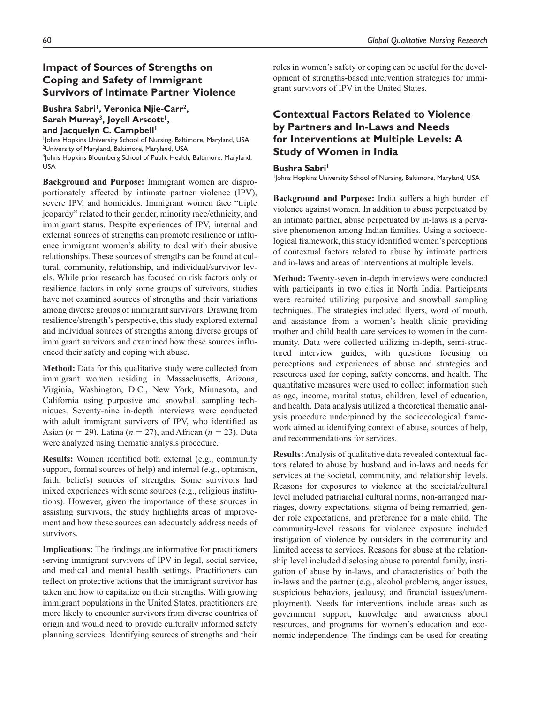# **Impact of Sources of Strengths on Coping and Safety of Immigrant Survivors of Intimate Partner Violence**

#### Bushra Sabri<sup>1</sup>, Veronica Njie-Carr<sup>2</sup>, Sarah Murray<sup>3</sup>, Joyell Arscott<sup>1</sup>, and Jacquelyn C. Campbell<sup>1</sup>

1 Johns Hopkins University School of Nursing, Baltimore, Maryland, USA <sup>2</sup>University of Maryland, Baltimore, Maryland, USA <sup>3</sup>Johns Hopkins Bloomberg School of Public Health, Baltimore, Maryland, USA

**Background and Purpose:** Immigrant women are disproportionately affected by intimate partner violence (IPV), severe IPV, and homicides. Immigrant women face "triple jeopardy" related to their gender, minority race/ethnicity, and immigrant status. Despite experiences of IPV, internal and external sources of strengths can promote resilience or influence immigrant women's ability to deal with their abusive relationships. These sources of strengths can be found at cultural, community, relationship, and individual/survivor levels. While prior research has focused on risk factors only or resilience factors in only some groups of survivors, studies have not examined sources of strengths and their variations among diverse groups of immigrant survivors. Drawing from resilience/strength's perspective, this study explored external and individual sources of strengths among diverse groups of immigrant survivors and examined how these sources influenced their safety and coping with abuse.

**Method:** Data for this qualitative study were collected from immigrant women residing in Massachusetts, Arizona, Virginia, Washington, D.C., New York, Minnesota, and California using purposive and snowball sampling techniques. Seventy-nine in-depth interviews were conducted with adult immigrant survivors of IPV, who identified as Asian (*n* = 29), Latina (*n* = 27), and African (*n* = 23). Data were analyzed using thematic analysis procedure.

**Results:** Women identified both external (e.g., community support, formal sources of help) and internal (e.g., optimism, faith, beliefs) sources of strengths. Some survivors had mixed experiences with some sources (e.g., religious institutions). However, given the importance of these sources in assisting survivors, the study highlights areas of improvement and how these sources can adequately address needs of survivors.

**Implications:** The findings are informative for practitioners serving immigrant survivors of IPV in legal, social service, and medical and mental health settings. Practitioners can reflect on protective actions that the immigrant survivor has taken and how to capitalize on their strengths. With growing immigrant populations in the United States, practitioners are more likely to encounter survivors from diverse countries of origin and would need to provide culturally informed safety planning services. Identifying sources of strengths and their

roles in women's safety or coping can be useful for the development of strengths-based intervention strategies for immigrant survivors of IPV in the United States.

# **Contextual Factors Related to Violence by Partners and In-Laws and Needs for Interventions at Multiple Levels: A Study of Women in India**

#### **Bushra Sabri<sup>1</sup>**

1 Johns Hopkins University School of Nursing, Baltimore, Maryland, USA

**Background and Purpose:** India suffers a high burden of violence against women. In addition to abuse perpetuated by an intimate partner, abuse perpetuated by in-laws is a pervasive phenomenon among Indian families. Using a socioecological framework, this study identified women's perceptions of contextual factors related to abuse by intimate partners and in-laws and areas of interventions at multiple levels.

**Method:** Twenty-seven in-depth interviews were conducted with participants in two cities in North India. Participants were recruited utilizing purposive and snowball sampling techniques. The strategies included flyers, word of mouth, and assistance from a women's health clinic providing mother and child health care services to women in the community. Data were collected utilizing in-depth, semi-structured interview guides, with questions focusing on perceptions and experiences of abuse and strategies and resources used for coping, safety concerns, and health. The quantitative measures were used to collect information such as age, income, marital status, children, level of education, and health. Data analysis utilized a theoretical thematic analysis procedure underpinned by the socioecological framework aimed at identifying context of abuse, sources of help, and recommendations for services.

**Results:** Analysis of qualitative data revealed contextual factors related to abuse by husband and in-laws and needs for services at the societal, community, and relationship levels. Reasons for exposures to violence at the societal/cultural level included patriarchal cultural norms, non-arranged marriages, dowry expectations, stigma of being remarried, gender role expectations, and preference for a male child. The community-level reasons for violence exposure included instigation of violence by outsiders in the community and limited access to services. Reasons for abuse at the relationship level included disclosing abuse to parental family, instigation of abuse by in-laws, and characteristics of both the in-laws and the partner (e.g., alcohol problems, anger issues, suspicious behaviors, jealousy, and financial issues/unemployment). Needs for interventions include areas such as government support, knowledge and awareness about resources, and programs for women's education and economic independence. The findings can be used for creating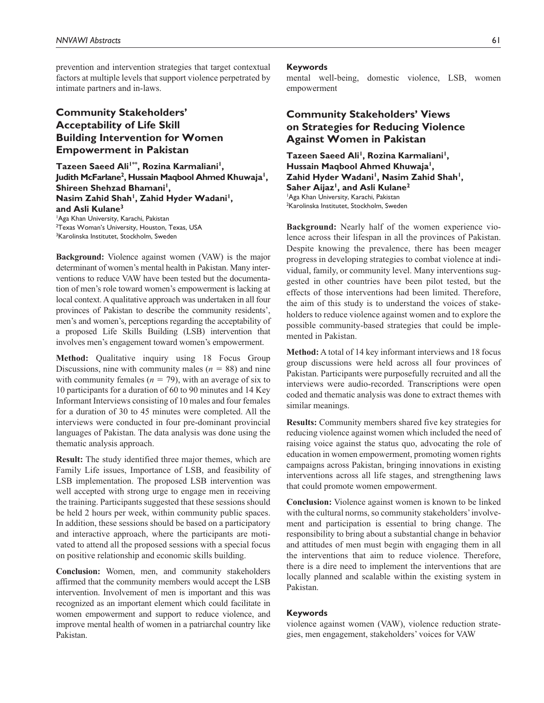prevention and intervention strategies that target contextual factors at multiple levels that support violence perpetrated by intimate partners and in-laws.

# **Community Stakeholders' Acceptability of Life Skill Building Intervention for Women Empowerment in Pakistan**

Tazeen Saeed Ali<sup>1\*\*</sup>, Rozina Karmaliani<sup>1</sup>, **Judith McFarlane2 , Hussain Maqbool Ahmed Khuwaja1, Shireen Shehzad Bhamani<sup>1</sup>,** Nasim Zahid Shah<sup>1</sup>, Zahid Hyder Wadani<sup>1</sup>, **and Asli Kulane3** 1 Aga Khan University, Karachi, Pakistan <sup>2</sup>Texas Woman's University, Houston, Texas, USA <sup>3</sup>Karolinska Institutet, Stockholm, Sweden

**Background:** Violence against women (VAW) is the major determinant of women's mental health in Pakistan. Many interventions to reduce VAW have been tested but the documentation of men's role toward women's empowerment is lacking at local context. A qualitative approach was undertaken in all four provinces of Pakistan to describe the community residents', men's and women's, perceptions regarding the acceptability of a proposed Life Skills Building (LSB) intervention that involves men's engagement toward women's empowerment.

**Method:** Qualitative inquiry using 18 Focus Group Discussions, nine with community males  $(n = 88)$  and nine with community females ( $n = 79$ ), with an average of six to 10 participants for a duration of 60 to 90 minutes and 14 Key Informant Interviews consisting of 10 males and four females for a duration of 30 to 45 minutes were completed. All the interviews were conducted in four pre-dominant provincial languages of Pakistan. The data analysis was done using the thematic analysis approach.

**Result:** The study identified three major themes, which are Family Life issues, Importance of LSB, and feasibility of LSB implementation. The proposed LSB intervention was well accepted with strong urge to engage men in receiving the training. Participants suggested that these sessions should be held 2 hours per week, within community public spaces. In addition, these sessions should be based on a participatory and interactive approach, where the participants are motivated to attend all the proposed sessions with a special focus on positive relationship and economic skills building.

**Conclusion:** Women, men, and community stakeholders affirmed that the community members would accept the LSB intervention. Involvement of men is important and this was recognized as an important element which could facilitate in women empowerment and support to reduce violence, and improve mental health of women in a patriarchal country like Pakistan.

#### **Keywords**

mental well-being, domestic violence, LSB, women empowerment

# **Community Stakeholders' Views on Strategies for Reducing Violence Against Women in Pakistan**

Tazeen Saeed Ali<sup>1</sup>, Rozina Karmaliani<sup>1</sup>, Hussain Magbool Ahmed Khuwaja<sup>1</sup>, Zahid Hyder Wadani<sup>1</sup>, Nasim Zahid Shah<sup>1</sup>, Saher Aijaz<sup>1</sup>, and Asli Kulane<sup>2</sup> 1 Aga Khan University, Karachi, Pakistan 2 Karolinska Institutet, Stockholm, Sweden

**Background:** Nearly half of the women experience violence across their lifespan in all the provinces of Pakistan. Despite knowing the prevalence, there has been meager progress in developing strategies to combat violence at individual, family, or community level. Many interventions suggested in other countries have been pilot tested, but the effects of those interventions had been limited. Therefore, the aim of this study is to understand the voices of stakeholders to reduce violence against women and to explore the possible community-based strategies that could be implemented in Pakistan.

**Method:** A total of 14 key informant interviews and 18 focus group discussions were held across all four provinces of Pakistan. Participants were purposefully recruited and all the interviews were audio-recorded. Transcriptions were open coded and thematic analysis was done to extract themes with similar meanings.

**Results:** Community members shared five key strategies for reducing violence against women which included the need of raising voice against the status quo, advocating the role of education in women empowerment, promoting women rights campaigns across Pakistan, bringing innovations in existing interventions across all life stages, and strengthening laws that could promote women empowerment.

**Conclusion:** Violence against women is known to be linked with the cultural norms, so community stakeholders' involvement and participation is essential to bring change. The responsibility to bring about a substantial change in behavior and attitudes of men must begin with engaging them in all the interventions that aim to reduce violence. Therefore, there is a dire need to implement the interventions that are locally planned and scalable within the existing system in Pakistan.

#### **Keywords**

violence against women (VAW), violence reduction strategies, men engagement, stakeholders' voices for VAW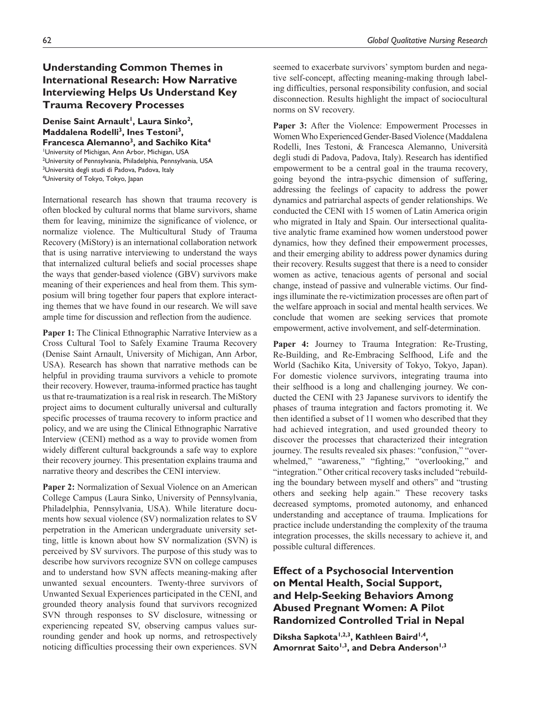## 62 *Global Qualitative Nursing Research*

# **Understanding Common Themes in International Research: How Narrative Interviewing Helps Us Understand Key Trauma Recovery Processes**

Denise Saint Arnault<sup>1</sup>, Laura Sinko<sup>2</sup>, Maddalena Rodelli<sup>3</sup>, Ines Testoni<sup>3</sup>, **Francesca Alemanno3, and Sachiko Kita4** 1 University of Michigan, Ann Arbor, Michigan, USA 2 University of Pennsylvania, Philadelphia, Pennsylvania, USA <sup>3</sup>Università degli studi di Padova, Padova, Italy 4 University of Tokyo, Tokyo, Japan

International research has shown that trauma recovery is often blocked by cultural norms that blame survivors, shame them for leaving, minimize the significance of violence, or normalize violence. The Multicultural Study of Trauma Recovery (MiStory) is an international collaboration network that is using narrative interviewing to understand the ways that internalized cultural beliefs and social processes shape the ways that gender-based violence (GBV) survivors make meaning of their experiences and heal from them. This symposium will bring together four papers that explore interacting themes that we have found in our research. We will save ample time for discussion and reflection from the audience.

Paper 1: The Clinical Ethnographic Narrative Interview as a Cross Cultural Tool to Safely Examine Trauma Recovery (Denise Saint Arnault, University of Michigan, Ann Arbor, USA). Research has shown that narrative methods can be helpful in providing trauma survivors a vehicle to promote their recovery. However, trauma-informed practice has taught us that re-traumatization is a real risk in research. The MiStory project aims to document culturally universal and culturally specific processes of trauma recovery to inform practice and policy, and we are using the Clinical Ethnographic Narrative Interview (CENI) method as a way to provide women from widely different cultural backgrounds a safe way to explore their recovery journey. This presentation explains trauma and narrative theory and describes the CENI interview.

**Paper 2:** Normalization of Sexual Violence on an American College Campus (Laura Sinko, University of Pennsylvania, Philadelphia, Pennsylvania, USA). While literature documents how sexual violence (SV) normalization relates to SV perpetration in the American undergraduate university setting, little is known about how SV normalization (SVN) is perceived by SV survivors. The purpose of this study was to describe how survivors recognize SVN on college campuses and to understand how SVN affects meaning-making after unwanted sexual encounters. Twenty-three survivors of Unwanted Sexual Experiences participated in the CENI, and grounded theory analysis found that survivors recognized SVN through responses to SV disclosure, witnessing or experiencing repeated SV, observing campus values surrounding gender and hook up norms, and retrospectively noticing difficulties processing their own experiences. SVN

seemed to exacerbate survivors' symptom burden and negative self-concept, affecting meaning-making through labeling difficulties, personal responsibility confusion, and social disconnection. Results highlight the impact of sociocultural norms on SV recovery.

**Paper 3:** After the Violence: Empowerment Processes in Women Who Experienced Gender-Based Violence (Maddalena Rodelli, Ines Testoni, & Francesca Alemanno, Università degli studi di Padova, Padova, Italy). Research has identified empowerment to be a central goal in the trauma recovery, going beyond the intra-psychic dimension of suffering, addressing the feelings of capacity to address the power dynamics and patriarchal aspects of gender relationships. We conducted the CENI with 15 women of Latin America origin who migrated in Italy and Spain. Our intersectional qualitative analytic frame examined how women understood power dynamics, how they defined their empowerment processes, and their emerging ability to address power dynamics during their recovery. Results suggest that there is a need to consider women as active, tenacious agents of personal and social change, instead of passive and vulnerable victims. Our findings illuminate the re-victimization processes are often part of the welfare approach in social and mental health services. We conclude that women are seeking services that promote empowerment, active involvement, and self-determination.

Paper 4: Journey to Trauma Integration: Re-Trusting, Re-Building, and Re-Embracing Selfhood, Life and the World (Sachiko Kita, University of Tokyo, Tokyo, Japan). For domestic violence survivors, integrating trauma into their selfhood is a long and challenging journey. We conducted the CENI with 23 Japanese survivors to identify the phases of trauma integration and factors promoting it. We then identified a subset of 11 women who described that they had achieved integration, and used grounded theory to discover the processes that characterized their integration journey. The results revealed six phases: "confusion," "overwhelmed," "awareness," "fighting," "overlooking," and "integration." Other critical recovery tasks included "rebuilding the boundary between myself and others" and "trusting others and seeking help again." These recovery tasks decreased symptoms, promoted autonomy, and enhanced understanding and acceptance of trauma. Implications for practice include understanding the complexity of the trauma integration processes, the skills necessary to achieve it, and possible cultural differences.

# **Effect of a Psychosocial Intervention on Mental Health, Social Support, and Help-Seeking Behaviors Among Abused Pregnant Women: A Pilot Randomized Controlled Trial in Nepal**

Diksha Sapkota<sup>1,2,3</sup>, Kathleen Baird<sup>1,4</sup>, Amornrat Saito<sup>1,3</sup>, and Debra Anderson<sup>1,3</sup>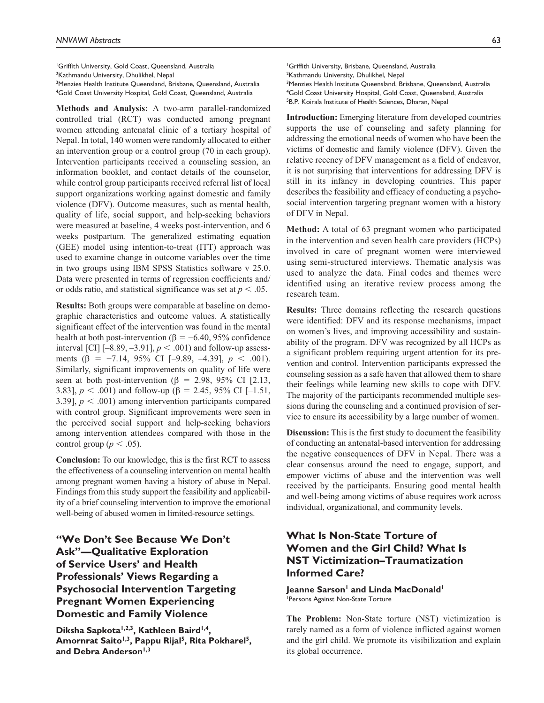1 Griffith University, Gold Coast, Queensland, Australia <sup>2</sup>Kathmandu University, Dhulikhel, Nepal <sup>3</sup>Menzies Health Institute Queensland, Brisbane, Queensland, Australia 4 Gold Coast University Hospital, Gold Coast, Queensland, Australia

**Methods and Analysis:** A two-arm parallel-randomized controlled trial (RCT) was conducted among pregnant women attending antenatal clinic of a tertiary hospital of Nepal. In total, 140 women were randomly allocated to either an intervention group or a control group (70 in each group). Intervention participants received a counseling session, an information booklet, and contact details of the counselor, while control group participants received referral list of local support organizations working against domestic and family violence (DFV). Outcome measures, such as mental health, quality of life, social support, and help-seeking behaviors were measured at baseline, 4 weeks post-intervention, and 6 weeks postpartum. The generalized estimating equation (GEE) model using intention-to-treat (ITT) approach was used to examine change in outcome variables over the time in two groups using IBM SPSS Statistics software v 25.0. Data were presented in terms of regression coefficients and/ or odds ratio, and statistical significance was set at *p* < .05.

**Results:** Both groups were comparable at baseline on demographic characteristics and outcome values. A statistically significant effect of the intervention was found in the mental health at both post-intervention ( $\beta = -6.40, 95\%$  confidence interval [CI]  $[-8.89, -3.91]$ ,  $p < .001$  and follow-up assessments (β = −7.14, 95% CI [–9.89, –4.39], *p* < .001). Similarly, significant improvements on quality of life were seen at both post-intervention ( $\beta$  = 2.98, 95% CI [2.13, 3.83],  $p < .001$ ) and follow-up ( $\beta = 2.45, 95\%$  CI [-1.51, 3.39],  $p < .001$ ) among intervention participants compared with control group. Significant improvements were seen in the perceived social support and help-seeking behaviors among intervention attendees compared with those in the control group ( $p < .05$ ).

**Conclusion:** To our knowledge, this is the first RCT to assess the effectiveness of a counseling intervention on mental health among pregnant women having a history of abuse in Nepal. Findings from this study support the feasibility and applicability of a brief counseling intervention to improve the emotional well-being of abused women in limited-resource settings.

**"We Don't See Because We Don't Ask"—Qualitative Exploration of Service Users' and Health Professionals' Views Regarding a Psychosocial Intervention Targeting Pregnant Women Experiencing Domestic and Family Violence**

Diksha Sapkota<sup>1,2,3</sup>, Kathleen Baird<sup>1,4</sup>, Amornrat Saito<sup>1,3</sup>, Pappu Rijal<sup>5</sup>, Rita Pokharel<sup>5</sup>, and Debra Anderson<sup>1,3</sup>

1 Griffith University, Brisbane, Queensland, Australia <sup>2</sup>Kathmandu University, Dhulikhel, Nepal <sup>3</sup>Menzies Health Institute Queensland, Brisbane, Queensland, Australia 4 Gold Coast University Hospital, Gold Coast, Queensland, Australia 5 B.P. Koirala Institute of Health Sciences, Dharan, Nepal

**Introduction:** Emerging literature from developed countries supports the use of counseling and safety planning for addressing the emotional needs of women who have been the victims of domestic and family violence (DFV). Given the relative recency of DFV management as a field of endeavor, it is not surprising that interventions for addressing DFV is still in its infancy in developing countries. This paper describes the feasibility and efficacy of conducting a psychosocial intervention targeting pregnant women with a history of DFV in Nepal.

**Method:** A total of 63 pregnant women who participated in the intervention and seven health care providers (HCPs) involved in care of pregnant women were interviewed using semi-structured interviews. Thematic analysis was used to analyze the data. Final codes and themes were identified using an iterative review process among the research team.

**Results:** Three domains reflecting the research questions were identified: DFV and its response mechanisms, impact on women's lives, and improving accessibility and sustainability of the program. DFV was recognized by all HCPs as a significant problem requiring urgent attention for its prevention and control. Intervention participants expressed the counseling session as a safe haven that allowed them to share their feelings while learning new skills to cope with DFV. The majority of the participants recommended multiple sessions during the counseling and a continued provision of service to ensure its accessibility by a large number of women.

**Discussion:** This is the first study to document the feasibility of conducting an antenatal-based intervention for addressing the negative consequences of DFV in Nepal. There was a clear consensus around the need to engage, support, and empower victims of abuse and the intervention was well received by the participants. Ensuring good mental health and well-being among victims of abuse requires work across individual, organizational, and community levels.

# **What Is Non-State Torture of Women and the Girl Child? What Is NST Victimization–Traumatization Informed Care?**

Jeanne Sarson<sup>1</sup> and Linda MacDonald<sup>1</sup> 1 Persons Against Non-State Torture

**The Problem:** Non-State torture (NST) victimization is rarely named as a form of violence inflicted against women and the girl child. We promote its visibilization and explain its global occurrence.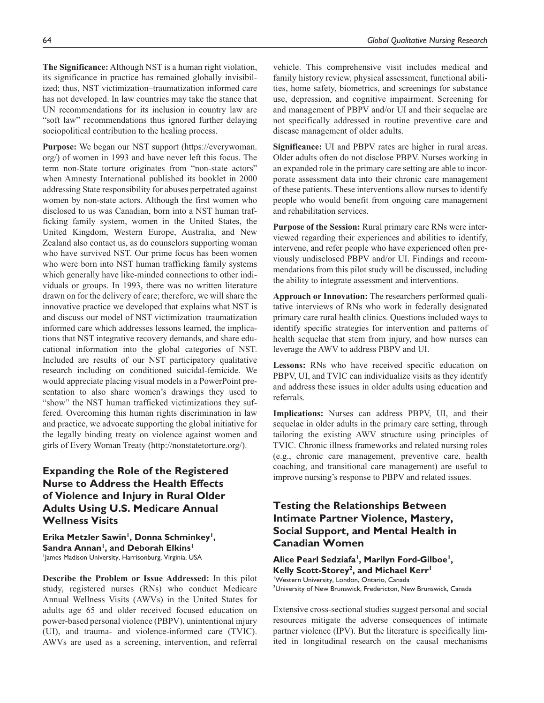**The Significance:** Although NST is a human right violation, its significance in practice has remained globally invisibilized; thus, NST victimization–traumatization informed care has not developed. In law countries may take the stance that UN recommendations for its inclusion in country law are "soft law" recommendations thus ignored further delaying sociopolitical contribution to the healing process.

**Purpose:** We began our NST support ([https://everywoman.](https://everywoman.org/) [org/\)](https://everywoman.org/) of women in 1993 and have never left this focus. The term non-State torture originates from "non-state actors" when Amnesty International published its booklet in 2000 addressing State responsibility for abuses perpetrated against women by non-state actors. Although the first women who disclosed to us was Canadian, born into a NST human trafficking family system, women in the United States, the United Kingdom, Western Europe, Australia, and New Zealand also contact us, as do counselors supporting woman who have survived NST. Our prime focus has been women who were born into NST human trafficking family systems which generally have like-minded connections to other individuals or groups. In 1993, there was no written literature drawn on for the delivery of care; therefore, we will share the innovative practice we developed that explains what NST is and discuss our model of NST victimization–traumatization informed care which addresses lessons learned, the implications that NST integrative recovery demands, and share educational information into the global categories of NST. Included are results of our NST participatory qualitative research including on conditioned suicidal-femicide. We would appreciate placing visual models in a PowerPoint presentation to also share women's drawings they used to "show" the NST human trafficked victimizations they suffered. Overcoming this human rights discrimination in law and practice, we advocate supporting the global initiative for the legally binding treaty on violence against women and girls of Every Woman Treaty [\(http://nonstatetorture.org/](http://nonstatetorture.org/)).

# **Expanding the Role of the Registered Nurse to Address the Health Effects of Violence and Injury in Rural Older Adults Using U.S. Medicare Annual Wellness Visits**

Erika Metzler Sawin<sup>1</sup>, Donna Schminkey<sup>1</sup>, Sandra Annan<sup>1</sup>, and Deborah Elkins<sup>1</sup> 1 James Madison University, Harrisonburg, Virginia, USA

**Describe the Problem or Issue Addressed:** In this pilot study, registered nurses (RNs) who conduct Medicare Annual Wellness Visits (AWVs) in the United States for adults age 65 and older received focused education on power-based personal violence (PBPV), unintentional injury (UI), and trauma- and violence-informed care (TVIC). AWVs are used as a screening, intervention, and referral

vehicle. This comprehensive visit includes medical and family history review, physical assessment, functional abilities, home safety, biometrics, and screenings for substance use, depression, and cognitive impairment. Screening for and management of PBPV and/or UI and their sequelae are not specifically addressed in routine preventive care and disease management of older adults.

**Significance:** UI and PBPV rates are higher in rural areas. Older adults often do not disclose PBPV. Nurses working in an expanded role in the primary care setting are able to incorporate assessment data into their chronic care management of these patients. These interventions allow nurses to identify people who would benefit from ongoing care management and rehabilitation services.

**Purpose of the Session:** Rural primary care RNs were interviewed regarding their experiences and abilities to identify, intervene, and refer people who have experienced often previously undisclosed PBPV and/or UI. Findings and recommendations from this pilot study will be discussed, including the ability to integrate assessment and interventions.

**Approach or Innovation:** The researchers performed qualitative interviews of RNs who work in federally designated primary care rural health clinics. Questions included ways to identify specific strategies for intervention and patterns of health sequelae that stem from injury, and how nurses can leverage the AWV to address PBPV and UI.

**Lessons:** RNs who have received specific education on PBPV, UI, and TVIC can individualize visits as they identify and address these issues in older adults using education and referrals.

**Implications:** Nurses can address PBPV, UI, and their sequelae in older adults in the primary care setting, through tailoring the existing AWV structure using principles of TVIC. Chronic illness frameworks and related nursing roles (e.g., chronic care management, preventive care, health coaching, and transitional care management) are useful to improve nursing's response to PBPV and related issues.

# **Testing the Relationships Between Intimate Partner Violence, Mastery, Social Support, and Mental Health in Canadian Women**

**Alice Pearl Sedziafa1, Marilyn Ford-Gilboe1, Kelly Scott-Storey2, and Michael Kerr1** 1 Western University, London, Ontario, Canada 2 University of New Brunswick, Fredericton, New Brunswick, Canada

Extensive cross-sectional studies suggest personal and social resources mitigate the adverse consequences of intimate partner violence (IPV). But the literature is specifically limited in longitudinal research on the causal mechanisms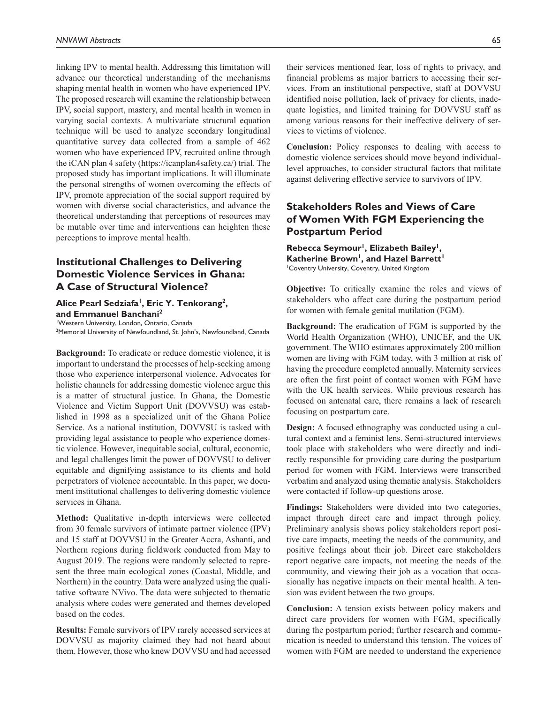linking IPV to mental health. Addressing this limitation will advance our theoretical understanding of the mechanisms shaping mental health in women who have experienced IPV. The proposed research will examine the relationship between IPV, social support, mastery, and mental health in women in varying social contexts. A multivariate structural equation technique will be used to analyze secondary longitudinal quantitative survey data collected from a sample of 462 women who have experienced IPV, recruited online through the iCAN plan 4 safety (<https://icanplan4safety.ca/>) trial. The proposed study has important implications. It will illuminate the personal strengths of women overcoming the effects of IPV, promote appreciation of the social support required by women with diverse social characteristics, and advance the theoretical understanding that perceptions of resources may be mutable over time and interventions can heighten these perceptions to improve mental health.

# **Institutional Challenges to Delivering Domestic Violence Services in Ghana: A Case of Structural Violence?**

#### Alice Pearl Sedziafa<sup>1</sup>, Eric Y. Tenkorang<sup>2</sup>, **and Emmanuel Banchani2**

1 Western University, London, Ontario, Canada 2 Memorial University of Newfoundland, St. John's, Newfoundland, Canada

**Background:** To eradicate or reduce domestic violence, it is important to understand the processes of help-seeking among those who experience interpersonal violence. Advocates for holistic channels for addressing domestic violence argue this is a matter of structural justice. In Ghana, the Domestic Violence and Victim Support Unit (DOVVSU) was established in 1998 as a specialized unit of the Ghana Police Service. As a national institution, DOVVSU is tasked with providing legal assistance to people who experience domestic violence. However, inequitable social, cultural, economic, and legal challenges limit the power of DOVVSU to deliver equitable and dignifying assistance to its clients and hold perpetrators of violence accountable. In this paper, we document institutional challenges to delivering domestic violence services in Ghana.

**Method:** Qualitative in-depth interviews were collected from 30 female survivors of intimate partner violence (IPV) and 15 staff at DOVVSU in the Greater Accra, Ashanti, and Northern regions during fieldwork conducted from May to August 2019. The regions were randomly selected to represent the three main ecological zones (Coastal, Middle, and Northern) in the country. Data were analyzed using the qualitative software NVivo. The data were subjected to thematic analysis where codes were generated and themes developed based on the codes.

**Results:** Female survivors of IPV rarely accessed services at DOVVSU as majority claimed they had not heard about them. However, those who knew DOVVSU and had accessed

their services mentioned fear, loss of rights to privacy, and financial problems as major barriers to accessing their services. From an institutional perspective, staff at DOVVSU identified noise pollution, lack of privacy for clients, inadequate logistics, and limited training for DOVVSU staff as among various reasons for their ineffective delivery of services to victims of violence.

**Conclusion:** Policy responses to dealing with access to domestic violence services should move beyond individuallevel approaches, to consider structural factors that militate against delivering effective service to survivors of IPV.

## **Stakeholders Roles and Views of Care of Women With FGM Experiencing the Postpartum Period**

Rebecca Seymour<sup>1</sup>, Elizabeth Bailey<sup>1</sup>, Katherine Brown<sup>1</sup>, and Hazel Barrett<sup>1</sup> 1 Coventry University, Coventry, United Kingdom

**Objective:** To critically examine the roles and views of stakeholders who affect care during the postpartum period for women with female genital mutilation (FGM).

**Background:** The eradication of FGM is supported by the World Health Organization (WHO), UNICEF, and the UK government. The WHO estimates approximately 200 million women are living with FGM today, with 3 million at risk of having the procedure completed annually. Maternity services are often the first point of contact women with FGM have with the UK health services. While previous research has focused on antenatal care, there remains a lack of research focusing on postpartum care.

**Design:** A focused ethnography was conducted using a cultural context and a feminist lens. Semi-structured interviews took place with stakeholders who were directly and indirectly responsible for providing care during the postpartum period for women with FGM. Interviews were transcribed verbatim and analyzed using thematic analysis. Stakeholders were contacted if follow-up questions arose.

**Findings:** Stakeholders were divided into two categories, impact through direct care and impact through policy. Preliminary analysis shows policy stakeholders report positive care impacts, meeting the needs of the community, and positive feelings about their job. Direct care stakeholders report negative care impacts, not meeting the needs of the community, and viewing their job as a vocation that occasionally has negative impacts on their mental health. A tension was evident between the two groups.

**Conclusion:** A tension exists between policy makers and direct care providers for women with FGM, specifically during the postpartum period; further research and communication is needed to understand this tension. The voices of women with FGM are needed to understand the experience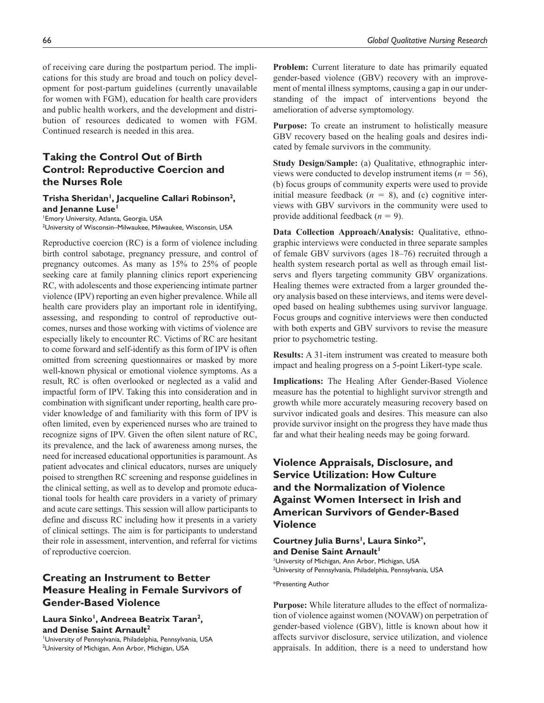of receiving care during the postpartum period. The implications for this study are broad and touch on policy development for post-partum guidelines (currently unavailable for women with FGM), education for health care providers and public health workers, and the development and distribution of resources dedicated to women with FGM. Continued research is needed in this area.

# **Taking the Control Out of Birth Control: Reproductive Coercion and the Nurses Role**

#### Trisha Sheridan<sup>1</sup>, Jacqueline Callari Robinson<sup>2</sup>, and Jenanne Luse<sup>1</sup>

1 Emory University, Atlanta, Georgia, USA 2 University of Wisconsin–Milwaukee, Milwaukee, Wisconsin, USA

Reproductive coercion (RC) is a form of violence including birth control sabotage, pregnancy pressure, and control of pregnancy outcomes. As many as 15% to 25% of people seeking care at family planning clinics report experiencing RC, with adolescents and those experiencing intimate partner violence (IPV) reporting an even higher prevalence. While all health care providers play an important role in identifying, assessing, and responding to control of reproductive outcomes, nurses and those working with victims of violence are especially likely to encounter RC. Victims of RC are hesitant to come forward and self-identify as this form of IPV is often omitted from screening questionnaires or masked by more well-known physical or emotional violence symptoms. As a result, RC is often overlooked or neglected as a valid and impactful form of IPV. Taking this into consideration and in combination with significant under reporting, health care provider knowledge of and familiarity with this form of IPV is often limited, even by experienced nurses who are trained to recognize signs of IPV. Given the often silent nature of RC, its prevalence, and the lack of awareness among nurses, the need for increased educational opportunities is paramount. As patient advocates and clinical educators, nurses are uniquely poised to strengthen RC screening and response guidelines in the clinical setting, as well as to develop and promote educational tools for health care providers in a variety of primary and acute care settings. This session will allow participants to define and discuss RC including how it presents in a variety of clinical settings. The aim is for participants to understand their role in assessment, intervention, and referral for victims of reproductive coercion.

# **Creating an Instrument to Better Measure Healing in Female Survivors of Gender-Based Violence**

Laura Sinko<sup>1</sup>, Andreea Beatrix Taran<sup>2</sup>, **and Denise Saint Arnault2**

1 University of Pennsylvania, Philadelphia, Pennsylvania, USA <sup>2</sup>University of Michigan, Ann Arbor, Michigan, USA

**Problem:** Current literature to date has primarily equated gender-based violence (GBV) recovery with an improvement of mental illness symptoms, causing a gap in our understanding of the impact of interventions beyond the amelioration of adverse symptomology.

**Purpose:** To create an instrument to holistically measure GBV recovery based on the healing goals and desires indicated by female survivors in the community.

**Study Design/Sample:** (a) Qualitative, ethnographic interviews were conducted to develop instrument items ( $n = 56$ ), (b) focus groups of community experts were used to provide initial measure feedback  $(n = 8)$ , and (c) cognitive interviews with GBV survivors in the community were used to provide additional feedback  $(n = 9)$ .

**Data Collection Approach/Analysis:** Qualitative, ethnographic interviews were conducted in three separate samples of female GBV survivors (ages 18–76) recruited through a health system research portal as well as through email listservs and flyers targeting community GBV organizations. Healing themes were extracted from a larger grounded theory analysis based on these interviews, and items were developed based on healing subthemes using survivor language. Focus groups and cognitive interviews were then conducted with both experts and GBV survivors to revise the measure prior to psychometric testing.

**Results:** A 31-item instrument was created to measure both impact and healing progress on a 5-point Likert-type scale.

**Implications:** The Healing After Gender-Based Violence measure has the potential to highlight survivor strength and growth while more accurately measuring recovery based on survivor indicated goals and desires. This measure can also provide survivor insight on the progress they have made thus far and what their healing needs may be going forward.

# **Violence Appraisals, Disclosure, and Service Utilization: How Culture and the Normalization of Violence Against Women Intersect in Irish and American Survivors of Gender-Based Violence**

Courtney Julia Burns<sup>1</sup>, Laura Sinko<sup>2\*</sup>, and Denise Saint Arnault<sup>1</sup> 1 University of Michigan, Ann Arbor, Michigan, USA 2 University of Pennsylvania, Philadelphia, Pennsylvania, USA

\*Presenting Author

**Purpose:** While literature alludes to the effect of normalization of violence against women (NOVAW) on perpetration of gender-based violence (GBV), little is known about how it affects survivor disclosure, service utilization, and violence appraisals. In addition, there is a need to understand how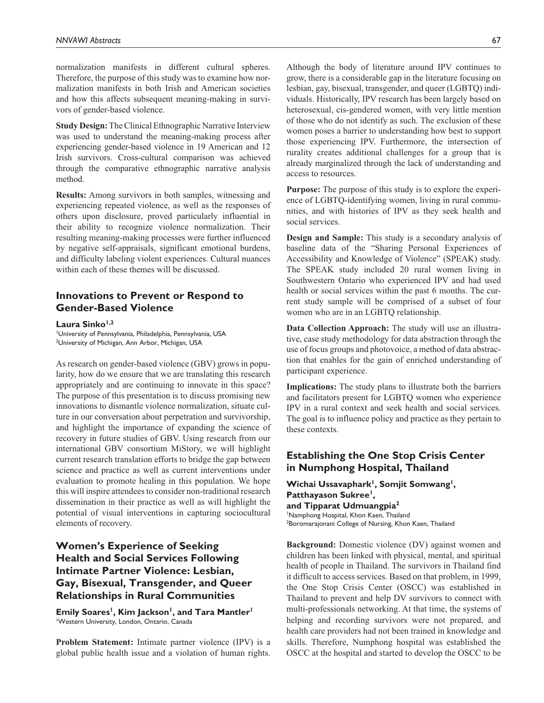normalization manifests in different cultural spheres. Therefore, the purpose of this study was to examine how normalization manifests in both Irish and American societies and how this affects subsequent meaning-making in survivors of gender-based violence.

**Study Design:** The Clinical Ethnographic Narrative Interview was used to understand the meaning-making process after experiencing gender-based violence in 19 American and 12 Irish survivors. Cross-cultural comparison was achieved through the comparative ethnographic narrative analysis method.

**Results:** Among survivors in both samples, witnessing and experiencing repeated violence, as well as the responses of others upon disclosure, proved particularly influential in their ability to recognize violence normalization. Their resulting meaning-making processes were further influenced by negative self-appraisals, significant emotional burdens, and difficulty labeling violent experiences. Cultural nuances within each of these themes will be discussed.

### **Innovations to Prevent or Respond to Gender-Based Violence**

#### Laura Sinko<sup>1,2</sup>

1 University of Pennsylvania, Philadelphia, Pennsylvania, USA <sup>2</sup>University of Michigan, Ann Arbor, Michigan, USA

As research on gender-based violence (GBV) grows in popularity, how do we ensure that we are translating this research appropriately and are continuing to innovate in this space? The purpose of this presentation is to discuss promising new innovations to dismantle violence normalization, situate culture in our conversation about perpetration and survivorship, and highlight the importance of expanding the science of recovery in future studies of GBV. Using research from our international GBV consortium MiStory, we will highlight current research translation efforts to bridge the gap between science and practice as well as current interventions under evaluation to promote healing in this population. We hope this will inspire attendees to consider non-traditional research dissemination in their practice as well as will highlight the potential of visual interventions in capturing sociocultural elements of recovery.

# **Women's Experience of Seeking Health and Social Services Following Intimate Partner Violence: Lesbian, Gay, Bisexual, Transgender, and Queer Relationships in Rural Communities**

**Emily Soares<sup>1</sup>, Kim Jackson<sup>1</sup>, and Tara Mantler<sup>1</sup>** 1 Western University, London, Ontario, Canada

**Problem Statement:** Intimate partner violence (IPV) is a global public health issue and a violation of human rights.

Although the body of literature around IPV continues to grow, there is a considerable gap in the literature focusing on lesbian, gay, bisexual, transgender, and queer (LGBTQ) individuals. Historically, IPV research has been largely based on heterosexual, cis-gendered women, with very little mention of those who do not identify as such. The exclusion of these women poses a barrier to understanding how best to support those experiencing IPV. Furthermore, the intersection of rurality creates additional challenges for a group that is already marginalized through the lack of understanding and access to resources.

**Purpose:** The purpose of this study is to explore the experience of LGBTQ-identifying women, living in rural communities, and with histories of IPV as they seek health and social services.

**Design and Sample:** This study is a secondary analysis of baseline data of the "Sharing Personal Experiences of Accessibility and Knowledge of Violence" (SPEAK) study. The SPEAK study included 20 rural women living in Southwestern Ontario who experienced IPV and had used health or social services within the past 6 months. The current study sample will be comprised of a subset of four women who are in an LGBTQ relationship.

**Data Collection Approach:** The study will use an illustrative, case study methodology for data abstraction through the use of focus groups and photovoice, a method of data abstraction that enables for the gain of enriched understanding of participant experience.

**Implications:** The study plans to illustrate both the barriers and facilitators present for LGBTQ women who experience IPV in a rural context and seek health and social services. The goal is to influence policy and practice as they pertain to these contexts.

## **Establishing the One Stop Crisis Center in Numphong Hospital, Thailand**

Wichai Ussavaphark<sup>1</sup>, Somjit Somwang<sup>1</sup>, **Patthayason Sukree<sup>1</sup>, and Tipparat Udmuangpia2** 1 Namphong Hospital, Khon Kaen, Thailand <sup>2</sup>Boromarajonani College of Nursing, Khon Kaen, Thailand

**Background:** Domestic violence (DV) against women and children has been linked with physical, mental, and spiritual health of people in Thailand. The survivors in Thailand find it difficult to access services. Based on that problem, in 1999, the One Stop Crisis Center (OSCC) was established in Thailand to prevent and help DV survivors to connect with multi-professionals networking. At that time, the systems of helping and recording survivors were not prepared, and health care providers had not been trained in knowledge and skills. Therefore, Numphong hospital was established the OSCC at the hospital and started to develop the OSCC to be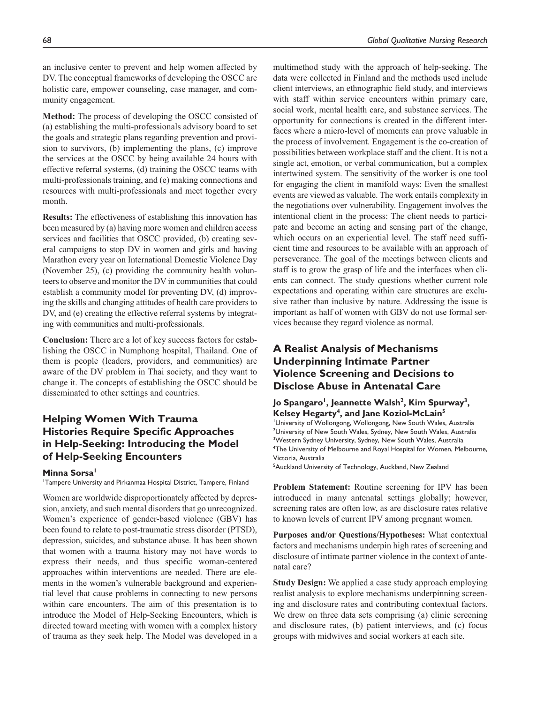an inclusive center to prevent and help women affected by DV. The conceptual frameworks of developing the OSCC are holistic care, empower counseling, case manager, and community engagement.

**Method:** The process of developing the OSCC consisted of (a) establishing the multi-professionals advisory board to set the goals and strategic plans regarding prevention and provision to survivors, (b) implementing the plans, (c) improve the services at the OSCC by being available 24 hours with effective referral systems, (d) training the OSCC teams with multi-professionals training, and (e) making connections and resources with multi-professionals and meet together every month.

**Results:** The effectiveness of establishing this innovation has been measured by (a) having more women and children access services and facilities that OSCC provided, (b) creating several campaigns to stop DV in women and girls and having Marathon every year on International Domestic Violence Day (November 25), (c) providing the community health volunteers to observe and monitor the DV in communities that could establish a community model for preventing DV, (d) improving the skills and changing attitudes of health care providers to DV, and (e) creating the effective referral systems by integrating with communities and multi-professionals.

**Conclusion:** There are a lot of key success factors for establishing the OSCC in Numphong hospital, Thailand. One of them is people (leaders, providers, and communities) are aware of the DV problem in Thai society, and they want to change it. The concepts of establishing the OSCC should be disseminated to other settings and countries.

# **Helping Women With Trauma Histories Require Specific Approaches in Help-Seeking: Introducing the Model of Help-Seeking Encounters**

#### **Minna Sorsa**

1 Tampere University and Pirkanmaa Hospital District, Tampere, Finland

Women are worldwide disproportionately affected by depression, anxiety, and such mental disorders that go unrecognized. Women's experience of gender-based violence (GBV) has been found to relate to post-traumatic stress disorder (PTSD), depression, suicides, and substance abuse. It has been shown that women with a trauma history may not have words to express their needs, and thus specific woman-centered approaches within interventions are needed. There are elements in the women's vulnerable background and experiential level that cause problems in connecting to new persons within care encounters. The aim of this presentation is to introduce the Model of Help-Seeking Encounters, which is directed toward meeting with women with a complex history of trauma as they seek help. The Model was developed in a

multimethod study with the approach of help-seeking. The data were collected in Finland and the methods used include client interviews, an ethnographic field study, and interviews with staff within service encounters within primary care, social work, mental health care, and substance services. The opportunity for connections is created in the different interfaces where a micro-level of moments can prove valuable in the process of involvement. Engagement is the co-creation of possibilities between workplace staff and the client. It is not a single act, emotion, or verbal communication, but a complex intertwined system. The sensitivity of the worker is one tool for engaging the client in manifold ways: Even the smallest events are viewed as valuable. The work entails complexity in the negotiations over vulnerability. Engagement involves the intentional client in the process: The client needs to participate and become an acting and sensing part of the change, which occurs on an experiential level. The staff need sufficient time and resources to be available with an approach of perseverance. The goal of the meetings between clients and staff is to grow the grasp of life and the interfaces when clients can connect. The study questions whether current role expectations and operating within care structures are exclusive rather than inclusive by nature. Addressing the issue is important as half of women with GBV do not use formal services because they regard violence as normal.

# **A Realist Analysis of Mechanisms Underpinning Intimate Partner Violence Screening and Decisions to Disclose Abuse in Antenatal Care**

### **Jo Spangaro1, Jeannette Walsh2, Kim Spurway3, Kelsey Hegarty4, and Jane Koziol-McLain5**

1 University of Wollongong, Wollongong, New South Wales, Australia <sup>2</sup>University of New South Wales, Sydney, New South Wales, Australia <sup>3</sup>Western Sydney University, Sydney, New South Wales, Australia 4 The University of Melbourne and Royal Hospital for Women, Melbourne, Victoria, Australia

<sup>5</sup> Auckland University of Technology, Auckland, New Zealand

**Problem Statement:** Routine screening for IPV has been introduced in many antenatal settings globally; however, screening rates are often low, as are disclosure rates relative to known levels of current IPV among pregnant women.

**Purposes and/or Questions/Hypotheses:** What contextual factors and mechanisms underpin high rates of screening and disclosure of intimate partner violence in the context of antenatal care?

**Study Design:** We applied a case study approach employing realist analysis to explore mechanisms underpinning screening and disclosure rates and contributing contextual factors. We drew on three data sets comprising (a) clinic screening and disclosure rates, (b) patient interviews, and (c) focus groups with midwives and social workers at each site.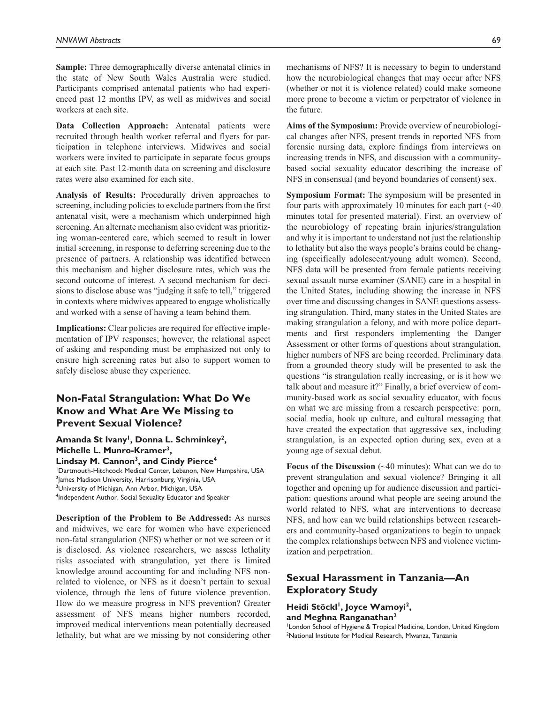**Sample:** Three demographically diverse antenatal clinics in the state of New South Wales Australia were studied. Participants comprised antenatal patients who had experienced past 12 months IPV, as well as midwives and social workers at each site.

**Data Collection Approach:** Antenatal patients were recruited through health worker referral and flyers for participation in telephone interviews. Midwives and social workers were invited to participate in separate focus groups at each site. Past 12-month data on screening and disclosure rates were also examined for each site.

**Analysis of Results:** Procedurally driven approaches to screening, including policies to exclude partners from the first antenatal visit, were a mechanism which underpinned high screening. An alternate mechanism also evident was prioritizing woman-centered care, which seemed to result in lower initial screening, in response to deferring screening due to the presence of partners. A relationship was identified between this mechanism and higher disclosure rates, which was the second outcome of interest. A second mechanism for decisions to disclose abuse was "judging it safe to tell," triggered in contexts where midwives appeared to engage wholistically and worked with a sense of having a team behind them.

**Implications:** Clear policies are required for effective implementation of IPV responses; however, the relational aspect of asking and responding must be emphasized not only to ensure high screening rates but also to support women to safely disclose abuse they experience.

### **Non-Fatal Strangulation: What Do We Know and What Are We Missing to Prevent Sexual Violence?**

Amanda St Ivany<sup>1</sup>, Donna L. Schminkey<sup>2</sup>, **Michelle L. Munro-Kramer3,** 

Lindsay M. Cannon<sup>3</sup>, and Cindy Pierce<sup>4</sup> 1 Dartmouth-Hitchcock Medical Center, Lebanon, New Hampshire, USA 2 James Madison University, Harrisonburg, Virginia, USA <sup>3</sup>University of Michigan, Ann Arbor, Michigan, USA 4 Independent Author, Social Sexuality Educator and Speaker

**Description of the Problem to Be Addressed:** As nurses and midwives, we care for women who have experienced non-fatal strangulation (NFS) whether or not we screen or it is disclosed. As violence researchers, we assess lethality risks associated with strangulation, yet there is limited knowledge around accounting for and including NFS nonrelated to violence, or NFS as it doesn't pertain to sexual violence, through the lens of future violence prevention. How do we measure progress in NFS prevention? Greater assessment of NFS means higher numbers recorded, improved medical interventions mean potentially decreased lethality, but what are we missing by not considering other

mechanisms of NFS? It is necessary to begin to understand how the neurobiological changes that may occur after NFS (whether or not it is violence related) could make someone more prone to become a victim or perpetrator of violence in the future.

**Aims of the Symposium:** Provide overview of neurobiological changes after NFS, present trends in reported NFS from forensic nursing data, explore findings from interviews on increasing trends in NFS, and discussion with a communitybased social sexuality educator describing the increase of NFS in consensual (and beyond boundaries of consent) sex.

**Symposium Format:** The symposium will be presented in four parts with approximately 10 minutes for each part  $(\sim 40$ minutes total for presented material). First, an overview of the neurobiology of repeating brain injuries/strangulation and why it is important to understand not just the relationship to lethality but also the ways people's brains could be changing (specifically adolescent/young adult women). Second, NFS data will be presented from female patients receiving sexual assault nurse examiner (SANE) care in a hospital in the United States, including showing the increase in NFS over time and discussing changes in SANE questions assessing strangulation. Third, many states in the United States are making strangulation a felony, and with more police departments and first responders implementing the Danger Assessment or other forms of questions about strangulation, higher numbers of NFS are being recorded. Preliminary data from a grounded theory study will be presented to ask the questions "is strangulation really increasing, or is it how we talk about and measure it?" Finally, a brief overview of community-based work as social sexuality educator, with focus on what we are missing from a research perspective: porn, social media, hook up culture, and cultural messaging that have created the expectation that aggressive sex, including strangulation, is an expected option during sex, even at a young age of sexual debut.

**Focus of the Discussion** (~40 minutes): What can we do to prevent strangulation and sexual violence? Bringing it all together and opening up for audience discussion and participation: questions around what people are seeing around the world related to NFS, what are interventions to decrease NFS, and how can we build relationships between researchers and community-based organizations to begin to unpack the complex relationships between NFS and violence victimization and perpetration.

## **Sexual Harassment in Tanzania—An Exploratory Study**

#### Heidi Stöckl<sup>1</sup>, Joyce Wamoyi<sup>2</sup>, **and Meghna Ranganathan2**

London School of Hygiene & Tropical Medicine, London, United Kingdom 2 National Institute for Medical Research, Mwanza, Tanzania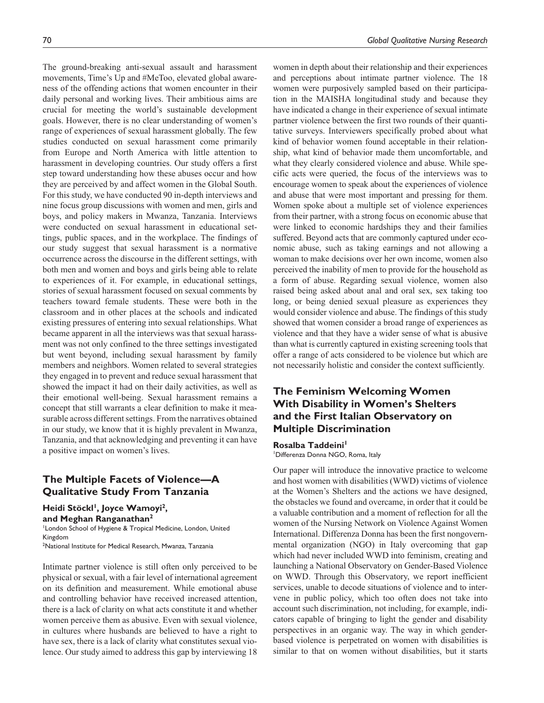The ground-breaking anti-sexual assault and harassment movements, Time's Up and #MeToo, elevated global awareness of the offending actions that women encounter in their daily personal and working lives. Their ambitious aims are crucial for meeting the world's sustainable development goals. However, there is no clear understanding of women's range of experiences of sexual harassment globally. The few studies conducted on sexual harassment come primarily from Europe and North America with little attention to harassment in developing countries. Our study offers a first step toward understanding how these abuses occur and how they are perceived by and affect women in the Global South. For this study, we have conducted 90 in-depth interviews and nine focus group discussions with women and men, girls and boys, and policy makers in Mwanza, Tanzania. Interviews were conducted on sexual harassment in educational settings, public spaces, and in the workplace. The findings of our study suggest that sexual harassment is a normative occurrence across the discourse in the different settings, with both men and women and boys and girls being able to relate to experiences of it. For example, in educational settings, stories of sexual harassment focused on sexual comments by teachers toward female students. These were both in the classroom and in other places at the schools and indicated existing pressures of entering into sexual relationships. What became apparent in all the interviews was that sexual harassment was not only confined to the three settings investigated but went beyond, including sexual harassment by family members and neighbors. Women related to several strategies they engaged in to prevent and reduce sexual harassment that showed the impact it had on their daily activities, as well as their emotional well-being. Sexual harassment remains a concept that still warrants a clear definition to make it measurable across different settings. From the narratives obtained in our study, we know that it is highly prevalent in Mwanza, Tanzania, and that acknowledging and preventing it can have a positive impact on women's lives.

## **The Multiple Facets of Violence—A Qualitative Study From Tanzania**

Heidi Stöckl<sup>1</sup>, Joyce Wamoyi<sup>2</sup>, **and Meghan Ranganathan2**

London School of Hygiene & Tropical Medicine, London, United Kingdom 2 National Institute for Medical Research, Mwanza, Tanzania

Intimate partner violence is still often only perceived to be physical or sexual, with a fair level of international agreement on its definition and measurement. While emotional abuse and controlling behavior have received increased attention, there is a lack of clarity on what acts constitute it and whether women perceive them as abusive. Even with sexual violence, in cultures where husbands are believed to have a right to have sex, there is a lack of clarity what constitutes sexual violence. Our study aimed to address this gap by interviewing 18

women in depth about their relationship and their experiences and perceptions about intimate partner violence. The 18 women were purposively sampled based on their participation in the MAISHA longitudinal study and because they have indicated a change in their experience of sexual intimate partner violence between the first two rounds of their quantitative surveys. Interviewers specifically probed about what kind of behavior women found acceptable in their relationship, what kind of behavior made them uncomfortable, and what they clearly considered violence and abuse. While specific acts were queried, the focus of the interviews was to encourage women to speak about the experiences of violence and abuse that were most important and pressing for them. Women spoke about a multiple set of violence experiences from their partner, with a strong focus on economic abuse that were linked to economic hardships they and their families suffered. Beyond acts that are commonly captured under economic abuse, such as taking earnings and not allowing a woman to make decisions over her own income, women also perceived the inability of men to provide for the household as a form of abuse. Regarding sexual violence, women also raised being asked about anal and oral sex, sex taking too long, or being denied sexual pleasure as experiences they would consider violence and abuse. The findings of this study showed that women consider a broad range of experiences as violence and that they have a wider sense of what is abusive than what is currently captured in existing screening tools that offer a range of acts considered to be violence but which are not necessarily holistic and consider the context sufficiently.

# **The Feminism Welcoming Women With Disability in Women's Shelters and the First Italian Observatory on Multiple Discrimination**

#### Rosalba Taddeini<sup>1</sup>

1 Differenza Donna NGO, Roma, Italy

Our paper will introduce the innovative practice to welcome and host women with disabilities (WWD) victims of violence at the Women's Shelters and the actions we have designed, the obstacles we found and overcame, in order that it could be a valuable contribution and a moment of reflection for all the women of the Nursing Network on Violence Against Women International. Differenza Donna has been the first nongovernmental organization (NGO) in Italy overcoming that gap which had never included WWD into feminism, creating and launching a National Observatory on Gender-Based Violence on WWD. Through this Observatory, we report inefficient services, unable to decode situations of violence and to intervene in public policy, which too often does not take into account such discrimination, not including, for example, indicators capable of bringing to light the gender and disability perspectives in an organic way. The way in which genderbased violence is perpetrated on women with disabilities is similar to that on women without disabilities, but it starts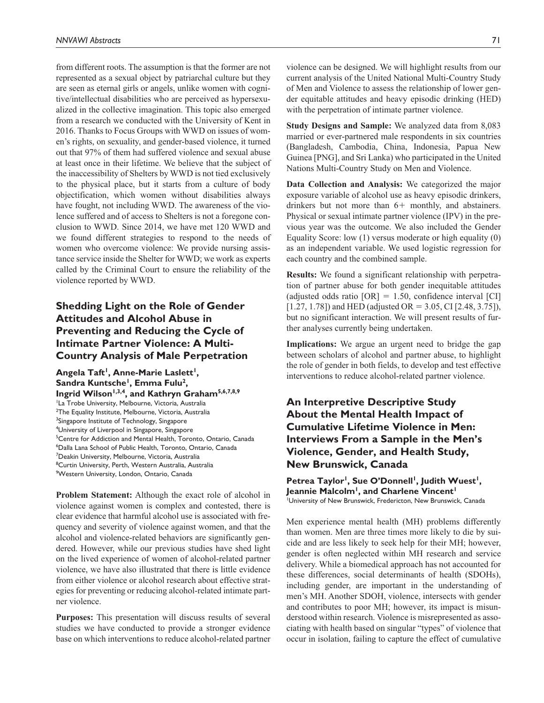from different roots. The assumption is that the former are not represented as a sexual object by patriarchal culture but they are seen as eternal girls or angels, unlike women with cognitive/intellectual disabilities who are perceived as hypersexualized in the collective imagination. This topic also emerged from a research we conducted with the University of Kent in 2016. Thanks to Focus Groups with WWD on issues of women's rights, on sexuality, and gender-based violence, it turned out that 97% of them had suffered violence and sexual abuse at least once in their lifetime. We believe that the subject of the inaccessibility of Shelters by WWD is not tied exclusively to the physical place, but it starts from a culture of body objectification, which women without disabilities always have fought, not including WWD. The awareness of the violence suffered and of access to Shelters is not a foregone conclusion to WWD. Since 2014, we have met 120 WWD and we found different strategies to respond to the needs of women who overcome violence: We provide nursing assistance service inside the Shelter for WWD; we work as experts called by the Criminal Court to ensure the reliability of the violence reported by WWD.

# **Shedding Light on the Role of Gender Attitudes and Alcohol Abuse in Preventing and Reducing the Cycle of Intimate Partner Violence: A Multi-Country Analysis of Male Perpetration**

Angela Taft<sup>1</sup>, Anne-Marie Laslett<sup>1</sup>, Sandra Kuntsche<sup>1</sup>, Emma Fulu<sup>2</sup>, **Ingrid Wilson1,3,4, and Kathryn Graham5,6,7,8,9** <sup>1</sup>La Trobe University, Melbourne, Victoria, Australia <sup>2</sup>The Equality Institute, Melbourne, Victoria, Australia <sup>3</sup>Singapore Institute of Technology, Singapore 4 University of Liverpool in Singapore, Singapore <sup>5</sup>Centre for Addiction and Mental Health, Toronto, Ontario, Canada 6 Dalla Lana School of Public Health, Toronto, Ontario, Canada 7 Deakin University, Melbourne, Victoria, Australia 8 Curtin University, Perth, Western Australia, Australia 9 Western University, London, Ontario, Canada

**Problem Statement:** Although the exact role of alcohol in violence against women is complex and contested, there is clear evidence that harmful alcohol use is associated with frequency and severity of violence against women, and that the alcohol and violence-related behaviors are significantly gendered. However, while our previous studies have shed light on the lived experience of women of alcohol-related partner violence, we have also illustrated that there is little evidence from either violence or alcohol research about effective strategies for preventing or reducing alcohol-related intimate partner violence.

**Purposes:** This presentation will discuss results of several studies we have conducted to provide a stronger evidence base on which interventions to reduce alcohol-related partner violence can be designed. We will highlight results from our current analysis of the United National Multi-Country Study of Men and Violence to assess the relationship of lower gender equitable attitudes and heavy episodic drinking (HED) with the perpetration of intimate partner violence.

**Study Designs and Sample:** We analyzed data from 8,083 married or ever-partnered male respondents in six countries (Bangladesh, Cambodia, China, Indonesia, Papua New Guinea [PNG], and Sri Lanka) who participated in the United Nations Multi-Country Study on Men and Violence.

**Data Collection and Analysis:** We categorized the major exposure variable of alcohol use as heavy episodic drinkers, drinkers but not more than 6+ monthly, and abstainers. Physical or sexual intimate partner violence (IPV) in the previous year was the outcome. We also included the Gender Equality Score: low (1) versus moderate or high equality (0) as an independent variable. We used logistic regression for each country and the combined sample.

**Results:** We found a significant relationship with perpetration of partner abuse for both gender inequitable attitudes (adjusted odds ratio  $[OR] = 1.50$ , confidence interval  $[CI]$  $[1.27, 1.78]$  and HED (adjusted OR = 3.05, CI  $[2.48, 3.75]$ ), but no significant interaction. We will present results of further analyses currently being undertaken.

**Implications:** We argue an urgent need to bridge the gap between scholars of alcohol and partner abuse, to highlight the role of gender in both fields, to develop and test effective interventions to reduce alcohol-related partner violence.

**An Interpretive Descriptive Study About the Mental Health Impact of Cumulative Lifetime Violence in Men: Interviews From a Sample in the Men's Violence, Gender, and Health Study, New Brunswick, Canada**

Petrea Taylor<sup>1</sup>, Sue O'Donnell<sup>1</sup>, Judith Wuest<sup>1</sup>, **Jeannie Malcolm<sup>1</sup>, and Charlene Vincent<sup>1</sup>** 1 University of New Brunswick, Fredericton, New Brunswick, Canada

Men experience mental health (MH) problems differently than women. Men are three times more likely to die by suicide and are less likely to seek help for their MH; however, gender is often neglected within MH research and service delivery. While a biomedical approach has not accounted for these differences, social determinants of health (SDOHs), including gender, are important in the understanding of men's MH. Another SDOH, violence, intersects with gender and contributes to poor MH; however, its impact is misunderstood within research. Violence is misrepresented as associating with health based on singular "types" of violence that occur in isolation, failing to capture the effect of cumulative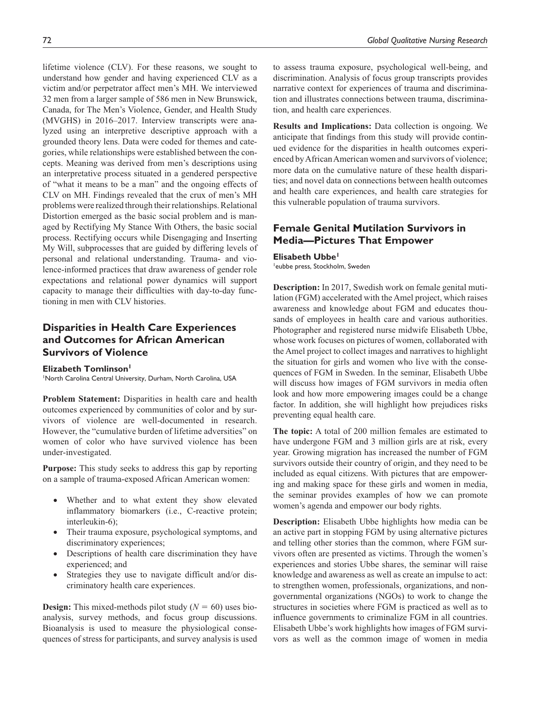lifetime violence (CLV). For these reasons, we sought to understand how gender and having experienced CLV as a victim and/or perpetrator affect men's MH. We interviewed 32 men from a larger sample of 586 men in New Brunswick, Canada, for The Men's Violence, Gender, and Health Study (MVGHS) in 2016–2017. Interview transcripts were analyzed using an interpretive descriptive approach with a grounded theory lens. Data were coded for themes and categories, while relationships were established between the concepts. Meaning was derived from men's descriptions using an interpretative process situated in a gendered perspective of "what it means to be a man" and the ongoing effects of CLV on MH. Findings revealed that the crux of men's MH problems were realized through their relationships. Relational Distortion emerged as the basic social problem and is managed by Rectifying My Stance With Others, the basic social process. Rectifying occurs while Disengaging and Inserting My Will, subprocesses that are guided by differing levels of personal and relational understanding. Trauma- and violence-informed practices that draw awareness of gender role expectations and relational power dynamics will support capacity to manage their difficulties with day-to-day functioning in men with CLV histories.

# **Disparities in Health Care Experiences and Outcomes for African American Survivors of Violence**

**Elizabeth Tomlinson1** 1 North Carolina Central University, Durham, North Carolina, USA

**Problem Statement:** Disparities in health care and health outcomes experienced by communities of color and by survivors of violence are well-documented in research. However, the "cumulative burden of lifetime adversities" on women of color who have survived violence has been under-investigated.

**Purpose:** This study seeks to address this gap by reporting on a sample of trauma-exposed African American women:

- Whether and to what extent they show elevated inflammatory biomarkers (i.e., C-reactive protein; interleukin-6);
- Their trauma exposure, psychological symptoms, and discriminatory experiences;
- Descriptions of health care discrimination they have experienced; and
- Strategies they use to navigate difficult and/or discriminatory health care experiences.

**Design:** This mixed-methods pilot study  $(N = 60)$  uses bioanalysis, survey methods, and focus group discussions. Bioanalysis is used to measure the physiological consequences of stress for participants, and survey analysis is used to assess trauma exposure, psychological well-being, and discrimination. Analysis of focus group transcripts provides narrative context for experiences of trauma and discrimination and illustrates connections between trauma, discrimination, and health care experiences.

**Results and Implications:** Data collection is ongoing. We anticipate that findings from this study will provide continued evidence for the disparities in health outcomes experienced by African American women and survivors of violence; more data on the cumulative nature of these health disparities; and novel data on connections between health outcomes and health care experiences, and health care strategies for this vulnerable population of trauma survivors.

# **Female Genital Mutilation Survivors in Media—Pictures That Empower**

**Elisabeth Ubbe1** 1 eubbe press, Stockholm, Sweden

**Description:** In 2017, Swedish work on female genital mutilation (FGM) accelerated with the Amel project, which raises awareness and knowledge about FGM and educates thousands of employees in health care and various authorities. Photographer and registered nurse midwife Elisabeth Ubbe, whose work focuses on pictures of women, collaborated with the Amel project to collect images and narratives to highlight the situation for girls and women who live with the consequences of FGM in Sweden. In the seminar, Elisabeth Ubbe will discuss how images of FGM survivors in media often look and how more empowering images could be a change factor. In addition, she will highlight how prejudices risks preventing equal health care.

**The topic:** A total of 200 million females are estimated to have undergone FGM and 3 million girls are at risk, every year. Growing migration has increased the number of FGM survivors outside their country of origin, and they need to be included as equal citizens. With pictures that are empowering and making space for these girls and women in media, the seminar provides examples of how we can promote women's agenda and empower our body rights.

**Description:** Elisabeth Ubbe highlights how media can be an active part in stopping FGM by using alternative pictures and telling other stories than the common, where FGM survivors often are presented as victims. Through the women's experiences and stories Ubbe shares, the seminar will raise knowledge and awareness as well as create an impulse to act: to strengthen women, professionals, organizations, and nongovernmental organizations (NGOs) to work to change the structures in societies where FGM is practiced as well as to influence governments to criminalize FGM in all countries. Elisabeth Ubbe's work highlights how images of FGM survivors as well as the common image of women in media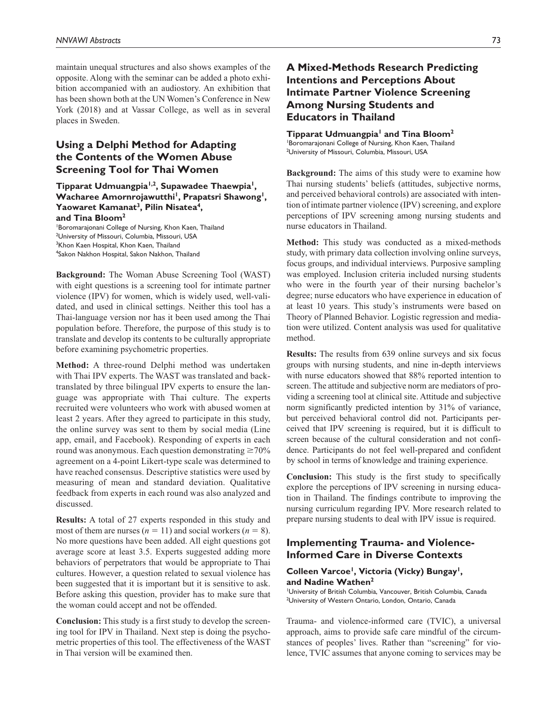maintain unequal structures and also shows examples of the opposite. Along with the seminar can be added a photo exhibition accompanied with an audiostory. An exhibition that has been shown both at the UN Women's Conference in New York (2018) and at Vassar College, as well as in several places in Sweden.

# **Using a Delphi Method for Adapting the Contents of the Women Abuse Screening Tool for Thai Women**

**Tipparat Udmuangpia1,2, Supawadee Thaewpia1,**  Wacharee Amornrojawutthi<sup>1</sup>, Prapatsri Shawong<sup>1</sup>, Yaowaret Kamanat<sup>3</sup>, Pilin Nisatea<sup>4</sup>,

#### **and Tina Bloom2**

1 Boromarajonani College of Nursing, Khon Kaen, Thailand <sup>2</sup>University of Missouri, Columbia, Missouri, USA <sup>3</sup>Khon Kaen Hospital, Khon Kaen, Thailand 4 Sakon Nakhon Hospital, Sakon Nakhon, Thailand

**Background:** The Woman Abuse Screening Tool (WAST) with eight questions is a screening tool for intimate partner violence (IPV) for women, which is widely used, well-validated, and used in clinical settings. Neither this tool has a Thai-language version nor has it been used among the Thai population before. Therefore, the purpose of this study is to translate and develop its contents to be culturally appropriate before examining psychometric properties.

**Method:** A three-round Delphi method was undertaken with Thai IPV experts. The WAST was translated and backtranslated by three bilingual IPV experts to ensure the language was appropriate with Thai culture. The experts recruited were volunteers who work with abused women at least 2 years. After they agreed to participate in this study, the online survey was sent to them by social media (Line app, email, and Facebook). Responding of experts in each round was anonymous. Each question demonstrating  $\geq 70\%$ agreement on a 4-point Likert-type scale was determined to have reached consensus. Descriptive statistics were used by measuring of mean and standard deviation. Qualitative feedback from experts in each round was also analyzed and discussed.

**Results:** A total of 27 experts responded in this study and most of them are nurses ( $n = 11$ ) and social workers ( $n = 8$ ). No more questions have been added. All eight questions got average score at least 3.5. Experts suggested adding more behaviors of perpetrators that would be appropriate to Thai cultures. However, a question related to sexual violence has been suggested that it is important but it is sensitive to ask. Before asking this question, provider has to make sure that the woman could accept and not be offended.

**Conclusion:** This study is a first study to develop the screening tool for IPV in Thailand. Next step is doing the psychometric properties of this tool. The effectiveness of the WAST in Thai version will be examined then.

# **A Mixed-Methods Research Predicting Intentions and Perceptions About Intimate Partner Violence Screening Among Nursing Students and Educators in Thailand**

**Tipparat Udmuangpia1 and Tina Bloom2** Boromarajonani College of Nursing, Khon Kaen, Thailand <sup>2</sup>University of Missouri, Columbia, Missouri, USA

**Background:** The aims of this study were to examine how Thai nursing students' beliefs (attitudes, subjective norms, and perceived behavioral controls) are associated with intention of intimate partner violence (IPV) screening, and explore perceptions of IPV screening among nursing students and nurse educators in Thailand.

**Method:** This study was conducted as a mixed-methods study, with primary data collection involving online surveys, focus groups, and individual interviews. Purposive sampling was employed. Inclusion criteria included nursing students who were in the fourth year of their nursing bachelor's degree; nurse educators who have experience in education of at least 10 years. This study's instruments were based on Theory of Planned Behavior. Logistic regression and mediation were utilized. Content analysis was used for qualitative method.

**Results:** The results from 639 online surveys and six focus groups with nursing students, and nine in-depth interviews with nurse educators showed that 88% reported intention to screen. The attitude and subjective norm are mediators of providing a screening tool at clinical site. Attitude and subjective norm significantly predicted intention by 31% of variance, but perceived behavioral control did not. Participants perceived that IPV screening is required, but it is difficult to screen because of the cultural consideration and not confidence. Participants do not feel well-prepared and confident by school in terms of knowledge and training experience.

**Conclusion:** This study is the first study to specifically explore the perceptions of IPV screening in nursing education in Thailand. The findings contribute to improving the nursing curriculum regarding IPV. More research related to prepare nursing students to deal with IPV issue is required.

### **Implementing Trauma- and Violence-Informed Care in Diverse Contexts**

### Colleen Varcoe<sup>1</sup>, Victoria (Vicky) Bungay<sup>1</sup>, **and Nadine Wathen2**

1 University of British Columbia, Vancouver, British Columbia, Canada <sup>2</sup>University of Western Ontario, London, Ontario, Canada

Trauma- and violence-informed care (TVIC), a universal approach, aims to provide safe care mindful of the circumstances of peoples' lives. Rather than "screening" for violence, TVIC assumes that anyone coming to services may be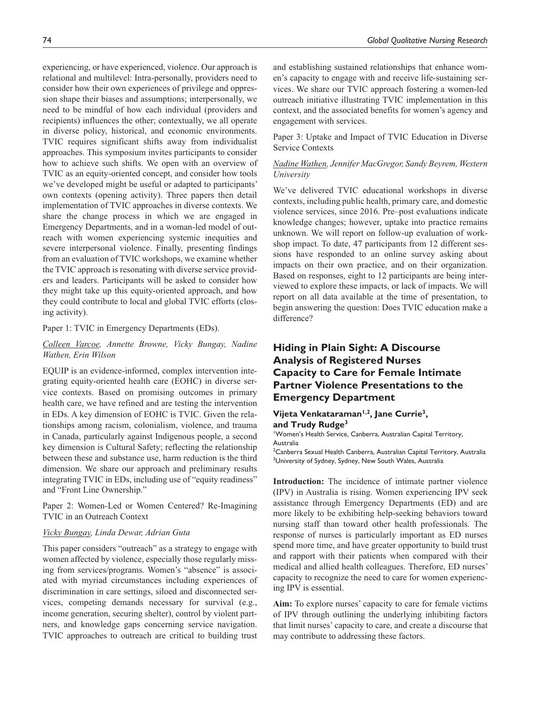experiencing, or have experienced, violence. Our approach is relational and multilevel: Intra-personally, providers need to consider how their own experiences of privilege and oppression shape their biases and assumptions; interpersonally, we need to be mindful of how each individual (providers and recipients) influences the other; contextually, we all operate in diverse policy, historical, and economic environments. TVIC requires significant shifts away from individualist approaches. This symposium invites participants to consider how to achieve such shifts. We open with an overview of TVIC as an equity-oriented concept, and consider how tools we've developed might be useful or adapted to participants' own contexts (opening activity). Three papers then detail implementation of TVIC approaches in diverse contexts. We share the change process in which we are engaged in Emergency Departments, and in a woman-led model of outreach with women experiencing systemic inequities and severe interpersonal violence. Finally, presenting findings from an evaluation of TVIC workshops, we examine whether the TVIC approach is resonating with diverse service providers and leaders. Participants will be asked to consider how they might take up this equity-oriented approach, and how they could contribute to local and global TVIC efforts (closing activity).

#### Paper 1: TVIC in Emergency Departments (EDs).

### *Colleen Varcoe, Annette Browne, Vicky Bungay, Nadine Wathen, Erin Wilson*

EQUIP is an evidence-informed, complex intervention integrating equity-oriented health care (EOHC) in diverse service contexts. Based on promising outcomes in primary health care, we have refined and are testing the intervention in EDs. A key dimension of EOHC is TVIC. Given the relationships among racism, colonialism, violence, and trauma in Canada, particularly against Indigenous people, a second key dimension is Cultural Safety; reflecting the relationship between these and substance use, harm reduction is the third dimension. We share our approach and preliminary results integrating TVIC in EDs, including use of "equity readiness" and "Front Line Ownership."

Paper 2: Women-Led or Women Centered? Re-Imagining TVIC in an Outreach Context

### *Vicky Bungay, Linda Dewar, Adrian Guta*

This paper considers "outreach" as a strategy to engage with women affected by violence, especially those regularly missing from services/programs. Women's "absence" is associated with myriad circumstances including experiences of discrimination in care settings, siloed and disconnected services, competing demands necessary for survival (e.g., income generation, securing shelter), control by violent partners, and knowledge gaps concerning service navigation. TVIC approaches to outreach are critical to building trust

and establishing sustained relationships that enhance women's capacity to engage with and receive life-sustaining services. We share our TVIC approach fostering a women-led outreach initiative illustrating TVIC implementation in this context, and the associated benefits for women's agency and engagement with services.

Paper 3: Uptake and Impact of TVIC Education in Diverse Service Contexts

#### *Nadine Wathen, Jennifer MacGregor, Sandy Beyrem, Western University*

We've delivered TVIC educational workshops in diverse contexts, including public health, primary care, and domestic violence services, since 2016. Pre–post evaluations indicate knowledge changes; however, uptake into practice remains unknown. We will report on follow-up evaluation of workshop impact. To date, 47 participants from 12 different sessions have responded to an online survey asking about impacts on their own practice, and on their organization. Based on responses, eight to 12 participants are being interviewed to explore these impacts, or lack of impacts. We will report on all data available at the time of presentation, to begin answering the question: Does TVIC education make a difference?

# **Hiding in Plain Sight: A Discourse Analysis of Registered Nurses Capacity to Care for Female Intimate Partner Violence Presentations to the Emergency Department**

#### **Vijeta Venkataraman1,2, Jane Currie3, and Trudy Rudge3**

1 Women's Health Service, Canberra, Australian Capital Territory, Australia

<sup>2</sup>Canberra Sexual Health Canberra, Australian Capital Territory, Australia <sup>3</sup>University of Sydney, Sydney, New South Wales, Australia

**Introduction:** The incidence of intimate partner violence (IPV) in Australia is rising. Women experiencing IPV seek assistance through Emergency Departments (ED) and are more likely to be exhibiting help-seeking behaviors toward nursing staff than toward other health professionals. The response of nurses is particularly important as ED nurses spend more time, and have greater opportunity to build trust and rapport with their patients when compared with their medical and allied health colleagues. Therefore, ED nurses' capacity to recognize the need to care for women experiencing IPV is essential.

**Aim:** To explore nurses' capacity to care for female victims of IPV through outlining the underlying inhibiting factors that limit nurses' capacity to care, and create a discourse that may contribute to addressing these factors.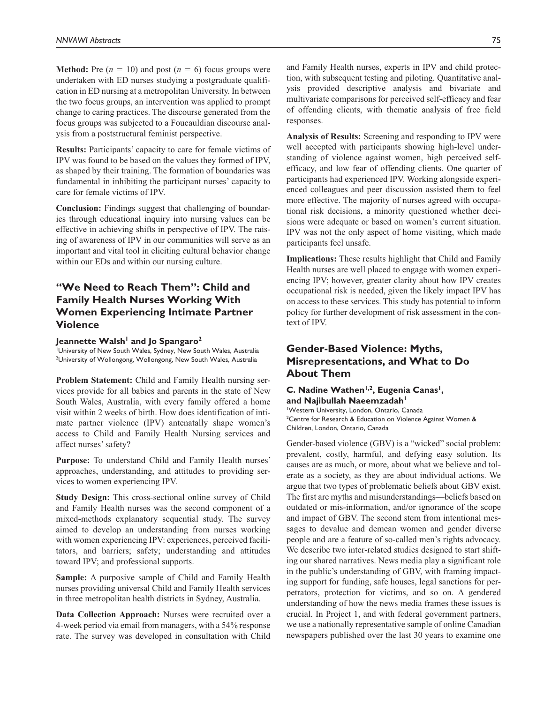**Method:** Pre  $(n = 10)$  and post  $(n = 6)$  focus groups were undertaken with ED nurses studying a postgraduate qualification in ED nursing at a metropolitan University. In between the two focus groups, an intervention was applied to prompt change to caring practices. The discourse generated from the focus groups was subjected to a Foucauldian discourse analysis from a poststructural feminist perspective.

**Results:** Participants' capacity to care for female victims of IPV was found to be based on the values they formed of IPV, as shaped by their training. The formation of boundaries was fundamental in inhibiting the participant nurses' capacity to care for female victims of IPV.

**Conclusion:** Findings suggest that challenging of boundaries through educational inquiry into nursing values can be effective in achieving shifts in perspective of IPV. The raising of awareness of IPV in our communities will serve as an important and vital tool in eliciting cultural behavior change within our EDs and within our nursing culture.

# **"We Need to Reach Them": Child and Family Health Nurses Working With Women Experiencing Intimate Partner Violence**

Jeannette Walsh<sup>1</sup> and Jo Spangaro<sup>2</sup>

1 University of New South Wales, Sydney, New South Wales, Australia 2 University of Wollongong, Wollongong, New South Wales, Australia

**Problem Statement:** Child and Family Health nursing services provide for all babies and parents in the state of New South Wales, Australia, with every family offered a home visit within 2 weeks of birth. How does identification of intimate partner violence (IPV) antenatally shape women's access to Child and Family Health Nursing services and affect nurses' safety?

**Purpose:** To understand Child and Family Health nurses' approaches, understanding, and attitudes to providing services to women experiencing IPV.

**Study Design:** This cross-sectional online survey of Child and Family Health nurses was the second component of a mixed-methods explanatory sequential study. The survey aimed to develop an understanding from nurses working with women experiencing IPV: experiences, perceived facilitators, and barriers; safety; understanding and attitudes toward IPV; and professional supports.

**Sample:** A purposive sample of Child and Family Health nurses providing universal Child and Family Health services in three metropolitan health districts in Sydney, Australia.

**Data Collection Approach:** Nurses were recruited over a 4-week period via email from managers, with a 54% response rate. The survey was developed in consultation with Child and Family Health nurses, experts in IPV and child protection, with subsequent testing and piloting. Quantitative analysis provided descriptive analysis and bivariate and multivariate comparisons for perceived self-efficacy and fear of offending clients, with thematic analysis of free field responses.

**Analysis of Results:** Screening and responding to IPV were well accepted with participants showing high-level understanding of violence against women, high perceived selfefficacy, and low fear of offending clients. One quarter of participants had experienced IPV. Working alongside experienced colleagues and peer discussion assisted them to feel more effective. The majority of nurses agreed with occupational risk decisions, a minority questioned whether decisions were adequate or based on women's current situation. IPV was not the only aspect of home visiting, which made participants feel unsafe.

**Implications:** These results highlight that Child and Family Health nurses are well placed to engage with women experiencing IPV; however, greater clarity about how IPV creates occupational risk is needed, given the likely impact IPV has on access to these services. This study has potential to inform policy for further development of risk assessment in the context of IPV.

# **Gender-Based Violence: Myths, Misrepresentations, and What to Do About Them**

### C. Nadine Wathen<sup>1,2</sup>, Eugenia Canas<sup>1</sup>, and Najibullah Naeemzadah<sup>1</sup> 1 Western University, London, Ontario, Canada

<sup>2</sup> Centre for Research & Education on Violence Against Women & Children, London, Ontario, Canada

Gender-based violence (GBV) is a "wicked" social problem: prevalent, costly, harmful, and defying easy solution. Its causes are as much, or more, about what we believe and tolerate as a society, as they are about individual actions. We argue that two types of problematic beliefs about GBV exist. The first are myths and misunderstandings—beliefs based on outdated or mis-information, and/or ignorance of the scope and impact of GBV. The second stem from intentional messages to devalue and demean women and gender diverse people and are a feature of so-called men's rights advocacy. We describe two inter-related studies designed to start shifting our shared narratives. News media play a significant role in the public's understanding of GBV, with framing impacting support for funding, safe houses, legal sanctions for perpetrators, protection for victims, and so on. A gendered understanding of how the news media frames these issues is crucial. In Project 1, and with federal government partners, we use a nationally representative sample of online Canadian newspapers published over the last 30 years to examine one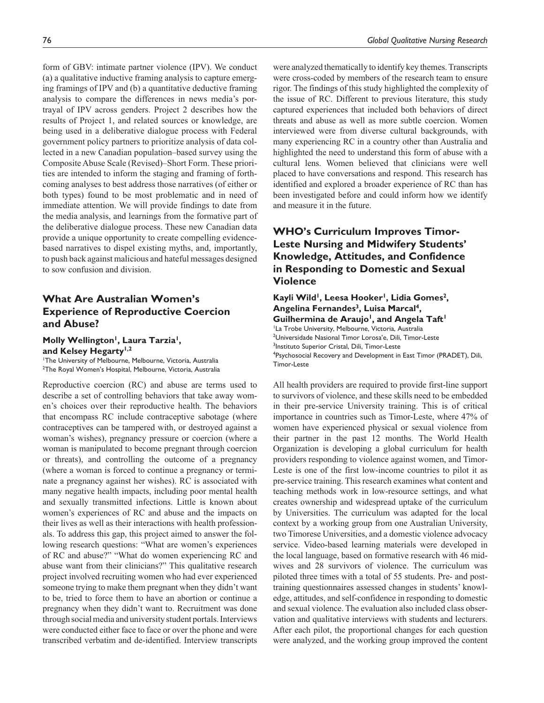form of GBV: intimate partner violence (IPV). We conduct (a) a qualitative inductive framing analysis to capture emerging framings of IPV and (b) a quantitative deductive framing analysis to compare the differences in news media's portrayal of IPV across genders. Project 2 describes how the results of Project 1, and related sources or knowledge, are being used in a deliberative dialogue process with Federal government policy partners to prioritize analysis of data collected in a new Canadian population–based survey using the Composite Abuse Scale (Revised)–Short Form. These priorities are intended to inform the staging and framing of forthcoming analyses to best address those narratives (of either or both types) found to be most problematic and in need of immediate attention. We will provide findings to date from the media analysis, and learnings from the formative part of the deliberative dialogue process. These new Canadian data provide a unique opportunity to create compelling evidencebased narratives to dispel existing myths, and, importantly, to push back against malicious and hateful messages designed to sow confusion and division.

# **What Are Australian Women's Experience of Reproductive Coercion and Abuse?**

Molly Wellington<sup>1</sup>, Laura Tarzia<sup>1</sup>, and Kelsey Hegarty<sup>1,2</sup>

1 The University of Melbourne, Melbourne, Victoria, Australia 2 The Royal Women's Hospital, Melbourne, Victoria, Australia

Reproductive coercion (RC) and abuse are terms used to describe a set of controlling behaviors that take away women's choices over their reproductive health. The behaviors that encompass RC include contraceptive sabotage (where contraceptives can be tampered with, or destroyed against a woman's wishes), pregnancy pressure or coercion (where a woman is manipulated to become pregnant through coercion or threats), and controlling the outcome of a pregnancy (where a woman is forced to continue a pregnancy or terminate a pregnancy against her wishes). RC is associated with many negative health impacts, including poor mental health and sexually transmitted infections. Little is known about women's experiences of RC and abuse and the impacts on their lives as well as their interactions with health professionals. To address this gap, this project aimed to answer the following research questions: "What are women's experiences of RC and abuse?" "What do women experiencing RC and abuse want from their clinicians?" This qualitative research project involved recruiting women who had ever experienced someone trying to make them pregnant when they didn't want to be, tried to force them to have an abortion or continue a pregnancy when they didn't want to. Recruitment was done through social media and university student portals. Interviews were conducted either face to face or over the phone and were transcribed verbatim and de-identified. Interview transcripts

were analyzed thematically to identify key themes. Transcripts were cross-coded by members of the research team to ensure rigor. The findings of this study highlighted the complexity of the issue of RC. Different to previous literature, this study captured experiences that included both behaviors of direct threats and abuse as well as more subtle coercion. Women interviewed were from diverse cultural backgrounds, with many experiencing RC in a country other than Australia and highlighted the need to understand this form of abuse with a cultural lens. Women believed that clinicians were well placed to have conversations and respond. This research has identified and explored a broader experience of RC than has been investigated before and could inform how we identify and measure it in the future.

# **WHO's Curriculum Improves Timor-Leste Nursing and Midwifery Students' Knowledge, Attitudes, and Confidence in Responding to Domestic and Sexual Violence**

#### Kayli Wild<sup>1</sup>, Leesa Hooker<sup>1</sup>, Lidia Gomes<sup>2</sup>, Angelina Fernandes<sup>3</sup>, Luisa Marcal<sup>4</sup>, Guilhermina de Araujo<sup>1</sup>, and Angela Taft<sup>1</sup> <sup>1</sup>La Trobe University, Melbourne, Victoria, Australia 2 Universidade Nasional Timor Lorosa'e, Dili, Timor-Leste 3 Instituto Superior Cristal, Dili, Timor-Leste 4 Psychosocial Recovery and Development in East Timor (PRADET), Dili, Timor-Leste

All health providers are required to provide first-line support to survivors of violence, and these skills need to be embedded in their pre-service University training. This is of critical importance in countries such as Timor-Leste, where 47% of women have experienced physical or sexual violence from their partner in the past 12 months. The World Health Organization is developing a global curriculum for health providers responding to violence against women, and Timor-Leste is one of the first low-income countries to pilot it as pre-service training. This research examines what content and teaching methods work in low-resource settings, and what creates ownership and widespread uptake of the curriculum by Universities. The curriculum was adapted for the local context by a working group from one Australian University, two Timorese Universities, and a domestic violence advocacy service. Video-based learning materials were developed in the local language, based on formative research with 46 midwives and 28 survivors of violence. The curriculum was piloted three times with a total of 55 students. Pre- and posttraining questionnaires assessed changes in students' knowledge, attitudes, and self-confidence in responding to domestic and sexual violence. The evaluation also included class observation and qualitative interviews with students and lecturers. After each pilot, the proportional changes for each question were analyzed, and the working group improved the content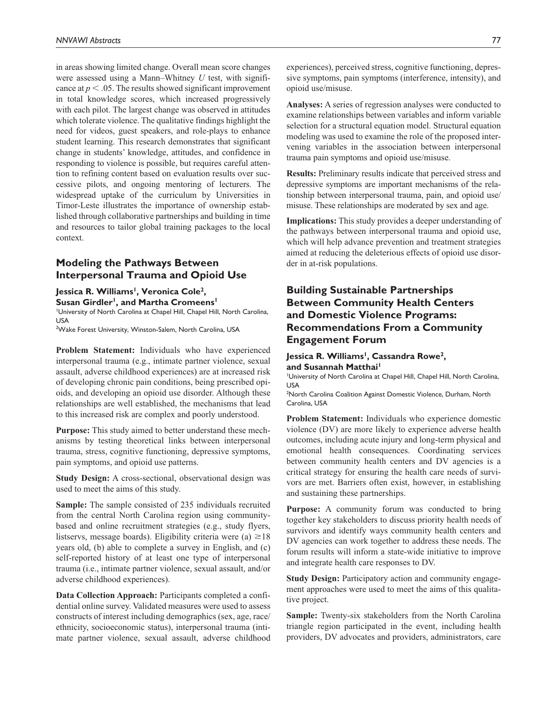in areas showing limited change. Overall mean score changes were assessed using a Mann–Whitney *U* test, with significance at  $p < 0.05$ . The results showed significant improvement in total knowledge scores, which increased progressively with each pilot. The largest change was observed in attitudes which tolerate violence. The qualitative findings highlight the need for videos, guest speakers, and role-plays to enhance student learning. This research demonstrates that significant change in students' knowledge, attitudes, and confidence in responding to violence is possible, but requires careful attention to refining content based on evaluation results over successive pilots, and ongoing mentoring of lecturers. The widespread uptake of the curriculum by Universities in Timor-Leste illustrates the importance of ownership established through collaborative partnerships and building in time and resources to tailor global training packages to the local context.

## **Modeling the Pathways Between Interpersonal Trauma and Opioid Use**

Jessica R. Williams<sup>1</sup>, Veronica Cole<sup>2</sup>,

Susan Girdler<sup>1</sup>, and Martha Cromeens<sup>1</sup>

1 University of North Carolina at Chapel Hill, Chapel Hill, North Carolina, USA

2 Wake Forest University, Winston-Salem, North Carolina, USA

**Problem Statement:** Individuals who have experienced interpersonal trauma (e.g., intimate partner violence, sexual assault, adverse childhood experiences) are at increased risk of developing chronic pain conditions, being prescribed opioids, and developing an opioid use disorder. Although these relationships are well established, the mechanisms that lead to this increased risk are complex and poorly understood.

**Purpose:** This study aimed to better understand these mechanisms by testing theoretical links between interpersonal trauma, stress, cognitive functioning, depressive symptoms, pain symptoms, and opioid use patterns.

**Study Design:** A cross-sectional, observational design was used to meet the aims of this study.

**Sample:** The sample consisted of 235 individuals recruited from the central North Carolina region using communitybased and online recruitment strategies (e.g., study flyers, listservs, message boards). Eligibility criteria were (a)  $\geq$ 18 years old, (b) able to complete a survey in English, and (c) self-reported history of at least one type of interpersonal trauma (i.e., intimate partner violence, sexual assault, and/or adverse childhood experiences).

**Data Collection Approach:** Participants completed a confidential online survey. Validated measures were used to assess constructs of interest including demographics (sex, age, race/ ethnicity, socioeconomic status), interpersonal trauma (intimate partner violence, sexual assault, adverse childhood experiences), perceived stress, cognitive functioning, depressive symptoms, pain symptoms (interference, intensity), and opioid use/misuse.

**Analyses:** A series of regression analyses were conducted to examine relationships between variables and inform variable selection for a structural equation model. Structural equation modeling was used to examine the role of the proposed intervening variables in the association between interpersonal trauma pain symptoms and opioid use/misuse.

**Results:** Preliminary results indicate that perceived stress and depressive symptoms are important mechanisms of the relationship between interpersonal trauma, pain, and opioid use/ misuse. These relationships are moderated by sex and age.

**Implications:** This study provides a deeper understanding of the pathways between interpersonal trauma and opioid use, which will help advance prevention and treatment strategies aimed at reducing the deleterious effects of opioid use disorder in at-risk populations.

# **Building Sustainable Partnerships Between Community Health Centers and Domestic Violence Programs: Recommendations From a Community Engagement Forum**

### Jessica R. Williams<sup>1</sup>, Cassandra Rowe<sup>2</sup>, and Susannah Matthai<sup>1</sup>

1 University of North Carolina at Chapel Hill, Chapel Hill, North Carolina, USA

<sup>2</sup>North Carolina Coalition Against Domestic Violence, Durham, North Carolina, USA

**Problem Statement:** Individuals who experience domestic violence (DV) are more likely to experience adverse health outcomes, including acute injury and long-term physical and emotional health consequences. Coordinating services between community health centers and DV agencies is a critical strategy for ensuring the health care needs of survivors are met. Barriers often exist, however, in establishing and sustaining these partnerships.

**Purpose:** A community forum was conducted to bring together key stakeholders to discuss priority health needs of survivors and identify ways community health centers and DV agencies can work together to address these needs. The forum results will inform a state-wide initiative to improve and integrate health care responses to DV.

**Study Design:** Participatory action and community engagement approaches were used to meet the aims of this qualitative project.

**Sample:** Twenty-six stakeholders from the North Carolina triangle region participated in the event, including health providers, DV advocates and providers, administrators, care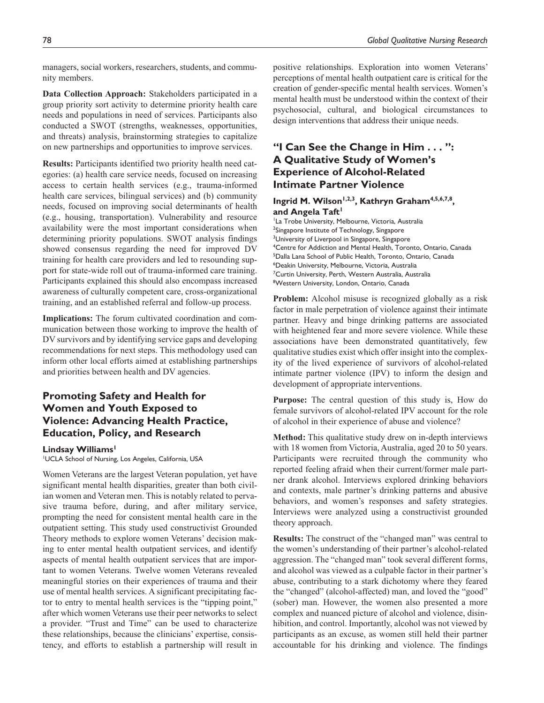managers, social workers, researchers, students, and community members.

**Data Collection Approach:** Stakeholders participated in a group priority sort activity to determine priority health care needs and populations in need of services. Participants also conducted a SWOT (strengths, weaknesses, opportunities, and threats) analysis, brainstorming strategies to capitalize on new partnerships and opportunities to improve services.

**Results:** Participants identified two priority health need categories: (a) health care service needs, focused on increasing access to certain health services (e.g., trauma-informed health care services, bilingual services) and (b) community needs, focused on improving social determinants of health (e.g., housing, transportation). Vulnerability and resource availability were the most important considerations when determining priority populations. SWOT analysis findings showed consensus regarding the need for improved DV training for health care providers and led to resounding support for state-wide roll out of trauma-informed care training. Participants explained this should also encompass increased awareness of culturally competent care, cross-organizational training, and an established referral and follow-up process.

**Implications:** The forum cultivated coordination and communication between those working to improve the health of DV survivors and by identifying service gaps and developing recommendations for next steps. This methodology used can inform other local efforts aimed at establishing partnerships and priorities between health and DV agencies.

# **Promoting Safety and Health for Women and Youth Exposed to Violence: Advancing Health Practice, Education, Policy, and Research**

### **Lindsay Williams1**

1 UCLA School of Nursing, Los Angeles, California, USA

Women Veterans are the largest Veteran population, yet have significant mental health disparities, greater than both civilian women and Veteran men. This is notably related to pervasive trauma before, during, and after military service, prompting the need for consistent mental health care in the outpatient setting. This study used constructivist Grounded Theory methods to explore women Veterans' decision making to enter mental health outpatient services, and identify aspects of mental health outpatient services that are important to women Veterans. Twelve women Veterans revealed meaningful stories on their experiences of trauma and their use of mental health services. A significant precipitating factor to entry to mental health services is the "tipping point," after which women Veterans use their peer networks to select a provider. "Trust and Time" can be used to characterize these relationships, because the clinicians' expertise, consistency, and efforts to establish a partnership will result in

positive relationships. Exploration into women Veterans' perceptions of mental health outpatient care is critical for the creation of gender-specific mental health services. Women's mental health must be understood within the context of their psychosocial, cultural, and biological circumstances to design interventions that address their unique needs.

# **"I Can See the Change in Him . . . ": A Qualitative Study of Women's Experience of Alcohol-Related Intimate Partner Violence**

### **Ingrid M. Wilson1,2,3, Kathryn Graham4,5,6,7,8,**  and Angela Taft<sup>1</sup>

<sup>1</sup>La Trobe University, Melbourne, Victoria, Australia <sup>2</sup>Singapore Institute of Technology, Singapore <sup>3</sup>University of Liverpool in Singapore, Singapore 4 Centre for Addiction and Mental Health, Toronto, Ontario, Canada 5 Dalla Lana School of Public Health, Toronto, Ontario, Canada 6 Deakin University, Melbourne, Victoria, Australia <sup>7</sup>Curtin University, Perth, Western Australia, Australia 8 Western University, London, Ontario, Canada

**Problem:** Alcohol misuse is recognized globally as a risk factor in male perpetration of violence against their intimate partner. Heavy and binge drinking patterns are associated with heightened fear and more severe violence. While these associations have been demonstrated quantitatively, few qualitative studies exist which offer insight into the complexity of the lived experience of survivors of alcohol-related intimate partner violence (IPV) to inform the design and development of appropriate interventions.

**Purpose:** The central question of this study is, How do female survivors of alcohol-related IPV account for the role of alcohol in their experience of abuse and violence?

**Method:** This qualitative study drew on in-depth interviews with 18 women from Victoria, Australia, aged 20 to 50 years. Participants were recruited through the community who reported feeling afraid when their current/former male partner drank alcohol. Interviews explored drinking behaviors and contexts, male partner's drinking patterns and abusive behaviors, and women's responses and safety strategies. Interviews were analyzed using a constructivist grounded theory approach.

**Results:** The construct of the "changed man" was central to the women's understanding of their partner's alcohol-related aggression. The "changed man" took several different forms, and alcohol was viewed as a culpable factor in their partner's abuse, contributing to a stark dichotomy where they feared the "changed" (alcohol-affected) man, and loved the "good" (sober) man. However, the women also presented a more complex and nuanced picture of alcohol and violence, disinhibition, and control. Importantly, alcohol was not viewed by participants as an excuse, as women still held their partner accountable for his drinking and violence. The findings